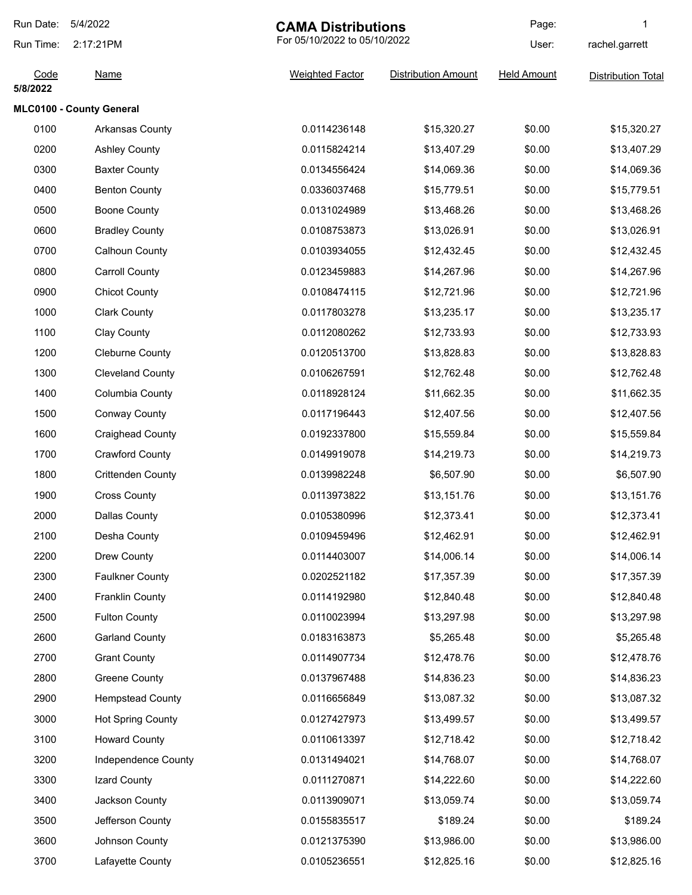| Run Date:              | 5/4/2022                 | <b>CAMA Distributions</b> |                              | Page:              | 1                         |
|------------------------|--------------------------|---------------------------|------------------------------|--------------------|---------------------------|
| 2:17:21PM<br>Run Time: |                          |                           | For 05/10/2022 to 05/10/2022 |                    | rachel.garrett            |
| Code<br>5/8/2022       | <b>Name</b>              | <b>Weighted Factor</b>    | <b>Distribution Amount</b>   | <b>Held Amount</b> | <b>Distribution Total</b> |
|                        | MLC0100 - County General |                           |                              |                    |                           |
| 0100                   | Arkansas County          | 0.0114236148              | \$15,320.27                  | \$0.00             | \$15,320.27               |
| 0200                   | <b>Ashley County</b>     | 0.0115824214              | \$13,407.29                  | \$0.00             | \$13,407.29               |
| 0300                   | <b>Baxter County</b>     | 0.0134556424              | \$14,069.36                  | \$0.00             | \$14,069.36               |
| 0400                   | <b>Benton County</b>     | 0.0336037468              | \$15,779.51                  | \$0.00             | \$15,779.51               |
| 0500                   | <b>Boone County</b>      | 0.0131024989              | \$13,468.26                  | \$0.00             | \$13,468.26               |
| 0600                   | <b>Bradley County</b>    | 0.0108753873              | \$13,026.91                  | \$0.00             | \$13,026.91               |
| 0700                   | Calhoun County           | 0.0103934055              | \$12,432.45                  | \$0.00             | \$12,432.45               |
| 0800                   | <b>Carroll County</b>    | 0.0123459883              | \$14,267.96                  | \$0.00             | \$14,267.96               |
| 0900                   | <b>Chicot County</b>     | 0.0108474115              | \$12,721.96                  | \$0.00             | \$12,721.96               |
| 1000                   | <b>Clark County</b>      | 0.0117803278              | \$13,235.17                  | \$0.00             | \$13,235.17               |
| 1100                   | <b>Clay County</b>       | 0.0112080262              | \$12,733.93                  | \$0.00             | \$12,733.93               |
| 1200                   | <b>Cleburne County</b>   | 0.0120513700              | \$13,828.83                  | \$0.00             | \$13,828.83               |
| 1300                   | <b>Cleveland County</b>  | 0.0106267591              | \$12,762.48                  | \$0.00             | \$12,762.48               |
| 1400                   | Columbia County          | 0.0118928124              | \$11,662.35                  | \$0.00             | \$11,662.35               |
| 1500                   | <b>Conway County</b>     | 0.0117196443              | \$12,407.56                  | \$0.00             | \$12,407.56               |
| 1600                   | <b>Craighead County</b>  | 0.0192337800              | \$15,559.84                  | \$0.00             | \$15,559.84               |
| 1700                   | <b>Crawford County</b>   | 0.0149919078              | \$14,219.73                  | \$0.00             | \$14,219.73               |
| 1800                   | <b>Crittenden County</b> | 0.0139982248              | \$6,507.90                   | \$0.00             | \$6,507.90                |
| 1900                   | <b>Cross County</b>      | 0.0113973822              | \$13,151.76                  | \$0.00             | \$13,151.76               |
| 2000                   | Dallas County            | 0.0105380996              | \$12,373.41                  | \$0.00             | \$12,373.41               |
| 2100                   | Desha County             | 0.0109459496              | \$12,462.91                  | \$0.00             | \$12,462.91               |
| 2200                   | Drew County              | 0.0114403007              | \$14,006.14                  | \$0.00             | \$14,006.14               |
| 2300                   | <b>Faulkner County</b>   | 0.0202521182              | \$17,357.39                  | \$0.00             | \$17,357.39               |
| 2400                   | Franklin County          | 0.0114192980              | \$12,840.48                  | \$0.00             | \$12,840.48               |
| 2500                   | <b>Fulton County</b>     | 0.0110023994              | \$13,297.98                  | \$0.00             | \$13,297.98               |
| 2600                   | <b>Garland County</b>    | 0.0183163873              | \$5,265.48                   | \$0.00             | \$5,265.48                |
| 2700                   | <b>Grant County</b>      | 0.0114907734              | \$12,478.76                  | \$0.00             | \$12,478.76               |
| 2800                   | <b>Greene County</b>     | 0.0137967488              | \$14,836.23                  | \$0.00             | \$14,836.23               |
| 2900                   | <b>Hempstead County</b>  | 0.0116656849              | \$13,087.32                  | \$0.00             | \$13,087.32               |
| 3000                   | <b>Hot Spring County</b> | 0.0127427973              | \$13,499.57                  | \$0.00             | \$13,499.57               |
| 3100                   | <b>Howard County</b>     | 0.0110613397              | \$12,718.42                  | \$0.00             | \$12,718.42               |
| 3200                   | Independence County      | 0.0131494021              | \$14,768.07                  | \$0.00             | \$14,768.07               |
| 3300                   | Izard County             | 0.0111270871              | \$14,222.60                  | \$0.00             | \$14,222.60               |
| 3400                   | Jackson County           | 0.0113909071              | \$13,059.74                  | \$0.00             | \$13,059.74               |
| 3500                   | Jefferson County         | 0.0155835517              | \$189.24                     | \$0.00             | \$189.24                  |
| 3600                   | Johnson County           | 0.0121375390              | \$13,986.00                  | \$0.00             | \$13,986.00               |
| 3700                   | Lafayette County         | 0.0105236551              | \$12,825.16                  | \$0.00             | \$12,825.16               |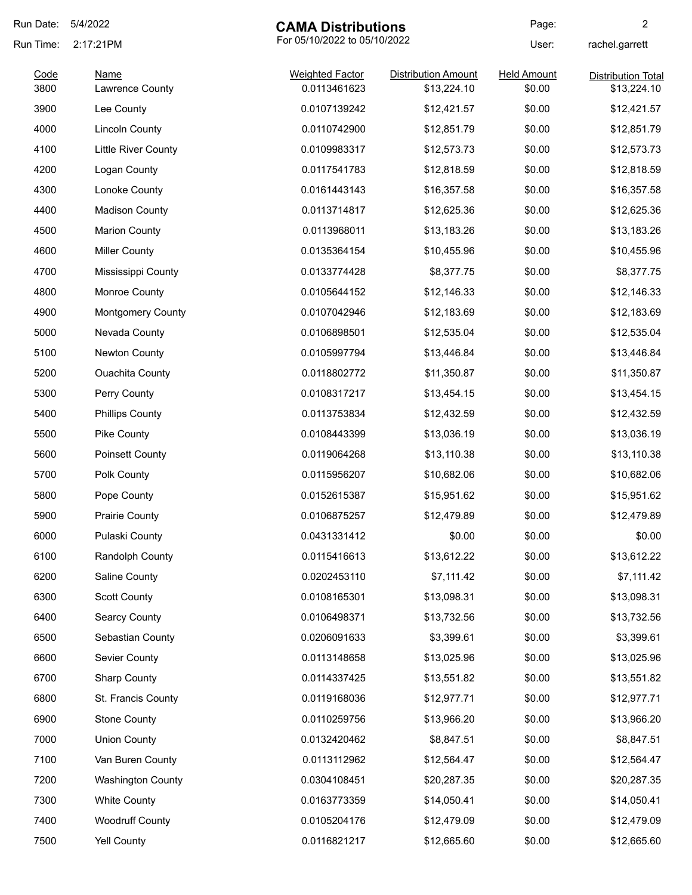| Run Date:    | 5/4/2022<br><b>CAMA Distributions</b> |                                        | Page:                                     | $\overline{c}$               |                                          |
|--------------|---------------------------------------|----------------------------------------|-------------------------------------------|------------------------------|------------------------------------------|
| Run Time:    | 2:17:21PM                             |                                        | For 05/10/2022 to 05/10/2022              |                              | rachel.garrett                           |
| Code<br>3800 | <b>Name</b><br>Lawrence County        | <b>Weighted Factor</b><br>0.0113461623 | <b>Distribution Amount</b><br>\$13,224.10 | <b>Held Amount</b><br>\$0.00 | <b>Distribution Total</b><br>\$13,224.10 |
| 3900         | Lee County                            | 0.0107139242                           | \$12,421.57                               | \$0.00                       | \$12,421.57                              |
| 4000         | <b>Lincoln County</b>                 | 0.0110742900                           | \$12,851.79                               | \$0.00                       | \$12,851.79                              |
| 4100         | <b>Little River County</b>            | 0.0109983317                           | \$12,573.73                               | \$0.00                       | \$12,573.73                              |
| 4200         | Logan County                          | 0.0117541783                           | \$12,818.59                               | \$0.00                       | \$12,818.59                              |
| 4300         | Lonoke County                         | 0.0161443143                           | \$16,357.58                               | \$0.00                       | \$16,357.58                              |
| 4400         | <b>Madison County</b>                 | 0.0113714817                           | \$12,625.36                               | \$0.00                       | \$12,625.36                              |
| 4500         | <b>Marion County</b>                  | 0.0113968011                           | \$13,183.26                               | \$0.00                       | \$13,183.26                              |
| 4600         | <b>Miller County</b>                  | 0.0135364154                           | \$10,455.96                               | \$0.00                       | \$10,455.96                              |
| 4700         | Mississippi County                    | 0.0133774428                           | \$8,377.75                                | \$0.00                       | \$8,377.75                               |
| 4800         | Monroe County                         | 0.0105644152                           | \$12,146.33                               | \$0.00                       | \$12,146.33                              |
| 4900         | <b>Montgomery County</b>              | 0.0107042946                           | \$12,183.69                               | \$0.00                       | \$12,183.69                              |
| 5000         | Nevada County                         | 0.0106898501                           | \$12,535.04                               | \$0.00                       | \$12,535.04                              |
| 5100         | Newton County                         | 0.0105997794                           | \$13,446.84                               | \$0.00                       | \$13,446.84                              |
| 5200         | <b>Ouachita County</b>                | 0.0118802772                           | \$11,350.87                               | \$0.00                       | \$11,350.87                              |
| 5300         | Perry County                          | 0.0108317217                           | \$13,454.15                               | \$0.00                       | \$13,454.15                              |
| 5400         | <b>Phillips County</b>                | 0.0113753834                           | \$12,432.59                               | \$0.00                       | \$12,432.59                              |
| 5500         | Pike County                           | 0.0108443399                           | \$13,036.19                               | \$0.00                       | \$13,036.19                              |
| 5600         | Poinsett County                       | 0.0119064268                           | \$13,110.38                               | \$0.00                       | \$13,110.38                              |
| 5700         | Polk County                           | 0.0115956207                           | \$10,682.06                               | \$0.00                       | \$10,682.06                              |
| 5800         | Pope County                           | 0.0152615387                           | \$15,951.62                               | \$0.00                       | \$15,951.62                              |
| 5900         | <b>Prairie County</b>                 | 0.0106875257                           | \$12,479.89                               | \$0.00                       | \$12,479.89                              |
| 6000         | Pulaski County                        | 0.0431331412                           | \$0.00                                    | \$0.00                       | \$0.00                                   |
| 6100         | Randolph County                       | 0.0115416613                           | \$13,612.22                               | \$0.00                       | \$13,612.22                              |
| 6200         | Saline County                         | 0.0202453110                           | \$7,111.42                                | \$0.00                       | \$7,111.42                               |
| 6300         | <b>Scott County</b>                   | 0.0108165301                           | \$13,098.31                               | \$0.00                       | \$13,098.31                              |
| 6400         | Searcy County                         | 0.0106498371                           | \$13,732.56                               | \$0.00                       | \$13,732.56                              |
| 6500         | Sebastian County                      | 0.0206091633                           | \$3,399.61                                | \$0.00                       | \$3,399.61                               |
| 6600         | Sevier County                         | 0.0113148658                           | \$13,025.96                               | \$0.00                       | \$13,025.96                              |
| 6700         | <b>Sharp County</b>                   | 0.0114337425                           | \$13,551.82                               | \$0.00                       | \$13,551.82                              |
| 6800         | St. Francis County                    | 0.0119168036                           | \$12,977.71                               | \$0.00                       | \$12,977.71                              |
| 6900         | <b>Stone County</b>                   | 0.0110259756                           | \$13,966.20                               | \$0.00                       | \$13,966.20                              |
| 7000         | <b>Union County</b>                   | 0.0132420462                           | \$8,847.51                                | \$0.00                       | \$8,847.51                               |
| 7100         | Van Buren County                      | 0.0113112962                           | \$12,564.47                               | \$0.00                       | \$12,564.47                              |
| 7200         | <b>Washington County</b>              | 0.0304108451                           | \$20,287.35                               | \$0.00                       | \$20,287.35                              |
| 7300         | <b>White County</b>                   | 0.0163773359                           | \$14,050.41                               | \$0.00                       | \$14,050.41                              |
| 7400         | <b>Woodruff County</b>                | 0.0105204176                           | \$12,479.09                               | \$0.00                       | \$12,479.09                              |
| 7500         | <b>Yell County</b>                    | 0.0116821217                           | \$12,665.60                               | \$0.00                       | \$12,665.60                              |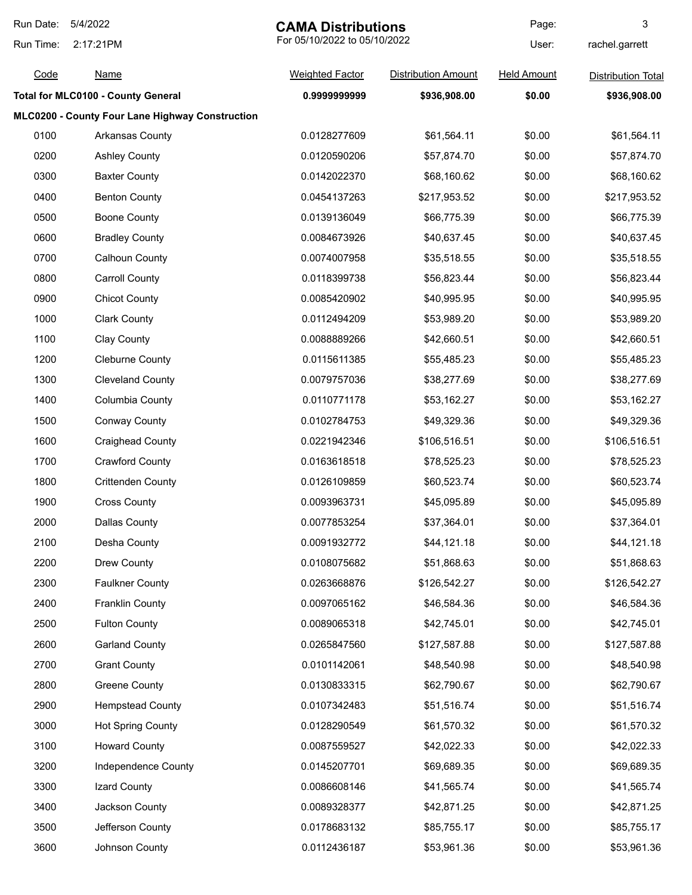| Run Date:              | 5/4/2022                                        |                        | <b>CAMA Distributions</b><br>For 05/10/2022 to 05/10/2022 |                    | 3                         |  |
|------------------------|-------------------------------------------------|------------------------|-----------------------------------------------------------|--------------------|---------------------------|--|
| Run Time:<br>2:17:21PM |                                                 |                        |                                                           | User:              | rachel.garrett            |  |
| Code                   | <b>Name</b>                                     | <b>Weighted Factor</b> | <b>Distribution Amount</b>                                | <b>Held Amount</b> | <b>Distribution Total</b> |  |
|                        | <b>Total for MLC0100 - County General</b>       | 0.9999999999           | \$936,908.00                                              | \$0.00             | \$936,908.00              |  |
|                        | MLC0200 - County Four Lane Highway Construction |                        |                                                           |                    |                           |  |
| 0100                   | Arkansas County                                 | 0.0128277609           | \$61,564.11                                               | \$0.00             | \$61,564.11               |  |
| 0200                   | <b>Ashley County</b>                            | 0.0120590206           | \$57,874.70                                               | \$0.00             | \$57,874.70               |  |
| 0300                   | <b>Baxter County</b>                            | 0.0142022370           | \$68,160.62                                               | \$0.00             | \$68,160.62               |  |
| 0400                   | <b>Benton County</b>                            | 0.0454137263           | \$217,953.52                                              | \$0.00             | \$217,953.52              |  |
| 0500                   | <b>Boone County</b>                             | 0.0139136049           | \$66,775.39                                               | \$0.00             | \$66,775.39               |  |
| 0600                   | <b>Bradley County</b>                           | 0.0084673926           | \$40,637.45                                               | \$0.00             | \$40,637.45               |  |
| 0700                   | <b>Calhoun County</b>                           | 0.0074007958           | \$35,518.55                                               | \$0.00             | \$35,518.55               |  |
| 0800                   | <b>Carroll County</b>                           | 0.0118399738           | \$56,823.44                                               | \$0.00             | \$56,823.44               |  |
| 0900                   | <b>Chicot County</b>                            | 0.0085420902           | \$40,995.95                                               | \$0.00             | \$40,995.95               |  |
| 1000                   | <b>Clark County</b>                             | 0.0112494209           | \$53,989.20                                               | \$0.00             | \$53,989.20               |  |
| 1100                   | Clay County                                     | 0.0088889266           | \$42,660.51                                               | \$0.00             | \$42,660.51               |  |
| 1200                   | Cleburne County                                 | 0.0115611385           | \$55,485.23                                               | \$0.00             | \$55,485.23               |  |
| 1300                   | <b>Cleveland County</b>                         | 0.0079757036           | \$38,277.69                                               | \$0.00             | \$38,277.69               |  |
| 1400                   | Columbia County                                 | 0.0110771178           | \$53,162.27                                               | \$0.00             | \$53,162.27               |  |
| 1500                   | <b>Conway County</b>                            | 0.0102784753           | \$49,329.36                                               | \$0.00             | \$49,329.36               |  |
| 1600                   | <b>Craighead County</b>                         | 0.0221942346           | \$106,516.51                                              | \$0.00             | \$106,516.51              |  |
| 1700                   | <b>Crawford County</b>                          | 0.0163618518           | \$78,525.23                                               | \$0.00             | \$78,525.23               |  |
| 1800                   | <b>Crittenden County</b>                        | 0.0126109859           | \$60,523.74                                               | \$0.00             | \$60,523.74               |  |
| 1900                   | <b>Cross County</b>                             | 0.0093963731           | \$45,095.89                                               | \$0.00             | \$45,095.89               |  |
| 2000                   | <b>Dallas County</b>                            | 0.0077853254           | \$37,364.01                                               | \$0.00             | \$37,364.01               |  |
| 2100                   | Desha County                                    | 0.0091932772           | \$44,121.18                                               | \$0.00             | \$44,121.18               |  |
| 2200                   | Drew County                                     | 0.0108075682           | \$51,868.63                                               | \$0.00             | \$51,868.63               |  |
| 2300                   | <b>Faulkner County</b>                          | 0.0263668876           | \$126,542.27                                              | \$0.00             | \$126,542.27              |  |
| 2400                   | <b>Franklin County</b>                          | 0.0097065162           | \$46,584.36                                               | \$0.00             | \$46,584.36               |  |
| 2500                   | <b>Fulton County</b>                            | 0.0089065318           | \$42,745.01                                               | \$0.00             | \$42,745.01               |  |
| 2600                   | <b>Garland County</b>                           | 0.0265847560           | \$127,587.88                                              | \$0.00             | \$127,587.88              |  |
| 2700                   | <b>Grant County</b>                             | 0.0101142061           | \$48,540.98                                               | \$0.00             | \$48,540.98               |  |
| 2800                   | <b>Greene County</b>                            | 0.0130833315           | \$62,790.67                                               | \$0.00             | \$62,790.67               |  |
| 2900                   | <b>Hempstead County</b>                         | 0.0107342483           | \$51,516.74                                               | \$0.00             | \$51,516.74               |  |
| 3000                   | <b>Hot Spring County</b>                        | 0.0128290549           | \$61,570.32                                               | \$0.00             | \$61,570.32               |  |
| 3100                   | <b>Howard County</b>                            | 0.0087559527           | \$42,022.33                                               | \$0.00             | \$42,022.33               |  |
| 3200                   | Independence County                             | 0.0145207701           | \$69,689.35                                               | \$0.00             | \$69,689.35               |  |
| 3300                   | Izard County                                    | 0.0086608146           | \$41,565.74                                               | \$0.00             | \$41,565.74               |  |
| 3400                   | Jackson County                                  | 0.0089328377           | \$42,871.25                                               | \$0.00             | \$42,871.25               |  |
| 3500                   | Jefferson County                                | 0.0178683132           | \$85,755.17                                               | \$0.00             | \$85,755.17               |  |
| 3600                   | Johnson County                                  | 0.0112436187           | \$53,961.36                                               | \$0.00             | \$53,961.36               |  |
|                        |                                                 |                        |                                                           |                    |                           |  |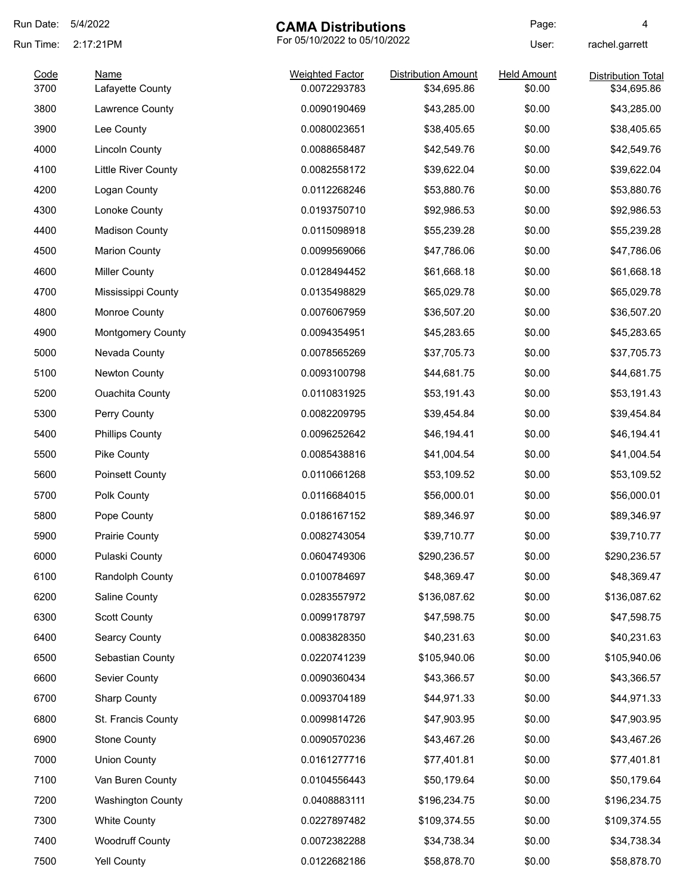| Run Date:    | 5/4/2022                        | <b>CAMA Distributions</b>              |                                           | Page:                        | 4                                 |
|--------------|---------------------------------|----------------------------------------|-------------------------------------------|------------------------------|-----------------------------------|
| Run Time:    | 2:17:21PM                       | For 05/10/2022 to 05/10/2022           |                                           | User:                        | rachel.garrett                    |
| Code<br>3700 | <b>Name</b><br>Lafayette County | <b>Weighted Factor</b><br>0.0072293783 | <b>Distribution Amount</b><br>\$34,695.86 | <b>Held Amount</b><br>\$0.00 | Distribution Total<br>\$34,695.86 |
| 3800         | Lawrence County                 | 0.0090190469                           | \$43,285.00                               | \$0.00                       | \$43,285.00                       |
| 3900         | Lee County                      | 0.0080023651                           | \$38,405.65                               | \$0.00                       | \$38,405.65                       |
| 4000         | <b>Lincoln County</b>           | 0.0088658487                           | \$42,549.76                               | \$0.00                       | \$42,549.76                       |
| 4100         | <b>Little River County</b>      | 0.0082558172                           | \$39,622.04                               | \$0.00                       | \$39,622.04                       |
| 4200         | Logan County                    | 0.0112268246                           | \$53,880.76                               | \$0.00                       | \$53,880.76                       |
| 4300         | Lonoke County                   | 0.0193750710                           | \$92,986.53                               | \$0.00                       | \$92,986.53                       |
| 4400         | <b>Madison County</b>           | 0.0115098918                           | \$55,239.28                               | \$0.00                       | \$55,239.28                       |
| 4500         | <b>Marion County</b>            | 0.0099569066                           | \$47,786.06                               | \$0.00                       | \$47,786.06                       |
| 4600         | <b>Miller County</b>            | 0.0128494452                           | \$61,668.18                               | \$0.00                       | \$61,668.18                       |
| 4700         | Mississippi County              | 0.0135498829                           | \$65,029.78                               | \$0.00                       | \$65,029.78                       |
| 4800         | Monroe County                   | 0.0076067959                           | \$36,507.20                               | \$0.00                       | \$36,507.20                       |
| 4900         | <b>Montgomery County</b>        | 0.0094354951                           | \$45,283.65                               | \$0.00                       | \$45,283.65                       |
| 5000         | Nevada County                   | 0.0078565269                           | \$37,705.73                               | \$0.00                       | \$37,705.73                       |
| 5100         | Newton County                   | 0.0093100798                           | \$44,681.75                               | \$0.00                       | \$44,681.75                       |
| 5200         | <b>Ouachita County</b>          | 0.0110831925                           | \$53,191.43                               | \$0.00                       | \$53,191.43                       |
| 5300         | Perry County                    | 0.0082209795                           | \$39,454.84                               | \$0.00                       | \$39,454.84                       |
| 5400         | <b>Phillips County</b>          | 0.0096252642                           | \$46,194.41                               | \$0.00                       | \$46,194.41                       |
| 5500         | Pike County                     | 0.0085438816                           | \$41,004.54                               | \$0.00                       | \$41,004.54                       |
| 5600         | <b>Poinsett County</b>          | 0.0110661268                           | \$53,109.52                               | \$0.00                       | \$53,109.52                       |
| 5700         | Polk County                     | 0.0116684015                           | \$56,000.01                               | \$0.00                       | \$56,000.01                       |
| 5800         | Pope County                     | 0.0186167152                           | \$89,346.97                               | \$0.00                       | \$89,346.97                       |
| 5900         | <b>Prairie County</b>           | 0.0082743054                           | \$39,710.77                               | \$0.00                       | \$39,710.77                       |
| 6000         | Pulaski County                  | 0.0604749306                           | \$290,236.57                              | \$0.00                       | \$290,236.57                      |
| 6100         | Randolph County                 | 0.0100784697                           | \$48,369.47                               | \$0.00                       | \$48,369.47                       |
| 6200         | Saline County                   | 0.0283557972                           | \$136,087.62                              | \$0.00                       | \$136,087.62                      |
| 6300         | <b>Scott County</b>             | 0.0099178797                           | \$47,598.75                               | \$0.00                       | \$47,598.75                       |
| 6400         | Searcy County                   | 0.0083828350                           | \$40,231.63                               | \$0.00                       | \$40,231.63                       |
| 6500         | Sebastian County                | 0.0220741239                           | \$105,940.06                              | \$0.00                       | \$105,940.06                      |
| 6600         | Sevier County                   | 0.0090360434                           | \$43,366.57                               | \$0.00                       | \$43,366.57                       |
| 6700         | <b>Sharp County</b>             | 0.0093704189                           | \$44,971.33                               | \$0.00                       | \$44,971.33                       |
| 6800         | St. Francis County              | 0.0099814726                           | \$47,903.95                               | \$0.00                       | \$47,903.95                       |
| 6900         | <b>Stone County</b>             | 0.0090570236                           | \$43,467.26                               | \$0.00                       | \$43,467.26                       |
| 7000         | <b>Union County</b>             | 0.0161277716                           | \$77,401.81                               | \$0.00                       | \$77,401.81                       |
| 7100         | Van Buren County                | 0.0104556443                           | \$50,179.64                               | \$0.00                       | \$50,179.64                       |
| 7200         | <b>Washington County</b>        | 0.0408883111                           | \$196,234.75                              | \$0.00                       | \$196,234.75                      |
| 7300         | <b>White County</b>             | 0.0227897482                           | \$109,374.55                              | \$0.00                       | \$109,374.55                      |
| 7400         | <b>Woodruff County</b>          | 0.0072382288                           | \$34,738.34                               | \$0.00                       | \$34,738.34                       |
| 7500         | <b>Yell County</b>              | 0.0122682186                           | \$58,878.70                               | \$0.00                       | \$58,878.70                       |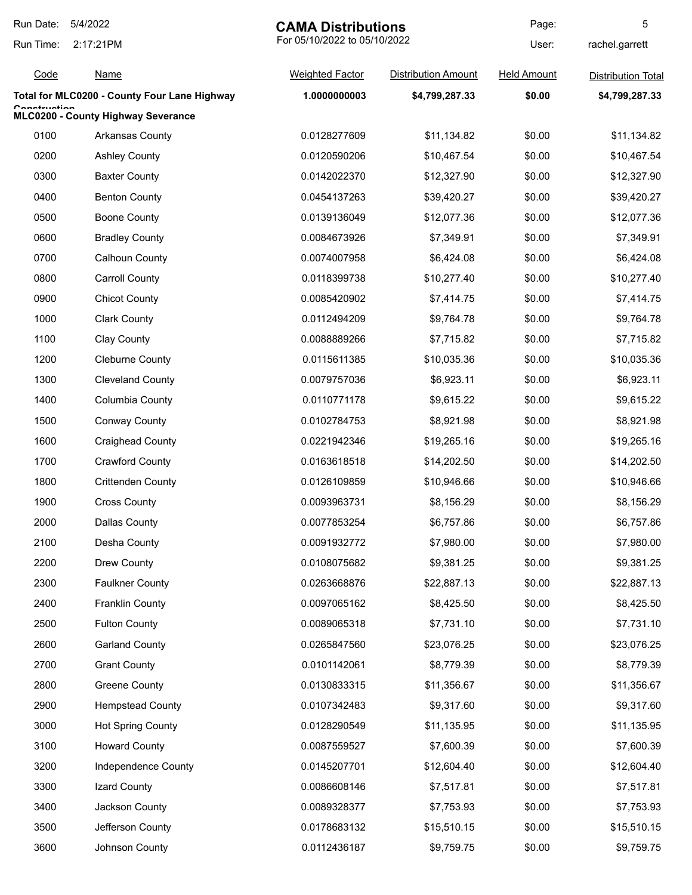| Run Date:    | 5/4/2022                                     | <b>CAMA Distributions</b>    |                            | Page:              | 5                         |
|--------------|----------------------------------------------|------------------------------|----------------------------|--------------------|---------------------------|
| Run Time:    | 2:17:21PM                                    | For 05/10/2022 to 05/10/2022 |                            | User:              | rachel.garrett            |
| Code         | <u>Name</u>                                  | <b>Weighted Factor</b>       | <b>Distribution Amount</b> | <b>Held Amount</b> | <b>Distribution Total</b> |
|              | Total for MLC0200 - County Four Lane Highway | 1.0000000003                 | \$4,799,287.33             | \$0.00             | \$4,799,287.33            |
| Canatruatian | MLC0200 - County Highway Severance           |                              |                            |                    |                           |
| 0100         | Arkansas County                              | 0.0128277609                 | \$11,134.82                | \$0.00             | \$11,134.82               |
| 0200         | <b>Ashley County</b>                         | 0.0120590206                 | \$10,467.54                | \$0.00             | \$10,467.54               |
| 0300         | <b>Baxter County</b>                         | 0.0142022370                 | \$12,327.90                | \$0.00             | \$12,327.90               |
| 0400         | <b>Benton County</b>                         | 0.0454137263                 | \$39,420.27                | \$0.00             | \$39,420.27               |
| 0500         | <b>Boone County</b>                          | 0.0139136049                 | \$12,077.36                | \$0.00             | \$12,077.36               |
| 0600         | <b>Bradley County</b>                        | 0.0084673926                 | \$7,349.91                 | \$0.00             | \$7,349.91                |
| 0700         | <b>Calhoun County</b>                        | 0.0074007958                 | \$6,424.08                 | \$0.00             | \$6,424.08                |
| 0800         | <b>Carroll County</b>                        | 0.0118399738                 | \$10,277.40                | \$0.00             | \$10,277.40               |
| 0900         | <b>Chicot County</b>                         | 0.0085420902                 | \$7,414.75                 | \$0.00             | \$7,414.75                |
| 1000         | <b>Clark County</b>                          | 0.0112494209                 | \$9,764.78                 | \$0.00             | \$9,764.78                |
| 1100         | Clay County                                  | 0.0088889266                 | \$7,715.82                 | \$0.00             | \$7,715.82                |
| 1200         | <b>Cleburne County</b>                       | 0.0115611385                 | \$10,035.36                | \$0.00             | \$10,035.36               |
| 1300         | <b>Cleveland County</b>                      | 0.0079757036                 | \$6,923.11                 | \$0.00             | \$6,923.11                |
| 1400         | Columbia County                              | 0.0110771178                 | \$9,615.22                 | \$0.00             | \$9,615.22                |
| 1500         | <b>Conway County</b>                         | 0.0102784753                 | \$8,921.98                 | \$0.00             | \$8,921.98                |
| 1600         | <b>Craighead County</b>                      | 0.0221942346                 | \$19,265.16                | \$0.00             | \$19,265.16               |
| 1700         | <b>Crawford County</b>                       | 0.0163618518                 | \$14,202.50                | \$0.00             | \$14,202.50               |
| 1800         | <b>Crittenden County</b>                     | 0.0126109859                 | \$10,946.66                | \$0.00             | \$10,946.66               |
| 1900         | <b>Cross County</b>                          | 0.0093963731                 | \$8,156.29                 | \$0.00             | \$8,156.29                |
| 2000         | Dallas County                                | 0.0077853254                 | \$6,757.86                 | \$0.00             | \$6,757.86                |
| 2100         | Desha County                                 | 0.0091932772                 | \$7,980.00                 | \$0.00             | \$7,980.00                |
| 2200         | Drew County                                  | 0.0108075682                 | \$9,381.25                 | \$0.00             | \$9,381.25                |
| 2300         | <b>Faulkner County</b>                       | 0.0263668876                 | \$22,887.13                | \$0.00             | \$22,887.13               |
| 2400         | <b>Franklin County</b>                       | 0.0097065162                 | \$8,425.50                 | \$0.00             | \$8,425.50                |
| 2500         | <b>Fulton County</b>                         | 0.0089065318                 | \$7,731.10                 | \$0.00             | \$7,731.10                |
| 2600         | <b>Garland County</b>                        | 0.0265847560                 | \$23,076.25                | \$0.00             | \$23,076.25               |
| 2700         | <b>Grant County</b>                          | 0.0101142061                 | \$8,779.39                 | \$0.00             | \$8,779.39                |
| 2800         | <b>Greene County</b>                         | 0.0130833315                 | \$11,356.67                | \$0.00             | \$11,356.67               |
| 2900         | <b>Hempstead County</b>                      | 0.0107342483                 | \$9,317.60                 | \$0.00             | \$9,317.60                |
| 3000         | <b>Hot Spring County</b>                     | 0.0128290549                 | \$11,135.95                | \$0.00             | \$11,135.95               |
| 3100         | <b>Howard County</b>                         | 0.0087559527                 | \$7,600.39                 | \$0.00             | \$7,600.39                |
| 3200         | Independence County                          | 0.0145207701                 | \$12,604.40                | \$0.00             | \$12,604.40               |
| 3300         | Izard County                                 | 0.0086608146                 | \$7,517.81                 | \$0.00             | \$7,517.81                |
| 3400         | Jackson County                               | 0.0089328377                 | \$7,753.93                 | \$0.00             | \$7,753.93                |
| 3500         | Jefferson County                             | 0.0178683132                 | \$15,510.15                | \$0.00             | \$15,510.15               |
| 3600         | Johnson County                               | 0.0112436187                 | \$9,759.75                 | \$0.00             | \$9,759.75                |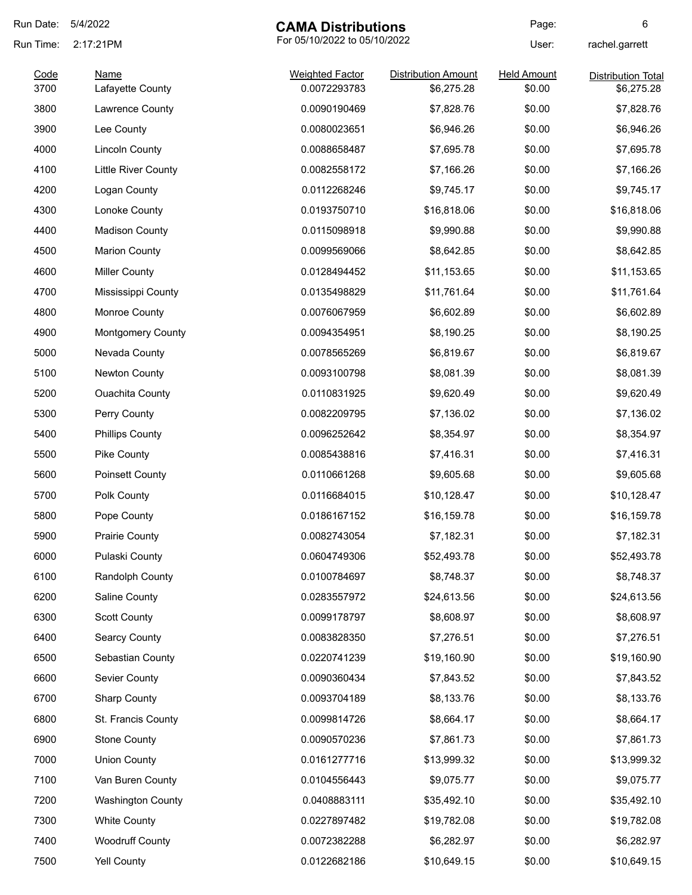| Run Date: | 5/4/2022                   | <b>CAMA Distributions</b>    |                            | Page:              | 6                         |
|-----------|----------------------------|------------------------------|----------------------------|--------------------|---------------------------|
| Run Time: | 2:17:21PM                  | For 05/10/2022 to 05/10/2022 |                            | User:              | rachel.garrett            |
| Code      | <b>Name</b>                | <b>Weighted Factor</b>       | <b>Distribution Amount</b> | <b>Held Amount</b> | <b>Distribution Total</b> |
| 3700      | Lafayette County           | 0.0072293783                 | \$6,275.28                 | \$0.00             | \$6,275.28                |
| 3800      | Lawrence County            | 0.0090190469                 | \$7,828.76                 | \$0.00             | \$7,828.76                |
| 3900      | Lee County                 | 0.0080023651                 | \$6,946.26                 | \$0.00             | \$6,946.26                |
| 4000      | <b>Lincoln County</b>      | 0.0088658487                 | \$7,695.78                 | \$0.00             | \$7,695.78                |
| 4100      | <b>Little River County</b> | 0.0082558172                 | \$7,166.26                 | \$0.00             | \$7,166.26                |
| 4200      | Logan County               | 0.0112268246                 | \$9,745.17                 | \$0.00             | \$9,745.17                |
| 4300      | Lonoke County              | 0.0193750710                 | \$16,818.06                | \$0.00             | \$16,818.06               |
| 4400      | <b>Madison County</b>      | 0.0115098918                 | \$9,990.88                 | \$0.00             | \$9,990.88                |
| 4500      | <b>Marion County</b>       | 0.0099569066                 | \$8,642.85                 | \$0.00             | \$8,642.85                |
| 4600      | <b>Miller County</b>       | 0.0128494452                 | \$11,153.65                | \$0.00             | \$11,153.65               |
| 4700      | Mississippi County         | 0.0135498829                 | \$11,761.64                | \$0.00             | \$11,761.64               |
| 4800      | Monroe County              | 0.0076067959                 | \$6,602.89                 | \$0.00             | \$6,602.89                |
| 4900      | <b>Montgomery County</b>   | 0.0094354951                 | \$8,190.25                 | \$0.00             | \$8,190.25                |
| 5000      | Nevada County              | 0.0078565269                 | \$6,819.67                 | \$0.00             | \$6,819.67                |
| 5100      | Newton County              | 0.0093100798                 | \$8,081.39                 | \$0.00             | \$8,081.39                |
| 5200      | <b>Ouachita County</b>     | 0.0110831925                 | \$9,620.49                 | \$0.00             | \$9,620.49                |
| 5300      | Perry County               | 0.0082209795                 | \$7,136.02                 | \$0.00             | \$7,136.02                |
| 5400      | <b>Phillips County</b>     | 0.0096252642                 | \$8,354.97                 | \$0.00             | \$8,354.97                |
| 5500      | Pike County                | 0.0085438816                 | \$7,416.31                 | \$0.00             | \$7,416.31                |
| 5600      | Poinsett County            | 0.0110661268                 | \$9,605.68                 | \$0.00             | \$9,605.68                |
| 5700      | Polk County                | 0.0116684015                 | \$10,128.47                | \$0.00             | \$10,128.47               |
| 5800      | Pope County                | 0.0186167152                 | \$16,159.78                | \$0.00             | \$16,159.78               |
| 5900      | <b>Prairie County</b>      | 0.0082743054                 | \$7,182.31                 | \$0.00             | \$7,182.31                |
| 6000      | Pulaski County             | 0.0604749306                 | \$52,493.78                | \$0.00             | \$52,493.78               |
| 6100      | Randolph County            | 0.0100784697                 | \$8,748.37                 | \$0.00             | \$8,748.37                |
| 6200      | Saline County              | 0.0283557972                 | \$24,613.56                | \$0.00             | \$24,613.56               |
| 6300      | <b>Scott County</b>        | 0.0099178797                 | \$8,608.97                 | \$0.00             | \$8,608.97                |
| 6400      | <b>Searcy County</b>       | 0.0083828350                 | \$7,276.51                 | \$0.00             | \$7,276.51                |
| 6500      | Sebastian County           | 0.0220741239                 | \$19,160.90                | \$0.00             | \$19,160.90               |
| 6600      | Sevier County              | 0.0090360434                 | \$7,843.52                 | \$0.00             | \$7,843.52                |
| 6700      | <b>Sharp County</b>        | 0.0093704189                 | \$8,133.76                 | \$0.00             | \$8,133.76                |
| 6800      | St. Francis County         | 0.0099814726                 | \$8,664.17                 | \$0.00             | \$8,664.17                |
| 6900      | <b>Stone County</b>        | 0.0090570236                 | \$7,861.73                 | \$0.00             | \$7,861.73                |
| 7000      | <b>Union County</b>        | 0.0161277716                 | \$13,999.32                | \$0.00             | \$13,999.32               |
| 7100      | Van Buren County           | 0.0104556443                 | \$9,075.77                 | \$0.00             | \$9,075.77                |
| 7200      | <b>Washington County</b>   | 0.0408883111                 | \$35,492.10                | \$0.00             | \$35,492.10               |
| 7300      | <b>White County</b>        | 0.0227897482                 | \$19,782.08                | \$0.00             | \$19,782.08               |
| 7400      | <b>Woodruff County</b>     | 0.0072382288                 | \$6,282.97                 | \$0.00             | \$6,282.97                |
| 7500      | Yell County                | 0.0122682186                 | \$10,649.15                | \$0.00             | \$10,649.15               |
|           |                            |                              |                            |                    |                           |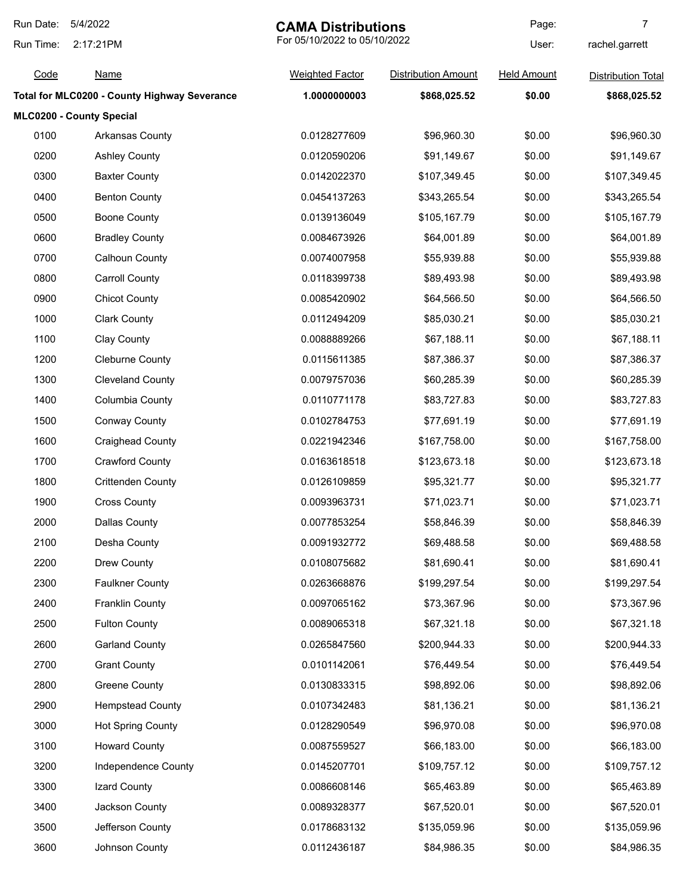| Run Date:<br>5/4/2022 |                                                     | <b>CAMA Distributions</b>    |                            | Page:              | 7                         |
|-----------------------|-----------------------------------------------------|------------------------------|----------------------------|--------------------|---------------------------|
| Run Time:             | 2:17:21PM                                           | For 05/10/2022 to 05/10/2022 |                            | User:              | rachel.garrett            |
| Code                  | <b>Name</b>                                         | <b>Weighted Factor</b>       | <b>Distribution Amount</b> | <b>Held Amount</b> | <b>Distribution Total</b> |
|                       | <b>Total for MLC0200 - County Highway Severance</b> | 1.0000000003                 | \$868,025.52               | \$0.00             | \$868,025.52              |
|                       | MLC0200 - County Special                            |                              |                            |                    |                           |
| 0100                  | Arkansas County                                     | 0.0128277609                 | \$96,960.30                | \$0.00             | \$96,960.30               |
| 0200                  | <b>Ashley County</b>                                | 0.0120590206                 | \$91,149.67                | \$0.00             | \$91,149.67               |
| 0300                  | <b>Baxter County</b>                                | 0.0142022370                 | \$107,349.45               | \$0.00             | \$107,349.45              |
| 0400                  | <b>Benton County</b>                                | 0.0454137263                 | \$343,265.54               | \$0.00             | \$343,265.54              |
| 0500                  | <b>Boone County</b>                                 | 0.0139136049                 | \$105,167.79               | \$0.00             | \$105,167.79              |
| 0600                  | <b>Bradley County</b>                               | 0.0084673926                 | \$64,001.89                | \$0.00             | \$64,001.89               |
| 0700                  | Calhoun County                                      | 0.0074007958                 | \$55,939.88                | \$0.00             | \$55,939.88               |
| 0800                  | <b>Carroll County</b>                               | 0.0118399738                 | \$89,493.98                | \$0.00             | \$89,493.98               |
| 0900                  | <b>Chicot County</b>                                | 0.0085420902                 | \$64,566.50                | \$0.00             | \$64,566.50               |
| 1000                  | <b>Clark County</b>                                 | 0.0112494209                 | \$85,030.21                | \$0.00             | \$85,030.21               |
| 1100                  | Clay County                                         | 0.0088889266                 | \$67,188.11                | \$0.00             | \$67,188.11               |
| 1200                  | <b>Cleburne County</b>                              | 0.0115611385                 | \$87,386.37                | \$0.00             | \$87,386.37               |
| 1300                  | <b>Cleveland County</b>                             | 0.0079757036                 | \$60,285.39                | \$0.00             | \$60,285.39               |
| 1400                  | Columbia County                                     | 0.0110771178                 | \$83,727.83                | \$0.00             | \$83,727.83               |
| 1500                  | <b>Conway County</b>                                | 0.0102784753                 | \$77,691.19                | \$0.00             | \$77,691.19               |
| 1600                  | <b>Craighead County</b>                             | 0.0221942346                 | \$167,758.00               | \$0.00             | \$167,758.00              |
| 1700                  | <b>Crawford County</b>                              | 0.0163618518                 | \$123,673.18               | \$0.00             | \$123,673.18              |
| 1800                  | <b>Crittenden County</b>                            | 0.0126109859                 | \$95,321.77                | \$0.00             | \$95,321.77               |
| 1900                  | <b>Cross County</b>                                 | 0.0093963731                 | \$71,023.71                | \$0.00             | \$71,023.71               |
| 2000                  | <b>Dallas County</b>                                | 0.0077853254                 | \$58,846.39                | \$0.00             | \$58,846.39               |
| 2100                  | Desha County                                        | 0.0091932772                 | \$69,488.58                | \$0.00             | \$69,488.58               |
| 2200                  | Drew County                                         | 0.0108075682                 | \$81,690.41                | \$0.00             | \$81,690.41               |
| 2300                  | <b>Faulkner County</b>                              | 0.0263668876                 | \$199,297.54               | \$0.00             | \$199,297.54              |
| 2400                  | <b>Franklin County</b>                              | 0.0097065162                 | \$73,367.96                | \$0.00             | \$73,367.96               |
| 2500                  | <b>Fulton County</b>                                | 0.0089065318                 | \$67,321.18                | \$0.00             | \$67,321.18               |
| 2600                  | <b>Garland County</b>                               | 0.0265847560                 | \$200,944.33               | \$0.00             | \$200,944.33              |
| 2700                  | <b>Grant County</b>                                 | 0.0101142061                 | \$76,449.54                | \$0.00             | \$76,449.54               |
| 2800                  | <b>Greene County</b>                                | 0.0130833315                 | \$98,892.06                | \$0.00             | \$98,892.06               |
| 2900                  | <b>Hempstead County</b>                             | 0.0107342483                 | \$81,136.21                | \$0.00             | \$81,136.21               |
| 3000                  | <b>Hot Spring County</b>                            | 0.0128290549                 | \$96,970.08                | \$0.00             | \$96,970.08               |
| 3100                  | <b>Howard County</b>                                | 0.0087559527                 | \$66,183.00                | \$0.00             | \$66,183.00               |
| 3200                  | Independence County                                 | 0.0145207701                 | \$109,757.12               | \$0.00             | \$109,757.12              |
| 3300                  | Izard County                                        | 0.0086608146                 | \$65,463.89                | \$0.00             | \$65,463.89               |
| 3400                  | Jackson County                                      | 0.0089328377                 | \$67,520.01                | \$0.00             | \$67,520.01               |
| 3500                  | Jefferson County                                    | 0.0178683132                 | \$135,059.96               | \$0.00             | \$135,059.96              |
| 3600                  | Johnson County                                      | 0.0112436187                 | \$84,986.35                | \$0.00             | \$84,986.35               |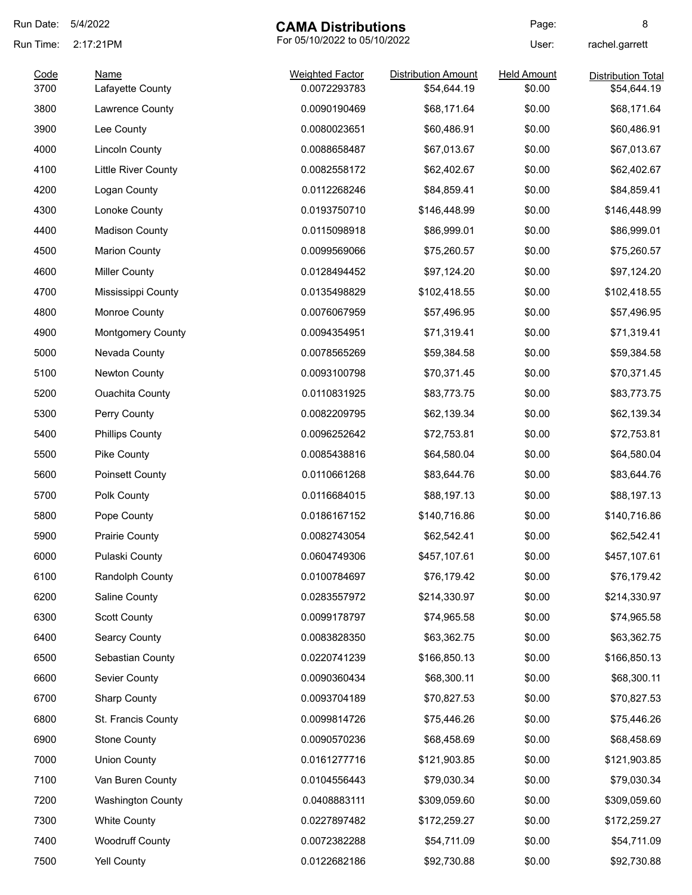| Run Date:    | 5/4/2022                        |                                        | <b>CAMA Distributions</b>                 |                              | 8                                        |
|--------------|---------------------------------|----------------------------------------|-------------------------------------------|------------------------------|------------------------------------------|
| Run Time:    | 2:17:21PM                       | For 05/10/2022 to 05/10/2022           |                                           | User:                        | rachel.garrett                           |
| Code<br>3700 | <b>Name</b><br>Lafayette County | <b>Weighted Factor</b><br>0.0072293783 | <b>Distribution Amount</b><br>\$54,644.19 | <b>Held Amount</b><br>\$0.00 | <b>Distribution Total</b><br>\$54,644.19 |
| 3800         | Lawrence County                 | 0.0090190469                           | \$68,171.64                               | \$0.00                       | \$68,171.64                              |
| 3900         | Lee County                      | 0.0080023651                           | \$60,486.91                               | \$0.00                       | \$60,486.91                              |
| 4000         | <b>Lincoln County</b>           | 0.0088658487                           | \$67,013.67                               | \$0.00                       | \$67,013.67                              |
| 4100         | <b>Little River County</b>      | 0.0082558172                           | \$62,402.67                               | \$0.00                       | \$62,402.67                              |
| 4200         | Logan County                    | 0.0112268246                           | \$84,859.41                               | \$0.00                       | \$84,859.41                              |
| 4300         | Lonoke County                   | 0.0193750710                           | \$146,448.99                              | \$0.00                       | \$146,448.99                             |
| 4400         | <b>Madison County</b>           | 0.0115098918                           | \$86,999.01                               | \$0.00                       | \$86,999.01                              |
| 4500         | <b>Marion County</b>            | 0.0099569066                           | \$75,260.57                               | \$0.00                       | \$75,260.57                              |
| 4600         | <b>Miller County</b>            | 0.0128494452                           | \$97,124.20                               | \$0.00                       | \$97,124.20                              |
| 4700         | Mississippi County              | 0.0135498829                           | \$102,418.55                              | \$0.00                       | \$102,418.55                             |
| 4800         | Monroe County                   | 0.0076067959                           | \$57,496.95                               | \$0.00                       | \$57,496.95                              |
| 4900         | <b>Montgomery County</b>        | 0.0094354951                           | \$71,319.41                               | \$0.00                       | \$71,319.41                              |
| 5000         | Nevada County                   | 0.0078565269                           | \$59,384.58                               | \$0.00                       | \$59,384.58                              |
| 5100         | Newton County                   | 0.0093100798                           | \$70,371.45                               | \$0.00                       | \$70,371.45                              |
| 5200         | <b>Ouachita County</b>          | 0.0110831925                           | \$83,773.75                               | \$0.00                       | \$83,773.75                              |
| 5300         | Perry County                    | 0.0082209795                           | \$62,139.34                               | \$0.00                       | \$62,139.34                              |
| 5400         | <b>Phillips County</b>          | 0.0096252642                           | \$72,753.81                               | \$0.00                       | \$72,753.81                              |
| 5500         | Pike County                     | 0.0085438816                           | \$64,580.04                               | \$0.00                       | \$64,580.04                              |
| 5600         | <b>Poinsett County</b>          | 0.0110661268                           | \$83,644.76                               | \$0.00                       | \$83,644.76                              |
| 5700         | Polk County                     | 0.0116684015                           | \$88,197.13                               | \$0.00                       | \$88,197.13                              |
| 5800         | Pope County                     | 0.0186167152                           | \$140,716.86                              | \$0.00                       | \$140,716.86                             |
| 5900         | <b>Prairie County</b>           | 0.0082743054                           | \$62,542.41                               | \$0.00                       | \$62,542.41                              |
| 6000         | Pulaski County                  | 0.0604749306                           | \$457,107.61                              | \$0.00                       | \$457,107.61                             |
| 6100         | Randolph County                 | 0.0100784697                           | \$76,179.42                               | \$0.00                       | \$76,179.42                              |
| 6200         | Saline County                   | 0.0283557972                           | \$214,330.97                              | \$0.00                       | \$214,330.97                             |
| 6300         | <b>Scott County</b>             | 0.0099178797                           | \$74,965.58                               | \$0.00                       | \$74,965.58                              |
| 6400         | <b>Searcy County</b>            | 0.0083828350                           | \$63,362.75                               | \$0.00                       | \$63,362.75                              |
| 6500         | Sebastian County                | 0.0220741239                           | \$166,850.13                              | \$0.00                       | \$166,850.13                             |
| 6600         | Sevier County                   | 0.0090360434                           | \$68,300.11                               | \$0.00                       | \$68,300.11                              |
| 6700         | <b>Sharp County</b>             | 0.0093704189                           | \$70,827.53                               | \$0.00                       | \$70,827.53                              |
| 6800         | St. Francis County              | 0.0099814726                           | \$75,446.26                               | \$0.00                       | \$75,446.26                              |
| 6900         | <b>Stone County</b>             | 0.0090570236                           | \$68,458.69                               | \$0.00                       | \$68,458.69                              |
| 7000         | <b>Union County</b>             | 0.0161277716                           | \$121,903.85                              | \$0.00                       | \$121,903.85                             |
| 7100         | Van Buren County                | 0.0104556443                           | \$79,030.34                               | \$0.00                       | \$79,030.34                              |
| 7200         | <b>Washington County</b>        | 0.0408883111                           | \$309,059.60                              | \$0.00                       | \$309,059.60                             |
| 7300         | <b>White County</b>             | 0.0227897482                           | \$172,259.27                              | \$0.00                       | \$172,259.27                             |
| 7400         | <b>Woodruff County</b>          | 0.0072382288                           | \$54,711.09                               | \$0.00                       | \$54,711.09                              |
| 7500         | <b>Yell County</b>              | 0.0122682186                           | \$92,730.88                               | \$0.00                       | \$92,730.88                              |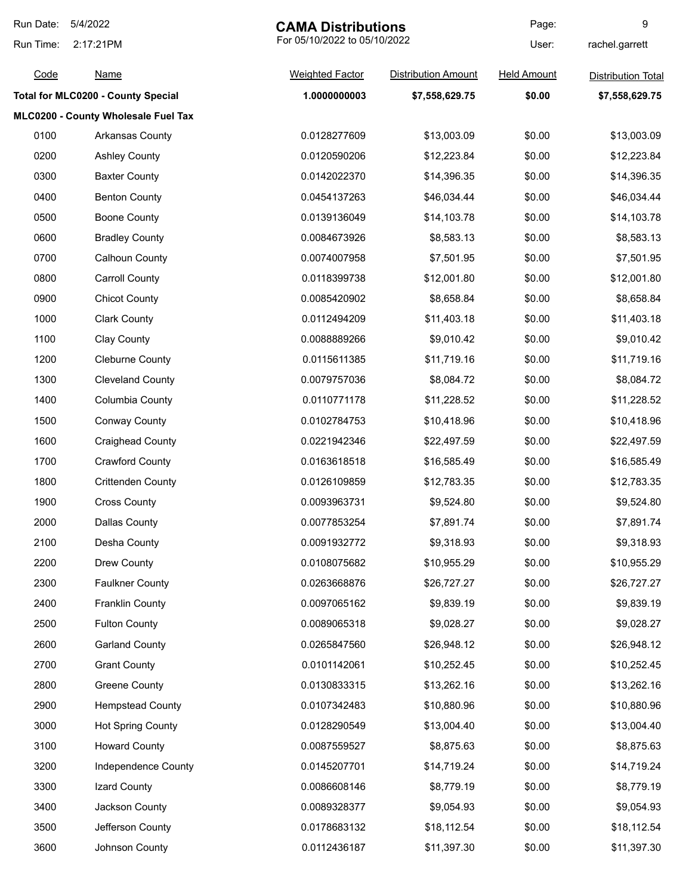| Run Date:<br>5/4/2022 |                                           | <b>CAMA Distributions</b>    |                            | Page:              | 9                         |
|-----------------------|-------------------------------------------|------------------------------|----------------------------|--------------------|---------------------------|
| Run Time:             | 2:17:21PM                                 | For 05/10/2022 to 05/10/2022 |                            | User:              | rachel.garrett            |
| Code                  | <u>Name</u>                               | <b>Weighted Factor</b>       | <b>Distribution Amount</b> | <b>Held Amount</b> | <b>Distribution Total</b> |
|                       | <b>Total for MLC0200 - County Special</b> | 1.0000000003                 | \$7,558,629.75             | \$0.00             | \$7,558,629.75            |
|                       | MLC0200 - County Wholesale Fuel Tax       |                              |                            |                    |                           |
| 0100                  | Arkansas County                           | 0.0128277609                 | \$13,003.09                | \$0.00             | \$13,003.09               |
| 0200                  | <b>Ashley County</b>                      | 0.0120590206                 | \$12,223.84                | \$0.00             | \$12,223.84               |
| 0300                  | <b>Baxter County</b>                      | 0.0142022370                 | \$14,396.35                | \$0.00             | \$14,396.35               |
| 0400                  | <b>Benton County</b>                      | 0.0454137263                 | \$46,034.44                | \$0.00             | \$46,034.44               |
| 0500                  | <b>Boone County</b>                       | 0.0139136049                 | \$14,103.78                | \$0.00             | \$14,103.78               |
| 0600                  | <b>Bradley County</b>                     | 0.0084673926                 | \$8,583.13                 | \$0.00             | \$8,583.13                |
| 0700                  | <b>Calhoun County</b>                     | 0.0074007958                 | \$7,501.95                 | \$0.00             | \$7,501.95                |
| 0800                  | <b>Carroll County</b>                     | 0.0118399738                 | \$12,001.80                | \$0.00             | \$12,001.80               |
| 0900                  | <b>Chicot County</b>                      | 0.0085420902                 | \$8,658.84                 | \$0.00             | \$8,658.84                |
| 1000                  | <b>Clark County</b>                       | 0.0112494209                 | \$11,403.18                | \$0.00             | \$11,403.18               |
| 1100                  | <b>Clay County</b>                        | 0.0088889266                 | \$9,010.42                 | \$0.00             | \$9,010.42                |
| 1200                  | <b>Cleburne County</b>                    | 0.0115611385                 | \$11,719.16                | \$0.00             | \$11,719.16               |
| 1300                  | <b>Cleveland County</b>                   | 0.0079757036                 | \$8,084.72                 | \$0.00             | \$8,084.72                |
| 1400                  | Columbia County                           | 0.0110771178                 | \$11,228.52                | \$0.00             | \$11,228.52               |
| 1500                  | <b>Conway County</b>                      | 0.0102784753                 | \$10,418.96                | \$0.00             | \$10,418.96               |
| 1600                  | <b>Craighead County</b>                   | 0.0221942346                 | \$22,497.59                | \$0.00             | \$22,497.59               |
| 1700                  | <b>Crawford County</b>                    | 0.0163618518                 | \$16,585.49                | \$0.00             | \$16,585.49               |
| 1800                  | <b>Crittenden County</b>                  | 0.0126109859                 | \$12,783.35                | \$0.00             | \$12,783.35               |
| 1900                  | <b>Cross County</b>                       | 0.0093963731                 | \$9,524.80                 | \$0.00             | \$9,524.80                |
| 2000                  | Dallas County                             | 0.0077853254                 | \$7,891.74                 | \$0.00             | \$7,891.74                |
| 2100                  | Desha County                              | 0.0091932772                 | \$9,318.93                 | \$0.00             | \$9,318.93                |
| 2200                  | Drew County                               | 0.0108075682                 | \$10,955.29                | \$0.00             | \$10,955.29               |
| 2300                  | <b>Faulkner County</b>                    | 0.0263668876                 | \$26,727.27                | \$0.00             | \$26,727.27               |
| 2400                  | <b>Franklin County</b>                    | 0.0097065162                 | \$9,839.19                 | \$0.00             | \$9,839.19                |
| 2500                  | <b>Fulton County</b>                      | 0.0089065318                 | \$9,028.27                 | \$0.00             | \$9,028.27                |
| 2600                  | <b>Garland County</b>                     | 0.0265847560                 | \$26,948.12                | \$0.00             | \$26,948.12               |
| 2700                  | <b>Grant County</b>                       | 0.0101142061                 | \$10,252.45                | \$0.00             | \$10,252.45               |
| 2800                  | <b>Greene County</b>                      | 0.0130833315                 | \$13,262.16                | \$0.00             | \$13,262.16               |
| 2900                  | <b>Hempstead County</b>                   | 0.0107342483                 | \$10,880.96                | \$0.00             | \$10,880.96               |
| 3000                  | <b>Hot Spring County</b>                  | 0.0128290549                 | \$13,004.40                | \$0.00             | \$13,004.40               |
| 3100                  | <b>Howard County</b>                      | 0.0087559527                 | \$8,875.63                 | \$0.00             | \$8,875.63                |
| 3200                  | Independence County                       | 0.0145207701                 | \$14,719.24                | \$0.00             | \$14,719.24               |
| 3300                  | Izard County                              | 0.0086608146                 | \$8,779.19                 | \$0.00             | \$8,779.19                |
| 3400                  | Jackson County                            | 0.0089328377                 | \$9,054.93                 | \$0.00             | \$9,054.93                |
| 3500                  | Jefferson County                          | 0.0178683132                 | \$18,112.54                | \$0.00             | \$18,112.54               |
| 3600                  | Johnson County                            | 0.0112436187                 | \$11,397.30                | \$0.00             | \$11,397.30               |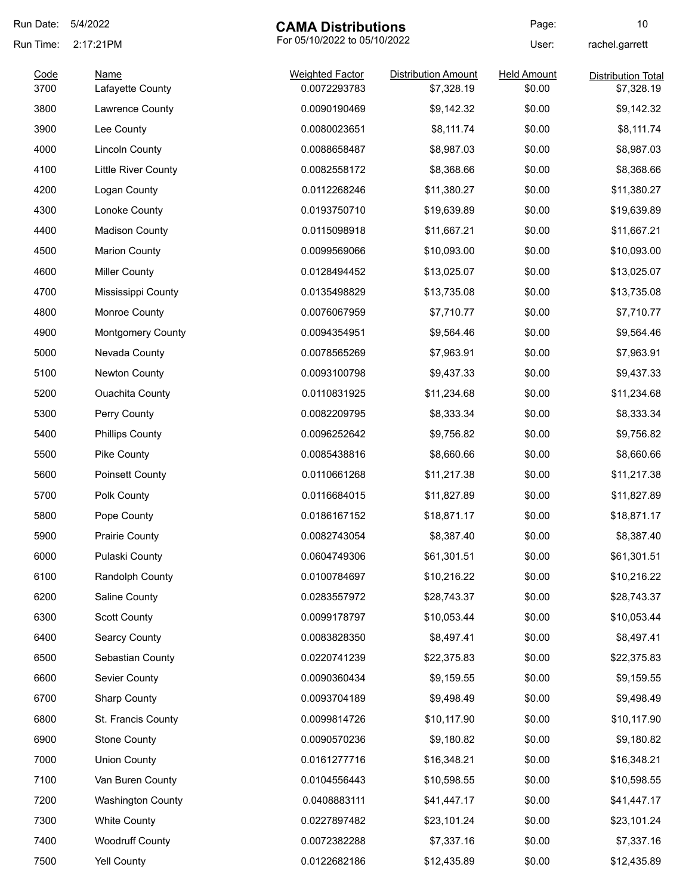| Run Date: | 5/4/2022                   | <b>CAMA Distributions</b> |                              | Page:              | 10                        |
|-----------|----------------------------|---------------------------|------------------------------|--------------------|---------------------------|
| Run Time: | 2:17:21PM                  |                           | For 05/10/2022 to 05/10/2022 |                    | rachel.garrett            |
| Code      | <b>Name</b>                | <b>Weighted Factor</b>    | <b>Distribution Amount</b>   | <b>Held Amount</b> | <b>Distribution Total</b> |
| 3700      | Lafayette County           | 0.0072293783              | \$7,328.19                   | \$0.00             | \$7,328.19                |
| 3800      | Lawrence County            | 0.0090190469              | \$9,142.32                   | \$0.00             | \$9,142.32                |
| 3900      | Lee County                 | 0.0080023651              | \$8,111.74                   | \$0.00             | \$8,111.74                |
| 4000      | <b>Lincoln County</b>      | 0.0088658487              | \$8,987.03                   | \$0.00             | \$8,987.03                |
| 4100      | <b>Little River County</b> | 0.0082558172              | \$8,368.66                   | \$0.00             | \$8,368.66                |
| 4200      | Logan County               | 0.0112268246              | \$11,380.27                  | \$0.00             | \$11,380.27               |
| 4300      | Lonoke County              | 0.0193750710              | \$19,639.89                  | \$0.00             | \$19,639.89               |
| 4400      | <b>Madison County</b>      | 0.0115098918              | \$11,667.21                  | \$0.00             | \$11,667.21               |
| 4500      | <b>Marion County</b>       | 0.0099569066              | \$10,093.00                  | \$0.00             | \$10,093.00               |
| 4600      | <b>Miller County</b>       | 0.0128494452              | \$13,025.07                  | \$0.00             | \$13,025.07               |
| 4700      | Mississippi County         | 0.0135498829              | \$13,735.08                  | \$0.00             | \$13,735.08               |
| 4800      | Monroe County              | 0.0076067959              | \$7,710.77                   | \$0.00             | \$7,710.77                |
| 4900      | <b>Montgomery County</b>   | 0.0094354951              | \$9,564.46                   | \$0.00             | \$9,564.46                |
| 5000      | Nevada County              | 0.0078565269              | \$7,963.91                   | \$0.00             | \$7,963.91                |
| 5100      | Newton County              | 0.0093100798              | \$9,437.33                   | \$0.00             | \$9,437.33                |
| 5200      | <b>Ouachita County</b>     | 0.0110831925              | \$11,234.68                  | \$0.00             | \$11,234.68               |
| 5300      | Perry County               | 0.0082209795              | \$8,333.34                   | \$0.00             | \$8,333.34                |
| 5400      | <b>Phillips County</b>     | 0.0096252642              | \$9,756.82                   | \$0.00             | \$9,756.82                |
| 5500      | Pike County                | 0.0085438816              | \$8,660.66                   | \$0.00             | \$8,660.66                |
| 5600      | Poinsett County            | 0.0110661268              | \$11,217.38                  | \$0.00             | \$11,217.38               |
| 5700      | Polk County                | 0.0116684015              | \$11,827.89                  | \$0.00             | \$11,827.89               |
| 5800      | Pope County                | 0.0186167152              | \$18,871.17                  | \$0.00             | \$18,871.17               |
| 5900      | Prairie County             | 0.0082743054              | \$8,387.40                   | \$0.00             | \$8,387.40                |
| 6000      | Pulaski County             | 0.0604749306              | \$61,301.51                  | \$0.00             | \$61,301.51               |
| 6100      | Randolph County            | 0.0100784697              | \$10,216.22                  | \$0.00             | \$10,216.22               |
| 6200      | Saline County              | 0.0283557972              | \$28,743.37                  | \$0.00             | \$28,743.37               |
| 6300      | <b>Scott County</b>        | 0.0099178797              | \$10,053.44                  | \$0.00             | \$10,053.44               |
| 6400      | <b>Searcy County</b>       | 0.0083828350              | \$8,497.41                   | \$0.00             | \$8,497.41                |
| 6500      | Sebastian County           | 0.0220741239              | \$22,375.83                  | \$0.00             | \$22,375.83               |
| 6600      | Sevier County              | 0.0090360434              | \$9,159.55                   | \$0.00             | \$9,159.55                |
| 6700      | <b>Sharp County</b>        | 0.0093704189              | \$9,498.49                   | \$0.00             | \$9,498.49                |
| 6800      | St. Francis County         | 0.0099814726              | \$10,117.90                  | \$0.00             | \$10,117.90               |
| 6900      | <b>Stone County</b>        | 0.0090570236              | \$9,180.82                   | \$0.00             | \$9,180.82                |
| 7000      | <b>Union County</b>        | 0.0161277716              | \$16,348.21                  | \$0.00             | \$16,348.21               |
| 7100      | Van Buren County           | 0.0104556443              | \$10,598.55                  | \$0.00             | \$10,598.55               |
| 7200      | <b>Washington County</b>   | 0.0408883111              | \$41,447.17                  | \$0.00             | \$41,447.17               |
| 7300      | <b>White County</b>        | 0.0227897482              | \$23,101.24                  | \$0.00             | \$23,101.24               |
| 7400      | <b>Woodruff County</b>     | 0.0072382288              | \$7,337.16                   | \$0.00             | \$7,337.16                |
| 7500      | Yell County                | 0.0122682186              | \$12,435.89                  | \$0.00             | \$12,435.89               |
|           |                            |                           |                              |                    |                           |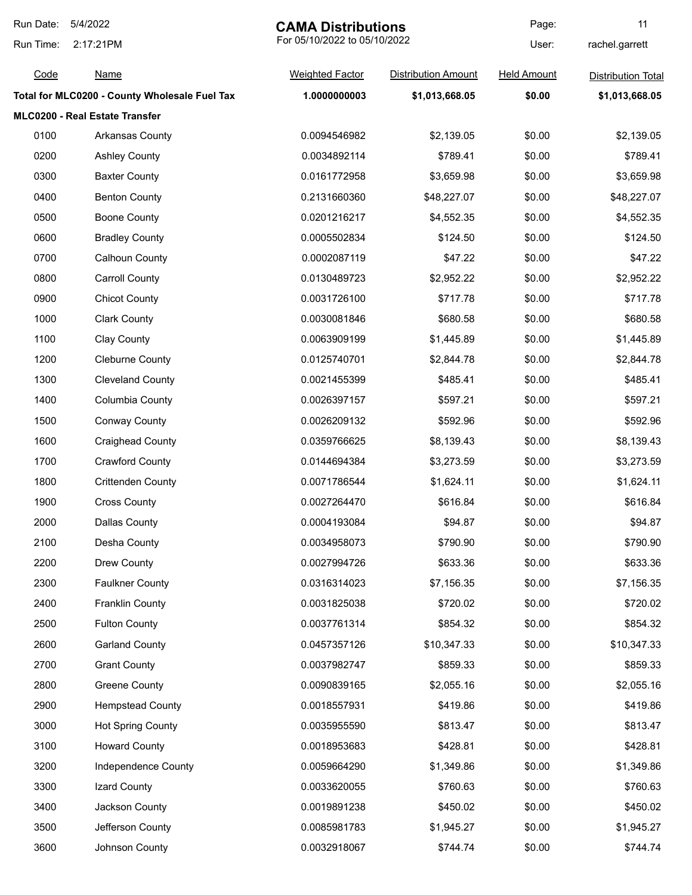| Run Date: | 5/4/2022<br><b>CAMA Distributions</b>         |                              | Page:                      | 11                 |                           |
|-----------|-----------------------------------------------|------------------------------|----------------------------|--------------------|---------------------------|
| Run Time: | 2:17:21PM                                     | For 05/10/2022 to 05/10/2022 |                            | User:              | rachel.garrett            |
| Code      | <b>Name</b>                                   | <b>Weighted Factor</b>       | <b>Distribution Amount</b> | <b>Held Amount</b> | <b>Distribution Total</b> |
|           | Total for MLC0200 - County Wholesale Fuel Tax | 1.0000000003                 | \$1,013,668.05             | \$0.00             | \$1,013,668.05            |
|           | MLC0200 - Real Estate Transfer                |                              |                            |                    |                           |
| 0100      | <b>Arkansas County</b>                        | 0.0094546982                 | \$2,139.05                 | \$0.00             | \$2,139.05                |
| 0200      | <b>Ashley County</b>                          | 0.0034892114                 | \$789.41                   | \$0.00             | \$789.41                  |
| 0300      | <b>Baxter County</b>                          | 0.0161772958                 | \$3,659.98                 | \$0.00             | \$3,659.98                |
| 0400      | <b>Benton County</b>                          | 0.2131660360                 | \$48,227.07                | \$0.00             | \$48,227.07               |
| 0500      | <b>Boone County</b>                           | 0.0201216217                 | \$4,552.35                 | \$0.00             | \$4,552.35                |
| 0600      | <b>Bradley County</b>                         | 0.0005502834                 | \$124.50                   | \$0.00             | \$124.50                  |
| 0700      | <b>Calhoun County</b>                         | 0.0002087119                 | \$47.22                    | \$0.00             | \$47.22                   |
| 0800      | <b>Carroll County</b>                         | 0.0130489723                 | \$2,952.22                 | \$0.00             | \$2,952.22                |
| 0900      | <b>Chicot County</b>                          | 0.0031726100                 | \$717.78                   | \$0.00             | \$717.78                  |
| 1000      | <b>Clark County</b>                           | 0.0030081846                 | \$680.58                   | \$0.00             | \$680.58                  |
| 1100      | Clay County                                   | 0.0063909199                 | \$1,445.89                 | \$0.00             | \$1,445.89                |
| 1200      | <b>Cleburne County</b>                        | 0.0125740701                 | \$2,844.78                 | \$0.00             | \$2,844.78                |
| 1300      | <b>Cleveland County</b>                       | 0.0021455399                 | \$485.41                   | \$0.00             | \$485.41                  |
| 1400      | Columbia County                               | 0.0026397157                 | \$597.21                   | \$0.00             | \$597.21                  |
| 1500      | <b>Conway County</b>                          | 0.0026209132                 | \$592.96                   | \$0.00             | \$592.96                  |
| 1600      | <b>Craighead County</b>                       | 0.0359766625                 | \$8,139.43                 | \$0.00             | \$8,139.43                |
| 1700      | <b>Crawford County</b>                        | 0.0144694384                 | \$3,273.59                 | \$0.00             | \$3,273.59                |
| 1800      | <b>Crittenden County</b>                      | 0.0071786544                 | \$1,624.11                 | \$0.00             | \$1,624.11                |
| 1900      | <b>Cross County</b>                           | 0.0027264470                 | \$616.84                   | \$0.00             | \$616.84                  |
| 2000      | <b>Dallas County</b>                          | 0.0004193084                 | \$94.87                    | \$0.00             | \$94.87                   |
| 2100      | Desha County                                  | 0.0034958073                 | \$790.90                   | \$0.00             | \$790.90                  |
| 2200      | Drew County                                   | 0.0027994726                 | \$633.36                   | \$0.00             | \$633.36                  |
| 2300      | <b>Faulkner County</b>                        | 0.0316314023                 | \$7,156.35                 | \$0.00             | \$7,156.35                |
| 2400      | <b>Franklin County</b>                        | 0.0031825038                 | \$720.02                   | \$0.00             | \$720.02                  |
| 2500      | <b>Fulton County</b>                          | 0.0037761314                 | \$854.32                   | \$0.00             | \$854.32                  |
| 2600      | <b>Garland County</b>                         | 0.0457357126                 | \$10,347.33                | \$0.00             | \$10,347.33               |
| 2700      | <b>Grant County</b>                           | 0.0037982747                 | \$859.33                   | \$0.00             | \$859.33                  |
| 2800      | <b>Greene County</b>                          | 0.0090839165                 | \$2,055.16                 | \$0.00             | \$2,055.16                |
| 2900      | <b>Hempstead County</b>                       | 0.0018557931                 | \$419.86                   | \$0.00             | \$419.86                  |
| 3000      | <b>Hot Spring County</b>                      | 0.0035955590                 | \$813.47                   | \$0.00             | \$813.47                  |
| 3100      | <b>Howard County</b>                          | 0.0018953683                 | \$428.81                   | \$0.00             | \$428.81                  |
| 3200      | Independence County                           | 0.0059664290                 | \$1,349.86                 | \$0.00             | \$1,349.86                |
| 3300      | Izard County                                  | 0.0033620055                 | \$760.63                   | \$0.00             | \$760.63                  |
| 3400      | Jackson County                                | 0.0019891238                 | \$450.02                   | \$0.00             | \$450.02                  |
| 3500      | Jefferson County                              | 0.0085981783                 | \$1,945.27                 | \$0.00             | \$1,945.27                |
| 3600      | Johnson County                                | 0.0032918067                 | \$744.74                   | \$0.00             | \$744.74                  |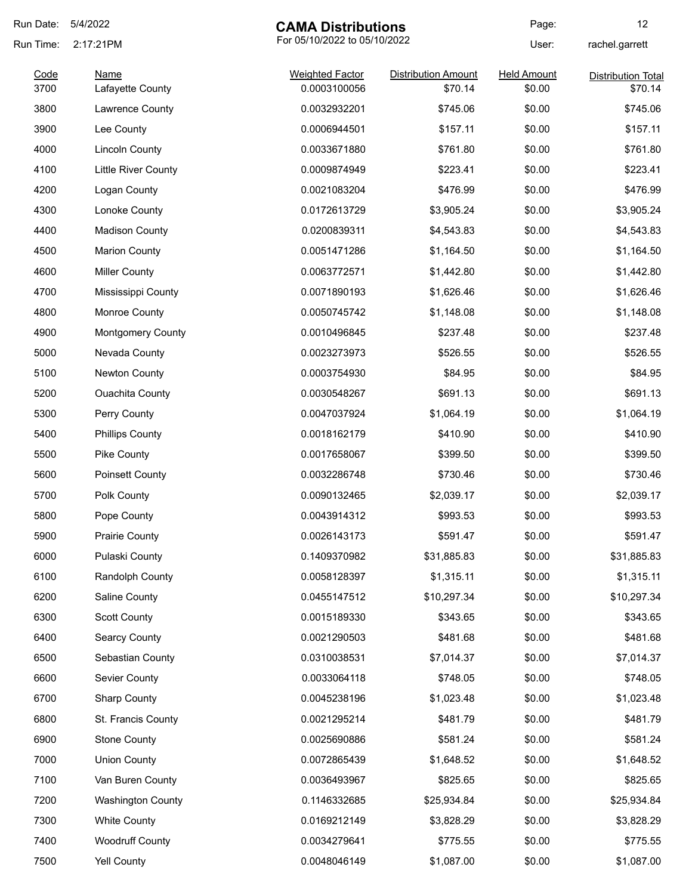| Run Date:    | 5/4/2022                            | <b>CAMA Distributions</b>              |                            | Page:              | 12                                   |
|--------------|-------------------------------------|----------------------------------------|----------------------------|--------------------|--------------------------------------|
| Run Time:    | 2:17:21PM                           | For 05/10/2022 to 05/10/2022           |                            | User:              | rachel.garrett                       |
| Code<br>3700 | <b>Name</b>                         | <b>Weighted Factor</b><br>0.0003100056 | <b>Distribution Amount</b> | <b>Held Amount</b> | <b>Distribution Total</b><br>\$70.14 |
| 3800         | Lafayette County<br>Lawrence County | 0.0032932201                           | \$70.14<br>\$745.06        | \$0.00<br>\$0.00   | \$745.06                             |
|              |                                     |                                        |                            |                    | \$157.11                             |
| 3900         | Lee County                          | 0.0006944501                           | \$157.11                   | \$0.00             |                                      |
| 4000         | <b>Lincoln County</b>               | 0.0033671880                           | \$761.80                   | \$0.00             | \$761.80                             |
| 4100         | <b>Little River County</b>          | 0.0009874949                           | \$223.41                   | \$0.00             | \$223.41                             |
| 4200         | Logan County                        | 0.0021083204                           | \$476.99                   | \$0.00             | \$476.99                             |
| 4300         | Lonoke County                       | 0.0172613729                           | \$3,905.24                 | \$0.00             | \$3,905.24                           |
| 4400         | <b>Madison County</b>               | 0.0200839311                           | \$4,543.83                 | \$0.00             | \$4,543.83                           |
| 4500         | <b>Marion County</b>                | 0.0051471286                           | \$1,164.50                 | \$0.00             | \$1,164.50                           |
| 4600         | <b>Miller County</b>                | 0.0063772571                           | \$1,442.80                 | \$0.00             | \$1,442.80                           |
| 4700         | Mississippi County                  | 0.0071890193                           | \$1,626.46                 | \$0.00             | \$1,626.46                           |
| 4800         | Monroe County                       | 0.0050745742                           | \$1,148.08                 | \$0.00             | \$1,148.08                           |
| 4900         | <b>Montgomery County</b>            | 0.0010496845                           | \$237.48                   | \$0.00             | \$237.48                             |
| 5000         | Nevada County                       | 0.0023273973                           | \$526.55                   | \$0.00             | \$526.55                             |
| 5100         | Newton County                       | 0.0003754930                           | \$84.95                    | \$0.00             | \$84.95                              |
| 5200         | <b>Ouachita County</b>              | 0.0030548267                           | \$691.13                   | \$0.00             | \$691.13                             |
| 5300         | Perry County                        | 0.0047037924                           | \$1,064.19                 | \$0.00             | \$1,064.19                           |
| 5400         | <b>Phillips County</b>              | 0.0018162179                           | \$410.90                   | \$0.00             | \$410.90                             |
| 5500         | Pike County                         | 0.0017658067                           | \$399.50                   | \$0.00             | \$399.50                             |
| 5600         | Poinsett County                     | 0.0032286748                           | \$730.46                   | \$0.00             | \$730.46                             |
| 5700         | Polk County                         | 0.0090132465                           | \$2,039.17                 | \$0.00             | \$2,039.17                           |
| 5800         | Pope County                         | 0.0043914312                           | \$993.53                   | \$0.00             | \$993.53                             |
| 5900         | Prairie County                      | 0.0026143173                           | \$591.47                   | \$0.00             | \$591.47                             |
| 6000         | Pulaski County                      | 0.1409370982                           | \$31,885.83                | \$0.00             | \$31,885.83                          |
| 6100         | Randolph County                     | 0.0058128397                           | \$1,315.11                 | \$0.00             | \$1,315.11                           |
| 6200         | Saline County                       | 0.0455147512                           | \$10,297.34                | \$0.00             | \$10,297.34                          |
| 6300         | <b>Scott County</b>                 | 0.0015189330                           | \$343.65                   | \$0.00             | \$343.65                             |
| 6400         | Searcy County                       | 0.0021290503                           | \$481.68                   | \$0.00             | \$481.68                             |
| 6500         | Sebastian County                    | 0.0310038531                           | \$7,014.37                 | \$0.00             | \$7,014.37                           |
| 6600         | Sevier County                       | 0.0033064118                           | \$748.05                   | \$0.00             | \$748.05                             |
| 6700         | <b>Sharp County</b>                 | 0.0045238196                           | \$1,023.48                 | \$0.00             | \$1,023.48                           |
| 6800         | St. Francis County                  | 0.0021295214                           | \$481.79                   | \$0.00             | \$481.79                             |
| 6900         | <b>Stone County</b>                 | 0.0025690886                           | \$581.24                   | \$0.00             | \$581.24                             |
| 7000         | <b>Union County</b>                 | 0.0072865439                           | \$1,648.52                 | \$0.00             | \$1,648.52                           |
| 7100         | Van Buren County                    | 0.0036493967                           | \$825.65                   | \$0.00             | \$825.65                             |
| 7200         | <b>Washington County</b>            | 0.1146332685                           | \$25,934.84                | \$0.00             | \$25,934.84                          |
| 7300         | <b>White County</b>                 | 0.0169212149                           | \$3,828.29                 | \$0.00             | \$3,828.29                           |
| 7400         | <b>Woodruff County</b>              | 0.0034279641                           | \$775.55                   | \$0.00             | \$775.55                             |
| 7500         | Yell County                         | 0.0048046149                           | \$1,087.00                 | \$0.00             | \$1,087.00                           |
|              |                                     |                                        |                            |                    |                                      |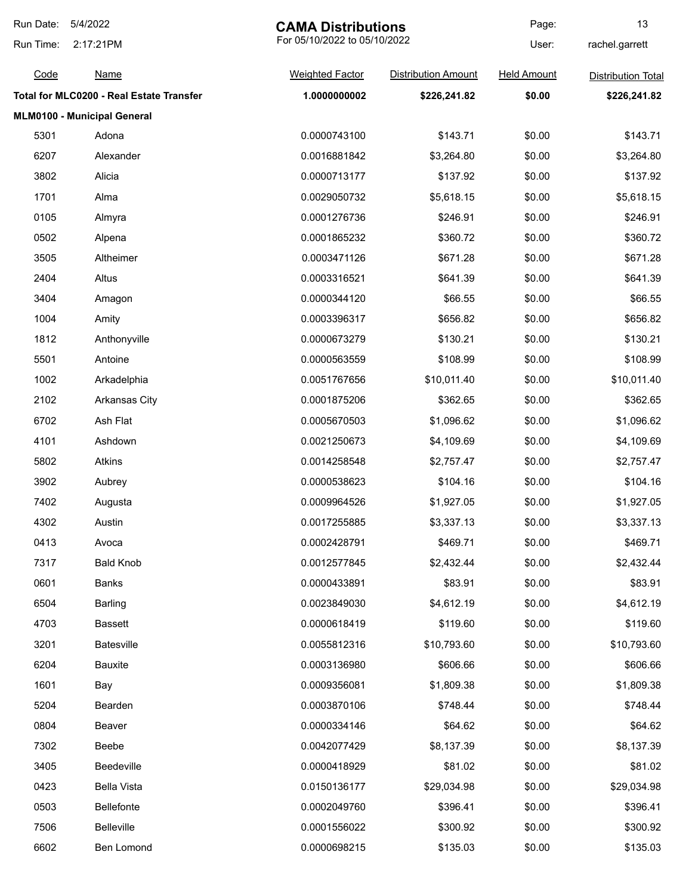| Run Date: | 5/4/2022                                 | <b>CAMA Distributions</b>    |                            | Page:              | 13                        |
|-----------|------------------------------------------|------------------------------|----------------------------|--------------------|---------------------------|
| Run Time: | 2:17:21PM                                | For 05/10/2022 to 05/10/2022 |                            | User:              | rachel.garrett            |
| Code      | <u>Name</u>                              | <b>Weighted Factor</b>       | <b>Distribution Amount</b> | <b>Held Amount</b> | <b>Distribution Total</b> |
|           | Total for MLC0200 - Real Estate Transfer | 1.0000000002                 | \$226,241.82               | \$0.00             | \$226,241.82              |
|           | MLM0100 - Municipal General              |                              |                            |                    |                           |
| 5301      | Adona                                    | 0.0000743100                 | \$143.71                   | \$0.00             | \$143.71                  |
| 6207      | Alexander                                | 0.0016881842                 | \$3,264.80                 | \$0.00             | \$3,264.80                |
| 3802      | Alicia                                   | 0.0000713177                 | \$137.92                   | \$0.00             | \$137.92                  |
| 1701      | Alma                                     | 0.0029050732                 | \$5,618.15                 | \$0.00             | \$5,618.15                |
| 0105      | Almyra                                   | 0.0001276736                 | \$246.91                   | \$0.00             | \$246.91                  |
| 0502      | Alpena                                   | 0.0001865232                 | \$360.72                   | \$0.00             | \$360.72                  |
| 3505      | Altheimer                                | 0.0003471126                 | \$671.28                   | \$0.00             | \$671.28                  |
| 2404      | Altus                                    | 0.0003316521                 | \$641.39                   | \$0.00             | \$641.39                  |
| 3404      | Amagon                                   | 0.0000344120                 | \$66.55                    | \$0.00             | \$66.55                   |
| 1004      | Amity                                    | 0.0003396317                 | \$656.82                   | \$0.00             | \$656.82                  |
| 1812      | Anthonyville                             | 0.0000673279                 | \$130.21                   | \$0.00             | \$130.21                  |
| 5501      | Antoine                                  | 0.0000563559                 | \$108.99                   | \$0.00             | \$108.99                  |
| 1002      | Arkadelphia                              | 0.0051767656                 | \$10,011.40                | \$0.00             | \$10,011.40               |
| 2102      | <b>Arkansas City</b>                     | 0.0001875206                 | \$362.65                   | \$0.00             | \$362.65                  |
| 6702      | Ash Flat                                 | 0.0005670503                 | \$1,096.62                 | \$0.00             | \$1,096.62                |
| 4101      | Ashdown                                  | 0.0021250673                 | \$4,109.69                 | \$0.00             | \$4,109.69                |
| 5802      | Atkins                                   | 0.0014258548                 | \$2,757.47                 | \$0.00             | \$2,757.47                |
| 3902      | Aubrey                                   | 0.0000538623                 | \$104.16                   | \$0.00             | \$104.16                  |
| 7402      | Augusta                                  | 0.0009964526                 | \$1,927.05                 | \$0.00             | \$1,927.05                |
| 4302      | Austin                                   | 0.0017255885                 | \$3,337.13                 | \$0.00             | \$3,337.13                |
| 0413      | Avoca                                    | 0.0002428791                 | \$469.71                   | \$0.00             | \$469.71                  |
| 7317      | <b>Bald Knob</b>                         | 0.0012577845                 | \$2,432.44                 | \$0.00             | \$2,432.44                |
| 0601      | <b>Banks</b>                             | 0.0000433891                 | \$83.91                    | \$0.00             | \$83.91                   |
| 6504      | <b>Barling</b>                           | 0.0023849030                 | \$4,612.19                 | \$0.00             | \$4,612.19                |
| 4703      | <b>Bassett</b>                           | 0.0000618419                 | \$119.60                   | \$0.00             | \$119.60                  |
| 3201      | <b>Batesville</b>                        | 0.0055812316                 | \$10,793.60                | \$0.00             | \$10,793.60               |
| 6204      | <b>Bauxite</b>                           | 0.0003136980                 | \$606.66                   | \$0.00             | \$606.66                  |
| 1601      | Bay                                      | 0.0009356081                 | \$1,809.38                 | \$0.00             | \$1,809.38                |
| 5204      | Bearden                                  | 0.0003870106                 | \$748.44                   | \$0.00             | \$748.44                  |
| 0804      | Beaver                                   | 0.0000334146                 | \$64.62                    | \$0.00             | \$64.62                   |
| 7302      | Beebe                                    | 0.0042077429                 | \$8,137.39                 | \$0.00             | \$8,137.39                |
| 3405      | Beedeville                               | 0.0000418929                 | \$81.02                    | \$0.00             | \$81.02                   |
| 0423      | <b>Bella Vista</b>                       | 0.0150136177                 | \$29,034.98                | \$0.00             | \$29,034.98               |
| 0503      | <b>Bellefonte</b>                        | 0.0002049760                 | \$396.41                   | \$0.00             | \$396.41                  |
| 7506      | <b>Belleville</b>                        | 0.0001556022                 | \$300.92                   | \$0.00             | \$300.92                  |
| 6602      | Ben Lomond                               | 0.0000698215                 | \$135.03                   | \$0.00             | \$135.03                  |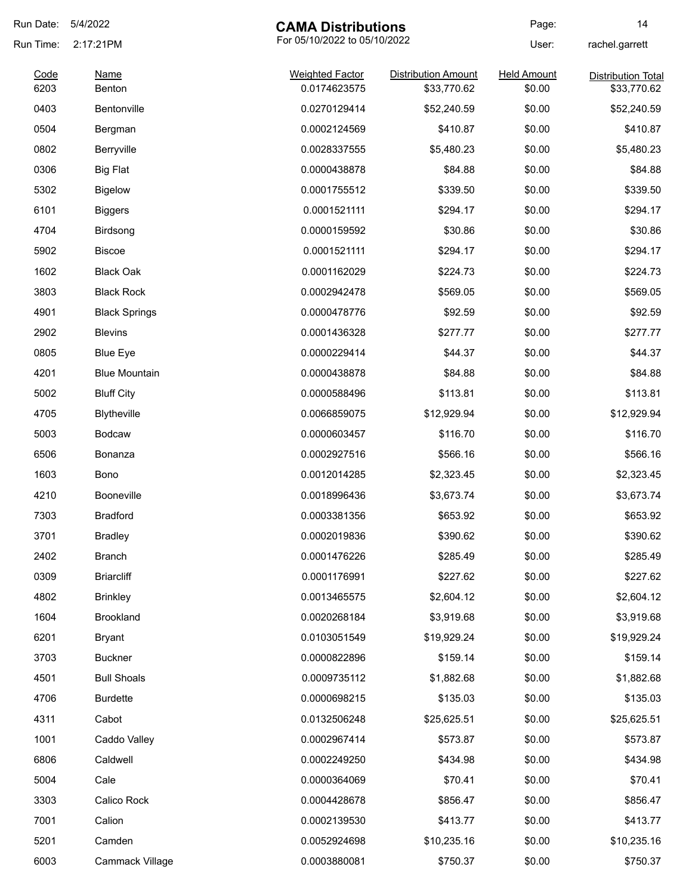| Run Date:    | 5/4/2022             | <b>CAMA Distributions</b>              |                                           | Page:                        | 14                                       |
|--------------|----------------------|----------------------------------------|-------------------------------------------|------------------------------|------------------------------------------|
| Run Time:    | 2:17:21PM            | For 05/10/2022 to 05/10/2022           |                                           | User:                        | rachel.garrett                           |
| Code<br>6203 | Name<br>Benton       | <b>Weighted Factor</b><br>0.0174623575 | <b>Distribution Amount</b><br>\$33,770.62 | <b>Held Amount</b><br>\$0.00 | <b>Distribution Total</b><br>\$33,770.62 |
| 0403         | Bentonville          | 0.0270129414                           | \$52,240.59                               | \$0.00                       | \$52,240.59                              |
| 0504         | Bergman              | 0.0002124569                           | \$410.87                                  | \$0.00                       | \$410.87                                 |
| 0802         | Berryville           | 0.0028337555                           | \$5,480.23                                | \$0.00                       | \$5,480.23                               |
| 0306         | <b>Big Flat</b>      | 0.0000438878                           | \$84.88                                   | \$0.00                       | \$84.88                                  |
| 5302         | <b>Bigelow</b>       | 0.0001755512                           | \$339.50                                  | \$0.00                       | \$339.50                                 |
| 6101         | <b>Biggers</b>       | 0.0001521111                           | \$294.17                                  | \$0.00                       | \$294.17                                 |
| 4704         | Birdsong             | 0.0000159592                           | \$30.86                                   | \$0.00                       | \$30.86                                  |
| 5902         | <b>Biscoe</b>        | 0.0001521111                           | \$294.17                                  | \$0.00                       | \$294.17                                 |
| 1602         | <b>Black Oak</b>     | 0.0001162029                           | \$224.73                                  | \$0.00                       | \$224.73                                 |
| 3803         | <b>Black Rock</b>    | 0.0002942478                           | \$569.05                                  | \$0.00                       | \$569.05                                 |
| 4901         | <b>Black Springs</b> | 0.0000478776                           | \$92.59                                   | \$0.00                       | \$92.59                                  |
| 2902         | <b>Blevins</b>       | 0.0001436328                           | \$277.77                                  | \$0.00                       | \$277.77                                 |
| 0805         | <b>Blue Eye</b>      | 0.0000229414                           | \$44.37                                   | \$0.00                       | \$44.37                                  |
| 4201         | <b>Blue Mountain</b> | 0.0000438878                           | \$84.88                                   | \$0.00                       | \$84.88                                  |
| 5002         | <b>Bluff City</b>    | 0.0000588496                           | \$113.81                                  | \$0.00                       | \$113.81                                 |
| 4705         | Blytheville          | 0.0066859075                           | \$12,929.94                               | \$0.00                       | \$12,929.94                              |
| 5003         | Bodcaw               | 0.0000603457                           | \$116.70                                  | \$0.00                       | \$116.70                                 |
| 6506         | Bonanza              | 0.0002927516                           | \$566.16                                  | \$0.00                       | \$566.16                                 |
| 1603         | Bono                 | 0.0012014285                           | \$2,323.45                                | \$0.00                       | \$2,323.45                               |
| 4210         | <b>Booneville</b>    | 0.0018996436                           | \$3,673.74                                | \$0.00                       | \$3,673.74                               |
| 7303         | <b>Bradford</b>      | 0.0003381356                           | \$653.92                                  | \$0.00                       | \$653.92                                 |
| 3701         | <b>Bradley</b>       | 0.0002019836                           | \$390.62                                  | \$0.00                       | \$390.62                                 |
| 2402         | <b>Branch</b>        | 0.0001476226                           | \$285.49                                  | \$0.00                       | \$285.49                                 |
| 0309         | <b>Briarcliff</b>    | 0.0001176991                           | \$227.62                                  | \$0.00                       | \$227.62                                 |
| 4802         | <b>Brinkley</b>      | 0.0013465575                           | \$2,604.12                                | \$0.00                       | \$2,604.12                               |
| 1604         | Brookland            | 0.0020268184                           | \$3,919.68                                | \$0.00                       | \$3,919.68                               |
| 6201         | <b>Bryant</b>        | 0.0103051549                           | \$19,929.24                               | \$0.00                       | \$19,929.24                              |
| 3703         | <b>Buckner</b>       | 0.0000822896                           | \$159.14                                  | \$0.00                       | \$159.14                                 |
| 4501         | <b>Bull Shoals</b>   | 0.0009735112                           | \$1,882.68                                | \$0.00                       | \$1,882.68                               |
| 4706         | <b>Burdette</b>      | 0.0000698215                           | \$135.03                                  | \$0.00                       | \$135.03                                 |
| 4311         | Cabot                | 0.0132506248                           | \$25,625.51                               | \$0.00                       | \$25,625.51                              |
| 1001         | Caddo Valley         | 0.0002967414                           | \$573.87                                  | \$0.00                       | \$573.87                                 |
| 6806         | Caldwell             | 0.0002249250                           | \$434.98                                  | \$0.00                       | \$434.98                                 |
| 5004         | Cale                 | 0.0000364069                           | \$70.41                                   | \$0.00                       | \$70.41                                  |
| 3303         | Calico Rock          | 0.0004428678                           | \$856.47                                  | \$0.00                       | \$856.47                                 |
| 7001         | Calion               | 0.0002139530                           | \$413.77                                  | \$0.00                       | \$413.77                                 |
| 5201         | Camden               | 0.0052924698                           | \$10,235.16                               | \$0.00                       | \$10,235.16                              |
| 6003         | Cammack Village      | 0.0003880081                           | \$750.37                                  | \$0.00                       | \$750.37                                 |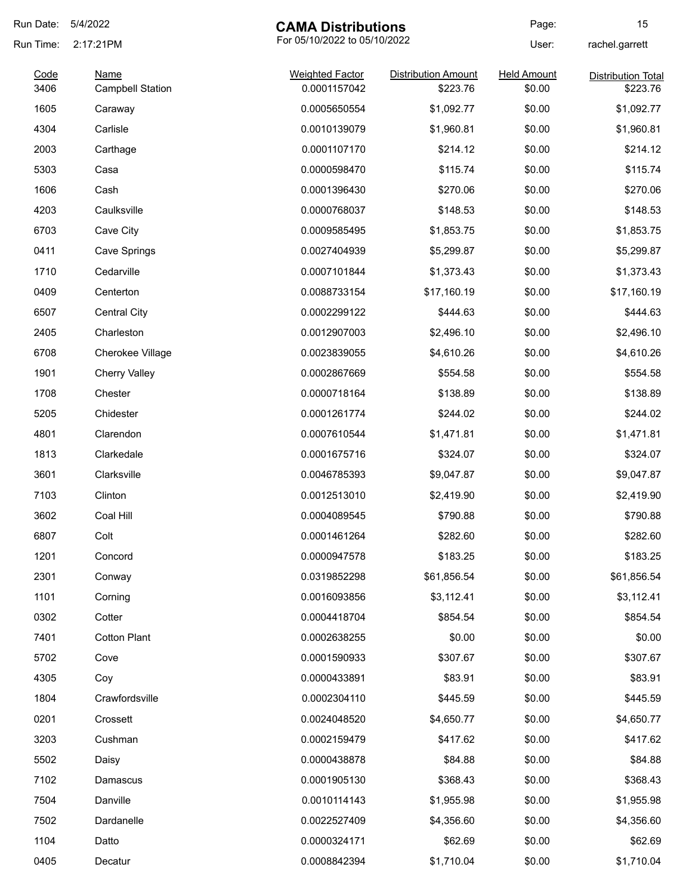| Run Date:    | 5/4/2022                               | <b>CAMA Distributions</b>              |                                        | Page:                        | 15                                    |
|--------------|----------------------------------------|----------------------------------------|----------------------------------------|------------------------------|---------------------------------------|
| Run Time:    | 2:17:21PM                              | For 05/10/2022 to 05/10/2022           |                                        | User:                        | rachel.garrett                        |
| Code<br>3406 | <b>Name</b><br><b>Campbell Station</b> | <b>Weighted Factor</b><br>0.0001157042 | <b>Distribution Amount</b><br>\$223.76 | <b>Held Amount</b><br>\$0.00 | <b>Distribution Total</b><br>\$223.76 |
| 1605         | Caraway                                | 0.0005650554                           | \$1,092.77                             | \$0.00                       | \$1,092.77                            |
| 4304         | Carlisle                               | 0.0010139079                           | \$1,960.81                             | \$0.00                       | \$1,960.81                            |
| 2003         | Carthage                               | 0.0001107170                           | \$214.12                               | \$0.00                       | \$214.12                              |
| 5303         | Casa                                   | 0.0000598470                           | \$115.74                               | \$0.00                       | \$115.74                              |
| 1606         | Cash                                   | 0.0001396430                           | \$270.06                               | \$0.00                       | \$270.06                              |
| 4203         | Caulksville                            | 0.0000768037                           | \$148.53                               | \$0.00                       | \$148.53                              |
| 6703         | Cave City                              | 0.0009585495                           | \$1,853.75                             | \$0.00                       | \$1,853.75                            |
| 0411         | Cave Springs                           | 0.0027404939                           | \$5,299.87                             | \$0.00                       | \$5,299.87                            |
| 1710         | Cedarville                             | 0.0007101844                           | \$1,373.43                             | \$0.00                       | \$1,373.43                            |
| 0409         | Centerton                              | 0.0088733154                           | \$17,160.19                            | \$0.00                       | \$17,160.19                           |
| 6507         | <b>Central City</b>                    | 0.0002299122                           | \$444.63                               | \$0.00                       | \$444.63                              |
| 2405         | Charleston                             | 0.0012907003                           | \$2,496.10                             | \$0.00                       | \$2,496.10                            |
| 6708         | Cherokee Village                       | 0.0023839055                           | \$4,610.26                             | \$0.00                       | \$4,610.26                            |
| 1901         | <b>Cherry Valley</b>                   | 0.0002867669                           | \$554.58                               | \$0.00                       | \$554.58                              |
| 1708         | Chester                                | 0.0000718164                           | \$138.89                               | \$0.00                       | \$138.89                              |
| 5205         | Chidester                              | 0.0001261774                           | \$244.02                               | \$0.00                       | \$244.02                              |
| 4801         | Clarendon                              | 0.0007610544                           | \$1,471.81                             | \$0.00                       | \$1,471.81                            |
| 1813         | Clarkedale                             | 0.0001675716                           | \$324.07                               | \$0.00                       | \$324.07                              |
| 3601         | Clarksville                            | 0.0046785393                           | \$9,047.87                             | \$0.00                       | \$9,047.87                            |
| 7103         | Clinton                                | 0.0012513010                           | \$2,419.90                             | \$0.00                       | \$2,419.90                            |
| 3602         | Coal Hill                              | 0.0004089545                           | \$790.88                               | \$0.00                       | \$790.88                              |
| 6807         | Colt                                   | 0.0001461264                           | \$282.60                               | \$0.00                       | \$282.60                              |
| 1201         | Concord                                | 0.0000947578                           | \$183.25                               | \$0.00                       | \$183.25                              |
| 2301         | Conway                                 | 0.0319852298                           | \$61,856.54                            | \$0.00                       | \$61,856.54                           |
| 1101         | Corning                                | 0.0016093856                           | \$3,112.41                             | \$0.00                       | \$3,112.41                            |
| 0302         | Cotter                                 | 0.0004418704                           | \$854.54                               | \$0.00                       | \$854.54                              |
| 7401         | <b>Cotton Plant</b>                    | 0.0002638255                           | \$0.00                                 | \$0.00                       | \$0.00                                |
| 5702         | Cove                                   | 0.0001590933                           | \$307.67                               | \$0.00                       | \$307.67                              |
| 4305         | Coy                                    | 0.0000433891                           | \$83.91                                | \$0.00                       | \$83.91                               |
| 1804         | Crawfordsville                         | 0.0002304110                           | \$445.59                               | \$0.00                       | \$445.59                              |
| 0201         | Crossett                               | 0.0024048520                           | \$4,650.77                             | \$0.00                       | \$4,650.77                            |
| 3203         | Cushman                                | 0.0002159479                           | \$417.62                               | \$0.00                       | \$417.62                              |
| 5502         | Daisy                                  | 0.0000438878                           | \$84.88                                | \$0.00                       | \$84.88                               |
| 7102         | Damascus                               | 0.0001905130                           | \$368.43                               | \$0.00                       | \$368.43                              |
| 7504         | Danville                               | 0.0010114143                           | \$1,955.98                             | \$0.00                       | \$1,955.98                            |
| 7502         | Dardanelle                             | 0.0022527409                           | \$4,356.60                             | \$0.00                       | \$4,356.60                            |
| 1104         | Datto                                  | 0.0000324171                           | \$62.69                                | \$0.00                       | \$62.69                               |
| 0405         | Decatur                                | 0.0008842394                           | \$1,710.04                             | \$0.00                       | \$1,710.04                            |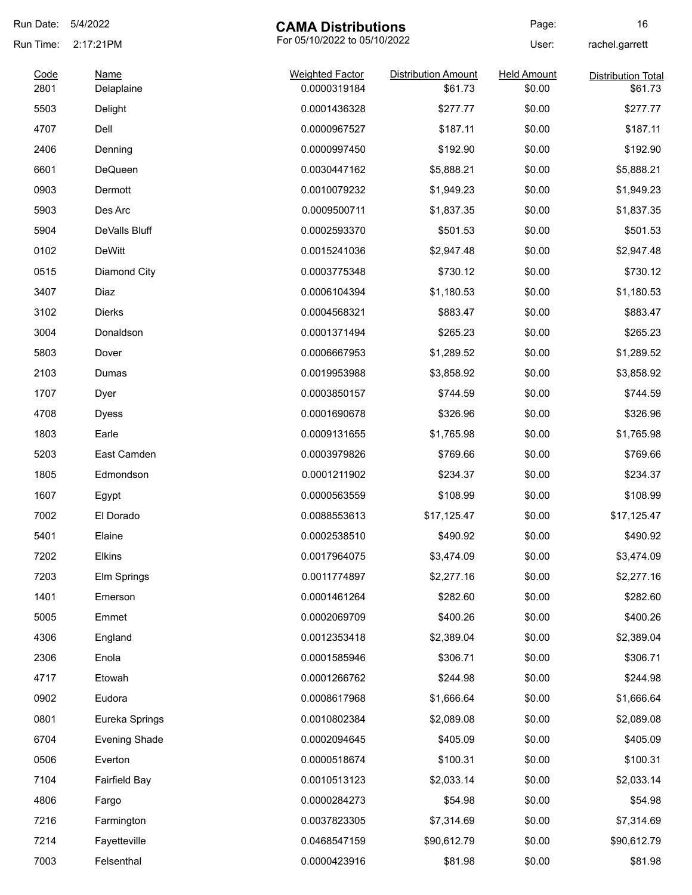| Run Date:    | 5/4/2022                  | <b>CAMA Distributions</b>              |                                       | Page:                        | 16                                   |
|--------------|---------------------------|----------------------------------------|---------------------------------------|------------------------------|--------------------------------------|
| Run Time:    | 2:17:21PM                 | For 05/10/2022 to 05/10/2022           |                                       | User:                        | rachel.garrett                       |
| Code<br>2801 | <b>Name</b><br>Delaplaine | <b>Weighted Factor</b><br>0.0000319184 | <b>Distribution Amount</b><br>\$61.73 | <b>Held Amount</b><br>\$0.00 | <b>Distribution Total</b><br>\$61.73 |
| 5503         | Delight                   | 0.0001436328                           | \$277.77                              | \$0.00                       | \$277.77                             |
| 4707         | Dell                      | 0.0000967527                           | \$187.11                              | \$0.00                       | \$187.11                             |
| 2406         | Denning                   | 0.0000997450                           | \$192.90                              | \$0.00                       | \$192.90                             |
| 6601         | <b>DeQueen</b>            | 0.0030447162                           | \$5,888.21                            | \$0.00                       | \$5,888.21                           |
| 0903         | Dermott                   | 0.0010079232                           | \$1,949.23                            | \$0.00                       | \$1,949.23                           |
| 5903         | Des Arc                   | 0.0009500711                           | \$1,837.35                            | \$0.00                       | \$1,837.35                           |
| 5904         | DeValls Bluff             | 0.0002593370                           | \$501.53                              | \$0.00                       | \$501.53                             |
| 0102         | <b>DeWitt</b>             | 0.0015241036                           | \$2,947.48                            | \$0.00                       | \$2,947.48                           |
| 0515         | Diamond City              | 0.0003775348                           | \$730.12                              | \$0.00                       | \$730.12                             |
| 3407         | Diaz                      | 0.0006104394                           | \$1,180.53                            | \$0.00                       | \$1,180.53                           |
| 3102         | Dierks                    | 0.0004568321                           | \$883.47                              | \$0.00                       | \$883.47                             |
| 3004         | Donaldson                 | 0.0001371494                           | \$265.23                              | \$0.00                       | \$265.23                             |
| 5803         | Dover                     | 0.0006667953                           | \$1,289.52                            | \$0.00                       | \$1,289.52                           |
| 2103         | Dumas                     | 0.0019953988                           | \$3,858.92                            | \$0.00                       | \$3,858.92                           |
| 1707         | Dyer                      | 0.0003850157                           | \$744.59                              | \$0.00                       | \$744.59                             |
| 4708         | <b>Dyess</b>              | 0.0001690678                           | \$326.96                              | \$0.00                       | \$326.96                             |
| 1803         | Earle                     | 0.0009131655                           | \$1,765.98                            | \$0.00                       | \$1,765.98                           |
| 5203         | East Camden               | 0.0003979826                           | \$769.66                              | \$0.00                       | \$769.66                             |
| 1805         | Edmondson                 | 0.0001211902                           | \$234.37                              | \$0.00                       | \$234.37                             |
| 1607         | Egypt                     | 0.0000563559                           | \$108.99                              | \$0.00                       | \$108.99                             |
| 7002         | El Dorado                 | 0.0088553613                           | \$17,125.47                           | \$0.00                       | \$17,125.47                          |
| 5401         | Elaine                    | 0.0002538510                           | \$490.92                              | \$0.00                       | \$490.92                             |
| 7202         | Elkins                    | 0.0017964075                           | \$3,474.09                            | \$0.00                       | \$3,474.09                           |
| 7203         | Elm Springs               | 0.0011774897                           | \$2,277.16                            | \$0.00                       | \$2,277.16                           |
| 1401         | Emerson                   | 0.0001461264                           | \$282.60                              | \$0.00                       | \$282.60                             |
| 5005         | Emmet                     | 0.0002069709                           | \$400.26                              | \$0.00                       | \$400.26                             |
| 4306         | England                   | 0.0012353418                           | \$2,389.04                            | \$0.00                       | \$2,389.04                           |
| 2306         | Enola                     | 0.0001585946                           | \$306.71                              | \$0.00                       | \$306.71                             |
| 4717         | Etowah                    | 0.0001266762                           | \$244.98                              | \$0.00                       | \$244.98                             |
| 0902         | Eudora                    | 0.0008617968                           | \$1,666.64                            | \$0.00                       | \$1,666.64                           |
| 0801         | Eureka Springs            | 0.0010802384                           | \$2,089.08                            | \$0.00                       | \$2,089.08                           |
| 6704         | <b>Evening Shade</b>      | 0.0002094645                           | \$405.09                              | \$0.00                       | \$405.09                             |
| 0506         | Everton                   | 0.0000518674                           | \$100.31                              | \$0.00                       | \$100.31                             |
| 7104         | <b>Fairfield Bay</b>      | 0.0010513123                           | \$2,033.14                            | \$0.00                       | \$2,033.14                           |
| 4806         | Fargo                     | 0.0000284273                           | \$54.98                               | \$0.00                       | \$54.98                              |
| 7216         | Farmington                | 0.0037823305                           | \$7,314.69                            | \$0.00                       | \$7,314.69                           |
| 7214         | Fayetteville              | 0.0468547159                           | \$90,612.79                           | \$0.00                       | \$90,612.79                          |
| 7003         | Felsenthal                | 0.0000423916                           | \$81.98                               | \$0.00                       | \$81.98                              |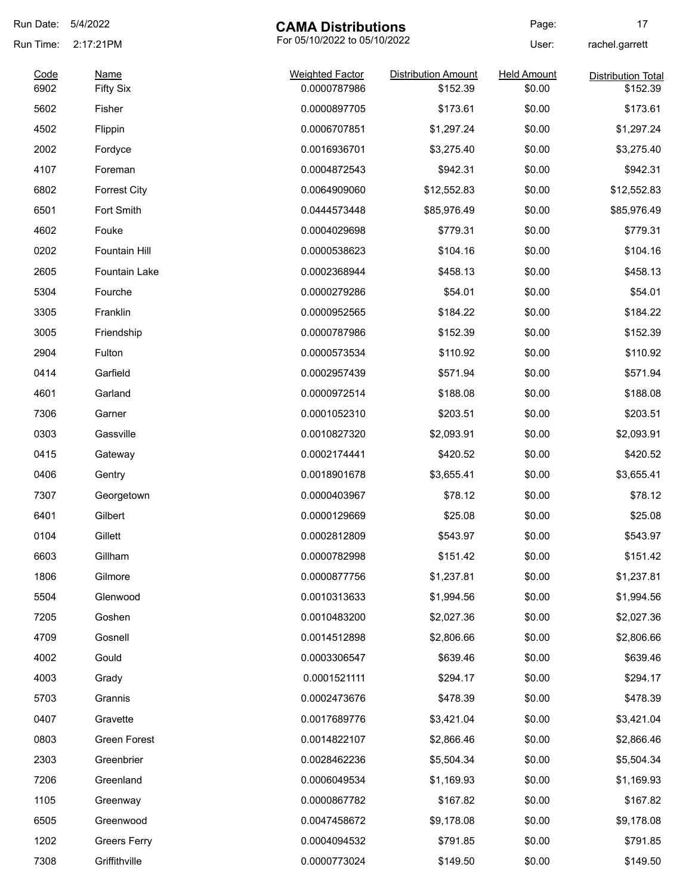| Run Date: | 5/4/2022             | <b>CAMA Distributions</b>    |                            | Page:              | 17                        |
|-----------|----------------------|------------------------------|----------------------------|--------------------|---------------------------|
| Run Time: | 2:17:21PM            | For 05/10/2022 to 05/10/2022 |                            | User:              | rachel.garrett            |
| Code      | <b>Name</b>          | <b>Weighted Factor</b>       | <b>Distribution Amount</b> | <b>Held Amount</b> | <b>Distribution Total</b> |
| 6902      | <b>Fifty Six</b>     | 0.0000787986                 | \$152.39                   | \$0.00             | \$152.39                  |
| 5602      | Fisher               | 0.0000897705                 | \$173.61                   | \$0.00             | \$173.61                  |
| 4502      | Flippin              | 0.0006707851                 | \$1,297.24                 | \$0.00             | \$1,297.24                |
| 2002      | Fordyce              | 0.0016936701                 | \$3,275.40                 | \$0.00             | \$3,275.40                |
| 4107      | Foreman              | 0.0004872543                 | \$942.31                   | \$0.00             | \$942.31                  |
| 6802      | <b>Forrest City</b>  | 0.0064909060                 | \$12,552.83                | \$0.00             | \$12,552.83               |
| 6501      | Fort Smith           | 0.0444573448                 | \$85,976.49                | \$0.00             | \$85,976.49               |
| 4602      | Fouke                | 0.0004029698                 | \$779.31                   | \$0.00             | \$779.31                  |
| 0202      | Fountain Hill        | 0.0000538623                 | \$104.16                   | \$0.00             | \$104.16                  |
| 2605      | <b>Fountain Lake</b> | 0.0002368944                 | \$458.13                   | \$0.00             | \$458.13                  |
| 5304      | Fourche              | 0.0000279286                 | \$54.01                    | \$0.00             | \$54.01                   |
| 3305      | Franklin             | 0.0000952565                 | \$184.22                   | \$0.00             | \$184.22                  |
| 3005      | Friendship           | 0.0000787986                 | \$152.39                   | \$0.00             | \$152.39                  |
| 2904      | Fulton               | 0.0000573534                 | \$110.92                   | \$0.00             | \$110.92                  |
| 0414      | Garfield             | 0.0002957439                 | \$571.94                   | \$0.00             | \$571.94                  |
| 4601      | Garland              | 0.0000972514                 | \$188.08                   | \$0.00             | \$188.08                  |
| 7306      | Garner               | 0.0001052310                 | \$203.51                   | \$0.00             | \$203.51                  |
| 0303      | Gassville            | 0.0010827320                 | \$2,093.91                 | \$0.00             | \$2,093.91                |
| 0415      | Gateway              | 0.0002174441                 | \$420.52                   | \$0.00             | \$420.52                  |
| 0406      | Gentry               | 0.0018901678                 | \$3,655.41                 | \$0.00             | \$3,655.41                |
| 7307      | Georgetown           | 0.0000403967                 | \$78.12                    | \$0.00             | \$78.12                   |
| 6401      | Gilbert              | 0.0000129669                 | \$25.08                    | \$0.00             | \$25.08                   |
| 0104      | Gillett              | 0.0002812809                 | \$543.97                   | \$0.00             | \$543.97                  |
| 6603      | Gillham              | 0.0000782998                 | \$151.42                   | \$0.00             | \$151.42                  |
|           | Gilmore              |                              |                            |                    |                           |
| 1806      |                      | 0.0000877756                 | \$1,237.81                 | \$0.00             | \$1,237.81                |
| 5504      | Glenwood             | 0.0010313633                 | \$1,994.56                 | \$0.00             | \$1,994.56                |
| 7205      | Goshen               | 0.0010483200                 | \$2,027.36                 | \$0.00             | \$2,027.36                |
| 4709      | Gosnell              | 0.0014512898                 | \$2,806.66                 | \$0.00             | \$2,806.66                |
| 4002      | Gould                | 0.0003306547                 | \$639.46                   | \$0.00             | \$639.46                  |
| 4003      | Grady                | 0.0001521111                 | \$294.17                   | \$0.00             | \$294.17                  |
| 5703      | Grannis              | 0.0002473676                 | \$478.39                   | \$0.00             | \$478.39                  |
| 0407      | Gravette             | 0.0017689776                 | \$3,421.04                 | \$0.00             | \$3,421.04                |
| 0803      | Green Forest         | 0.0014822107                 | \$2,866.46                 | \$0.00             | \$2,866.46                |
| 2303      | Greenbrier           | 0.0028462236                 | \$5,504.34                 | \$0.00             | \$5,504.34                |
| 7206      | Greenland            | 0.0006049534                 | \$1,169.93                 | \$0.00             | \$1,169.93                |
| 1105      | Greenway             | 0.0000867782                 | \$167.82                   | \$0.00             | \$167.82                  |
| 6505      | Greenwood            | 0.0047458672                 | \$9,178.08                 | \$0.00             | \$9,178.08                |
| 1202      | <b>Greers Ferry</b>  | 0.0004094532                 | \$791.85                   | \$0.00             | \$791.85                  |
| 7308      | Griffithville        | 0.0000773024                 | \$149.50                   | \$0.00             | \$149.50                  |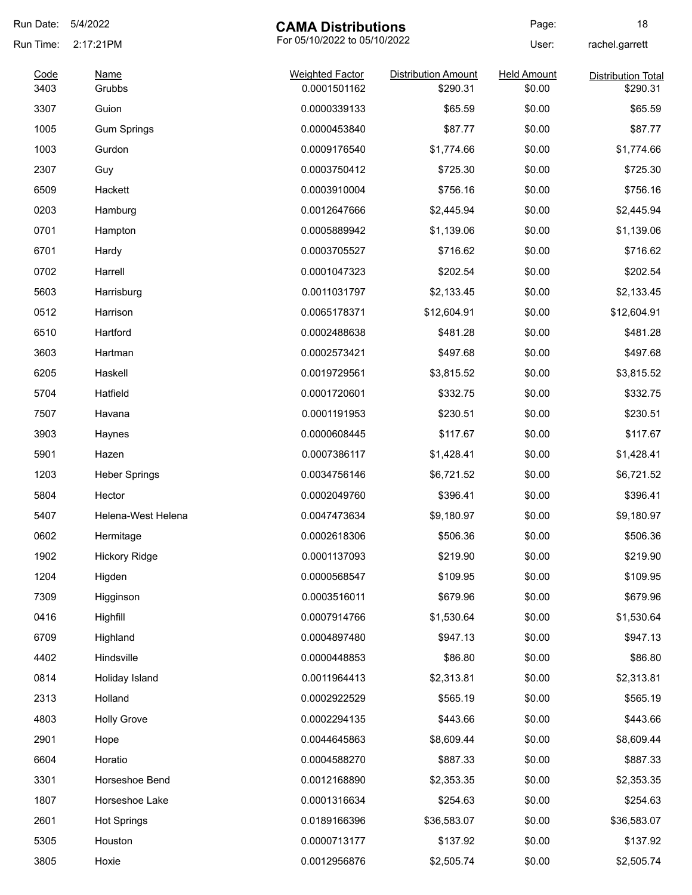| Run Date:    | 5/4/2022              | <b>CAMA Distributions</b>              |                                        | Page:                        | 18                                    |
|--------------|-----------------------|----------------------------------------|----------------------------------------|------------------------------|---------------------------------------|
| Run Time:    | 2:17:21PM             | For 05/10/2022 to 05/10/2022           |                                        | User:                        | rachel.garrett                        |
| Code<br>3403 | <b>Name</b><br>Grubbs | <b>Weighted Factor</b><br>0.0001501162 | <b>Distribution Amount</b><br>\$290.31 | <b>Held Amount</b><br>\$0.00 | <b>Distribution Total</b><br>\$290.31 |
| 3307         | Guion                 | 0.0000339133                           | \$65.59                                | \$0.00                       | \$65.59                               |
| 1005         | <b>Gum Springs</b>    | 0.0000453840                           | \$87.77                                | \$0.00                       | \$87.77                               |
| 1003         | Gurdon                | 0.0009176540                           | \$1,774.66                             | \$0.00                       | \$1,774.66                            |
| 2307         | Guy                   | 0.0003750412                           | \$725.30                               | \$0.00                       | \$725.30                              |
| 6509         | Hackett               | 0.0003910004                           | \$756.16                               | \$0.00                       | \$756.16                              |
| 0203         | Hamburg               | 0.0012647666                           | \$2,445.94                             | \$0.00                       | \$2,445.94                            |
| 0701         | Hampton               | 0.0005889942                           | \$1,139.06                             | \$0.00                       | \$1,139.06                            |
| 6701         | Hardy                 | 0.0003705527                           | \$716.62                               | \$0.00                       | \$716.62                              |
| 0702         | Harrell               | 0.0001047323                           | \$202.54                               | \$0.00                       | \$202.54                              |
| 5603         | Harrisburg            | 0.0011031797                           | \$2,133.45                             | \$0.00                       | \$2,133.45                            |
| 0512         | Harrison              | 0.0065178371                           | \$12,604.91                            | \$0.00                       | \$12,604.91                           |
| 6510         | Hartford              | 0.0002488638                           | \$481.28                               | \$0.00                       | \$481.28                              |
| 3603         | Hartman               | 0.0002573421                           | \$497.68                               | \$0.00                       | \$497.68                              |
| 6205         | Haskell               | 0.0019729561                           | \$3,815.52                             | \$0.00                       | \$3,815.52                            |
| 5704         | Hatfield              | 0.0001720601                           | \$332.75                               | \$0.00                       | \$332.75                              |
| 7507         | Havana                | 0.0001191953                           | \$230.51                               | \$0.00                       | \$230.51                              |
| 3903         | Haynes                | 0.0000608445                           | \$117.67                               | \$0.00                       | \$117.67                              |
| 5901         | Hazen                 | 0.0007386117                           | \$1,428.41                             | \$0.00                       | \$1,428.41                            |
| 1203         | <b>Heber Springs</b>  | 0.0034756146                           | \$6,721.52                             | \$0.00                       | \$6,721.52                            |
| 5804         | Hector                | 0.0002049760                           | \$396.41                               | \$0.00                       | \$396.41                              |
| 5407         | Helena-West Helena    | 0.0047473634                           | \$9,180.97                             | \$0.00                       | \$9,180.97                            |
| 0602         | Hermitage             | 0.0002618306                           | \$506.36                               | \$0.00                       | \$506.36                              |
| 1902         | <b>Hickory Ridge</b>  | 0.0001137093                           | \$219.90                               | \$0.00                       | \$219.90                              |
| 1204         | Higden                | 0.0000568547                           | \$109.95                               | \$0.00                       | \$109.95                              |
| 7309         | Higginson             | 0.0003516011                           | \$679.96                               | \$0.00                       | \$679.96                              |
| 0416         | Highfill              | 0.0007914766                           | \$1,530.64                             | \$0.00                       | \$1,530.64                            |
|              |                       |                                        | \$947.13                               |                              |                                       |
| 6709         | Highland              | 0.0004897480                           |                                        | \$0.00                       | \$947.13                              |
| 4402         | Hindsville            | 0.0000448853                           | \$86.80                                | \$0.00                       | \$86.80                               |
| 0814         | Holiday Island        | 0.0011964413                           | \$2,313.81                             | \$0.00                       | \$2,313.81                            |
| 2313         | Holland               | 0.0002922529                           | \$565.19                               | \$0.00                       | \$565.19                              |
| 4803         | <b>Holly Grove</b>    | 0.0002294135                           | \$443.66                               | \$0.00                       | \$443.66                              |
| 2901         | Hope                  | 0.0044645863                           | \$8,609.44                             | \$0.00                       | \$8,609.44                            |
| 6604         | Horatio               | 0.0004588270                           | \$887.33                               | \$0.00                       | \$887.33                              |
| 3301         | Horseshoe Bend        | 0.0012168890                           | \$2,353.35                             | \$0.00                       | \$2,353.35                            |
| 1807         | Horseshoe Lake        | 0.0001316634                           | \$254.63                               | \$0.00                       | \$254.63                              |
| 2601         | <b>Hot Springs</b>    | 0.0189166396                           | \$36,583.07                            | \$0.00                       | \$36,583.07                           |
| 5305         | Houston               | 0.0000713177                           | \$137.92                               | \$0.00                       | \$137.92                              |
| 3805         | Hoxie                 | 0.0012956876                           | \$2,505.74                             | \$0.00                       | \$2,505.74                            |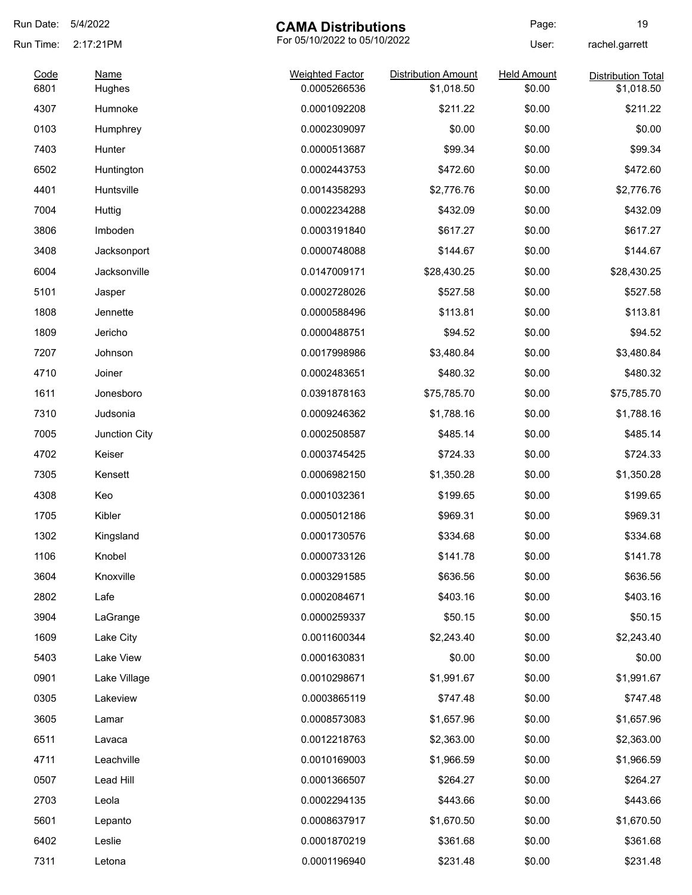| Run Date:    | 5/4/2022              | <b>CAMA Distributions</b>              |                                          | Page:                        | 19                                      |
|--------------|-----------------------|----------------------------------------|------------------------------------------|------------------------------|-----------------------------------------|
| Run Time:    | 2:17:21PM             | For 05/10/2022 to 05/10/2022           |                                          | User:                        | rachel.garrett                          |
| Code<br>6801 | <b>Name</b><br>Hughes | <b>Weighted Factor</b><br>0.0005266536 | <b>Distribution Amount</b><br>\$1,018.50 | <b>Held Amount</b><br>\$0.00 | <b>Distribution Total</b><br>\$1,018.50 |
| 4307         | Humnoke               | 0.0001092208                           | \$211.22                                 | \$0.00                       | \$211.22                                |
| 0103         | Humphrey              | 0.0002309097                           | \$0.00                                   | \$0.00                       | \$0.00                                  |
| 7403         | Hunter                | 0.0000513687                           | \$99.34                                  | \$0.00                       | \$99.34                                 |
| 6502         | Huntington            | 0.0002443753                           | \$472.60                                 | \$0.00                       | \$472.60                                |
| 4401         | Huntsville            | 0.0014358293                           | \$2,776.76                               | \$0.00                       | \$2,776.76                              |
| 7004         | Huttig                | 0.0002234288                           | \$432.09                                 | \$0.00                       | \$432.09                                |
| 3806         | Imboden               | 0.0003191840                           | \$617.27                                 | \$0.00                       | \$617.27                                |
| 3408         | Jacksonport           | 0.0000748088                           | \$144.67                                 | \$0.00                       | \$144.67                                |
| 6004         | Jacksonville          | 0.0147009171                           | \$28,430.25                              | \$0.00                       | \$28,430.25                             |
| 5101         | Jasper                | 0.0002728026                           | \$527.58                                 | \$0.00                       | \$527.58                                |
| 1808         | Jennette              | 0.0000588496                           | \$113.81                                 | \$0.00                       | \$113.81                                |
| 1809         | Jericho               | 0.0000488751                           | \$94.52                                  | \$0.00                       | \$94.52                                 |
| 7207         | Johnson               | 0.0017998986                           | \$3,480.84                               | \$0.00                       | \$3,480.84                              |
| 4710         | Joiner                | 0.0002483651                           | \$480.32                                 | \$0.00                       | \$480.32                                |
| 1611         | Jonesboro             | 0.0391878163                           | \$75,785.70                              | \$0.00                       | \$75,785.70                             |
| 7310         | Judsonia              | 0.0009246362                           | \$1,788.16                               | \$0.00                       | \$1,788.16                              |
| 7005         | Junction City         | 0.0002508587                           | \$485.14                                 | \$0.00                       | \$485.14                                |
| 4702         | Keiser                | 0.0003745425                           | \$724.33                                 | \$0.00                       | \$724.33                                |
| 7305         | Kensett               | 0.0006982150                           | \$1,350.28                               | \$0.00                       | \$1,350.28                              |
| 4308         | Keo                   | 0.0001032361                           | \$199.65                                 | \$0.00                       | \$199.65                                |
| 1705         | Kibler                | 0.0005012186                           | \$969.31                                 | \$0.00                       | \$969.31                                |
| 1302         | Kingsland             | 0.0001730576                           | \$334.68                                 | \$0.00                       | \$334.68                                |
| 1106         | Knobel                | 0.0000733126                           | \$141.78                                 | \$0.00                       | \$141.78                                |
| 3604         | Knoxville             | 0.0003291585                           | \$636.56                                 | \$0.00                       | \$636.56                                |
| 2802         | Lafe                  | 0.0002084671                           | \$403.16                                 | \$0.00                       | \$403.16                                |
| 3904         | LaGrange              | 0.0000259337                           | \$50.15                                  | \$0.00                       | \$50.15                                 |
| 1609         | Lake City             | 0.0011600344                           | \$2,243.40                               | \$0.00                       | \$2,243.40                              |
| 5403         | Lake View             | 0.0001630831                           | \$0.00                                   | \$0.00                       | \$0.00                                  |
| 0901         | Lake Village          | 0.0010298671                           | \$1,991.67                               | \$0.00                       | \$1,991.67                              |
| 0305         | Lakeview              | 0.0003865119                           | \$747.48                                 | \$0.00                       | \$747.48                                |
| 3605         | Lamar                 | 0.0008573083                           | \$1,657.96                               | \$0.00                       | \$1,657.96                              |
| 6511         | Lavaca                | 0.0012218763                           | \$2,363.00                               | \$0.00                       | \$2,363.00                              |
| 4711         | Leachville            | 0.0010169003                           | \$1,966.59                               | \$0.00                       | \$1,966.59                              |
| 0507         | Lead Hill             | 0.0001366507                           | \$264.27                                 | \$0.00                       | \$264.27                                |
| 2703         | Leola                 | 0.0002294135                           | \$443.66                                 | \$0.00                       | \$443.66                                |
| 5601         | Lepanto               | 0.0008637917                           | \$1,670.50                               | \$0.00                       | \$1,670.50                              |
| 6402         | Leslie                | 0.0001870219                           | \$361.68                                 | \$0.00                       | \$361.68                                |
| 7311         | Letona                | 0.0001196940                           | \$231.48                                 | \$0.00                       | \$231.48                                |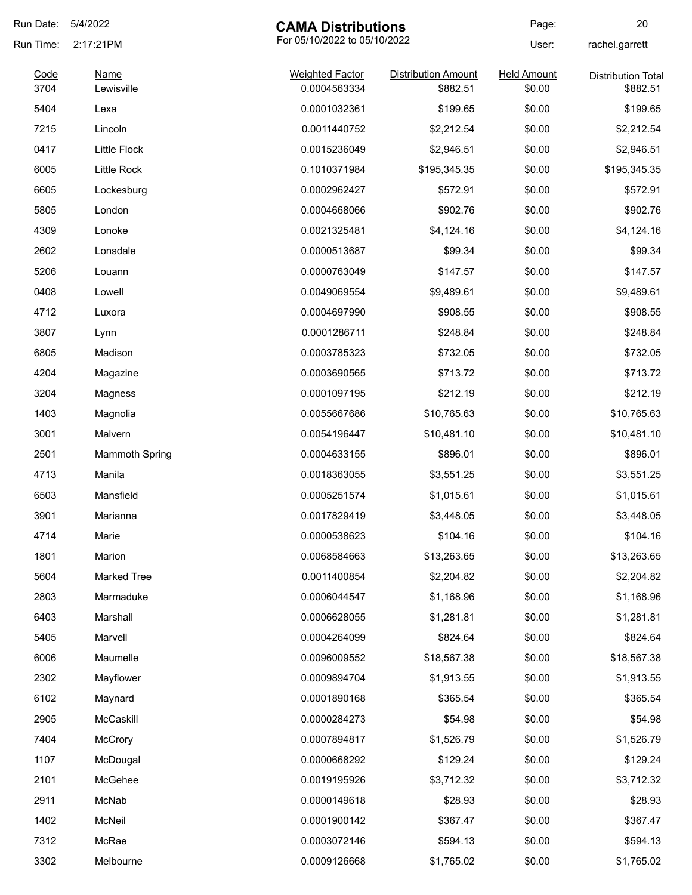| Run Date:    | 5/4/2022              | <b>CAMA Distributions</b>              |                                        | Page:                        | 20                                    |
|--------------|-----------------------|----------------------------------------|----------------------------------------|------------------------------|---------------------------------------|
| Run Time:    | 2:17:21PM             | For 05/10/2022 to 05/10/2022           |                                        | User:                        | rachel.garrett                        |
| Code<br>3704 | Name<br>Lewisville    | <b>Weighted Factor</b><br>0.0004563334 | <b>Distribution Amount</b><br>\$882.51 | <b>Held Amount</b><br>\$0.00 | <b>Distribution Total</b><br>\$882.51 |
| 5404         | Lexa                  | 0.0001032361                           | \$199.65                               | \$0.00                       | \$199.65                              |
| 7215         | Lincoln               | 0.0011440752                           | \$2,212.54                             | \$0.00                       | \$2,212.54                            |
| 0417         | <b>Little Flock</b>   | 0.0015236049                           | \$2,946.51                             | \$0.00                       | \$2,946.51                            |
| 6005         | Little Rock           | 0.1010371984                           | \$195,345.35                           | \$0.00                       | \$195,345.35                          |
| 6605         | Lockesburg            | 0.0002962427                           | \$572.91                               | \$0.00                       | \$572.91                              |
| 5805         | London                | 0.0004668066                           | \$902.76                               | \$0.00                       | \$902.76                              |
| 4309         | Lonoke                | 0.0021325481                           | \$4,124.16                             | \$0.00                       | \$4,124.16                            |
| 2602         | Lonsdale              | 0.0000513687                           | \$99.34                                | \$0.00                       | \$99.34                               |
| 5206         | Louann                | 0.0000763049                           | \$147.57                               | \$0.00                       | \$147.57                              |
| 0408         | Lowell                | 0.0049069554                           | \$9,489.61                             | \$0.00                       | \$9,489.61                            |
| 4712         | Luxora                | 0.0004697990                           | \$908.55                               | \$0.00                       | \$908.55                              |
| 3807         | Lynn                  | 0.0001286711                           | \$248.84                               | \$0.00                       | \$248.84                              |
| 6805         | Madison               | 0.0003785323                           | \$732.05                               | \$0.00                       | \$732.05                              |
| 4204         | Magazine              | 0.0003690565                           | \$713.72                               | \$0.00                       | \$713.72                              |
| 3204         | Magness               | 0.0001097195                           | \$212.19                               | \$0.00                       | \$212.19                              |
| 1403         | Magnolia              | 0.0055667686                           | \$10,765.63                            | \$0.00                       | \$10,765.63                           |
| 3001         | Malvern               | 0.0054196447                           | \$10,481.10                            | \$0.00                       | \$10,481.10                           |
| 2501         | <b>Mammoth Spring</b> | 0.0004633155                           | \$896.01                               | \$0.00                       | \$896.01                              |
| 4713         | Manila                | 0.0018363055                           | \$3,551.25                             | \$0.00                       | \$3,551.25                            |
| 6503         | Mansfield             | 0.0005251574                           | \$1,015.61                             | \$0.00                       | \$1,015.61                            |
| 3901         | Marianna              | 0.0017829419                           | \$3,448.05                             | \$0.00                       | \$3,448.05                            |
| 4714         | Marie                 | 0.0000538623                           | \$104.16                               | \$0.00                       | \$104.16                              |
| 1801         | Marion                | 0.0068584663                           | \$13,263.65                            | \$0.00                       | \$13,263.65                           |
| 5604         | <b>Marked Tree</b>    | 0.0011400854                           | \$2,204.82                             | \$0.00                       | \$2,204.82                            |
| 2803         | Marmaduke             | 0.0006044547                           | \$1,168.96                             | \$0.00                       | \$1,168.96                            |
| 6403         | Marshall              | 0.0006628055                           | \$1,281.81                             | \$0.00                       | \$1,281.81                            |
| 5405         | Marvell               | 0.0004264099                           | \$824.64                               | \$0.00                       | \$824.64                              |
| 6006         | Maumelle              | 0.0096009552                           | \$18,567.38                            | \$0.00                       | \$18,567.38                           |
| 2302         | Mayflower             | 0.0009894704                           | \$1,913.55                             | \$0.00                       | \$1,913.55                            |
| 6102         | Maynard               | 0.0001890168                           | \$365.54                               | \$0.00                       | \$365.54                              |
| 2905         | McCaskill             | 0.0000284273                           | \$54.98                                | \$0.00                       | \$54.98                               |
| 7404         | McCrory               | 0.0007894817                           | \$1,526.79                             | \$0.00                       | \$1,526.79                            |
| 1107         | McDougal              | 0.0000668292                           | \$129.24                               | \$0.00                       | \$129.24                              |
| 2101         | McGehee               | 0.0019195926                           | \$3,712.32                             | \$0.00                       | \$3,712.32                            |
| 2911         | McNab                 | 0.0000149618                           | \$28.93                                | \$0.00                       | \$28.93                               |
| 1402         | McNeil                | 0.0001900142                           | \$367.47                               | \$0.00                       | \$367.47                              |
| 7312         | McRae                 | 0.0003072146                           | \$594.13                               | \$0.00                       | \$594.13                              |
| 3302         | Melbourne             | 0.0009126668                           | \$1,765.02                             | \$0.00                       | \$1,765.02                            |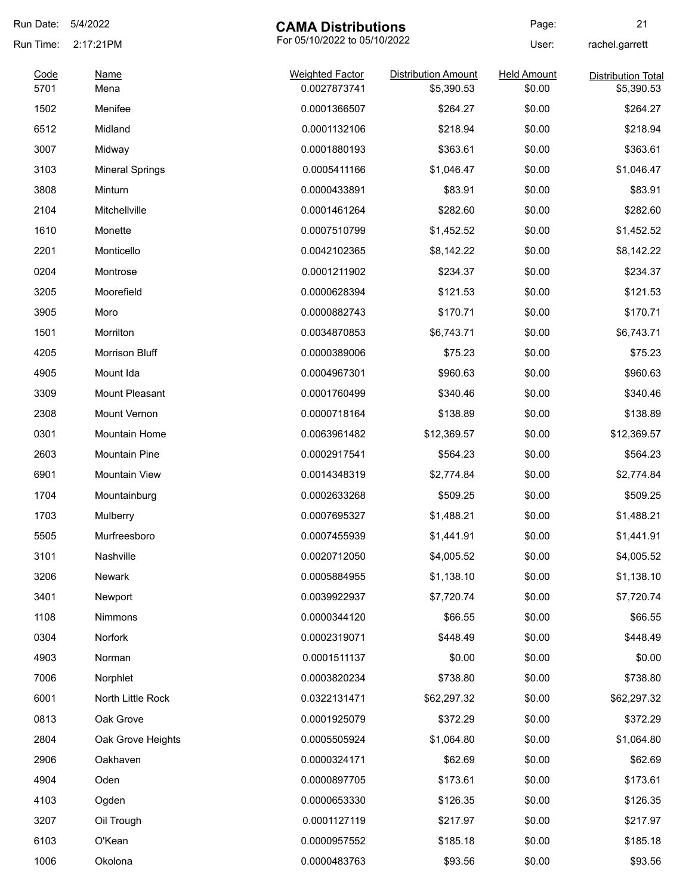| Run Date: | 5/4/2022               | <b>CAMA Distributions</b>    |                     | Page:              | 21                        |
|-----------|------------------------|------------------------------|---------------------|--------------------|---------------------------|
| Run Time: | 2:17:21PM              | For 05/10/2022 to 05/10/2022 |                     | User:              | rachel.garrett            |
| Code      | <b>Name</b>            | <b>Weighted Factor</b>       | Distribution Amount | <b>Held Amount</b> | <b>Distribution Total</b> |
| 5701      | Mena                   | 0.0027873741                 | \$5,390.53          | \$0.00             | \$5,390.53                |
| 1502      | Menifee                | 0.0001366507                 | \$264.27            | \$0.00             | \$264.27                  |
| 6512      | Midland                | 0.0001132106                 | \$218.94            | \$0.00             | \$218.94                  |
| 3007      | Midway                 | 0.0001880193                 | \$363.61            | \$0.00             | \$363.61                  |
| 3103      | <b>Mineral Springs</b> | 0.0005411166                 | \$1,046.47          | \$0.00             | \$1,046.47                |
| 3808      | Minturn                | 0.0000433891                 | \$83.91             | \$0.00             | \$83.91                   |
| 2104      | Mitchellville          | 0.0001461264                 | \$282.60            | \$0.00             | \$282.60                  |
| 1610      | Monette                | 0.0007510799                 | \$1,452.52          | \$0.00             | \$1,452.52                |
| 2201      | Monticello             | 0.0042102365                 | \$8,142.22          | \$0.00             | \$8,142.22                |
| 0204      | Montrose               | 0.0001211902                 | \$234.37            | \$0.00             | \$234.37                  |
| 3205      | Moorefield             | 0.0000628394                 | \$121.53            | \$0.00             | \$121.53                  |
| 3905      | Moro                   | 0.0000882743                 | \$170.71            | \$0.00             | \$170.71                  |
| 1501      | Morrilton              | 0.0034870853                 | \$6,743.71          | \$0.00             | \$6,743.71                |
| 4205      | Morrison Bluff         | 0.0000389006                 | \$75.23             | \$0.00             | \$75.23                   |
| 4905      | Mount Ida              | 0.0004967301                 | \$960.63            | \$0.00             | \$960.63                  |
| 3309      | Mount Pleasant         | 0.0001760499                 | \$340.46            | \$0.00             | \$340.46                  |
| 2308      | Mount Vernon           | 0.0000718164                 | \$138.89            | \$0.00             | \$138.89                  |
| 0301      | <b>Mountain Home</b>   | 0.0063961482                 | \$12,369.57         | \$0.00             | \$12,369.57               |
| 2603      | <b>Mountain Pine</b>   | 0.0002917541                 | \$564.23            | \$0.00             | \$564.23                  |
| 6901      | <b>Mountain View</b>   | 0.0014348319                 | \$2,774.84          | \$0.00             | \$2,774.84                |
| 1704      | Mountainburg           | 0.0002633268                 | \$509.25            | \$0.00             | \$509.25                  |
| 1703      | Mulberry               | 0.0007695327                 | \$1,488.21          | \$0.00             | \$1,488.21                |
| 5505      | Murfreesboro           | 0.0007455939                 | \$1,441.91          | \$0.00             | \$1,441.91                |
| 3101      | Nashville              | 0.0020712050                 | \$4,005.52          | \$0.00             | \$4,005.52                |
| 3206      | Newark                 | 0.0005884955                 | \$1,138.10          | \$0.00             | \$1,138.10                |
| 3401      | Newport                | 0.0039922937                 | \$7,720.74          | \$0.00             | \$7,720.74                |
| 1108      | Nimmons                | 0.0000344120                 | \$66.55             | \$0.00             | \$66.55                   |
| 0304      | Norfork                | 0.0002319071                 | \$448.49            | \$0.00             | \$448.49                  |
| 4903      | Norman                 | 0.0001511137                 | \$0.00              | \$0.00             | \$0.00                    |
| 7006      | Norphlet               | 0.0003820234                 | \$738.80            | \$0.00             | \$738.80                  |
| 6001      | North Little Rock      | 0.0322131471                 | \$62,297.32         | \$0.00             | \$62,297.32               |
| 0813      | Oak Grove              | 0.0001925079                 | \$372.29            | \$0.00             | \$372.29                  |
| 2804      | Oak Grove Heights      | 0.0005505924                 | \$1,064.80          | \$0.00             | \$1,064.80                |
| 2906      | Oakhaven               | 0.0000324171                 | \$62.69             | \$0.00             | \$62.69                   |
| 4904      | Oden                   | 0.0000897705                 | \$173.61            | \$0.00             | \$173.61                  |
| 4103      |                        | 0.0000653330                 | \$126.35            | \$0.00             | \$126.35                  |
| 3207      | Ogden                  |                              |                     | \$0.00             | \$217.97                  |
|           | Oil Trough             | 0.0001127119                 | \$217.97            |                    |                           |
| 6103      | O'Kean                 | 0.0000957552                 | \$185.18            | \$0.00             | \$185.18                  |
| 1006      | Okolona                | 0.0000483763                 | \$93.56             | \$0.00             | \$93.56                   |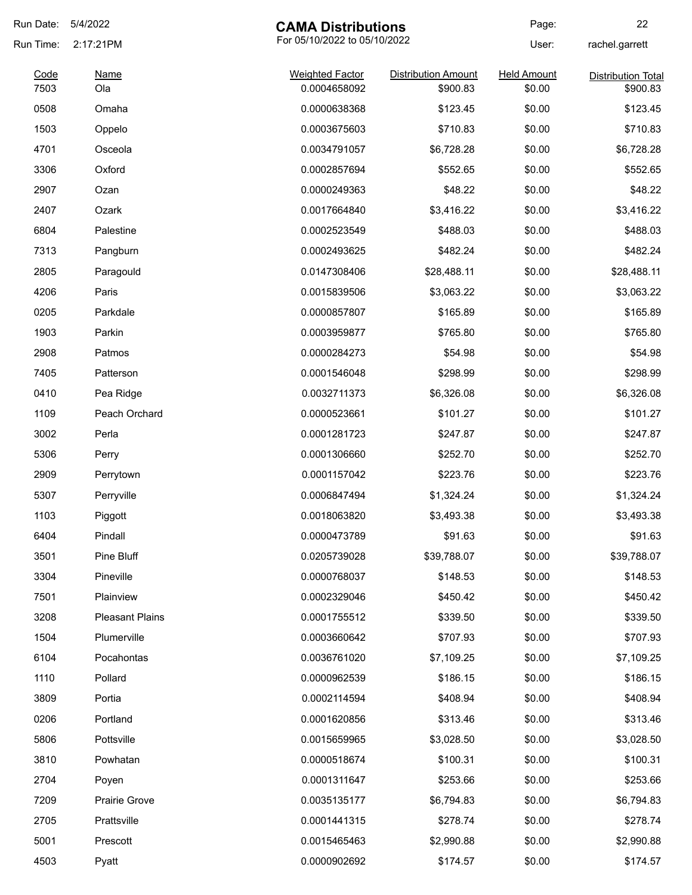| Run Date:    | 5/4/2022               | <b>CAMA Distributions</b>              |                                        | Page:                        | 22                                    |
|--------------|------------------------|----------------------------------------|----------------------------------------|------------------------------|---------------------------------------|
| Run Time:    | 2:17:21PM              | For 05/10/2022 to 05/10/2022           |                                        | User:                        | rachel.garrett                        |
| Code<br>7503 | <b>Name</b><br>Ola     | <b>Weighted Factor</b><br>0.0004658092 | <b>Distribution Amount</b><br>\$900.83 | <b>Held Amount</b><br>\$0.00 | <b>Distribution Total</b><br>\$900.83 |
| 0508         | Omaha                  | 0.0000638368                           | \$123.45                               | \$0.00                       | \$123.45                              |
| 1503         | Oppelo                 | 0.0003675603                           | \$710.83                               | \$0.00                       | \$710.83                              |
| 4701         | Osceola                | 0.0034791057                           | \$6,728.28                             | \$0.00                       | \$6,728.28                            |
| 3306         | Oxford                 | 0.0002857694                           | \$552.65                               | \$0.00                       | \$552.65                              |
| 2907         | Ozan                   | 0.0000249363                           | \$48.22                                | \$0.00                       | \$48.22                               |
| 2407         | Ozark                  | 0.0017664840                           | \$3,416.22                             | \$0.00                       | \$3,416.22                            |
| 6804         | Palestine              | 0.0002523549                           | \$488.03                               | \$0.00                       | \$488.03                              |
| 7313         | Pangburn               | 0.0002493625                           | \$482.24                               | \$0.00                       | \$482.24                              |
| 2805         | Paragould              | 0.0147308406                           | \$28,488.11                            | \$0.00                       | \$28,488.11                           |
| 4206         | Paris                  | 0.0015839506                           | \$3,063.22                             | \$0.00                       | \$3,063.22                            |
| 0205         | Parkdale               | 0.0000857807                           | \$165.89                               | \$0.00                       | \$165.89                              |
| 1903         | Parkin                 | 0.0003959877                           | \$765.80                               | \$0.00                       | \$765.80                              |
| 2908         | Patmos                 | 0.0000284273                           | \$54.98                                | \$0.00                       | \$54.98                               |
| 7405         | Patterson              | 0.0001546048                           | \$298.99                               | \$0.00                       | \$298.99                              |
| 0410         | Pea Ridge              | 0.0032711373                           | \$6,326.08                             | \$0.00                       | \$6,326.08                            |
| 1109         | Peach Orchard          | 0.0000523661                           | \$101.27                               | \$0.00                       | \$101.27                              |
| 3002         | Perla                  | 0.0001281723                           | \$247.87                               | \$0.00                       | \$247.87                              |
| 5306         | Perry                  | 0.0001306660                           | \$252.70                               | \$0.00                       | \$252.70                              |
| 2909         | Perrytown              | 0.0001157042                           | \$223.76                               | \$0.00                       | \$223.76                              |
| 5307         | Perryville             | 0.0006847494                           | \$1,324.24                             | \$0.00                       | \$1,324.24                            |
| 1103         | Piggott                | 0.0018063820                           | \$3,493.38                             | \$0.00                       | \$3,493.38                            |
| 6404         | Pindall                | 0.0000473789                           | \$91.63                                | \$0.00                       | \$91.63                               |
| 3501         | Pine Bluff             | 0.0205739028                           | \$39,788.07                            | \$0.00                       | \$39,788.07                           |
| 3304         | Pineville              | 0.0000768037                           | \$148.53                               | \$0.00                       | \$148.53                              |
| 7501         | Plainview              | 0.0002329046                           | \$450.42                               | \$0.00                       | \$450.42                              |
| 3208         | <b>Pleasant Plains</b> | 0.0001755512                           | \$339.50                               | \$0.00                       | \$339.50                              |
| 1504         | Plumerville            | 0.0003660642                           | \$707.93                               | \$0.00                       | \$707.93                              |
| 6104         | Pocahontas             | 0.0036761020                           | \$7,109.25                             | \$0.00                       | \$7,109.25                            |
| 1110         | Pollard                | 0.0000962539                           | \$186.15                               | \$0.00                       | \$186.15                              |
| 3809         | Portia                 | 0.0002114594                           | \$408.94                               | \$0.00                       | \$408.94                              |
| 0206         | Portland               | 0.0001620856                           | \$313.46                               | \$0.00                       | \$313.46                              |
| 5806         | Pottsville             | 0.0015659965                           | \$3,028.50                             | \$0.00                       | \$3,028.50                            |
| 3810         | Powhatan               | 0.0000518674                           | \$100.31                               | \$0.00                       | \$100.31                              |
| 2704         | Poyen                  | 0.0001311647                           | \$253.66                               | \$0.00                       | \$253.66                              |
| 7209         | <b>Prairie Grove</b>   | 0.0035135177                           | \$6,794.83                             | \$0.00                       | \$6,794.83                            |
| 2705         | Prattsville            | 0.0001441315                           | \$278.74                               | \$0.00                       | \$278.74                              |
| 5001         | Prescott               | 0.0015465463                           | \$2,990.88                             | \$0.00                       | \$2,990.88                            |
| 4503         | Pyatt                  | 0.0000902692                           | \$174.57                               | \$0.00                       | \$174.57                              |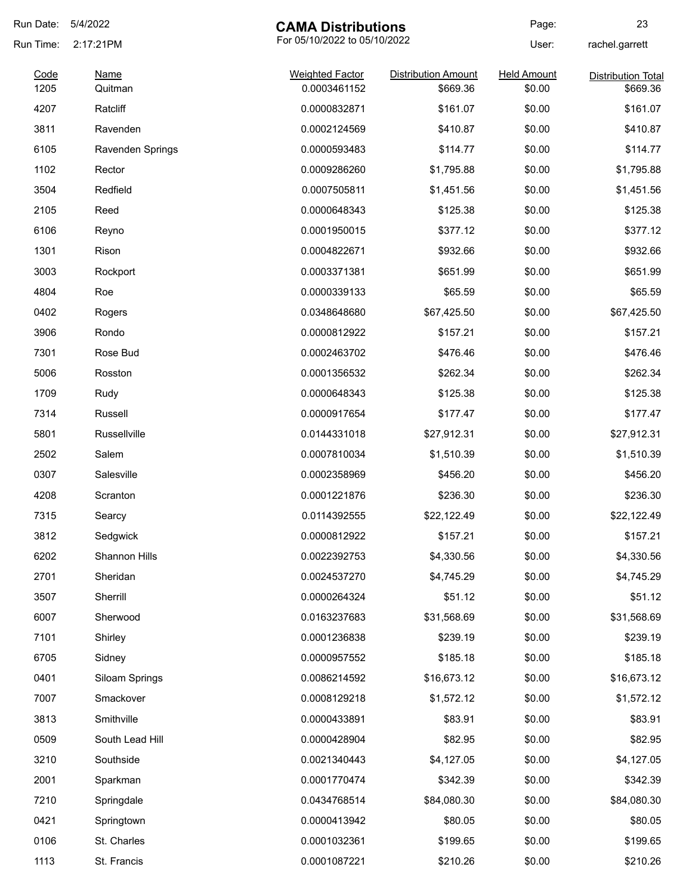| Run Date:    | 5/4/2022               | <b>CAMA Distributions</b>              |                                        | Page:                        | 23                                    |
|--------------|------------------------|----------------------------------------|----------------------------------------|------------------------------|---------------------------------------|
| Run Time:    | 2:17:21PM              | For 05/10/2022 to 05/10/2022           |                                        | User:                        | rachel.garrett                        |
| Code<br>1205 | <b>Name</b><br>Quitman | <b>Weighted Factor</b><br>0.0003461152 | <b>Distribution Amount</b><br>\$669.36 | <b>Held Amount</b><br>\$0.00 | <b>Distribution Total</b><br>\$669.36 |
| 4207         | Ratcliff               | 0.0000832871                           | \$161.07                               | \$0.00                       | \$161.07                              |
| 3811         | Ravenden               | 0.0002124569                           | \$410.87                               | \$0.00                       | \$410.87                              |
|              |                        |                                        |                                        |                              |                                       |
| 6105         | Ravenden Springs       | 0.0000593483                           | \$114.77                               | \$0.00                       | \$114.77                              |
| 1102         | Rector                 | 0.0009286260                           | \$1,795.88                             | \$0.00                       | \$1,795.88                            |
| 3504         | Redfield               | 0.0007505811                           | \$1,451.56                             | \$0.00                       | \$1,451.56                            |
| 2105         | Reed                   | 0.0000648343                           | \$125.38                               | \$0.00                       | \$125.38                              |
| 6106         | Reyno                  | 0.0001950015                           | \$377.12                               | \$0.00                       | \$377.12                              |
| 1301         | Rison                  | 0.0004822671                           | \$932.66                               | \$0.00                       | \$932.66                              |
| 3003         | Rockport               | 0.0003371381                           | \$651.99                               | \$0.00                       | \$651.99                              |
| 4804         | Roe                    | 0.0000339133                           | \$65.59                                | \$0.00                       | \$65.59                               |
| 0402         | Rogers                 | 0.0348648680                           | \$67,425.50                            | \$0.00                       | \$67,425.50                           |
| 3906         | Rondo                  | 0.0000812922                           | \$157.21                               | \$0.00                       | \$157.21                              |
| 7301         | Rose Bud               | 0.0002463702                           | \$476.46                               | \$0.00                       | \$476.46                              |
| 5006         | Rosston                | 0.0001356532                           | \$262.34                               | \$0.00                       | \$262.34                              |
| 1709         | Rudy                   | 0.0000648343                           | \$125.38                               | \$0.00                       | \$125.38                              |
| 7314         | Russell                | 0.0000917654                           | \$177.47                               | \$0.00                       | \$177.47                              |
| 5801         | Russellville           | 0.0144331018                           | \$27,912.31                            | \$0.00                       | \$27,912.31                           |
| 2502         | Salem                  | 0.0007810034                           | \$1,510.39                             | \$0.00                       | \$1,510.39                            |
| 0307         | Salesville             | 0.0002358969                           | \$456.20                               | \$0.00                       | \$456.20                              |
| 4208         | Scranton               | 0.0001221876                           | \$236.30                               | \$0.00                       | \$236.30                              |
| 7315         | Searcy                 | 0.0114392555                           | \$22,122.49                            | \$0.00                       | \$22,122.49                           |
| 3812         | Sedgwick               | 0.0000812922                           | \$157.21                               | \$0.00                       | \$157.21                              |
| 6202         | Shannon Hills          | 0.0022392753                           | \$4,330.56                             | \$0.00                       | \$4,330.56                            |
| 2701         | Sheridan               | 0.0024537270                           | \$4,745.29                             | \$0.00                       | \$4,745.29                            |
| 3507         | Sherrill               | 0.0000264324                           | \$51.12                                | \$0.00                       | \$51.12                               |
| 6007         | Sherwood               | 0.0163237683                           | \$31,568.69                            | \$0.00                       | \$31,568.69                           |
| 7101         | Shirley                | 0.0001236838                           | \$239.19                               | \$0.00                       | \$239.19                              |
| 6705         | Sidney                 | 0.0000957552                           | \$185.18                               | \$0.00                       | \$185.18                              |
| 0401         | Siloam Springs         | 0.0086214592                           | \$16,673.12                            | \$0.00                       | \$16,673.12                           |
| 7007         | Smackover              | 0.0008129218                           | \$1,572.12                             | \$0.00                       | \$1,572.12                            |
| 3813         | Smithville             | 0.0000433891                           | \$83.91                                | \$0.00                       | \$83.91                               |
| 0509         | South Lead Hill        | 0.0000428904                           | \$82.95                                | \$0.00                       | \$82.95                               |
| 3210         | Southside              | 0.0021340443                           | \$4,127.05                             | \$0.00                       | \$4,127.05                            |
| 2001         | Sparkman               | 0.0001770474                           | \$342.39                               | \$0.00                       | \$342.39                              |
| 7210         | Springdale             | 0.0434768514                           | \$84,080.30                            | \$0.00                       | \$84,080.30                           |
| 0421         | Springtown             | 0.0000413942                           | \$80.05                                | \$0.00                       | \$80.05                               |
| 0106         | St. Charles            | 0.0001032361                           | \$199.65                               | \$0.00                       | \$199.65                              |
| 1113         | St. Francis            | 0.0001087221                           | \$210.26                               | \$0.00                       | \$210.26                              |
|              |                        |                                        |                                        |                              |                                       |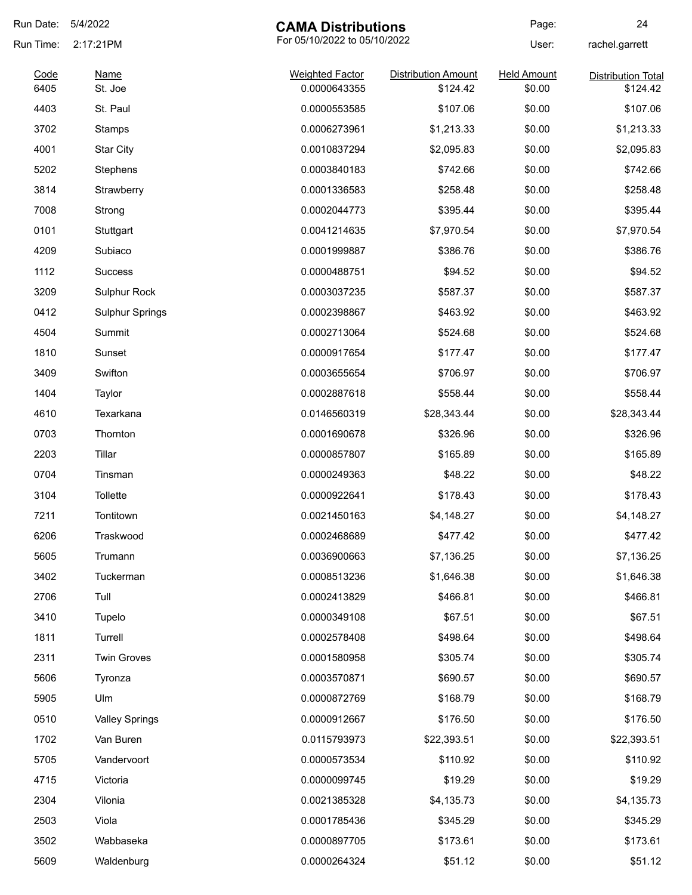| Run Date: | 5/4/2022               | <b>CAMA Distributions</b>    |                            | Page:              | 24                        |
|-----------|------------------------|------------------------------|----------------------------|--------------------|---------------------------|
| Run Time: | 2:17:21PM              | For 05/10/2022 to 05/10/2022 |                            | User:              | rachel.garrett            |
| Code      | <u>Name</u>            | <b>Weighted Factor</b>       | <b>Distribution Amount</b> | <b>Held Amount</b> | <b>Distribution Total</b> |
| 6405      | St. Joe                | 0.0000643355                 | \$124.42                   | \$0.00             | \$124.42                  |
| 4403      | St. Paul               | 0.0000553585                 | \$107.06                   | \$0.00             | \$107.06                  |
| 3702      | Stamps                 | 0.0006273961                 | \$1,213.33                 | \$0.00             | \$1,213.33                |
| 4001      | <b>Star City</b>       | 0.0010837294                 | \$2,095.83                 | \$0.00             | \$2,095.83                |
| 5202      | Stephens               | 0.0003840183                 | \$742.66                   | \$0.00             | \$742.66                  |
| 3814      | Strawberry             | 0.0001336583                 | \$258.48                   | \$0.00             | \$258.48                  |
| 7008      | Strong                 | 0.0002044773                 | \$395.44                   | \$0.00             | \$395.44                  |
| 0101      | Stuttgart              | 0.0041214635                 | \$7,970.54                 | \$0.00             | \$7,970.54                |
| 4209      | Subiaco                | 0.0001999887                 | \$386.76                   | \$0.00             | \$386.76                  |
| 1112      | <b>Success</b>         | 0.0000488751                 | \$94.52                    | \$0.00             | \$94.52                   |
| 3209      | Sulphur Rock           | 0.0003037235                 | \$587.37                   | \$0.00             | \$587.37                  |
| 0412      | <b>Sulphur Springs</b> | 0.0002398867                 | \$463.92                   | \$0.00             | \$463.92                  |
| 4504      | Summit                 | 0.0002713064                 | \$524.68                   | \$0.00             | \$524.68                  |
| 1810      | Sunset                 | 0.0000917654                 | \$177.47                   | \$0.00             | \$177.47                  |
| 3409      | Swifton                | 0.0003655654                 | \$706.97                   | \$0.00             | \$706.97                  |
| 1404      | Taylor                 | 0.0002887618                 | \$558.44                   | \$0.00             | \$558.44                  |
| 4610      | Texarkana              | 0.0146560319                 | \$28,343.44                | \$0.00             | \$28,343.44               |
| 0703      | Thornton               | 0.0001690678                 | \$326.96                   | \$0.00             | \$326.96                  |
| 2203      | Tillar                 | 0.0000857807                 | \$165.89                   | \$0.00             | \$165.89                  |
| 0704      | Tinsman                | 0.0000249363                 | \$48.22                    | \$0.00             | \$48.22                   |
| 3104      | Tollette               | 0.0000922641                 | \$178.43                   | \$0.00             | \$178.43                  |
| 7211      | Tontitown              | 0.0021450163                 | \$4,148.27                 | \$0.00             | \$4,148.27                |
| 6206      | Traskwood              | 0.0002468689                 | \$477.42                   | \$0.00             | \$477.42                  |
| 5605      | Trumann                | 0.0036900663                 | \$7,136.25                 | \$0.00             | \$7,136.25                |
| 3402      | Tuckerman              | 0.0008513236                 | \$1,646.38                 | \$0.00             | \$1,646.38                |
| 2706      | Tull                   | 0.0002413829                 | \$466.81                   | \$0.00             | \$466.81                  |
| 3410      | Tupelo                 | 0.0000349108                 | \$67.51                    | \$0.00             | \$67.51                   |
| 1811      | Turrell                | 0.0002578408                 | \$498.64                   | \$0.00             | \$498.64                  |
| 2311      | <b>Twin Groves</b>     | 0.0001580958                 | \$305.74                   | \$0.00             | \$305.74                  |
| 5606      | Tyronza                | 0.0003570871                 | \$690.57                   | \$0.00             | \$690.57                  |
| 5905      | Ulm                    | 0.0000872769                 | \$168.79                   | \$0.00             | \$168.79                  |
| 0510      | <b>Valley Springs</b>  | 0.0000912667                 | \$176.50                   | \$0.00             | \$176.50                  |
| 1702      | Van Buren              | 0.0115793973                 | \$22,393.51                | \$0.00             | \$22,393.51               |
| 5705      | Vandervoort            | 0.0000573534                 | \$110.92                   | \$0.00             | \$110.92                  |
| 4715      | Victoria               | 0.0000099745                 | \$19.29                    | \$0.00             | \$19.29                   |
|           |                        |                              |                            |                    |                           |
| 2304      | Vilonia                | 0.0021385328                 | \$4,135.73                 | \$0.00             | \$4,135.73                |
| 2503      | Viola                  | 0.0001785436                 | \$345.29                   | \$0.00             | \$345.29                  |
| 3502      | Wabbaseka              | 0.0000897705                 | \$173.61                   | \$0.00             | \$173.61                  |
| 5609      | Waldenburg             | 0.0000264324                 | \$51.12                    | \$0.00             | \$51.12                   |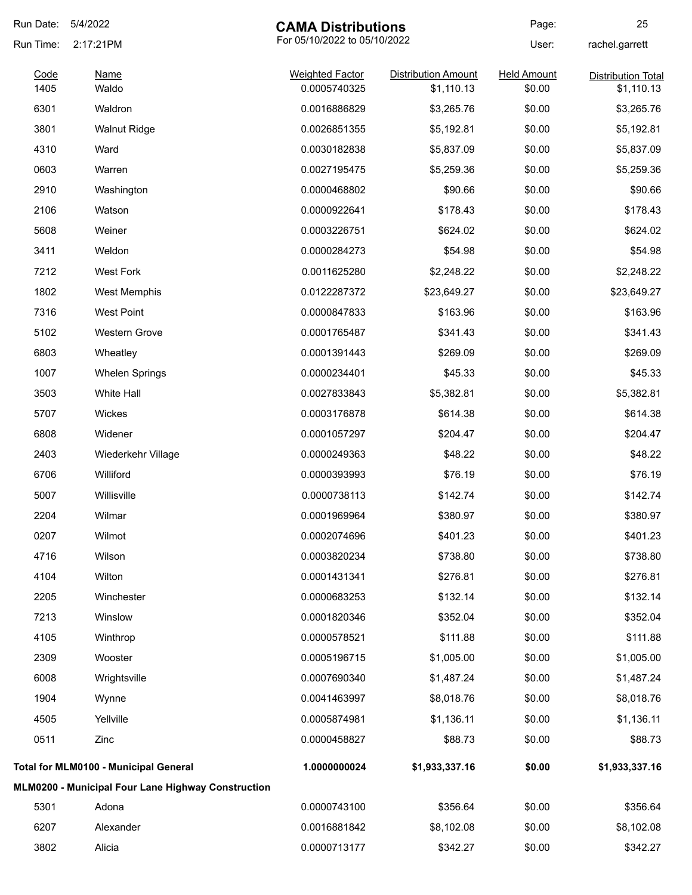| Run Date:    | 5/4/2022                                           | <b>CAMA Distributions</b>              |                                          | Page:                        | 25                                      |
|--------------|----------------------------------------------------|----------------------------------------|------------------------------------------|------------------------------|-----------------------------------------|
| Run Time:    | 2:17:21PM                                          | For 05/10/2022 to 05/10/2022           |                                          | User:                        | rachel.garrett                          |
| Code<br>1405 | <b>Name</b><br>Waldo                               | <b>Weighted Factor</b><br>0.0005740325 | <b>Distribution Amount</b><br>\$1,110.13 | <b>Held Amount</b><br>\$0.00 | <b>Distribution Total</b><br>\$1,110.13 |
| 6301         | Waldron                                            | 0.0016886829                           | \$3,265.76                               | \$0.00                       | \$3,265.76                              |
| 3801         | <b>Walnut Ridge</b>                                | 0.0026851355                           | \$5,192.81                               | \$0.00                       | \$5,192.81                              |
| 4310         | Ward                                               | 0.0030182838                           | \$5,837.09                               | \$0.00                       | \$5,837.09                              |
| 0603         | Warren                                             | 0.0027195475                           | \$5,259.36                               | \$0.00                       | \$5,259.36                              |
| 2910         | Washington                                         | 0.0000468802                           | \$90.66                                  | \$0.00                       | \$90.66                                 |
| 2106         | Watson                                             | 0.0000922641                           | \$178.43                                 | \$0.00                       | \$178.43                                |
| 5608         | Weiner                                             | 0.0003226751                           | \$624.02                                 | \$0.00                       | \$624.02                                |
| 3411         | Weldon                                             | 0.0000284273                           | \$54.98                                  | \$0.00                       | \$54.98                                 |
| 7212         | <b>West Fork</b>                                   | 0.0011625280                           | \$2,248.22                               | \$0.00                       | \$2,248.22                              |
| 1802         | <b>West Memphis</b>                                | 0.0122287372                           | \$23,649.27                              | \$0.00                       | \$23,649.27                             |
| 7316         | West Point                                         | 0.0000847833                           | \$163.96                                 | \$0.00                       | \$163.96                                |
| 5102         | Western Grove                                      | 0.0001765487                           | \$341.43                                 | \$0.00                       | \$341.43                                |
| 6803         | Wheatley                                           | 0.0001391443                           | \$269.09                                 | \$0.00                       | \$269.09                                |
| 1007         | <b>Whelen Springs</b>                              | 0.0000234401                           | \$45.33                                  | \$0.00                       | \$45.33                                 |
| 3503         | White Hall                                         | 0.0027833843                           | \$5,382.81                               | \$0.00                       | \$5,382.81                              |
| 5707         | Wickes                                             | 0.0003176878                           | \$614.38                                 | \$0.00                       | \$614.38                                |
| 6808         | Widener                                            | 0.0001057297                           | \$204.47                                 | \$0.00                       | \$204.47                                |
| 2403         | Wiederkehr Village                                 | 0.0000249363                           | \$48.22                                  | \$0.00                       | \$48.22                                 |
| 6706         | Williford                                          | 0.0000393993                           | \$76.19                                  | \$0.00                       | \$76.19                                 |
| 5007         | Willisville                                        | 0.0000738113                           | \$142.74                                 | \$0.00                       | \$142.74                                |
| 2204         | Wilmar                                             | 0.0001969964                           | \$380.97                                 | \$0.00                       | \$380.97                                |
| 0207         | Wilmot                                             | 0.0002074696                           | \$401.23                                 | \$0.00                       | \$401.23                                |
| 4716         | Wilson                                             | 0.0003820234                           | \$738.80                                 | \$0.00                       | \$738.80                                |
| 4104         | Wilton                                             | 0.0001431341                           | \$276.81                                 | \$0.00                       | \$276.81                                |
| 2205         | Winchester                                         | 0.0000683253                           | \$132.14                                 | \$0.00                       | \$132.14                                |
| 7213         | Winslow                                            | 0.0001820346                           | \$352.04                                 | \$0.00                       | \$352.04                                |
| 4105         | Winthrop                                           | 0.0000578521                           | \$111.88                                 | \$0.00                       | \$111.88                                |
| 2309         | Wooster                                            | 0.0005196715                           | \$1,005.00                               | \$0.00                       | \$1,005.00                              |
| 6008         | Wrightsville                                       | 0.0007690340                           | \$1,487.24                               | \$0.00                       | \$1,487.24                              |
| 1904         | Wynne                                              | 0.0041463997                           | \$8,018.76                               | \$0.00                       | \$8,018.76                              |
| 4505         | Yellville                                          | 0.0005874981                           | \$1,136.11                               | \$0.00                       | \$1,136.11                              |
| 0511         | Zinc                                               | 0.0000458827                           | \$88.73                                  | \$0.00                       | \$88.73                                 |
|              | Total for MLM0100 - Municipal General              | 1.0000000024                           | \$1,933,337.16                           | \$0.00                       | \$1,933,337.16                          |
|              | MLM0200 - Municipal Four Lane Highway Construction |                                        |                                          |                              |                                         |
| 5301         | Adona                                              | 0.0000743100                           | \$356.64                                 | \$0.00                       | \$356.64                                |
| 6207         | Alexander                                          | 0.0016881842                           | \$8,102.08                               | \$0.00                       | \$8,102.08                              |
| 3802         | Alicia                                             | 0.0000713177                           | \$342.27                                 | \$0.00                       | \$342.27                                |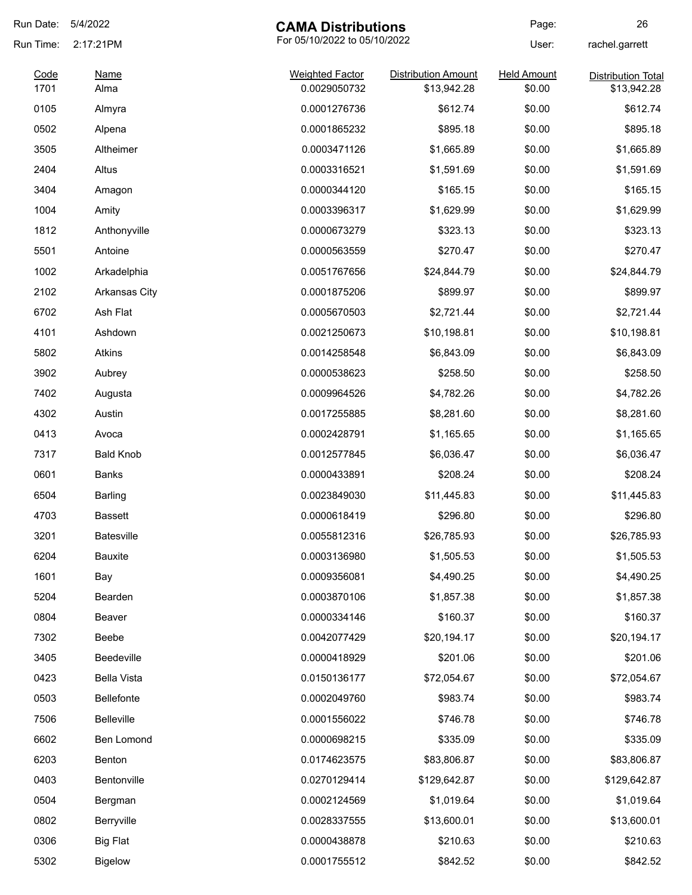| Run Date:    | 5/4/2022<br><b>CAMA Distributions</b>     |                                        | Page:                      | 26                           |                           |
|--------------|-------------------------------------------|----------------------------------------|----------------------------|------------------------------|---------------------------|
| Run Time:    | For 05/10/2022 to 05/10/2022<br>2:17:21PM |                                        |                            | User:                        | rachel.garrett            |
| Code<br>1701 | Name                                      | <b>Weighted Factor</b><br>0.0029050732 | <b>Distribution Amount</b> | <b>Held Amount</b><br>\$0.00 | <b>Distribution Total</b> |
|              | Alma                                      |                                        | \$13,942.28                |                              | \$13,942.28               |
| 0105         | Almyra                                    | 0.0001276736                           | \$612.74                   | \$0.00                       | \$612.74                  |
| 0502         | Alpena                                    | 0.0001865232                           | \$895.18                   | \$0.00                       | \$895.18                  |
| 3505         | Altheimer                                 | 0.0003471126                           | \$1,665.89                 | \$0.00                       | \$1,665.89                |
| 2404         | Altus                                     | 0.0003316521                           | \$1,591.69                 | \$0.00                       | \$1,591.69                |
| 3404         | Amagon                                    | 0.0000344120                           | \$165.15                   | \$0.00                       | \$165.15                  |
| 1004         | Amity                                     | 0.0003396317                           | \$1,629.99                 | \$0.00                       | \$1,629.99                |
| 1812         | Anthonyville                              | 0.0000673279                           | \$323.13                   | \$0.00                       | \$323.13                  |
| 5501         | Antoine                                   | 0.0000563559                           | \$270.47                   | \$0.00                       | \$270.47                  |
| 1002         | Arkadelphia                               | 0.0051767656                           | \$24,844.79                | \$0.00                       | \$24,844.79               |
| 2102         | <b>Arkansas City</b>                      | 0.0001875206                           | \$899.97                   | \$0.00                       | \$899.97                  |
| 6702         | Ash Flat                                  | 0.0005670503                           | \$2,721.44                 | \$0.00                       | \$2,721.44                |
| 4101         | Ashdown                                   | 0.0021250673                           | \$10,198.81                | \$0.00                       | \$10,198.81               |
| 5802         | Atkins                                    | 0.0014258548                           | \$6,843.09                 | \$0.00                       | \$6,843.09                |
| 3902         | Aubrey                                    | 0.0000538623                           | \$258.50                   | \$0.00                       | \$258.50                  |
| 7402         | Augusta                                   | 0.0009964526                           | \$4,782.26                 | \$0.00                       | \$4,782.26                |
| 4302         | Austin                                    | 0.0017255885                           | \$8,281.60                 | \$0.00                       | \$8,281.60                |
| 0413         | Avoca                                     | 0.0002428791                           | \$1,165.65                 | \$0.00                       | \$1,165.65                |
| 7317         | <b>Bald Knob</b>                          | 0.0012577845                           | \$6,036.47                 | \$0.00                       | \$6,036.47                |
| 0601         | Banks                                     | 0.0000433891                           | \$208.24                   | \$0.00                       | \$208.24                  |
| 6504         | Barling                                   | 0.0023849030                           | \$11,445.83                | \$0.00                       | \$11,445.83               |
| 4703         | <b>Bassett</b>                            | 0.0000618419                           | \$296.80                   | \$0.00                       | \$296.80                  |
| 3201         | Batesville                                | 0.0055812316                           | \$26,785.93                | \$0.00                       | \$26,785.93               |
| 6204         | <b>Bauxite</b>                            | 0.0003136980                           | \$1,505.53                 | \$0.00                       | \$1,505.53                |
| 1601         | Bay                                       | 0.0009356081                           | \$4,490.25                 | \$0.00                       | \$4,490.25                |
| 5204         | Bearden                                   | 0.0003870106                           | \$1,857.38                 | \$0.00                       | \$1,857.38                |
| 0804         | Beaver                                    | 0.0000334146                           | \$160.37                   | \$0.00                       | \$160.37                  |
| 7302         | Beebe                                     | 0.0042077429                           | \$20,194.17                | \$0.00                       | \$20,194.17               |
| 3405         | Beedeville                                | 0.0000418929                           | \$201.06                   | \$0.00                       | \$201.06                  |
| 0423         | <b>Bella Vista</b>                        | 0.0150136177                           | \$72,054.67                | \$0.00                       | \$72,054.67               |
| 0503         | Bellefonte                                | 0.0002049760                           | \$983.74                   | \$0.00                       | \$983.74                  |
| 7506         | Belleville                                | 0.0001556022                           | \$746.78                   | \$0.00                       | \$746.78                  |
| 6602         | Ben Lomond                                | 0.0000698215                           | \$335.09                   | \$0.00                       | \$335.09                  |
| 6203         | Benton                                    | 0.0174623575                           | \$83,806.87                | \$0.00                       | \$83,806.87               |
| 0403         | Bentonville                               | 0.0270129414                           | \$129,642.87               | \$0.00                       | \$129,642.87              |
| 0504         | Bergman                                   | 0.0002124569                           | \$1,019.64                 | \$0.00                       | \$1,019.64                |
| 0802         | Berryville                                | 0.0028337555                           | \$13,600.01                | \$0.00                       | \$13,600.01               |
| 0306         | <b>Big Flat</b>                           | 0.0000438878                           | \$210.63                   | \$0.00                       | \$210.63                  |
| 5302         | <b>Bigelow</b>                            | 0.0001755512                           | \$842.52                   | \$0.00                       | \$842.52                  |
|              |                                           |                                        |                            |                              |                           |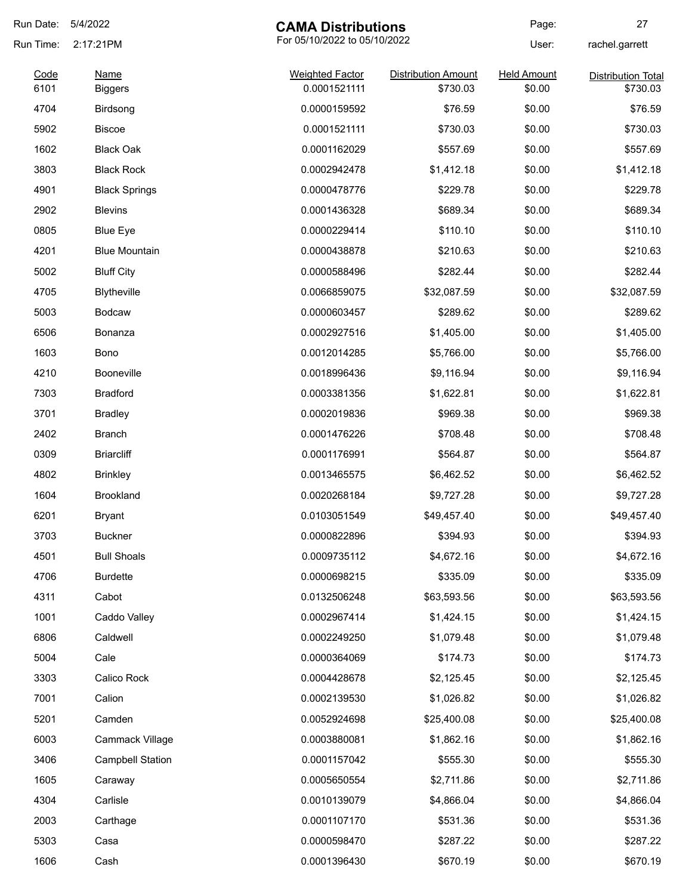| Run Date:    | 5/4/2022                      | <b>CAMA Distributions</b>              |                                        | Page:                        | 27                                    |
|--------------|-------------------------------|----------------------------------------|----------------------------------------|------------------------------|---------------------------------------|
| Run Time:    | 2:17:21PM                     | For 05/10/2022 to 05/10/2022           |                                        | User:                        | rachel.garrett                        |
| Code<br>6101 | <u>Name</u><br><b>Biggers</b> | <b>Weighted Factor</b><br>0.0001521111 | <b>Distribution Amount</b><br>\$730.03 | <b>Held Amount</b><br>\$0.00 | <b>Distribution Total</b><br>\$730.03 |
| 4704         | Birdsong                      | 0.0000159592                           | \$76.59                                | \$0.00                       | \$76.59                               |
| 5902         | <b>Biscoe</b>                 | 0.0001521111                           | \$730.03                               | \$0.00                       | \$730.03                              |
| 1602         | <b>Black Oak</b>              | 0.0001162029                           | \$557.69                               | \$0.00                       | \$557.69                              |
| 3803         | <b>Black Rock</b>             | 0.0002942478                           | \$1,412.18                             | \$0.00                       | \$1,412.18                            |
| 4901         | <b>Black Springs</b>          | 0.0000478776                           | \$229.78                               | \$0.00                       | \$229.78                              |
| 2902         | <b>Blevins</b>                | 0.0001436328                           | \$689.34                               | \$0.00                       | \$689.34                              |
| 0805         | <b>Blue Eye</b>               | 0.0000229414                           | \$110.10                               | \$0.00                       | \$110.10                              |
| 4201         | <b>Blue Mountain</b>          | 0.0000438878                           | \$210.63                               | \$0.00                       | \$210.63                              |
| 5002         | <b>Bluff City</b>             | 0.0000588496                           | \$282.44                               | \$0.00                       | \$282.44                              |
| 4705         | <b>Blytheville</b>            | 0.0066859075                           | \$32,087.59                            | \$0.00                       | \$32,087.59                           |
| 5003         | <b>Bodcaw</b>                 | 0.0000603457                           | \$289.62                               | \$0.00                       | \$289.62                              |
| 6506         | Bonanza                       | 0.0002927516                           | \$1,405.00                             | \$0.00                       | \$1,405.00                            |
| 1603         | Bono                          | 0.0012014285                           | \$5,766.00                             | \$0.00                       | \$5,766.00                            |
| 4210         | <b>Booneville</b>             | 0.0018996436                           | \$9,116.94                             | \$0.00                       | \$9,116.94                            |
| 7303         | <b>Bradford</b>               | 0.0003381356                           | \$1,622.81                             | \$0.00                       | \$1,622.81                            |
| 3701         | <b>Bradley</b>                | 0.0002019836                           | \$969.38                               | \$0.00                       | \$969.38                              |
| 2402         | Branch                        | 0.0001476226                           | \$708.48                               | \$0.00                       | \$708.48                              |
| 0309         | <b>Briarcliff</b>             | 0.0001176991                           | \$564.87                               | \$0.00                       | \$564.87                              |
| 4802         | <b>Brinkley</b>               | 0.0013465575                           | \$6,462.52                             | \$0.00                       | \$6,462.52                            |
| 1604         | <b>Brookland</b>              | 0.0020268184                           | \$9,727.28                             | \$0.00                       | \$9,727.28                            |
| 6201         | Bryant                        | 0.0103051549                           | \$49,457.40                            | \$0.00                       | \$49,457.40                           |
| 3703         | <b>Buckner</b>                | 0.0000822896                           | \$394.93                               | \$0.00                       | \$394.93                              |
| 4501         | <b>Bull Shoals</b>            | 0.0009735112                           | \$4,672.16                             | \$0.00                       | \$4,672.16                            |
| 4706         | <b>Burdette</b>               | 0.0000698215                           | \$335.09                               | \$0.00                       | \$335.09                              |
| 4311         | Cabot                         | 0.0132506248                           | \$63,593.56                            | \$0.00                       | \$63,593.56                           |
| 1001         | Caddo Valley                  | 0.0002967414                           | \$1,424.15                             | \$0.00                       | \$1,424.15                            |
| 6806         | Caldwell                      | 0.0002249250                           | \$1,079.48                             | \$0.00                       | \$1,079.48                            |
| 5004         | Cale                          | 0.0000364069                           | \$174.73                               | \$0.00                       | \$174.73                              |
| 3303         | Calico Rock                   | 0.0004428678                           | \$2,125.45                             | \$0.00                       | \$2,125.45                            |
| 7001         | Calion                        | 0.0002139530                           | \$1,026.82                             | \$0.00                       | \$1,026.82                            |
| 5201         | Camden                        | 0.0052924698                           | \$25,400.08                            | \$0.00                       | \$25,400.08                           |
| 6003         | Cammack Village               | 0.0003880081                           | \$1,862.16                             | \$0.00                       | \$1,862.16                            |
| 3406         | <b>Campbell Station</b>       | 0.0001157042                           | \$555.30                               | \$0.00                       | \$555.30                              |
| 1605         | Caraway                       | 0.0005650554                           | \$2,711.86                             | \$0.00                       | \$2,711.86                            |
| 4304         | Carlisle                      | 0.0010139079                           | \$4,866.04                             | \$0.00                       | \$4,866.04                            |
| 2003         | Carthage                      | 0.0001107170                           | \$531.36                               | \$0.00                       | \$531.36                              |
| 5303         | Casa                          | 0.0000598470                           | \$287.22                               | \$0.00                       | \$287.22                              |
| 1606         | Cash                          | 0.0001396430                           | \$670.19                               | \$0.00                       | \$670.19                              |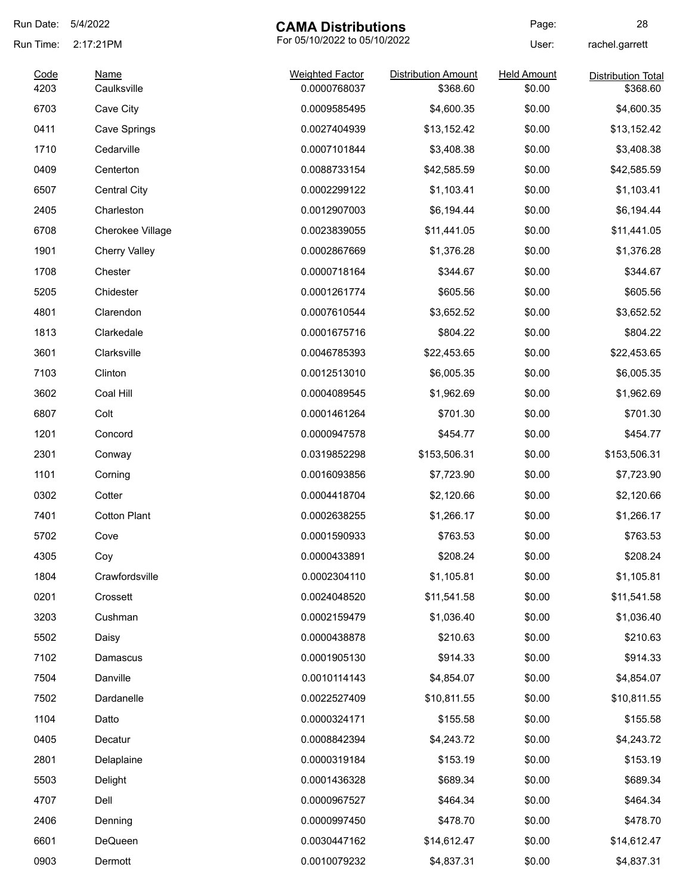| Run Date:    | 5/4/2022             | <b>CAMA Distributions</b>              |                                        | Page:                        | 28                                    |
|--------------|----------------------|----------------------------------------|----------------------------------------|------------------------------|---------------------------------------|
| Run Time:    | 2:17:21PM            | For 05/10/2022 to 05/10/2022           |                                        | User:                        | rachel.garrett                        |
| Code<br>4203 | Name<br>Caulksville  | <b>Weighted Factor</b><br>0.0000768037 | <b>Distribution Amount</b><br>\$368.60 | <b>Held Amount</b><br>\$0.00 | <b>Distribution Total</b><br>\$368.60 |
| 6703         | Cave City            | 0.0009585495                           | \$4,600.35                             | \$0.00                       | \$4,600.35                            |
| 0411         | Cave Springs         | 0.0027404939                           | \$13,152.42                            | \$0.00                       | \$13,152.42                           |
| 1710         | Cedarville           | 0.0007101844                           | \$3,408.38                             | \$0.00                       | \$3,408.38                            |
| 0409         | Centerton            | 0.0088733154                           | \$42,585.59                            | \$0.00                       | \$42,585.59                           |
| 6507         | <b>Central City</b>  | 0.0002299122                           | \$1,103.41                             | \$0.00                       | \$1,103.41                            |
| 2405         | Charleston           | 0.0012907003                           | \$6,194.44                             | \$0.00                       | \$6,194.44                            |
| 6708         | Cherokee Village     | 0.0023839055                           | \$11,441.05                            | \$0.00                       | \$11,441.05                           |
| 1901         | <b>Cherry Valley</b> | 0.0002867669                           | \$1,376.28                             | \$0.00                       | \$1,376.28                            |
| 1708         | Chester              | 0.0000718164                           | \$344.67                               | \$0.00                       | \$344.67                              |
| 5205         | Chidester            | 0.0001261774                           | \$605.56                               | \$0.00                       | \$605.56                              |
| 4801         | Clarendon            | 0.0007610544                           | \$3,652.52                             | \$0.00                       | \$3,652.52                            |
| 1813         | Clarkedale           | 0.0001675716                           | \$804.22                               | \$0.00                       | \$804.22                              |
| 3601         | Clarksville          | 0.0046785393                           | \$22,453.65                            | \$0.00                       | \$22,453.65                           |
| 7103         | Clinton              | 0.0012513010                           | \$6,005.35                             | \$0.00                       | \$6,005.35                            |
| 3602         | Coal Hill            | 0.0004089545                           | \$1,962.69                             | \$0.00                       | \$1,962.69                            |
| 6807         | Colt                 | 0.0001461264                           | \$701.30                               | \$0.00                       | \$701.30                              |
| 1201         | Concord              | 0.0000947578                           | \$454.77                               | \$0.00                       | \$454.77                              |
| 2301         | Conway               | 0.0319852298                           | \$153,506.31                           | \$0.00                       | \$153,506.31                          |
| 1101         | Corning              | 0.0016093856                           | \$7,723.90                             | \$0.00                       | \$7,723.90                            |
| 0302         | Cotter               | 0.0004418704                           | \$2,120.66                             | \$0.00                       | \$2,120.66                            |
| 7401         | <b>Cotton Plant</b>  | 0.0002638255                           | \$1,266.17                             | \$0.00                       | \$1,266.17                            |
| 5702         | Cove                 | 0.0001590933                           | \$763.53                               | \$0.00                       | \$763.53                              |
| 4305         | Coy                  | 0.0000433891                           | \$208.24                               | \$0.00                       | \$208.24                              |
| 1804         | Crawfordsville       | 0.0002304110                           | \$1,105.81                             | \$0.00                       | \$1,105.81                            |
| 0201         | Crossett             | 0.0024048520                           | \$11,541.58                            | \$0.00                       | \$11,541.58                           |
| 3203         | Cushman              | 0.0002159479                           | \$1,036.40                             | \$0.00                       | \$1,036.40                            |
| 5502         | Daisy                | 0.0000438878                           | \$210.63                               | \$0.00                       | \$210.63                              |
| 7102         | Damascus             | 0.0001905130                           | \$914.33                               | \$0.00                       | \$914.33                              |
| 7504         | Danville             | 0.0010114143                           | \$4,854.07                             | \$0.00                       | \$4,854.07                            |
| 7502         | Dardanelle           | 0.0022527409                           | \$10,811.55                            | \$0.00                       | \$10,811.55                           |
| 1104         | Datto                | 0.0000324171                           | \$155.58                               | \$0.00                       | \$155.58                              |
| 0405         | Decatur              | 0.0008842394                           | \$4,243.72                             | \$0.00                       | \$4,243.72                            |
| 2801         | Delaplaine           | 0.0000319184                           | \$153.19                               | \$0.00                       | \$153.19                              |
| 5503         | Delight              | 0.0001436328                           | \$689.34                               | \$0.00                       | \$689.34                              |
| 4707         | Dell                 | 0.0000967527                           | \$464.34                               | \$0.00                       | \$464.34                              |
| 2406         | Denning              | 0.0000997450                           | \$478.70                               | \$0.00                       | \$478.70                              |
| 6601         | DeQueen              | 0.0030447162                           | \$14,612.47                            | \$0.00                       | \$14,612.47                           |
| 0903         | Dermott              | 0.0010079232                           | \$4,837.31                             | \$0.00                       | \$4,837.31                            |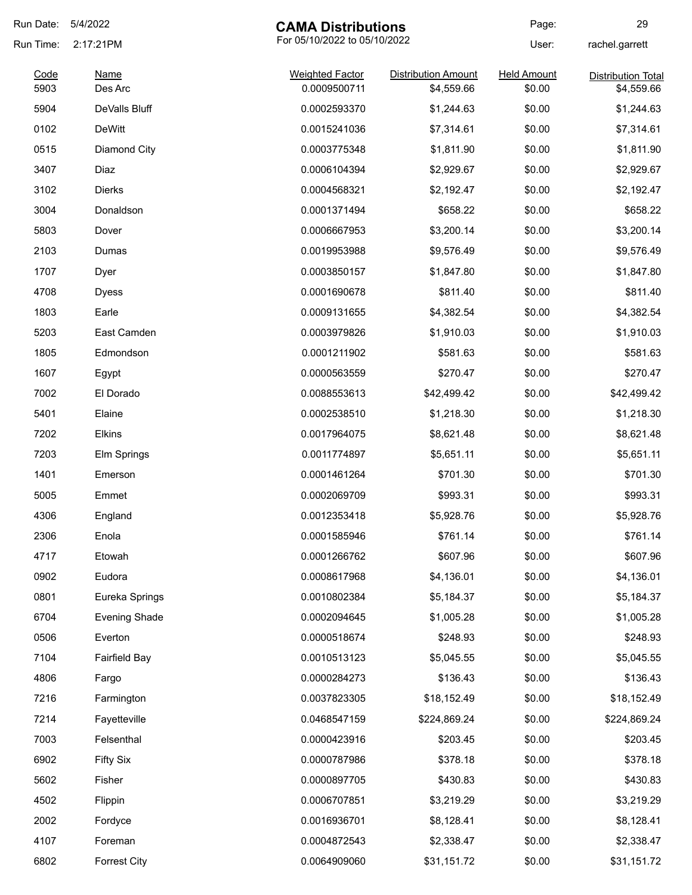| Run Date:    | 5/4/2022               | <b>CAMA Distributions</b>              |                                          | Page:                        | 29                                      |
|--------------|------------------------|----------------------------------------|------------------------------------------|------------------------------|-----------------------------------------|
| Run Time:    | 2:17:21PM              | For 05/10/2022 to 05/10/2022           |                                          | User:                        | rachel.garrett                          |
| Code<br>5903 | <b>Name</b><br>Des Arc | <b>Weighted Factor</b><br>0.0009500711 | <b>Distribution Amount</b><br>\$4,559.66 | <b>Held Amount</b><br>\$0.00 | <b>Distribution Total</b><br>\$4,559.66 |
| 5904         | DeValls Bluff          | 0.0002593370                           | \$1,244.63                               | \$0.00                       | \$1,244.63                              |
| 0102         | <b>DeWitt</b>          | 0.0015241036                           | \$7,314.61                               | \$0.00                       | \$7,314.61                              |
| 0515         | Diamond City           | 0.0003775348                           | \$1,811.90                               | \$0.00                       | \$1,811.90                              |
| 3407         | Diaz                   | 0.0006104394                           | \$2,929.67                               | \$0.00                       | \$2,929.67                              |
| 3102         | <b>Dierks</b>          | 0.0004568321                           | \$2,192.47                               | \$0.00                       | \$2,192.47                              |
| 3004         | Donaldson              | 0.0001371494                           | \$658.22                                 | \$0.00                       | \$658.22                                |
| 5803         | Dover                  | 0.0006667953                           | \$3,200.14                               | \$0.00                       | \$3,200.14                              |
| 2103         | Dumas                  | 0.0019953988                           | \$9,576.49                               | \$0.00                       | \$9,576.49                              |
| 1707         |                        | 0.0003850157                           | \$1,847.80                               | \$0.00                       | \$1,847.80                              |
|              | Dyer                   |                                        |                                          |                              |                                         |
| 4708         | <b>Dyess</b>           | 0.0001690678                           | \$811.40                                 | \$0.00                       | \$811.40                                |
| 1803         | Earle                  | 0.0009131655                           | \$4,382.54                               | \$0.00                       | \$4,382.54                              |
| 5203         | East Camden            | 0.0003979826                           | \$1,910.03                               | \$0.00                       | \$1,910.03                              |
| 1805         | Edmondson              | 0.0001211902                           | \$581.63                                 | \$0.00                       | \$581.63                                |
| 1607         | Egypt                  | 0.0000563559                           | \$270.47                                 | \$0.00                       | \$270.47                                |
| 7002         | El Dorado              | 0.0088553613                           | \$42,499.42                              | \$0.00                       | \$42,499.42                             |
| 5401         | Elaine                 | 0.0002538510                           | \$1,218.30                               | \$0.00                       | \$1,218.30                              |
| 7202         | Elkins                 | 0.0017964075                           | \$8,621.48                               | \$0.00                       | \$8,621.48                              |
| 7203         | Elm Springs            | 0.0011774897                           | \$5,651.11                               | \$0.00                       | \$5,651.11                              |
| 1401         | Emerson                | 0.0001461264                           | \$701.30                                 | \$0.00                       | \$701.30                                |
| 5005         | Emmet                  | 0.0002069709                           | \$993.31                                 | \$0.00                       | \$993.31                                |
| 4306         | England                | 0.0012353418                           | \$5,928.76                               | \$0.00                       | \$5,928.76                              |
| 2306         | Enola                  | 0.0001585946                           | \$761.14                                 | \$0.00                       | \$761.14                                |
| 4717         | Etowah                 | 0.0001266762                           | \$607.96                                 | \$0.00                       | \$607.96                                |
| 0902         | Eudora                 | 0.0008617968                           | \$4,136.01                               | \$0.00                       | \$4,136.01                              |
| 0801         | Eureka Springs         | 0.0010802384                           | \$5,184.37                               | \$0.00                       | \$5,184.37                              |
| 6704         | <b>Evening Shade</b>   | 0.0002094645                           | \$1,005.28                               | \$0.00                       | \$1,005.28                              |
| 0506         | Everton                | 0.0000518674                           | \$248.93                                 | \$0.00                       | \$248.93                                |
| 7104         | Fairfield Bay          | 0.0010513123                           | \$5,045.55                               | \$0.00                       | \$5,045.55                              |
| 4806         | Fargo                  | 0.0000284273                           | \$136.43                                 | \$0.00                       | \$136.43                                |
| 7216         | Farmington             | 0.0037823305                           | \$18,152.49                              | \$0.00                       | \$18,152.49                             |
| 7214         | Fayetteville           | 0.0468547159                           | \$224,869.24                             | \$0.00                       | \$224,869.24                            |
| 7003         | Felsenthal             | 0.0000423916                           | \$203.45                                 | \$0.00                       | \$203.45                                |
| 6902         | <b>Fifty Six</b>       | 0.0000787986                           | \$378.18                                 | \$0.00                       | \$378.18                                |
| 5602         | Fisher                 | 0.0000897705                           | \$430.83                                 | \$0.00                       | \$430.83                                |
| 4502         | Flippin                | 0.0006707851                           | \$3,219.29                               | \$0.00                       | \$3,219.29                              |
| 2002         | Fordyce                | 0.0016936701                           | \$8,128.41                               | \$0.00                       | \$8,128.41                              |
| 4107         | Foreman                | 0.0004872543                           | \$2,338.47                               | \$0.00                       | \$2,338.47                              |
| 6802         | <b>Forrest City</b>    | 0.0064909060                           | \$31,151.72                              | \$0.00                       | \$31,151.72                             |
|              |                        |                                        |                                          |                              |                                         |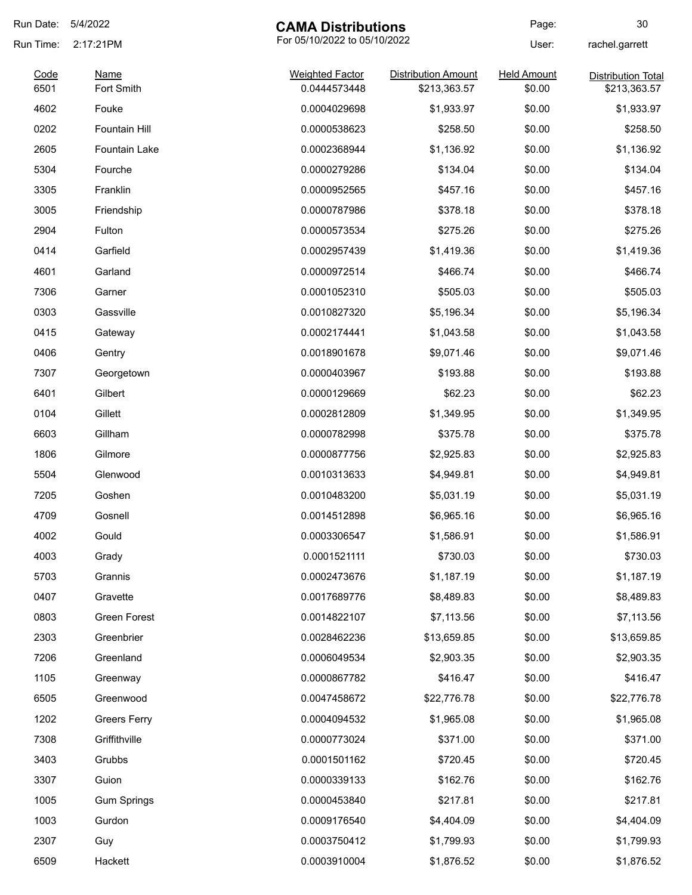| Run Date:    | 5/4/2022                  | <b>CAMA Distributions</b>              |                                            | Page:                        | 30                                        |
|--------------|---------------------------|----------------------------------------|--------------------------------------------|------------------------------|-------------------------------------------|
| Run Time:    | 2:17:21PM                 | For 05/10/2022 to 05/10/2022           |                                            | User:                        | rachel.garrett                            |
| Code<br>6501 | <b>Name</b><br>Fort Smith | <b>Weighted Factor</b><br>0.0444573448 | <b>Distribution Amount</b><br>\$213,363.57 | <b>Held Amount</b><br>\$0.00 | <b>Distribution Total</b><br>\$213,363.57 |
| 4602         | Fouke                     | 0.0004029698                           | \$1,933.97                                 | \$0.00                       | \$1,933.97                                |
| 0202         | Fountain Hill             | 0.0000538623                           | \$258.50                                   | \$0.00                       | \$258.50                                  |
| 2605         | Fountain Lake             | 0.0002368944                           | \$1,136.92                                 | \$0.00                       | \$1,136.92                                |
| 5304         | Fourche                   | 0.0000279286                           | \$134.04                                   | \$0.00                       | \$134.04                                  |
| 3305         | Franklin                  | 0.0000952565                           | \$457.16                                   | \$0.00                       | \$457.16                                  |
| 3005         | Friendship                | 0.0000787986                           | \$378.18                                   | \$0.00                       | \$378.18                                  |
| 2904         | Fulton                    | 0.0000573534                           | \$275.26                                   | \$0.00                       | \$275.26                                  |
| 0414         | Garfield                  | 0.0002957439                           | \$1,419.36                                 | \$0.00                       | \$1,419.36                                |
| 4601         | Garland                   | 0.0000972514                           | \$466.74                                   | \$0.00                       | \$466.74                                  |
| 7306         | Garner                    | 0.0001052310                           | \$505.03                                   | \$0.00                       | \$505.03                                  |
| 0303         | Gassville                 | 0.0010827320                           | \$5,196.34                                 | \$0.00                       | \$5,196.34                                |
| 0415         | Gateway                   | 0.0002174441                           | \$1,043.58                                 | \$0.00                       | \$1,043.58                                |
| 0406         | Gentry                    | 0.0018901678                           | \$9,071.46                                 | \$0.00                       | \$9,071.46                                |
| 7307         | Georgetown                | 0.0000403967                           | \$193.88                                   | \$0.00                       | \$193.88                                  |
| 6401         | Gilbert                   | 0.0000129669                           | \$62.23                                    | \$0.00                       | \$62.23                                   |
| 0104         | Gillett                   | 0.0002812809                           | \$1,349.95                                 | \$0.00                       | \$1,349.95                                |
| 6603         | Gillham                   | 0.0000782998                           | \$375.78                                   | \$0.00                       | \$375.78                                  |
| 1806         | Gilmore                   | 0.0000877756                           | \$2,925.83                                 | \$0.00                       | \$2,925.83                                |
| 5504         | Glenwood                  | 0.0010313633                           | \$4,949.81                                 | \$0.00                       | \$4,949.81                                |
| 7205         | Goshen                    | 0.0010483200                           | \$5,031.19                                 | \$0.00                       | \$5,031.19                                |
| 4709         | Gosnell                   | 0.0014512898                           | \$6,965.16                                 | \$0.00                       | \$6,965.16                                |
| 4002         | Gould                     | 0.0003306547                           | \$1,586.91                                 | \$0.00                       | \$1,586.91                                |
| 4003         | Grady                     | 0.0001521111                           | \$730.03                                   | \$0.00                       | \$730.03                                  |
| 5703         | Grannis                   | 0.0002473676                           | \$1,187.19                                 | \$0.00                       | \$1,187.19                                |
| 0407         | Gravette                  | 0.0017689776                           | \$8,489.83                                 | \$0.00                       | \$8,489.83                                |
| 0803         | Green Forest              | 0.0014822107                           | \$7,113.56                                 | \$0.00                       | \$7,113.56                                |
| 2303         | Greenbrier                | 0.0028462236                           | \$13,659.85                                | \$0.00                       | \$13,659.85                               |
| 7206         | Greenland                 | 0.0006049534                           | \$2,903.35                                 | \$0.00                       | \$2,903.35                                |
| 1105         | Greenway                  | 0.0000867782                           | \$416.47                                   | \$0.00                       | \$416.47                                  |
| 6505         | Greenwood                 | 0.0047458672                           | \$22,776.78                                | \$0.00                       | \$22,776.78                               |
| 1202         | <b>Greers Ferry</b>       | 0.0004094532                           | \$1,965.08                                 | \$0.00                       | \$1,965.08                                |
| 7308         | Griffithville             | 0.0000773024                           | \$371.00                                   | \$0.00                       | \$371.00                                  |
| 3403         | Grubbs                    | 0.0001501162                           | \$720.45                                   | \$0.00                       | \$720.45                                  |
| 3307         | Guion                     | 0.0000339133                           | \$162.76                                   | \$0.00                       | \$162.76                                  |
| 1005         | <b>Gum Springs</b>        | 0.0000453840                           | \$217.81                                   | \$0.00                       | \$217.81                                  |
| 1003         | Gurdon                    | 0.0009176540                           | \$4,404.09                                 | \$0.00                       | \$4,404.09                                |
| 2307         | Guy                       | 0.0003750412                           | \$1,799.93                                 | \$0.00                       | \$1,799.93                                |
| 6509         | Hackett                   | 0.0003910004                           | \$1,876.52                                 | \$0.00                       | \$1,876.52                                |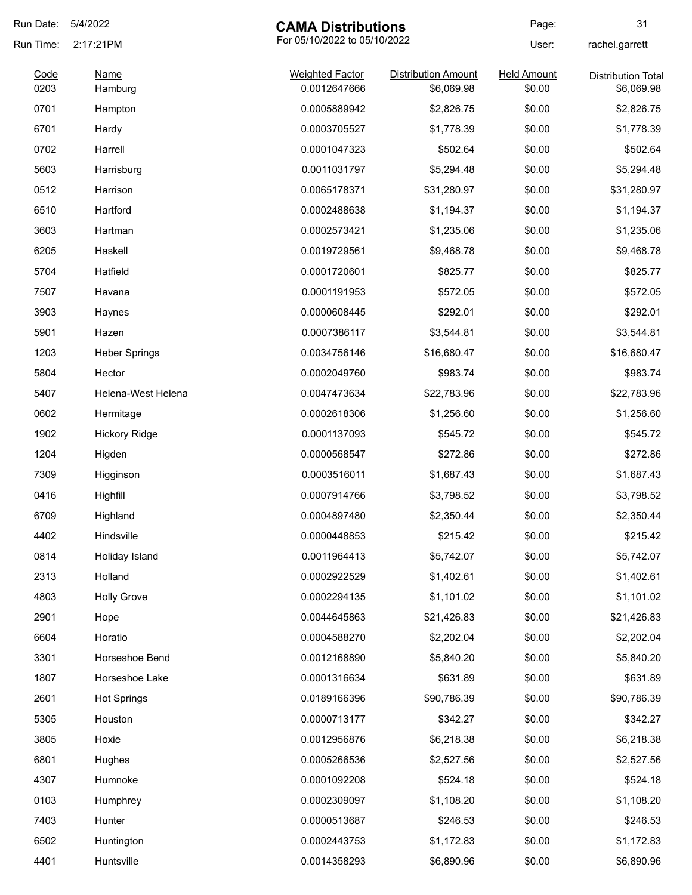| Run Date:    | 5/4/2022                                  | <b>CAMA Distributions</b>              |                                          | Page:                        | 31                                      |
|--------------|-------------------------------------------|----------------------------------------|------------------------------------------|------------------------------|-----------------------------------------|
| Run Time:    | For 05/10/2022 to 05/10/2022<br>2:17:21PM |                                        | User:                                    | rachel.garrett               |                                         |
| Code<br>0203 | <b>Name</b><br>Hamburg                    | <b>Weighted Factor</b><br>0.0012647666 | <b>Distribution Amount</b><br>\$6,069.98 | <b>Held Amount</b><br>\$0.00 | <b>Distribution Total</b><br>\$6,069.98 |
| 0701         | Hampton                                   | 0.0005889942                           | \$2,826.75                               | \$0.00                       | \$2,826.75                              |
| 6701         | Hardy                                     | 0.0003705527                           | \$1,778.39                               | \$0.00                       | \$1,778.39                              |
| 0702         | Harrell                                   | 0.0001047323                           | \$502.64                                 | \$0.00                       | \$502.64                                |
| 5603         | Harrisburg                                | 0.0011031797                           | \$5,294.48                               | \$0.00                       | \$5,294.48                              |
| 0512         | Harrison                                  | 0.0065178371                           | \$31,280.97                              | \$0.00                       | \$31,280.97                             |
| 6510         | Hartford                                  | 0.0002488638                           | \$1,194.37                               | \$0.00                       | \$1,194.37                              |
| 3603         | Hartman                                   | 0.0002573421                           | \$1,235.06                               | \$0.00                       | \$1,235.06                              |
| 6205         | Haskell                                   | 0.0019729561                           | \$9,468.78                               | \$0.00                       | \$9,468.78                              |
| 5704         | Hatfield                                  | 0.0001720601                           | \$825.77                                 | \$0.00                       | \$825.77                                |
| 7507         | Havana                                    | 0.0001191953                           | \$572.05                                 | \$0.00                       | \$572.05                                |
| 3903         | Haynes                                    | 0.0000608445                           | \$292.01                                 | \$0.00                       | \$292.01                                |
| 5901         | Hazen                                     | 0.0007386117                           | \$3,544.81                               | \$0.00                       | \$3,544.81                              |
| 1203         | <b>Heber Springs</b>                      | 0.0034756146                           | \$16,680.47                              | \$0.00                       | \$16,680.47                             |
| 5804         | Hector                                    | 0.0002049760                           | \$983.74                                 | \$0.00                       | \$983.74                                |
| 5407         | Helena-West Helena                        | 0.0047473634                           | \$22,783.96                              | \$0.00                       | \$22,783.96                             |
| 0602         | Hermitage                                 | 0.0002618306                           | \$1,256.60                               | \$0.00                       | \$1,256.60                              |
| 1902         | <b>Hickory Ridge</b>                      | 0.0001137093                           | \$545.72                                 | \$0.00                       | \$545.72                                |
| 1204         | Higden                                    | 0.0000568547                           | \$272.86                                 | \$0.00                       | \$272.86                                |
| 7309         | Higginson                                 | 0.0003516011                           | \$1,687.43                               | \$0.00                       | \$1,687.43                              |
| 0416         | Highfill                                  | 0.0007914766                           | \$3,798.52                               | \$0.00                       | \$3,798.52                              |
| 6709         | Highland                                  | 0.0004897480                           | \$2,350.44                               | \$0.00                       | \$2,350.44                              |
| 4402         | Hindsville                                | 0.0000448853                           | \$215.42                                 | \$0.00                       | \$215.42                                |
| 0814         | Holiday Island                            | 0.0011964413                           | \$5,742.07                               | \$0.00                       | \$5,742.07                              |
| 2313         | Holland                                   | 0.0002922529                           | \$1,402.61                               | \$0.00                       | \$1,402.61                              |
| 4803         | <b>Holly Grove</b>                        | 0.0002294135                           | \$1,101.02                               | \$0.00                       | \$1,101.02                              |
| 2901         | Hope                                      | 0.0044645863                           | \$21,426.83                              | \$0.00                       | \$21,426.83                             |
| 6604         | Horatio                                   | 0.0004588270                           | \$2,202.04                               | \$0.00                       | \$2,202.04                              |
| 3301         | Horseshoe Bend                            | 0.0012168890                           | \$5,840.20                               | \$0.00                       | \$5,840.20                              |
| 1807         | Horseshoe Lake                            | 0.0001316634                           | \$631.89                                 | \$0.00                       | \$631.89                                |
| 2601         | <b>Hot Springs</b>                        | 0.0189166396                           | \$90,786.39                              | \$0.00                       | \$90,786.39                             |
| 5305         | Houston                                   | 0.0000713177                           | \$342.27                                 | \$0.00                       | \$342.27                                |
| 3805         | Hoxie                                     | 0.0012956876                           | \$6,218.38                               | \$0.00                       | \$6,218.38                              |
| 6801         | Hughes                                    | 0.0005266536                           | \$2,527.56                               | \$0.00                       | \$2,527.56                              |
| 4307         | Humnoke                                   | 0.0001092208                           | \$524.18                                 | \$0.00                       | \$524.18                                |
| 0103         | Humphrey                                  | 0.0002309097                           | \$1,108.20                               | \$0.00                       | \$1,108.20                              |
| 7403         | Hunter                                    | 0.0000513687                           | \$246.53                                 | \$0.00                       | \$246.53                                |
| 6502         | Huntington                                | 0.0002443753                           | \$1,172.83                               | \$0.00                       | \$1,172.83                              |
| 4401         | Huntsville                                | 0.0014358293                           | \$6,890.96                               | \$0.00                       | \$6,890.96                              |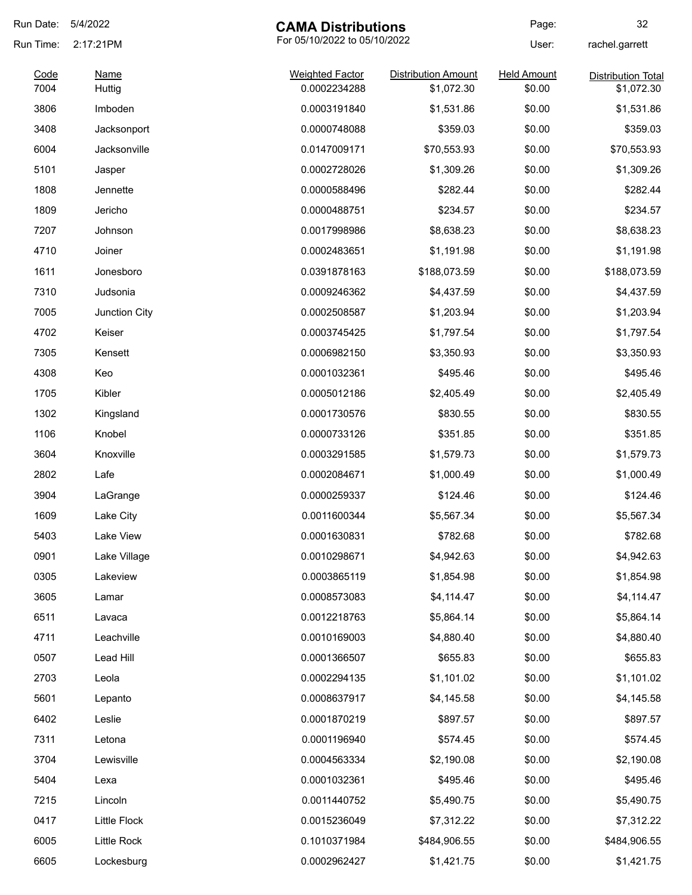| 5/4/2022     |                                                                                                                            |                                                                                                                                                                                                              | Page:                                                                                                                                                                                                        | 32                                                                                                                             |
|--------------|----------------------------------------------------------------------------------------------------------------------------|--------------------------------------------------------------------------------------------------------------------------------------------------------------------------------------------------------------|--------------------------------------------------------------------------------------------------------------------------------------------------------------------------------------------------------------|--------------------------------------------------------------------------------------------------------------------------------|
| 2:17:21PM    | For 05/10/2022 to 05/10/2022                                                                                               |                                                                                                                                                                                                              | User:                                                                                                                                                                                                        | rachel.garrett                                                                                                                 |
| <b>Name</b>  | <b>Weighted Factor</b>                                                                                                     | <b>Distribution Amount</b>                                                                                                                                                                                   | <b>Held Amount</b>                                                                                                                                                                                           | <b>Distribution Total</b><br>\$1,072.30                                                                                        |
|              |                                                                                                                            |                                                                                                                                                                                                              |                                                                                                                                                                                                              | \$1,531.86                                                                                                                     |
|              |                                                                                                                            |                                                                                                                                                                                                              |                                                                                                                                                                                                              | \$359.03                                                                                                                       |
|              |                                                                                                                            |                                                                                                                                                                                                              |                                                                                                                                                                                                              | \$70,553.93                                                                                                                    |
|              |                                                                                                                            |                                                                                                                                                                                                              |                                                                                                                                                                                                              | \$1,309.26                                                                                                                     |
|              |                                                                                                                            |                                                                                                                                                                                                              |                                                                                                                                                                                                              | \$282.44                                                                                                                       |
| Jericho      |                                                                                                                            |                                                                                                                                                                                                              |                                                                                                                                                                                                              | \$234.57                                                                                                                       |
| Johnson      |                                                                                                                            |                                                                                                                                                                                                              |                                                                                                                                                                                                              | \$8,638.23                                                                                                                     |
|              |                                                                                                                            |                                                                                                                                                                                                              |                                                                                                                                                                                                              | \$1,191.98                                                                                                                     |
|              |                                                                                                                            |                                                                                                                                                                                                              |                                                                                                                                                                                                              | \$188,073.59                                                                                                                   |
|              |                                                                                                                            |                                                                                                                                                                                                              |                                                                                                                                                                                                              | \$4,437.59                                                                                                                     |
|              |                                                                                                                            |                                                                                                                                                                                                              |                                                                                                                                                                                                              | \$1,203.94                                                                                                                     |
| Keiser       |                                                                                                                            |                                                                                                                                                                                                              |                                                                                                                                                                                                              | \$1,797.54                                                                                                                     |
| Kensett      | 0.0006982150                                                                                                               | \$3,350.93                                                                                                                                                                                                   | \$0.00                                                                                                                                                                                                       | \$3,350.93                                                                                                                     |
| Keo          | 0.0001032361                                                                                                               | \$495.46                                                                                                                                                                                                     | \$0.00                                                                                                                                                                                                       | \$495.46                                                                                                                       |
| Kibler       | 0.0005012186                                                                                                               | \$2,405.49                                                                                                                                                                                                   | \$0.00                                                                                                                                                                                                       | \$2,405.49                                                                                                                     |
| Kingsland    | 0.0001730576                                                                                                               | \$830.55                                                                                                                                                                                                     | \$0.00                                                                                                                                                                                                       | \$830.55                                                                                                                       |
| Knobel       | 0.0000733126                                                                                                               | \$351.85                                                                                                                                                                                                     | \$0.00                                                                                                                                                                                                       | \$351.85                                                                                                                       |
| Knoxville    | 0.0003291585                                                                                                               | \$1,579.73                                                                                                                                                                                                   | \$0.00                                                                                                                                                                                                       | \$1,579.73                                                                                                                     |
| Lafe         | 0.0002084671                                                                                                               | \$1,000.49                                                                                                                                                                                                   | \$0.00                                                                                                                                                                                                       | \$1,000.49                                                                                                                     |
| LaGrange     | 0.0000259337                                                                                                               | \$124.46                                                                                                                                                                                                     | \$0.00                                                                                                                                                                                                       | \$124.46                                                                                                                       |
| Lake City    | 0.0011600344                                                                                                               | \$5,567.34                                                                                                                                                                                                   | \$0.00                                                                                                                                                                                                       | \$5,567.34                                                                                                                     |
| Lake View    | 0.0001630831                                                                                                               | \$782.68                                                                                                                                                                                                     | \$0.00                                                                                                                                                                                                       | \$782.68                                                                                                                       |
| Lake Village | 0.0010298671                                                                                                               | \$4,942.63                                                                                                                                                                                                   | \$0.00                                                                                                                                                                                                       | \$4,942.63                                                                                                                     |
| Lakeview     | 0.0003865119                                                                                                               | \$1,854.98                                                                                                                                                                                                   | \$0.00                                                                                                                                                                                                       | \$1,854.98                                                                                                                     |
| Lamar        | 0.0008573083                                                                                                               | \$4,114.47                                                                                                                                                                                                   | \$0.00                                                                                                                                                                                                       | \$4,114.47                                                                                                                     |
| Lavaca       | 0.0012218763                                                                                                               | \$5,864.14                                                                                                                                                                                                   | \$0.00                                                                                                                                                                                                       | \$5,864.14                                                                                                                     |
| Leachville   | 0.0010169003                                                                                                               | \$4,880.40                                                                                                                                                                                                   | \$0.00                                                                                                                                                                                                       | \$4,880.40                                                                                                                     |
| Lead Hill    | 0.0001366507                                                                                                               | \$655.83                                                                                                                                                                                                     | \$0.00                                                                                                                                                                                                       | \$655.83                                                                                                                       |
| Leola        | 0.0002294135                                                                                                               | \$1,101.02                                                                                                                                                                                                   | \$0.00                                                                                                                                                                                                       | \$1,101.02                                                                                                                     |
| Lepanto      | 0.0008637917                                                                                                               | \$4,145.58                                                                                                                                                                                                   | \$0.00                                                                                                                                                                                                       | \$4,145.58                                                                                                                     |
| Leslie       | 0.0001870219                                                                                                               | \$897.57                                                                                                                                                                                                     | \$0.00                                                                                                                                                                                                       | \$897.57                                                                                                                       |
| Letona       | 0.0001196940                                                                                                               | \$574.45                                                                                                                                                                                                     | \$0.00                                                                                                                                                                                                       | \$574.45                                                                                                                       |
| Lewisville   | 0.0004563334                                                                                                               | \$2,190.08                                                                                                                                                                                                   | \$0.00                                                                                                                                                                                                       | \$2,190.08                                                                                                                     |
| Lexa         | 0.0001032361                                                                                                               | \$495.46                                                                                                                                                                                                     | \$0.00                                                                                                                                                                                                       | \$495.46                                                                                                                       |
| Lincoln      | 0.0011440752                                                                                                               | \$5,490.75                                                                                                                                                                                                   | \$0.00                                                                                                                                                                                                       | \$5,490.75                                                                                                                     |
| Little Flock | 0.0015236049                                                                                                               | \$7,312.22                                                                                                                                                                                                   | \$0.00                                                                                                                                                                                                       | \$7,312.22                                                                                                                     |
| Little Rock  | 0.1010371984                                                                                                               | \$484,906.55                                                                                                                                                                                                 | \$0.00                                                                                                                                                                                                       | \$484,906.55                                                                                                                   |
| Lockesburg   | 0.0002962427                                                                                                               | \$1,421.75                                                                                                                                                                                                   | \$0.00                                                                                                                                                                                                       | \$1,421.75                                                                                                                     |
|              | Huttig<br>Imboden<br>Jacksonport<br>Jacksonville<br>Jasper<br>Jennette<br>Joiner<br>Jonesboro<br>Judsonia<br>Junction City | 0.0002234288<br>0.0003191840<br>0.0000748088<br>0.0147009171<br>0.0002728026<br>0.0000588496<br>0.0000488751<br>0.0017998986<br>0.0002483651<br>0.0391878163<br>0.0009246362<br>0.0002508587<br>0.0003745425 | <b>CAMA Distributions</b><br>\$1,072.30<br>\$1,531.86<br>\$359.03<br>\$70,553.93<br>\$1,309.26<br>\$282.44<br>\$234.57<br>\$8,638.23<br>\$1,191.98<br>\$188,073.59<br>\$4,437.59<br>\$1,203.94<br>\$1,797.54 | \$0.00<br>\$0.00<br>\$0.00<br>\$0.00<br>\$0.00<br>\$0.00<br>\$0.00<br>\$0.00<br>\$0.00<br>\$0.00<br>\$0.00<br>\$0.00<br>\$0.00 |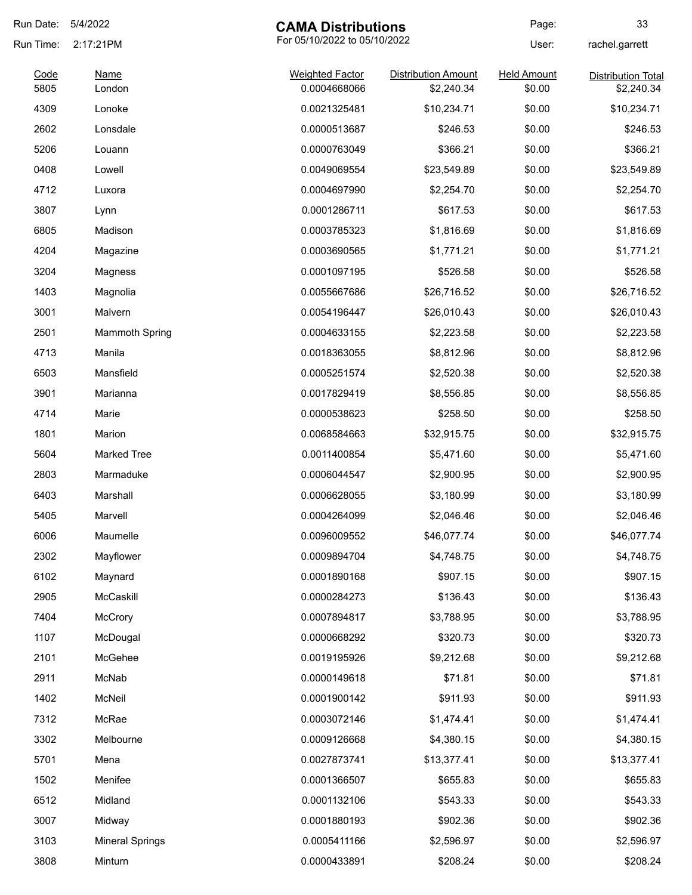| Run Date:    | 5/4/2022<br><b>CAMA Distributions</b> |                                        | Page:                                    | 33                           |                                         |
|--------------|---------------------------------------|----------------------------------------|------------------------------------------|------------------------------|-----------------------------------------|
| Run Time:    | 2:17:21PM                             | For 05/10/2022 to 05/10/2022           |                                          | User:                        | rachel.garrett                          |
| Code<br>5805 | <b>Name</b><br>London                 | <b>Weighted Factor</b><br>0.0004668066 | <b>Distribution Amount</b><br>\$2,240.34 | <b>Held Amount</b><br>\$0.00 | <b>Distribution Total</b><br>\$2,240.34 |
| 4309         | Lonoke                                | 0.0021325481                           | \$10,234.71                              | \$0.00                       | \$10,234.71                             |
| 2602         | Lonsdale                              | 0.0000513687                           | \$246.53                                 | \$0.00                       | \$246.53                                |
| 5206         | Louann                                | 0.0000763049                           | \$366.21                                 | \$0.00                       | \$366.21                                |
| 0408         | Lowell                                | 0.0049069554                           | \$23,549.89                              | \$0.00                       | \$23,549.89                             |
| 4712         | Luxora                                | 0.0004697990                           | \$2,254.70                               | \$0.00                       | \$2,254.70                              |
| 3807         | Lynn                                  | 0.0001286711                           | \$617.53                                 | \$0.00                       | \$617.53                                |
| 6805         | Madison                               | 0.0003785323                           | \$1,816.69                               | \$0.00                       | \$1,816.69                              |
| 4204         | Magazine                              | 0.0003690565                           | \$1,771.21                               | \$0.00                       | \$1,771.21                              |
| 3204         | Magness                               | 0.0001097195                           | \$526.58                                 | \$0.00                       | \$526.58                                |
| 1403         | Magnolia                              | 0.0055667686                           | \$26,716.52                              | \$0.00                       | \$26,716.52                             |
| 3001         | Malvern                               | 0.0054196447                           | \$26,010.43                              | \$0.00                       | \$26,010.43                             |
| 2501         | <b>Mammoth Spring</b>                 | 0.0004633155                           | \$2,223.58                               | \$0.00                       | \$2,223.58                              |
| 4713         | Manila                                | 0.0018363055                           | \$8,812.96                               | \$0.00                       | \$8,812.96                              |
| 6503         | Mansfield                             | 0.0005251574                           | \$2,520.38                               | \$0.00                       | \$2,520.38                              |
| 3901         | Marianna                              | 0.0017829419                           | \$8,556.85                               | \$0.00                       | \$8,556.85                              |
| 4714         | Marie                                 | 0.0000538623                           | \$258.50                                 | \$0.00                       | \$258.50                                |
| 1801         | Marion                                | 0.0068584663                           | \$32,915.75                              | \$0.00                       | \$32,915.75                             |
| 5604         | <b>Marked Tree</b>                    | 0.0011400854                           | \$5,471.60                               | \$0.00                       | \$5,471.60                              |
| 2803         | Marmaduke                             | 0.0006044547                           | \$2,900.95                               | \$0.00                       | \$2,900.95                              |
| 6403         | Marshall                              | 0.0006628055                           | \$3,180.99                               | \$0.00                       | \$3,180.99                              |
| 5405         | Marvell                               | 0.0004264099                           | \$2,046.46                               | \$0.00                       | \$2,046.46                              |
| 6006         | Maumelle                              | 0.0096009552                           | \$46,077.74                              | \$0.00                       | \$46,077.74                             |
| 2302         | Mayflower                             | 0.0009894704                           | \$4,748.75                               | \$0.00                       | \$4,748.75                              |
| 6102         | Maynard                               | 0.0001890168                           | \$907.15                                 | \$0.00                       | \$907.15                                |
| 2905         | McCaskill                             | 0.0000284273                           | \$136.43                                 | \$0.00                       | \$136.43                                |
| 7404         | McCrory                               | 0.0007894817                           | \$3,788.95                               | \$0.00                       | \$3,788.95                              |
| 1107         | McDougal                              | 0.0000668292                           | \$320.73                                 | \$0.00                       | \$320.73                                |
| 2101         | McGehee                               | 0.0019195926                           | \$9,212.68                               | \$0.00                       | \$9,212.68                              |
| 2911         | McNab                                 | 0.0000149618                           | \$71.81                                  | \$0.00                       | \$71.81                                 |
| 1402         | McNeil                                | 0.0001900142                           | \$911.93                                 | \$0.00                       | \$911.93                                |
| 7312         | McRae                                 | 0.0003072146                           | \$1,474.41                               | \$0.00                       | \$1,474.41                              |
| 3302         | Melbourne                             | 0.0009126668                           | \$4,380.15                               | \$0.00                       | \$4,380.15                              |
| 5701         | Mena                                  | 0.0027873741                           | \$13,377.41                              | \$0.00                       | \$13,377.41                             |
| 1502         | Menifee                               | 0.0001366507                           | \$655.83                                 | \$0.00                       | \$655.83                                |
| 6512         | Midland                               | 0.0001132106                           | \$543.33                                 | \$0.00                       | \$543.33                                |
| 3007         | Midway                                | 0.0001880193                           | \$902.36                                 | \$0.00                       | \$902.36                                |
| 3103         | <b>Mineral Springs</b>                | 0.0005411166                           | \$2,596.97                               | \$0.00                       | \$2,596.97                              |
| 3808         | Minturn                               | 0.0000433891                           | \$208.24                                 | \$0.00                       | \$208.24                                |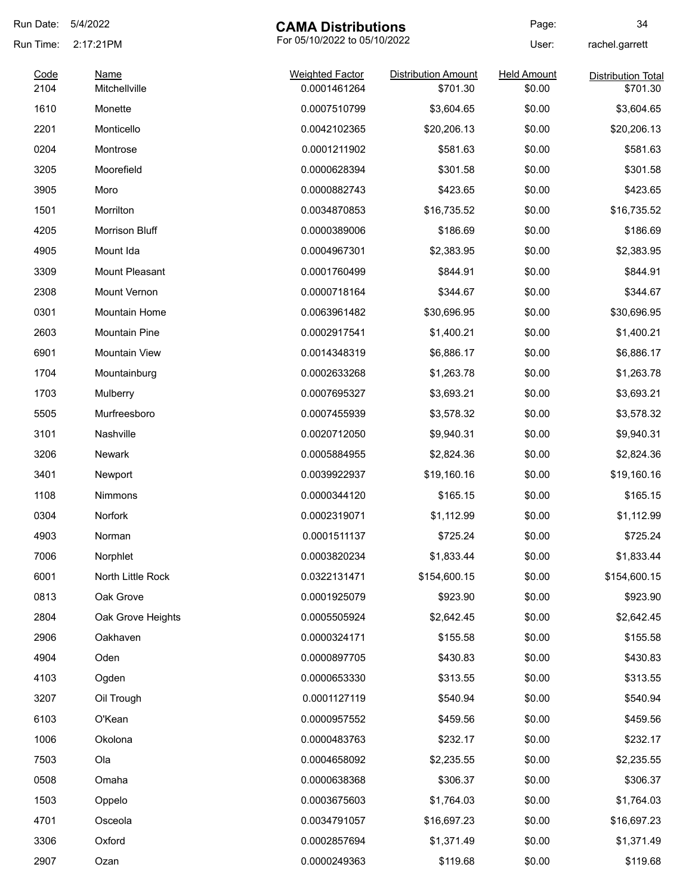| Run Date:    | 5/4/2022<br><b>CAMA Distributions</b>     |                                        | Page:                                  | 34                           |                                       |
|--------------|-------------------------------------------|----------------------------------------|----------------------------------------|------------------------------|---------------------------------------|
| Run Time:    | For 05/10/2022 to 05/10/2022<br>2:17:21PM |                                        | User:                                  | rachel.garrett               |                                       |
| Code<br>2104 | <b>Name</b><br>Mitchellville              | <b>Weighted Factor</b><br>0.0001461264 | <b>Distribution Amount</b><br>\$701.30 | <b>Held Amount</b><br>\$0.00 | <b>Distribution Total</b><br>\$701.30 |
|              |                                           |                                        |                                        |                              |                                       |
| 1610         | Monette                                   | 0.0007510799                           | \$3,604.65                             | \$0.00                       | \$3,604.65                            |
| 2201         | Monticello                                | 0.0042102365                           | \$20,206.13                            | \$0.00                       | \$20,206.13                           |
| 0204         | Montrose                                  | 0.0001211902                           | \$581.63                               | \$0.00                       | \$581.63                              |
| 3205         | Moorefield                                | 0.0000628394                           | \$301.58                               | \$0.00                       | \$301.58                              |
| 3905         | Moro                                      | 0.0000882743                           | \$423.65                               | \$0.00                       | \$423.65                              |
| 1501         | Morrilton                                 | 0.0034870853                           | \$16,735.52                            | \$0.00                       | \$16,735.52                           |
| 4205         | Morrison Bluff                            | 0.0000389006                           | \$186.69                               | \$0.00                       | \$186.69                              |
| 4905         | Mount Ida                                 | 0.0004967301                           | \$2,383.95                             | \$0.00                       | \$2,383.95                            |
| 3309         | Mount Pleasant                            | 0.0001760499                           | \$844.91                               | \$0.00                       | \$844.91                              |
| 2308         | Mount Vernon                              | 0.0000718164                           | \$344.67                               | \$0.00                       | \$344.67                              |
| 0301         | Mountain Home                             | 0.0063961482                           | \$30,696.95                            | \$0.00                       | \$30,696.95                           |
| 2603         | <b>Mountain Pine</b>                      | 0.0002917541                           | \$1,400.21                             | \$0.00                       | \$1,400.21                            |
| 6901         | <b>Mountain View</b>                      | 0.0014348319                           | \$6,886.17                             | \$0.00                       | \$6,886.17                            |
| 1704         | Mountainburg                              | 0.0002633268                           | \$1,263.78                             | \$0.00                       | \$1,263.78                            |
| 1703         | Mulberry                                  | 0.0007695327                           | \$3,693.21                             | \$0.00                       | \$3,693.21                            |
| 5505         | Murfreesboro                              | 0.0007455939                           | \$3,578.32                             | \$0.00                       | \$3,578.32                            |
| 3101         | Nashville                                 | 0.0020712050                           | \$9,940.31                             | \$0.00                       | \$9,940.31                            |
| 3206         | <b>Newark</b>                             | 0.0005884955                           | \$2,824.36                             | \$0.00                       | \$2,824.36                            |
| 3401         | Newport                                   | 0.0039922937                           | \$19,160.16                            | \$0.00                       | \$19,160.16                           |
| 1108         | Nimmons                                   | 0.0000344120                           | \$165.15                               | \$0.00                       | \$165.15                              |
| 0304         | Norfork                                   | 0.0002319071                           | \$1,112.99                             | \$0.00                       | \$1,112.99                            |
| 4903         | Norman                                    | 0.0001511137                           | \$725.24                               | \$0.00                       | \$725.24                              |
| 7006         | Norphlet                                  | 0.0003820234                           | \$1,833.44                             | \$0.00                       | \$1,833.44                            |
| 6001         | North Little Rock                         | 0.0322131471                           | \$154,600.15                           | \$0.00                       | \$154,600.15                          |
| 0813         | Oak Grove                                 | 0.0001925079                           | \$923.90                               | \$0.00                       | \$923.90                              |
| 2804         | Oak Grove Heights                         | 0.0005505924                           | \$2,642.45                             | \$0.00                       | \$2,642.45                            |
| 2906         | Oakhaven                                  | 0.0000324171                           | \$155.58                               | \$0.00                       | \$155.58                              |
| 4904         | Oden                                      | 0.0000897705                           | \$430.83                               | \$0.00                       | \$430.83                              |
| 4103         | Ogden                                     | 0.0000653330                           | \$313.55                               | \$0.00                       | \$313.55                              |
| 3207         | Oil Trough                                | 0.0001127119                           | \$540.94                               | \$0.00                       | \$540.94                              |
| 6103         | O'Kean                                    | 0.0000957552                           | \$459.56                               | \$0.00                       | \$459.56                              |
| 1006         | Okolona                                   | 0.0000483763                           | \$232.17                               | \$0.00                       | \$232.17                              |
| 7503         | Ola                                       | 0.0004658092                           | \$2,235.55                             | \$0.00                       | \$2,235.55                            |
| 0508         | Omaha                                     | 0.0000638368                           | \$306.37                               | \$0.00                       | \$306.37                              |
| 1503         | Oppelo                                    | 0.0003675603                           | \$1,764.03                             | \$0.00                       | \$1,764.03                            |
| 4701         | Osceola                                   | 0.0034791057                           | \$16,697.23                            | \$0.00                       | \$16,697.23                           |
| 3306         | Oxford                                    | 0.0002857694                           | \$1,371.49                             | \$0.00                       | \$1,371.49                            |
| 2907         | Ozan                                      | 0.0000249363                           | \$119.68                               | \$0.00                       | \$119.68                              |
|              |                                           |                                        |                                        |                              |                                       |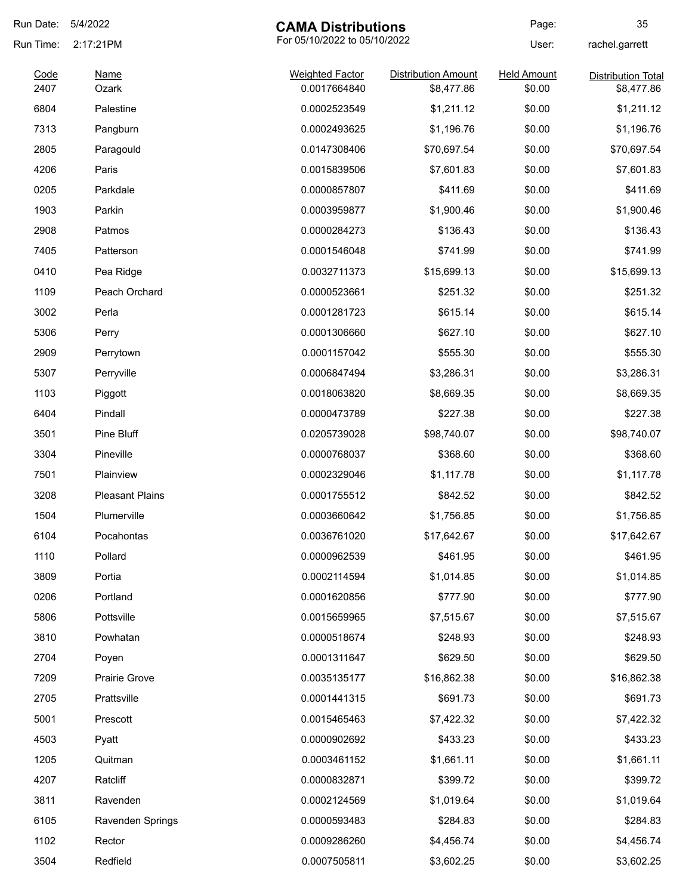| Run Date:    | 5/4/2022<br><b>CAMA Distributions</b>     |                                        | Page:                                    | 35                           |                                         |
|--------------|-------------------------------------------|----------------------------------------|------------------------------------------|------------------------------|-----------------------------------------|
| Run Time:    | For 05/10/2022 to 05/10/2022<br>2:17:21PM |                                        | User:                                    | rachel.garrett               |                                         |
| Code<br>2407 | <b>Name</b><br>Ozark                      | <b>Weighted Factor</b><br>0.0017664840 | <b>Distribution Amount</b><br>\$8,477.86 | <b>Held Amount</b><br>\$0.00 | <b>Distribution Total</b><br>\$8,477.86 |
| 6804         | Palestine                                 | 0.0002523549                           | \$1,211.12                               | \$0.00                       | \$1,211.12                              |
| 7313         | Pangburn                                  | 0.0002493625                           | \$1,196.76                               | \$0.00                       | \$1,196.76                              |
| 2805         | Paragould                                 | 0.0147308406                           | \$70,697.54                              | \$0.00                       | \$70,697.54                             |
| 4206         | Paris                                     | 0.0015839506                           | \$7,601.83                               | \$0.00                       | \$7,601.83                              |
| 0205         | Parkdale                                  | 0.0000857807                           | \$411.69                                 | \$0.00                       | \$411.69                                |
| 1903         | Parkin                                    |                                        | \$1,900.46                               | \$0.00                       | \$1,900.46                              |
|              |                                           | 0.0003959877                           |                                          |                              |                                         |
| 2908         | Patmos                                    | 0.0000284273                           | \$136.43                                 | \$0.00                       | \$136.43                                |
| 7405         | Patterson                                 | 0.0001546048                           | \$741.99                                 | \$0.00                       | \$741.99                                |
| 0410         | Pea Ridge                                 | 0.0032711373                           | \$15,699.13                              | \$0.00                       | \$15,699.13                             |
| 1109         | Peach Orchard                             | 0.0000523661                           | \$251.32                                 | \$0.00                       | \$251.32                                |
| 3002         | Perla                                     | 0.0001281723                           | \$615.14                                 | \$0.00                       | \$615.14                                |
| 5306         | Perry                                     | 0.0001306660                           | \$627.10                                 | \$0.00                       | \$627.10                                |
| 2909         | Perrytown                                 | 0.0001157042                           | \$555.30                                 | \$0.00                       | \$555.30                                |
| 5307         | Perryville                                | 0.0006847494                           | \$3,286.31                               | \$0.00                       | \$3,286.31                              |
| 1103         | Piggott                                   | 0.0018063820                           | \$8,669.35                               | \$0.00                       | \$8,669.35                              |
| 6404         | Pindall                                   | 0.0000473789                           | \$227.38                                 | \$0.00                       | \$227.38                                |
| 3501         | Pine Bluff                                | 0.0205739028                           | \$98,740.07                              | \$0.00                       | \$98,740.07                             |
| 3304         | Pineville                                 | 0.0000768037                           | \$368.60                                 | \$0.00                       | \$368.60                                |
| 7501         | Plainview                                 | 0.0002329046                           | \$1,117.78                               | \$0.00                       | \$1,117.78                              |
| 3208         | <b>Pleasant Plains</b>                    | 0.0001755512                           | \$842.52                                 | \$0.00                       | \$842.52                                |
| 1504         | Plumerville                               | 0.0003660642                           | \$1,756.85                               | \$0.00                       | \$1,756.85                              |
| 6104         | Pocahontas                                | 0.0036761020                           | \$17,642.67                              | \$0.00                       | \$17,642.67                             |
| 1110         | Pollard                                   | 0.0000962539                           | \$461.95                                 | \$0.00                       | \$461.95                                |
| 3809         | Portia                                    | 0.0002114594                           | \$1,014.85                               | \$0.00                       | \$1,014.85                              |
| 0206         | Portland                                  | 0.0001620856                           | \$777.90                                 | \$0.00                       | \$777.90                                |
| 5806         | Pottsville                                | 0.0015659965                           | \$7,515.67                               | \$0.00                       | \$7,515.67                              |
| 3810         | Powhatan                                  | 0.0000518674                           | \$248.93                                 | \$0.00                       | \$248.93                                |
| 2704         | Poyen                                     | 0.0001311647                           | \$629.50                                 | \$0.00                       | \$629.50                                |
| 7209         | <b>Prairie Grove</b>                      | 0.0035135177                           | \$16,862.38                              | \$0.00                       | \$16,862.38                             |
| 2705         | Prattsville                               | 0.0001441315                           | \$691.73                                 | \$0.00                       | \$691.73                                |
| 5001         | Prescott                                  | 0.0015465463                           | \$7,422.32                               | \$0.00                       | \$7,422.32                              |
| 4503         | Pyatt                                     | 0.0000902692                           | \$433.23                                 | \$0.00                       | \$433.23                                |
| 1205         | Quitman                                   | 0.0003461152                           | \$1,661.11                               | \$0.00                       | \$1,661.11                              |
| 4207         | Ratcliff                                  | 0.0000832871                           | \$399.72                                 | \$0.00                       | \$399.72                                |
| 3811         | Ravenden                                  | 0.0002124569                           | \$1,019.64                               | \$0.00                       | \$1,019.64                              |
| 6105         | Ravenden Springs                          | 0.0000593483                           | \$284.83                                 | \$0.00                       | \$284.83                                |
|              |                                           |                                        |                                          |                              |                                         |
| 1102         | Rector                                    | 0.0009286260                           | \$4,456.74                               | \$0.00                       | \$4,456.74                              |
| 3504         | Redfield                                  | 0.0007505811                           | \$3,602.25                               | \$0.00                       | \$3,602.25                              |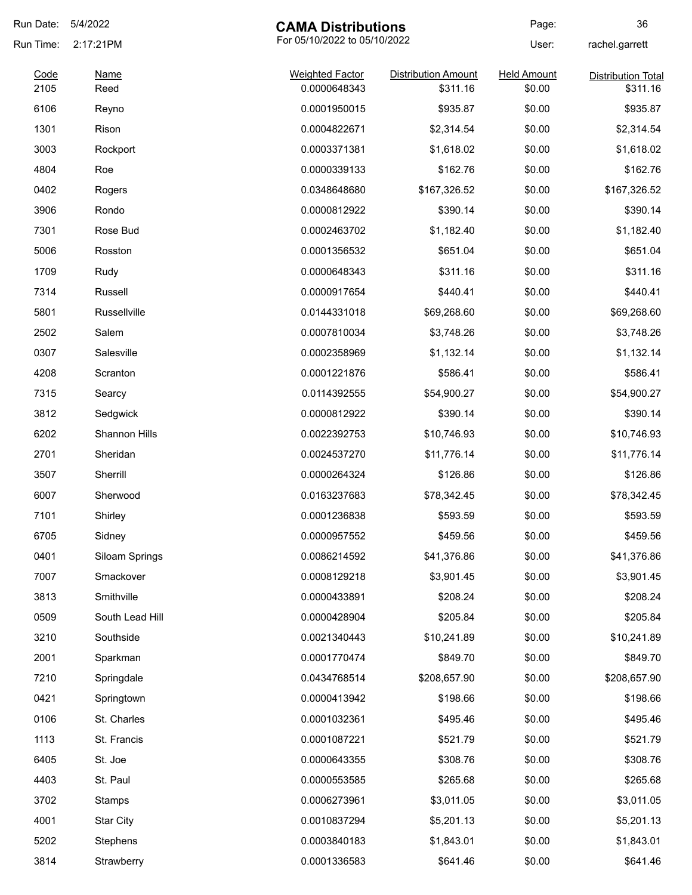| Run Date: | 5/4/2022<br><b>CAMA Distributions</b>     |                        | Page:                      | 36                 |                           |
|-----------|-------------------------------------------|------------------------|----------------------------|--------------------|---------------------------|
| Run Time: | For 05/10/2022 to 05/10/2022<br>2:17:21PM |                        |                            | User:              | rachel.garrett            |
| Code      | <b>Name</b>                               | <b>Weighted Factor</b> | <b>Distribution Amount</b> | <b>Held Amount</b> | <b>Distribution Total</b> |
| 2105      | Reed                                      | 0.0000648343           | \$311.16                   | \$0.00             | \$311.16                  |
| 6106      | Reyno                                     | 0.0001950015           | \$935.87                   | \$0.00             | \$935.87                  |
| 1301      | Rison                                     | 0.0004822671           | \$2,314.54                 | \$0.00             | \$2,314.54                |
| 3003      | Rockport                                  | 0.0003371381           | \$1,618.02                 | \$0.00             | \$1,618.02                |
| 4804      | Roe                                       | 0.0000339133           | \$162.76                   | \$0.00             | \$162.76                  |
| 0402      | Rogers                                    | 0.0348648680           | \$167,326.52               | \$0.00             | \$167,326.52              |
| 3906      | Rondo                                     | 0.0000812922           | \$390.14                   | \$0.00             | \$390.14                  |
| 7301      | Rose Bud                                  | 0.0002463702           | \$1,182.40                 | \$0.00             | \$1,182.40                |
| 5006      | Rosston                                   | 0.0001356532           | \$651.04                   | \$0.00             | \$651.04                  |
| 1709      | Rudy                                      | 0.0000648343           | \$311.16                   | \$0.00             | \$311.16                  |
| 7314      | Russell                                   | 0.0000917654           | \$440.41                   | \$0.00             | \$440.41                  |
| 5801      | Russellville                              | 0.0144331018           | \$69,268.60                | \$0.00             | \$69,268.60               |
| 2502      | Salem                                     | 0.0007810034           | \$3,748.26                 | \$0.00             | \$3,748.26                |
| 0307      | Salesville                                | 0.0002358969           | \$1,132.14                 | \$0.00             | \$1,132.14                |
| 4208      | Scranton                                  | 0.0001221876           | \$586.41                   | \$0.00             | \$586.41                  |
| 7315      | Searcy                                    | 0.0114392555           | \$54,900.27                | \$0.00             | \$54,900.27               |
| 3812      | Sedgwick                                  | 0.0000812922           | \$390.14                   | \$0.00             | \$390.14                  |
| 6202      | Shannon Hills                             | 0.0022392753           | \$10,746.93                | \$0.00             | \$10,746.93               |
| 2701      | Sheridan                                  | 0.0024537270           | \$11,776.14                | \$0.00             | \$11,776.14               |
| 3507      | Sherrill                                  | 0.0000264324           | \$126.86                   | \$0.00             | \$126.86                  |
| 6007      | Sherwood                                  | 0.0163237683           | \$78,342.45                | \$0.00             | \$78,342.45               |
| 7101      | Shirley                                   | 0.0001236838           | \$593.59                   | \$0.00             | \$593.59                  |
| 6705      | Sidney                                    | 0.0000957552           | \$459.56                   | \$0.00             | \$459.56                  |
| 0401      | Siloam Springs                            | 0.0086214592           | \$41,376.86                | \$0.00             | \$41,376.86               |
| 7007      | Smackover                                 | 0.0008129218           | \$3,901.45                 | \$0.00             | \$3,901.45                |
| 3813      | Smithville                                | 0.0000433891           | \$208.24                   | \$0.00             | \$208.24                  |
| 0509      | South Lead Hill                           | 0.0000428904           | \$205.84                   | \$0.00             | \$205.84                  |
| 3210      | Southside                                 | 0.0021340443           | \$10,241.89                | \$0.00             | \$10,241.89               |
| 2001      | Sparkman                                  | 0.0001770474           | \$849.70                   | \$0.00             | \$849.70                  |
| 7210      | Springdale                                | 0.0434768514           | \$208,657.90               | \$0.00             | \$208,657.90              |
| 0421      | Springtown                                | 0.0000413942           | \$198.66                   | \$0.00             | \$198.66                  |
| 0106      |                                           |                        | \$495.46                   | \$0.00             | \$495.46                  |
|           | St. Charles                               | 0.0001032361           |                            |                    |                           |
| 1113      | St. Francis                               | 0.0001087221           | \$521.79                   | \$0.00             | \$521.79                  |
| 6405      | St. Joe                                   | 0.0000643355           | \$308.76                   | \$0.00             | \$308.76                  |
| 4403      | St. Paul                                  | 0.0000553585           | \$265.68                   | \$0.00             | \$265.68                  |
| 3702      | Stamps                                    | 0.0006273961           | \$3,011.05                 | \$0.00             | \$3,011.05                |
| 4001      | <b>Star City</b>                          | 0.0010837294           | \$5,201.13                 | \$0.00             | \$5,201.13                |
| 5202      | Stephens                                  | 0.0003840183           | \$1,843.01                 | \$0.00             | \$1,843.01                |
| 3814      | Strawberry                                | 0.0001336583           | \$641.46                   | \$0.00             | \$641.46                  |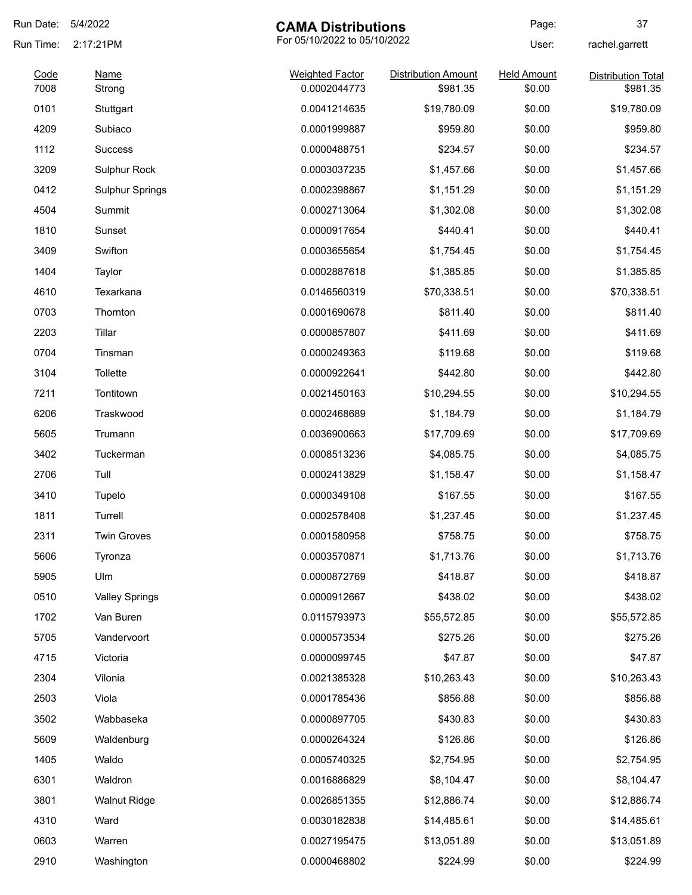| Run Date: | 5/4/2022               | <b>CAMA Distributions</b>    |                            | Page:              | 37                        |
|-----------|------------------------|------------------------------|----------------------------|--------------------|---------------------------|
| Run Time: | 2:17:21PM              | For 05/10/2022 to 05/10/2022 |                            | User:              | rachel.garrett            |
| Code      | <b>Name</b>            | <b>Weighted Factor</b>       | <b>Distribution Amount</b> | <b>Held Amount</b> | <b>Distribution Total</b> |
| 7008      | Strong                 | 0.0002044773                 | \$981.35                   | \$0.00             | \$981.35                  |
| 0101      | Stuttgart              | 0.0041214635                 | \$19,780.09                | \$0.00             | \$19,780.09               |
| 4209      | Subiaco                | 0.0001999887                 | \$959.80                   | \$0.00             | \$959.80                  |
| 1112      | <b>Success</b>         | 0.0000488751                 | \$234.57                   | \$0.00             | \$234.57                  |
| 3209      | <b>Sulphur Rock</b>    | 0.0003037235                 | \$1,457.66                 | \$0.00             | \$1,457.66                |
| 0412      | <b>Sulphur Springs</b> | 0.0002398867                 | \$1,151.29                 | \$0.00             | \$1,151.29                |
| 4504      | Summit                 | 0.0002713064                 | \$1,302.08                 | \$0.00             | \$1,302.08                |
| 1810      | Sunset                 | 0.0000917654                 | \$440.41                   | \$0.00             | \$440.41                  |
| 3409      | Swifton                | 0.0003655654                 | \$1,754.45                 | \$0.00             | \$1,754.45                |
| 1404      | Taylor                 | 0.0002887618                 | \$1,385.85                 | \$0.00             | \$1,385.85                |
| 4610      | Texarkana              | 0.0146560319                 | \$70,338.51                | \$0.00             | \$70,338.51               |
| 0703      | Thornton               | 0.0001690678                 | \$811.40                   | \$0.00             | \$811.40                  |
| 2203      | Tillar                 | 0.0000857807                 | \$411.69                   | \$0.00             | \$411.69                  |
| 0704      | Tinsman                | 0.0000249363                 | \$119.68                   | \$0.00             | \$119.68                  |
| 3104      | Tollette               | 0.0000922641                 | \$442.80                   | \$0.00             | \$442.80                  |
| 7211      | Tontitown              | 0.0021450163                 | \$10,294.55                | \$0.00             | \$10,294.55               |
| 6206      | Traskwood              | 0.0002468689                 | \$1,184.79                 | \$0.00             | \$1,184.79                |
| 5605      | Trumann                | 0.0036900663                 | \$17,709.69                | \$0.00             | \$17,709.69               |
| 3402      | Tuckerman              | 0.0008513236                 | \$4,085.75                 | \$0.00             | \$4,085.75                |
| 2706      | Tull                   | 0.0002413829                 | \$1,158.47                 | \$0.00             | \$1,158.47                |
| 3410      | Tupelo                 | 0.0000349108                 | \$167.55                   | \$0.00             | \$167.55                  |
| 1811      | Turrell                | 0.0002578408                 | \$1,237.45                 | \$0.00             | \$1,237.45                |
| 2311      | <b>Twin Groves</b>     | 0.0001580958                 | \$758.75                   | \$0.00             | \$758.75                  |
| 5606      | Tyronza                | 0.0003570871                 | \$1,713.76                 | \$0.00             | \$1,713.76                |
| 5905      | Ulm                    | 0.0000872769                 | \$418.87                   | \$0.00             | \$418.87                  |
| 0510      | <b>Valley Springs</b>  | 0.0000912667                 | \$438.02                   | \$0.00             | \$438.02                  |
| 1702      | Van Buren              | 0.0115793973                 | \$55,572.85                | \$0.00             | \$55,572.85               |
| 5705      | Vandervoort            | 0.0000573534                 | \$275.26                   | \$0.00             | \$275.26                  |
| 4715      | Victoria               | 0.0000099745                 | \$47.87                    | \$0.00             | \$47.87                   |
| 2304      | Vilonia                | 0.0021385328                 | \$10,263.43                | \$0.00             | \$10,263.43               |
| 2503      | Viola                  | 0.0001785436                 | \$856.88                   | \$0.00             | \$856.88                  |
| 3502      | Wabbaseka              | 0.0000897705                 | \$430.83                   | \$0.00             | \$430.83                  |
| 5609      | Waldenburg             | 0.0000264324                 | \$126.86                   | \$0.00             | \$126.86                  |
| 1405      | Waldo                  | 0.0005740325                 | \$2,754.95                 | \$0.00             | \$2,754.95                |
| 6301      | Waldron                | 0.0016886829                 | \$8,104.47                 | \$0.00             | \$8,104.47                |
| 3801      | <b>Walnut Ridge</b>    | 0.0026851355                 | \$12,886.74                | \$0.00             | \$12,886.74               |
| 4310      | Ward                   | 0.0030182838                 | \$14,485.61                | \$0.00             | \$14,485.61               |
| 0603      | Warren                 | 0.0027195475                 | \$13,051.89                | \$0.00             | \$13,051.89               |
| 2910      | Washington             | 0.0000468802                 | \$224.99                   | \$0.00             | \$224.99                  |
|           |                        |                              |                            |                    |                           |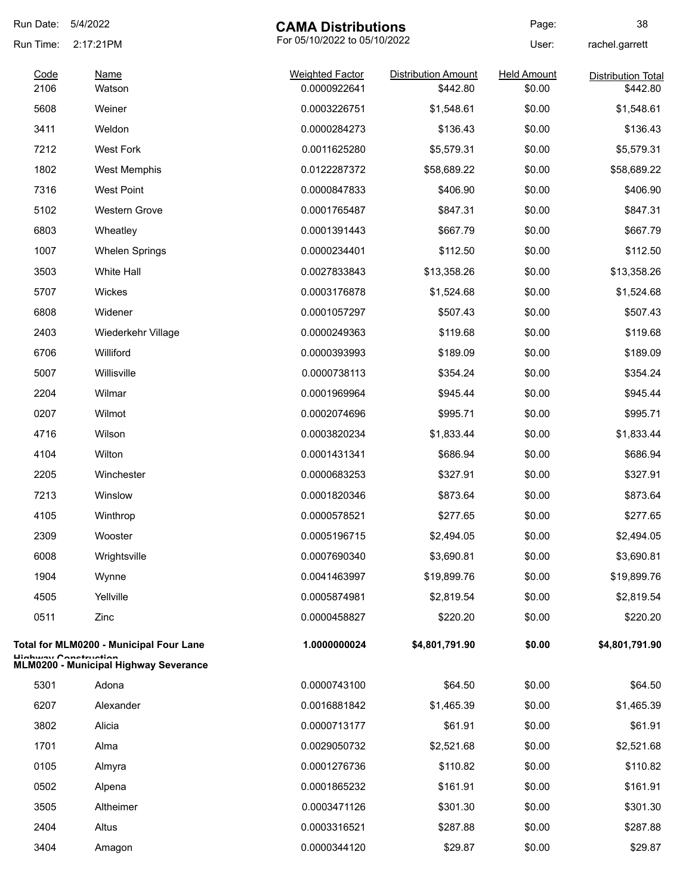| Run Date:    | 5/4/2022<br><b>CAMA Distributions</b>                                 |                                        |                                        | Page:                        | 38                                    |
|--------------|-----------------------------------------------------------------------|----------------------------------------|----------------------------------------|------------------------------|---------------------------------------|
| Run Time:    | 2:17:21PM                                                             | For 05/10/2022 to 05/10/2022           |                                        | User:                        | rachel.garrett                        |
| Code<br>2106 | <u>Name</u><br>Watson                                                 | <b>Weighted Factor</b><br>0.0000922641 | <b>Distribution Amount</b><br>\$442.80 | <b>Held Amount</b><br>\$0.00 | <b>Distribution Total</b><br>\$442.80 |
| 5608         | Weiner                                                                | 0.0003226751                           | \$1,548.61                             | \$0.00                       | \$1,548.61                            |
| 3411         | Weldon                                                                | 0.0000284273                           | \$136.43                               | \$0.00                       | \$136.43                              |
| 7212         | <b>West Fork</b>                                                      | 0.0011625280                           | \$5,579.31                             | \$0.00                       | \$5,579.31                            |
| 1802         | West Memphis                                                          | 0.0122287372                           | \$58,689.22                            | \$0.00                       | \$58,689.22                           |
| 7316         | <b>West Point</b>                                                     | 0.0000847833                           | \$406.90                               | \$0.00                       | \$406.90                              |
| 5102         | <b>Western Grove</b>                                                  | 0.0001765487                           | \$847.31                               | \$0.00                       | \$847.31                              |
| 6803         | Wheatley                                                              | 0.0001391443                           | \$667.79                               | \$0.00                       | \$667.79                              |
| 1007         | <b>Whelen Springs</b>                                                 | 0.0000234401                           | \$112.50                               | \$0.00                       | \$112.50                              |
| 3503         | <b>White Hall</b>                                                     | 0.0027833843                           | \$13,358.26                            | \$0.00                       | \$13,358.26                           |
| 5707         | Wickes                                                                | 0.0003176878                           | \$1,524.68                             | \$0.00                       | \$1,524.68                            |
| 6808         | Widener                                                               | 0.0001057297                           | \$507.43                               | \$0.00                       | \$507.43                              |
| 2403         | Wiederkehr Village                                                    | 0.0000249363                           | \$119.68                               | \$0.00                       | \$119.68                              |
| 6706         | Williford                                                             | 0.0000393993                           | \$189.09                               | \$0.00                       | \$189.09                              |
| 5007         | Willisville                                                           | 0.0000738113                           | \$354.24                               | \$0.00                       | \$354.24                              |
| 2204         | Wilmar                                                                | 0.0001969964                           | \$945.44                               | \$0.00                       | \$945.44                              |
| 0207         | Wilmot                                                                | 0.0002074696                           | \$995.71                               | \$0.00                       | \$995.71                              |
| 4716         | Wilson                                                                | 0.0003820234                           | \$1,833.44                             | \$0.00                       | \$1,833.44                            |
| 4104         | Wilton                                                                | 0.0001431341                           | \$686.94                               | \$0.00                       | \$686.94                              |
| 2205         | Winchester                                                            | 0.0000683253                           | \$327.91                               | \$0.00                       | \$327.91                              |
| 7213         | Winslow                                                               | 0.0001820346                           | \$873.64                               | \$0.00                       | \$873.64                              |
| 4105         | Winthrop                                                              | 0.0000578521                           | \$277.65                               | \$0.00                       | \$277.65                              |
| 2309         | Wooster                                                               | 0.0005196715                           | \$2,494.05                             | \$0.00                       | \$2,494.05                            |
| 6008         | Wrightsville                                                          | 0.0007690340                           | \$3,690.81                             | \$0.00                       | \$3,690.81                            |
| 1904         | Wynne                                                                 | 0.0041463997                           | \$19,899.76                            | \$0.00                       | \$19,899.76                           |
| 4505         | Yellville                                                             | 0.0005874981                           | \$2,819.54                             | \$0.00                       | \$2,819.54                            |
| 0511         | Zinc                                                                  | 0.0000458827                           | \$220.20                               | \$0.00                       | \$220.20                              |
|              | Total for MLM0200 - Municipal Four Lane                               | 1.0000000024                           | \$4,801,791.90                         | \$0.00                       | \$4,801,791.90                        |
|              | Lliabway Conctruction<br><b>MLM0200 - Municipal Highway Severance</b> |                                        |                                        |                              |                                       |
| 5301         | Adona                                                                 | 0.0000743100                           | \$64.50                                | \$0.00                       | \$64.50                               |
| 6207         | Alexander                                                             | 0.0016881842                           | \$1,465.39                             | \$0.00                       | \$1,465.39                            |
| 3802         | Alicia                                                                | 0.0000713177                           | \$61.91                                | \$0.00                       | \$61.91                               |
| 1701         | Alma                                                                  | 0.0029050732                           | \$2,521.68                             | \$0.00                       | \$2,521.68                            |
| 0105         | Almyra                                                                | 0.0001276736                           | \$110.82                               | \$0.00                       | \$110.82                              |
| 0502         | Alpena                                                                | 0.0001865232                           | \$161.91                               | \$0.00                       | \$161.91                              |
| 3505         | Altheimer                                                             | 0.0003471126                           | \$301.30                               | \$0.00                       | \$301.30                              |
| 2404         | Altus                                                                 | 0.0003316521                           | \$287.88                               | \$0.00                       | \$287.88                              |
| 3404         | Amagon                                                                | 0.0000344120                           | \$29.87                                | \$0.00                       | \$29.87                               |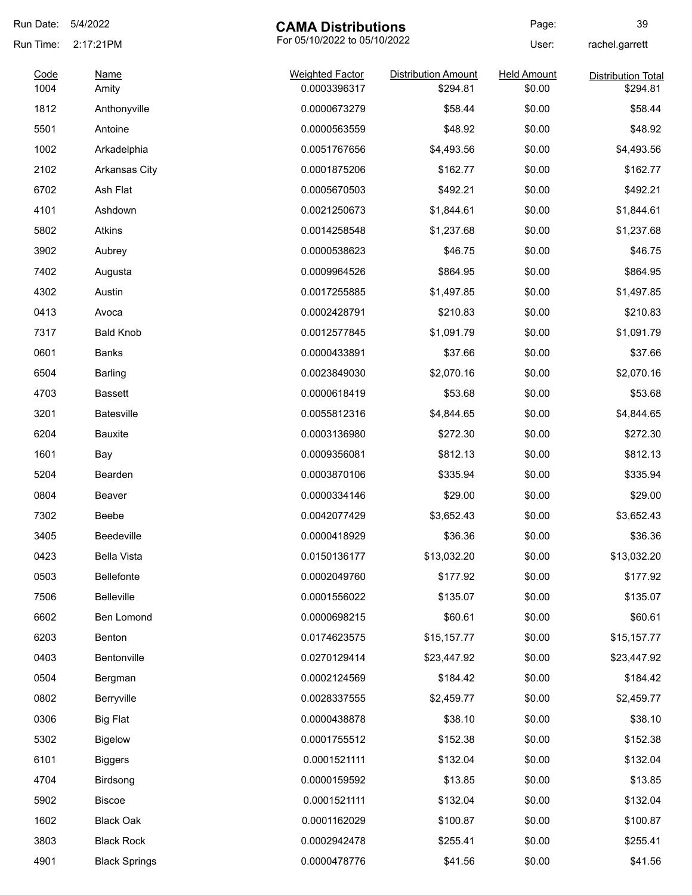| Run Date:    | 5/4/2022             | <b>CAMA Distributions</b>              |                                        | Page:                        | 39                                    |
|--------------|----------------------|----------------------------------------|----------------------------------------|------------------------------|---------------------------------------|
| Run Time:    | 2:17:21PM            | For 05/10/2022 to 05/10/2022           |                                        | User:                        | rachel.garrett                        |
| Code<br>1004 | <b>Name</b><br>Amity | <b>Weighted Factor</b><br>0.0003396317 | <b>Distribution Amount</b><br>\$294.81 | <b>Held Amount</b><br>\$0.00 | <b>Distribution Total</b><br>\$294.81 |
| 1812         | Anthonyville         | 0.0000673279                           | \$58.44                                | \$0.00                       | \$58.44                               |
| 5501         | Antoine              | 0.0000563559                           | \$48.92                                | \$0.00                       | \$48.92                               |
| 1002         | Arkadelphia          | 0.0051767656                           | \$4,493.56                             | \$0.00                       | \$4,493.56                            |
| 2102         | <b>Arkansas City</b> | 0.0001875206                           | \$162.77                               | \$0.00                       | \$162.77                              |
| 6702         | Ash Flat             | 0.0005670503                           | \$492.21                               | \$0.00                       | \$492.21                              |
| 4101         | Ashdown              | 0.0021250673                           | \$1,844.61                             | \$0.00                       | \$1,844.61                            |
| 5802         | Atkins               | 0.0014258548                           | \$1,237.68                             | \$0.00                       | \$1,237.68                            |
| 3902         | Aubrey               | 0.0000538623                           | \$46.75                                | \$0.00                       | \$46.75                               |
| 7402         | Augusta              | 0.0009964526                           | \$864.95                               | \$0.00                       | \$864.95                              |
| 4302         | Austin               | 0.0017255885                           | \$1,497.85                             | \$0.00                       | \$1,497.85                            |
| 0413         | Avoca                | 0.0002428791                           | \$210.83                               | \$0.00                       | \$210.83                              |
| 7317         | <b>Bald Knob</b>     | 0.0012577845                           | \$1,091.79                             | \$0.00                       | \$1,091.79                            |
| 0601         | Banks                | 0.0000433891                           | \$37.66                                | \$0.00                       | \$37.66                               |
| 6504         | Barling              | 0.0023849030                           | \$2,070.16                             | \$0.00                       | \$2,070.16                            |
| 4703         | <b>Bassett</b>       | 0.0000618419                           | \$53.68                                | \$0.00                       | \$53.68                               |
| 3201         | <b>Batesville</b>    | 0.0055812316                           | \$4,844.65                             | \$0.00                       | \$4,844.65                            |
| 6204         | Bauxite              | 0.0003136980                           | \$272.30                               | \$0.00                       | \$272.30                              |
| 1601         | Bay                  | 0.0009356081                           | \$812.13                               | \$0.00                       | \$812.13                              |
| 5204         | Bearden              | 0.0003870106                           | \$335.94                               | \$0.00                       | \$335.94                              |
| 0804         | Beaver               | 0.0000334146                           | \$29.00                                | \$0.00                       | \$29.00                               |
| 7302         | Beebe                | 0.0042077429                           | \$3,652.43                             | \$0.00                       | \$3,652.43                            |
| 3405         | Beedeville           | 0.0000418929                           | \$36.36                                | \$0.00                       | \$36.36                               |
| 0423         | <b>Bella Vista</b>   | 0.0150136177                           | \$13,032.20                            | \$0.00                       | \$13,032.20                           |
| 0503         | Bellefonte           | 0.0002049760                           | \$177.92                               | \$0.00                       | \$177.92                              |
| 7506         | <b>Belleville</b>    | 0.0001556022                           | \$135.07                               | \$0.00                       | \$135.07                              |
| 6602         | Ben Lomond           | 0.0000698215                           | \$60.61                                | \$0.00                       | \$60.61                               |
| 6203         | Benton               | 0.0174623575                           | \$15,157.77                            | \$0.00                       | \$15,157.77                           |
| 0403         | Bentonville          | 0.0270129414                           | \$23,447.92                            | \$0.00                       | \$23,447.92                           |
| 0504         | Bergman              | 0.0002124569                           | \$184.42                               | \$0.00                       | \$184.42                              |
| 0802         | Berryville           | 0.0028337555                           | \$2,459.77                             | \$0.00                       | \$2,459.77                            |
| 0306         | <b>Big Flat</b>      | 0.0000438878                           | \$38.10                                | \$0.00                       | \$38.10                               |
| 5302         | <b>Bigelow</b>       | 0.0001755512                           | \$152.38                               | \$0.00                       | \$152.38                              |
| 6101         | <b>Biggers</b>       | 0.0001521111                           | \$132.04                               | \$0.00                       | \$132.04                              |
| 4704         | Birdsong             | 0.0000159592                           | \$13.85                                | \$0.00                       | \$13.85                               |
| 5902         | <b>Biscoe</b>        | 0.0001521111                           | \$132.04                               | \$0.00                       | \$132.04                              |
| 1602         | <b>Black Oak</b>     | 0.0001162029                           | \$100.87                               | \$0.00                       | \$100.87                              |
| 3803         | <b>Black Rock</b>    | 0.0002942478                           | \$255.41                               | \$0.00                       | \$255.41                              |
| 4901         | <b>Black Springs</b> | 0.0000478776                           | \$41.56                                | \$0.00                       | \$41.56                               |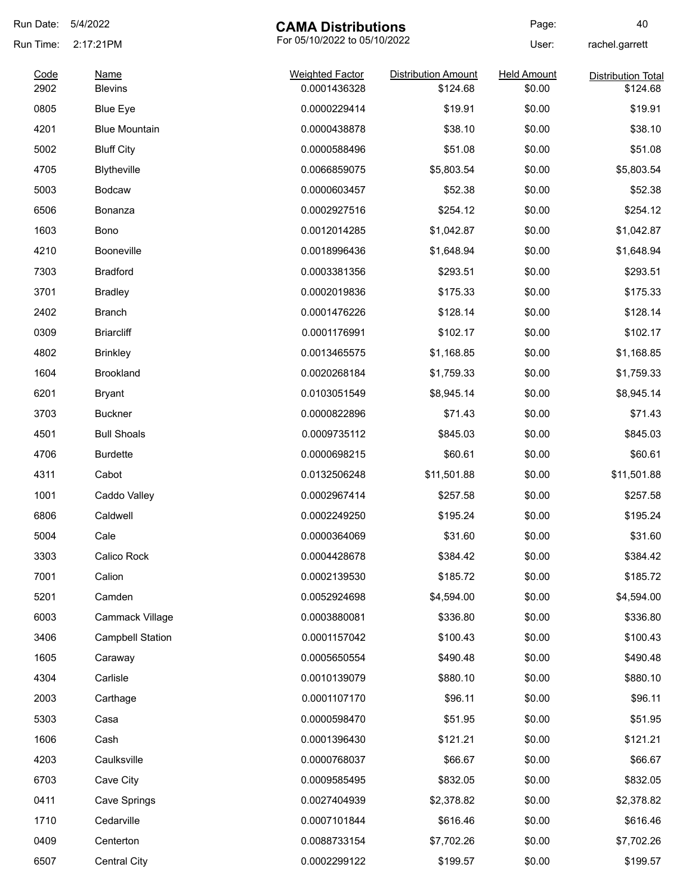| Run Date:    | 5/4/2022                      | <b>CAMA Distributions</b>              |                                        | Page:                        | 40                                    |
|--------------|-------------------------------|----------------------------------------|----------------------------------------|------------------------------|---------------------------------------|
| Run Time:    | 2:17:21PM                     | For 05/10/2022 to 05/10/2022           |                                        | User:                        | rachel.garrett                        |
| Code<br>2902 | <b>Name</b><br><b>Blevins</b> | <b>Weighted Factor</b><br>0.0001436328 | <b>Distribution Amount</b><br>\$124.68 | <b>Held Amount</b><br>\$0.00 | <b>Distribution Total</b><br>\$124.68 |
| 0805         | <b>Blue Eye</b>               | 0.0000229414                           | \$19.91                                | \$0.00                       | \$19.91                               |
| 4201         | <b>Blue Mountain</b>          | 0.0000438878                           | \$38.10                                | \$0.00                       | \$38.10                               |
| 5002         | <b>Bluff City</b>             | 0.0000588496                           | \$51.08                                | \$0.00                       | \$51.08                               |
| 4705         | <b>Blytheville</b>            | 0.0066859075                           | \$5,803.54                             | \$0.00                       | \$5,803.54                            |
| 5003         | <b>Bodcaw</b>                 | 0.0000603457                           | \$52.38                                | \$0.00                       | \$52.38                               |
| 6506         | Bonanza                       | 0.0002927516                           | \$254.12                               | \$0.00                       | \$254.12                              |
| 1603         | Bono                          | 0.0012014285                           | \$1,042.87                             | \$0.00                       | \$1,042.87                            |
| 4210         | <b>Booneville</b>             | 0.0018996436                           | \$1,648.94                             | \$0.00                       | \$1,648.94                            |
| 7303         | <b>Bradford</b>               | 0.0003381356                           | \$293.51                               | \$0.00                       | \$293.51                              |
| 3701         | <b>Bradley</b>                | 0.0002019836                           | \$175.33                               | \$0.00                       | \$175.33                              |
| 2402         | <b>Branch</b>                 | 0.0001476226                           | \$128.14                               | \$0.00                       | \$128.14                              |
| 0309         | <b>Briarcliff</b>             | 0.0001176991                           | \$102.17                               | \$0.00                       | \$102.17                              |
| 4802         |                               | 0.0013465575                           |                                        | \$0.00                       |                                       |
|              | <b>Brinkley</b>               |                                        | \$1,168.85                             |                              | \$1,168.85                            |
| 1604         | <b>Brookland</b>              | 0.0020268184                           | \$1,759.33                             | \$0.00                       | \$1,759.33                            |
| 6201         | <b>Bryant</b>                 | 0.0103051549                           | \$8,945.14                             | \$0.00                       | \$8,945.14                            |
| 3703         | <b>Buckner</b>                | 0.0000822896                           | \$71.43                                | \$0.00                       | \$71.43                               |
| 4501         | <b>Bull Shoals</b>            | 0.0009735112                           | \$845.03                               | \$0.00                       | \$845.03                              |
| 4706         | <b>Burdette</b>               | 0.0000698215                           | \$60.61                                | \$0.00                       | \$60.61                               |
| 4311         | Cabot                         | 0.0132506248                           | \$11,501.88                            | \$0.00                       | \$11,501.88                           |
| 1001         | Caddo Valley                  | 0.0002967414                           | \$257.58                               | \$0.00                       | \$257.58                              |
| 6806         | Caldwell                      | 0.0002249250                           | \$195.24                               | \$0.00                       | \$195.24                              |
| 5004         | Cale                          | 0.0000364069                           | \$31.60                                | \$0.00                       | \$31.60                               |
| 3303         | Calico Rock                   | 0.0004428678                           | \$384.42                               | \$0.00                       | \$384.42                              |
| 7001         | Calion                        | 0.0002139530                           | \$185.72                               | \$0.00                       | \$185.72                              |
| 5201         | Camden                        | 0.0052924698                           | \$4,594.00                             | \$0.00                       | \$4,594.00                            |
| 6003         | Cammack Village               | 0.0003880081                           | \$336.80                               | \$0.00                       | \$336.80                              |
| 3406         | <b>Campbell Station</b>       | 0.0001157042                           | \$100.43                               | \$0.00                       | \$100.43                              |
| 1605         | Caraway                       | 0.0005650554                           | \$490.48                               | \$0.00                       | \$490.48                              |
| 4304         | Carlisle                      | 0.0010139079                           | \$880.10                               | \$0.00                       | \$880.10                              |
| 2003         | Carthage                      | 0.0001107170                           | \$96.11                                | \$0.00                       | \$96.11                               |
| 5303         | Casa                          | 0.0000598470                           | \$51.95                                | \$0.00                       | \$51.95                               |
| 1606         | Cash                          | 0.0001396430                           | \$121.21                               | \$0.00                       | \$121.21                              |
| 4203         | Caulksville                   | 0.0000768037                           | \$66.67                                | \$0.00                       | \$66.67                               |
| 6703         | Cave City                     | 0.0009585495                           | \$832.05                               | \$0.00                       | \$832.05                              |
| 0411         | Cave Springs                  | 0.0027404939                           | \$2,378.82                             | \$0.00                       | \$2,378.82                            |
| 1710         | Cedarville                    | 0.0007101844                           | \$616.46                               | \$0.00                       | \$616.46                              |
| 0409         | Centerton                     | 0.0088733154                           | \$7,702.26                             | \$0.00                       | \$7,702.26                            |
| 6507         | Central City                  | 0.0002299122                           | \$199.57                               | \$0.00                       | \$199.57                              |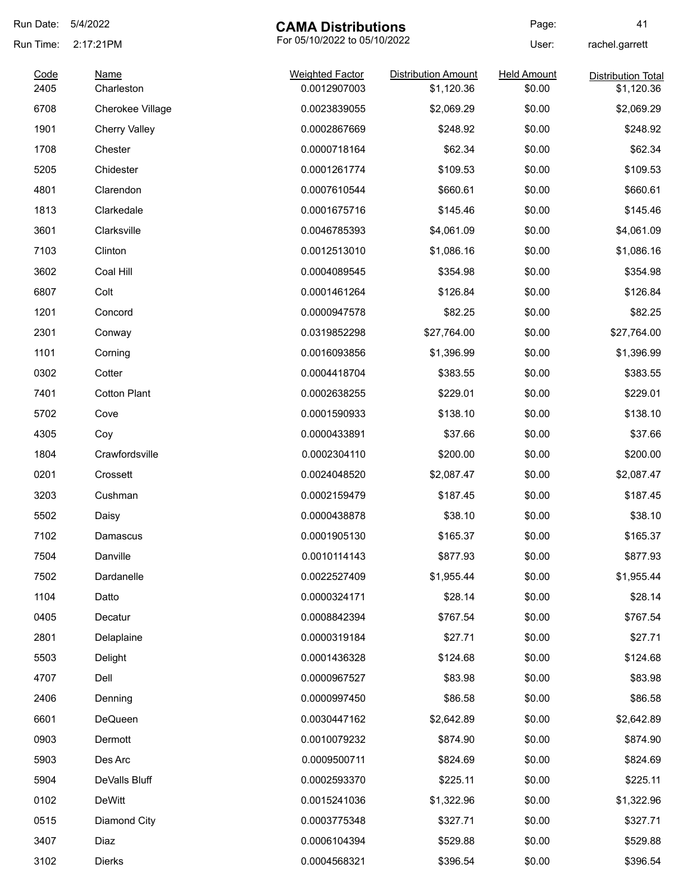| Run Date:    | 5/4/2022                        | <b>CAMA Distributions</b>              |                                          | Page:                        | 41                                      |
|--------------|---------------------------------|----------------------------------------|------------------------------------------|------------------------------|-----------------------------------------|
| Run Time:    | 2:17:21PM                       | For 05/10/2022 to 05/10/2022           |                                          | User:                        | rachel.garrett                          |
| Code<br>2405 | <b>Name</b><br>Charleston       | <b>Weighted Factor</b><br>0.0012907003 | <b>Distribution Amount</b><br>\$1,120.36 | <b>Held Amount</b><br>\$0.00 | <b>Distribution Total</b><br>\$1,120.36 |
| 6708         | Cherokee Village                | 0.0023839055                           | \$2,069.29                               | \$0.00                       | \$2,069.29                              |
| 1901         |                                 | 0.0002867669                           | \$248.92                                 | \$0.00                       | \$248.92                                |
|              | <b>Cherry Valley</b><br>Chester |                                        |                                          |                              |                                         |
| 1708         |                                 | 0.0000718164                           | \$62.34                                  | \$0.00                       | \$62.34                                 |
| 5205         | Chidester                       | 0.0001261774                           | \$109.53                                 | \$0.00                       | \$109.53                                |
| 4801         | Clarendon                       | 0.0007610544                           | \$660.61                                 | \$0.00                       | \$660.61                                |
| 1813         | Clarkedale                      | 0.0001675716                           | \$145.46                                 | \$0.00                       | \$145.46                                |
| 3601         | Clarksville                     | 0.0046785393                           | \$4,061.09                               | \$0.00                       | \$4,061.09                              |
| 7103         | Clinton                         | 0.0012513010                           | \$1,086.16                               | \$0.00                       | \$1,086.16                              |
| 3602         | Coal Hill                       | 0.0004089545                           | \$354.98                                 | \$0.00                       | \$354.98                                |
| 6807         | Colt                            | 0.0001461264                           | \$126.84                                 | \$0.00                       | \$126.84                                |
| 1201         | Concord                         | 0.0000947578                           | \$82.25                                  | \$0.00                       | \$82.25                                 |
| 2301         | Conway                          | 0.0319852298                           | \$27,764.00                              | \$0.00                       | \$27,764.00                             |
| 1101         | Corning                         | 0.0016093856                           | \$1,396.99                               | \$0.00                       | \$1,396.99                              |
| 0302         | Cotter                          | 0.0004418704                           | \$383.55                                 | \$0.00                       | \$383.55                                |
| 7401         | <b>Cotton Plant</b>             | 0.0002638255                           | \$229.01                                 | \$0.00                       | \$229.01                                |
| 5702         | Cove                            | 0.0001590933                           | \$138.10                                 | \$0.00                       | \$138.10                                |
| 4305         | Coy                             | 0.0000433891                           | \$37.66                                  | \$0.00                       | \$37.66                                 |
| 1804         | Crawfordsville                  | 0.0002304110                           | \$200.00                                 | \$0.00                       | \$200.00                                |
| 0201         | Crossett                        | 0.0024048520                           | \$2,087.47                               | \$0.00                       | \$2,087.47                              |
| 3203         | Cushman                         | 0.0002159479                           | \$187.45                                 | \$0.00                       | \$187.45                                |
| 5502         | Daisy                           | 0.0000438878                           | \$38.10                                  | \$0.00                       | \$38.10                                 |
| 7102         | Damascus                        | 0.0001905130                           | \$165.37                                 | \$0.00                       | \$165.37                                |
| 7504         | Danville                        | 0.0010114143                           | \$877.93                                 | \$0.00                       | \$877.93                                |
| 7502         | Dardanelle                      | 0.0022527409                           | \$1,955.44                               | \$0.00                       | \$1,955.44                              |
| 1104         | Datto                           | 0.0000324171                           | \$28.14                                  | \$0.00                       | \$28.14                                 |
| 0405         | Decatur                         | 0.0008842394                           | \$767.54                                 | \$0.00                       | \$767.54                                |
| 2801         | Delaplaine                      | 0.0000319184                           | \$27.71                                  | \$0.00                       | \$27.71                                 |
| 5503         | Delight                         | 0.0001436328                           | \$124.68                                 | \$0.00                       | \$124.68                                |
| 4707         | Dell                            | 0.0000967527                           | \$83.98                                  | \$0.00                       | \$83.98                                 |
| 2406         | Denning                         | 0.0000997450                           | \$86.58                                  | \$0.00                       | \$86.58                                 |
| 6601         | DeQueen                         | 0.0030447162                           | \$2,642.89                               | \$0.00                       | \$2,642.89                              |
| 0903         | Dermott                         | 0.0010079232                           | \$874.90                                 | \$0.00                       | \$874.90                                |
| 5903         | Des Arc                         | 0.0009500711                           | \$824.69                                 | \$0.00                       | \$824.69                                |
| 5904         | DeValls Bluff                   | 0.0002593370                           | \$225.11                                 | \$0.00                       | \$225.11                                |
| 0102         | <b>DeWitt</b>                   | 0.0015241036                           | \$1,322.96                               | \$0.00                       | \$1,322.96                              |
| 0515         | Diamond City                    | 0.0003775348                           | \$327.71                                 | \$0.00                       | \$327.71                                |
| 3407         | Diaz                            | 0.0006104394                           | \$529.88                                 | \$0.00                       | \$529.88                                |
| 3102         | Dierks                          | 0.0004568321                           | \$396.54                                 | \$0.00                       | \$396.54                                |
|              |                                 |                                        |                                          |                              |                                         |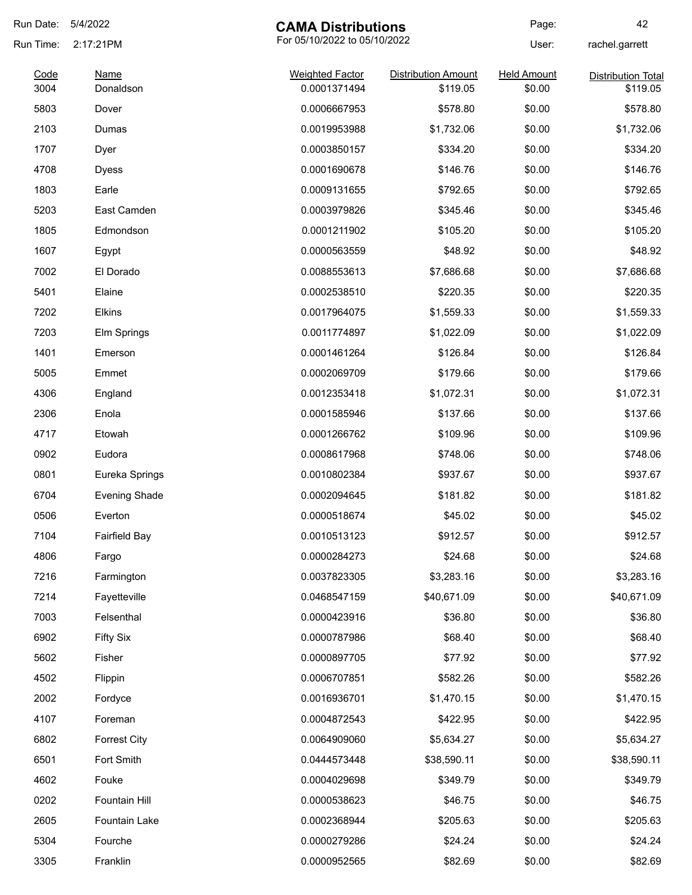| Run Date: | 5/4/2022             | <b>CAMA Distributions</b>    |                            | Page:              | 42                        |
|-----------|----------------------|------------------------------|----------------------------|--------------------|---------------------------|
| Run Time: | 2:17:21PM            | For 05/10/2022 to 05/10/2022 |                            | User:              | rachel.garrett            |
| Code      | Name                 | <b>Weighted Factor</b>       | <b>Distribution Amount</b> | <b>Held Amount</b> | <b>Distribution Total</b> |
| 3004      | Donaldson            | 0.0001371494                 | \$119.05                   | \$0.00             | \$119.05                  |
| 5803      | Dover                | 0.0006667953                 | \$578.80                   | \$0.00             | \$578.80                  |
| 2103      | Dumas                | 0.0019953988                 | \$1,732.06                 | \$0.00             | \$1,732.06                |
| 1707      | Dyer                 | 0.0003850157                 | \$334.20                   | \$0.00             | \$334.20                  |
| 4708      | <b>Dyess</b>         | 0.0001690678                 | \$146.76                   | \$0.00             | \$146.76                  |
| 1803      | Earle                | 0.0009131655                 | \$792.65                   | \$0.00             | \$792.65                  |
| 5203      | East Camden          | 0.0003979826                 | \$345.46                   | \$0.00             | \$345.46                  |
| 1805      | Edmondson            | 0.0001211902                 | \$105.20                   | \$0.00             | \$105.20                  |
| 1607      | Egypt                | 0.0000563559                 | \$48.92                    | \$0.00             | \$48.92                   |
| 7002      | El Dorado            | 0.0088553613                 | \$7,686.68                 | \$0.00             | \$7,686.68                |
| 5401      | Elaine               | 0.0002538510                 | \$220.35                   | \$0.00             | \$220.35                  |
| 7202      | Elkins               | 0.0017964075                 | \$1,559.33                 | \$0.00             | \$1,559.33                |
| 7203      | Elm Springs          | 0.0011774897                 | \$1,022.09                 | \$0.00             | \$1,022.09                |
| 1401      | Emerson              | 0.0001461264                 | \$126.84                   | \$0.00             | \$126.84                  |
| 5005      | Emmet                | 0.0002069709                 | \$179.66                   | \$0.00             | \$179.66                  |
| 4306      | England              | 0.0012353418                 | \$1,072.31                 | \$0.00             | \$1,072.31                |
| 2306      | Enola                | 0.0001585946                 | \$137.66                   | \$0.00             | \$137.66                  |
| 4717      | Etowah               | 0.0001266762                 | \$109.96                   | \$0.00             | \$109.96                  |
| 0902      | Eudora               | 0.0008617968                 | \$748.06                   | \$0.00             | \$748.06                  |
| 0801      | Eureka Springs       | 0.0010802384                 | \$937.67                   | \$0.00             | \$937.67                  |
| 6704      | <b>Evening Shade</b> | 0.0002094645                 | \$181.82                   | \$0.00             | \$181.82                  |
| 0506      | Everton              | 0.0000518674                 | \$45.02                    | \$0.00             | \$45.02                   |
| 7104      | <b>Fairfield Bay</b> | 0.0010513123                 | \$912.57                   | \$0.00             | \$912.57                  |
| 4806      | Fargo                | 0.0000284273                 | \$24.68                    | \$0.00             | \$24.68                   |
| 7216      | Farmington           | 0.0037823305                 | \$3,283.16                 | \$0.00             | \$3,283.16                |
| 7214      | Fayetteville         | 0.0468547159                 | \$40,671.09                | \$0.00             | \$40,671.09               |
| 7003      | Felsenthal           | 0.0000423916                 | \$36.80                    | \$0.00             | \$36.80                   |
| 6902      | <b>Fifty Six</b>     | 0.0000787986                 | \$68.40                    | \$0.00             | \$68.40                   |
| 5602      | Fisher               | 0.0000897705                 | \$77.92                    | \$0.00             | \$77.92                   |
| 4502      | Flippin              | 0.0006707851                 | \$582.26                   | \$0.00             | \$582.26                  |
| 2002      | Fordyce              | 0.0016936701                 | \$1,470.15                 | \$0.00             | \$1,470.15                |
| 4107      | Foreman              | 0.0004872543                 | \$422.95                   | \$0.00             | \$422.95                  |
| 6802      | <b>Forrest City</b>  | 0.0064909060                 | \$5,634.27                 | \$0.00             | \$5,634.27                |
| 6501      | Fort Smith           | 0.0444573448                 | \$38,590.11                | \$0.00             | \$38,590.11               |
| 4602      | Fouke                | 0.0004029698                 | \$349.79                   | \$0.00             | \$349.79                  |
| 0202      | Fountain Hill        | 0.0000538623                 | \$46.75                    | \$0.00             | \$46.75                   |
| 2605      | Fountain Lake        | 0.0002368944                 | \$205.63                   | \$0.00             | \$205.63                  |
| 5304      | Fourche              | 0.0000279286                 | \$24.24                    | \$0.00             | \$24.24                   |
| 3305      | Franklin             | 0.0000952565                 | \$82.69                    | \$0.00             | \$82.69                   |
|           |                      |                              |                            |                    |                           |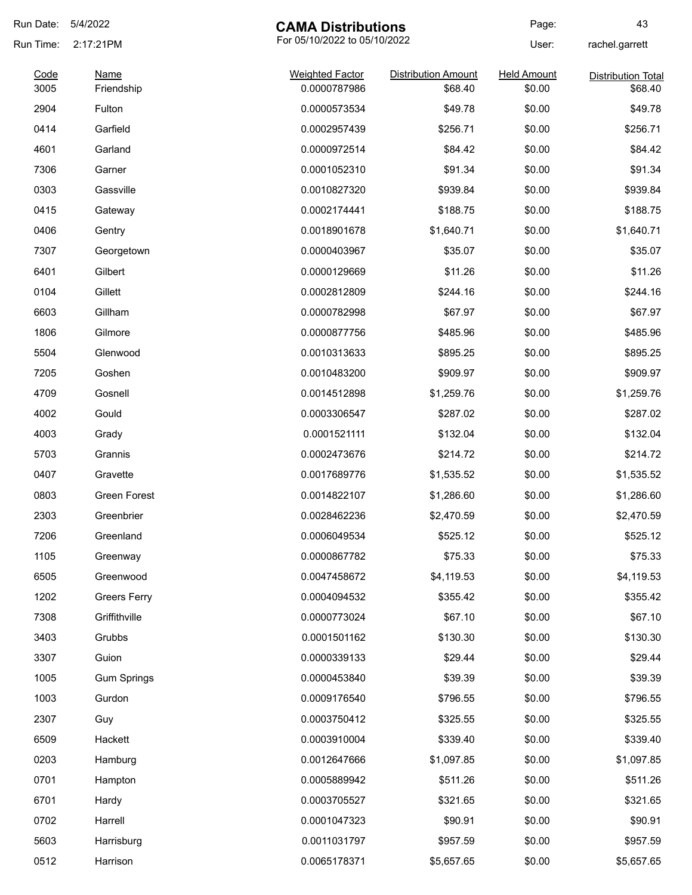| Run Date:    | 5/4/2022                  | <b>CAMA Distributions</b>              |                                       | Page:                        | 43                                   |
|--------------|---------------------------|----------------------------------------|---------------------------------------|------------------------------|--------------------------------------|
| Run Time:    | 2:17:21PM                 | For 05/10/2022 to 05/10/2022           |                                       | User:                        | rachel.garrett                       |
| Code<br>3005 | <b>Name</b><br>Friendship | <b>Weighted Factor</b><br>0.0000787986 | <b>Distribution Amount</b><br>\$68.40 | <b>Held Amount</b><br>\$0.00 | <b>Distribution Total</b><br>\$68.40 |
| 2904         | Fulton                    | 0.0000573534                           | \$49.78                               | \$0.00                       | \$49.78                              |
| 0414         | Garfield                  | 0.0002957439                           | \$256.71                              | \$0.00                       | \$256.71                             |
| 4601         | Garland                   | 0.0000972514                           | \$84.42                               | \$0.00                       | \$84.42                              |
| 7306         | Garner                    | 0.0001052310                           | \$91.34                               | \$0.00                       | \$91.34                              |
| 0303         | Gassville                 | 0.0010827320                           | \$939.84                              | \$0.00                       | \$939.84                             |
| 0415         | Gateway                   | 0.0002174441                           | \$188.75                              | \$0.00                       | \$188.75                             |
| 0406         | Gentry                    | 0.0018901678                           | \$1,640.71                            | \$0.00                       | \$1,640.71                           |
| 7307         | Georgetown                | 0.0000403967                           | \$35.07                               | \$0.00                       | \$35.07                              |
| 6401         | Gilbert                   | 0.0000129669                           | \$11.26                               | \$0.00                       | \$11.26                              |
| 0104         | Gillett                   | 0.0002812809                           | \$244.16                              | \$0.00                       | \$244.16                             |
| 6603         | Gillham                   | 0.0000782998                           | \$67.97                               | \$0.00                       | \$67.97                              |
| 1806         | Gilmore                   | 0.0000877756                           | \$485.96                              | \$0.00                       | \$485.96                             |
| 5504         | Glenwood                  | 0.0010313633                           | \$895.25                              | \$0.00                       | \$895.25                             |
| 7205         | Goshen                    | 0.0010483200                           | \$909.97                              | \$0.00                       | \$909.97                             |
| 4709         | Gosnell                   | 0.0014512898                           | \$1,259.76                            | \$0.00                       | \$1,259.76                           |
| 4002         | Gould                     | 0.0003306547                           | \$287.02                              | \$0.00                       | \$287.02                             |
| 4003         | Grady                     | 0.0001521111                           | \$132.04                              | \$0.00                       | \$132.04                             |
| 5703         | Grannis                   | 0.0002473676                           | \$214.72                              | \$0.00                       | \$214.72                             |
| 0407         | Gravette                  | 0.0017689776                           | \$1,535.52                            | \$0.00                       | \$1,535.52                           |
| 0803         | <b>Green Forest</b>       | 0.0014822107                           | \$1,286.60                            | \$0.00                       | \$1,286.60                           |
| 2303         | Greenbrier                | 0.0028462236                           | \$2,470.59                            | \$0.00                       | \$2,470.59                           |
| 7206         | Greenland                 | 0.0006049534                           | \$525.12                              | \$0.00                       | \$525.12                             |
| 1105         | Greenway                  | 0.0000867782                           | \$75.33                               | \$0.00                       | \$75.33                              |
| 6505         | Greenwood                 | 0.0047458672                           | \$4,119.53                            | \$0.00                       | \$4,119.53                           |
| 1202         | <b>Greers Ferry</b>       | 0.0004094532                           | \$355.42                              | \$0.00                       | \$355.42                             |
| 7308         | Griffithville             | 0.0000773024                           | \$67.10                               | \$0.00                       | \$67.10                              |
| 3403         | Grubbs                    | 0.0001501162                           | \$130.30                              | \$0.00                       | \$130.30                             |
| 3307         | Guion                     | 0.0000339133                           | \$29.44                               | \$0.00                       | \$29.44                              |
| 1005         | <b>Gum Springs</b>        | 0.0000453840                           | \$39.39                               | \$0.00                       | \$39.39                              |
| 1003         | Gurdon                    | 0.0009176540                           | \$796.55                              | \$0.00                       | \$796.55                             |
| 2307         | Guy                       | 0.0003750412                           | \$325.55                              | \$0.00                       | \$325.55                             |
| 6509         | Hackett                   | 0.0003910004                           | \$339.40                              | \$0.00                       | \$339.40                             |
| 0203         | Hamburg                   | 0.0012647666                           | \$1,097.85                            | \$0.00                       | \$1,097.85                           |
| 0701         | Hampton                   | 0.0005889942                           | \$511.26                              | \$0.00                       | \$511.26                             |
| 6701         | Hardy                     | 0.0003705527                           | \$321.65                              | \$0.00                       | \$321.65                             |
| 0702         | Harrell                   | 0.0001047323                           | \$90.91                               | \$0.00                       | \$90.91                              |
| 5603         | Harrisburg                | 0.0011031797                           | \$957.59                              | \$0.00                       | \$957.59                             |
| 0512         | Harrison                  | 0.0065178371                           | \$5,657.65                            | \$0.00                       | \$5,657.65                           |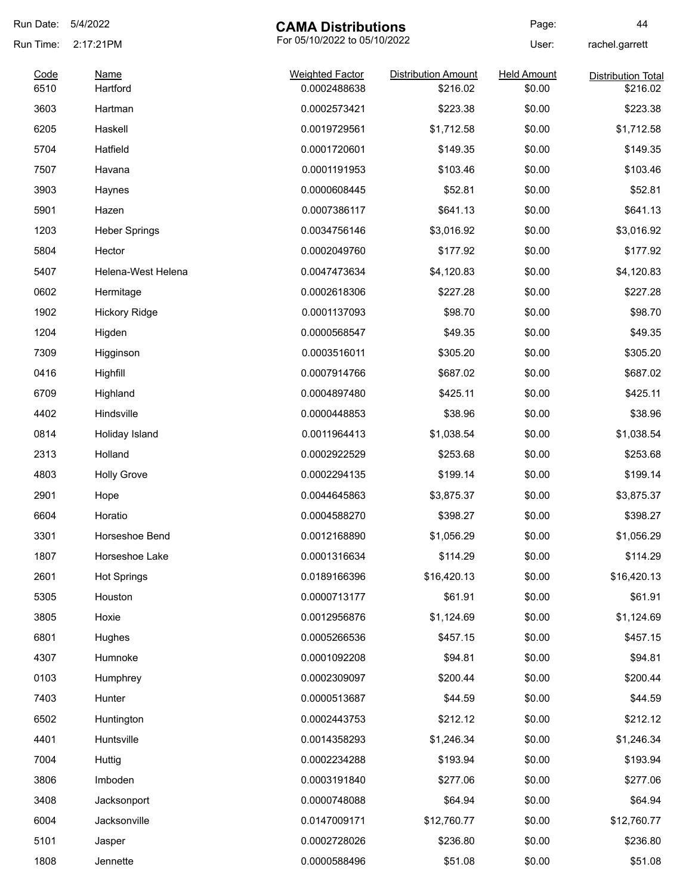| Run Date:    | 5/4/2022                | <b>CAMA Distributions</b>              |                                        | Page:                        | 44                                    |
|--------------|-------------------------|----------------------------------------|----------------------------------------|------------------------------|---------------------------------------|
| Run Time:    | 2:17:21PM               | For 05/10/2022 to 05/10/2022           |                                        | User:                        | rachel.garrett                        |
| Code<br>6510 | <b>Name</b><br>Hartford | <b>Weighted Factor</b><br>0.0002488638 | <b>Distribution Amount</b><br>\$216.02 | <b>Held Amount</b><br>\$0.00 | <b>Distribution Total</b><br>\$216.02 |
| 3603         | Hartman                 | 0.0002573421                           | \$223.38                               | \$0.00                       | \$223.38                              |
| 6205         | Haskell                 | 0.0019729561                           | \$1,712.58                             | \$0.00                       | \$1,712.58                            |
| 5704         | Hatfield                | 0.0001720601                           | \$149.35                               | \$0.00                       | \$149.35                              |
| 7507         | Havana                  | 0.0001191953                           | \$103.46                               | \$0.00                       | \$103.46                              |
| 3903         | Haynes                  | 0.0000608445                           | \$52.81                                | \$0.00                       | \$52.81                               |
| 5901         | Hazen                   | 0.0007386117                           | \$641.13                               | \$0.00                       | \$641.13                              |
| 1203         | <b>Heber Springs</b>    | 0.0034756146                           | \$3,016.92                             | \$0.00                       | \$3,016.92                            |
| 5804         | Hector                  | 0.0002049760                           | \$177.92                               | \$0.00                       | \$177.92                              |
| 5407         | Helena-West Helena      | 0.0047473634                           | \$4,120.83                             | \$0.00                       | \$4,120.83                            |
| 0602         | Hermitage               | 0.0002618306                           | \$227.28                               | \$0.00                       | \$227.28                              |
| 1902         | <b>Hickory Ridge</b>    | 0.0001137093                           | \$98.70                                | \$0.00                       | \$98.70                               |
| 1204         | Higden                  | 0.0000568547                           | \$49.35                                | \$0.00                       | \$49.35                               |
| 7309         | Higginson               | 0.0003516011                           | \$305.20                               | \$0.00                       | \$305.20                              |
| 0416         | Highfill                | 0.0007914766                           | \$687.02                               | \$0.00                       | \$687.02                              |
| 6709         | Highland                | 0.0004897480                           | \$425.11                               | \$0.00                       | \$425.11                              |
| 4402         | Hindsville              | 0.0000448853                           | \$38.96                                | \$0.00                       | \$38.96                               |
| 0814         | Holiday Island          | 0.0011964413                           | \$1,038.54                             | \$0.00                       | \$1,038.54                            |
| 2313         | Holland                 | 0.0002922529                           | \$253.68                               | \$0.00                       | \$253.68                              |
| 4803         | <b>Holly Grove</b>      | 0.0002294135                           | \$199.14                               | \$0.00                       | \$199.14                              |
| 2901         | Hope                    | 0.0044645863                           | \$3,875.37                             | \$0.00                       | \$3,875.37                            |
| 6604         | Horatio                 | 0.0004588270                           | \$398.27                               | \$0.00                       | \$398.27                              |
| 3301         | Horseshoe Bend          | 0.0012168890                           | \$1,056.29                             | \$0.00                       | \$1,056.29                            |
| 1807         | Horseshoe Lake          | 0.0001316634                           | \$114.29                               | \$0.00                       | \$114.29                              |
| 2601         | <b>Hot Springs</b>      | 0.0189166396                           | \$16,420.13                            | \$0.00                       | \$16,420.13                           |
| 5305         | Houston                 | 0.0000713177                           | \$61.91                                | \$0.00                       | \$61.91                               |
| 3805         | Hoxie                   | 0.0012956876                           | \$1,124.69                             | \$0.00                       | \$1,124.69                            |
| 6801         | Hughes                  | 0.0005266536                           | \$457.15                               | \$0.00                       | \$457.15                              |
| 4307         | Humnoke                 | 0.0001092208                           | \$94.81                                | \$0.00                       | \$94.81                               |
| 0103         | Humphrey                | 0.0002309097                           | \$200.44                               | \$0.00                       | \$200.44                              |
| 7403         | Hunter                  | 0.0000513687                           | \$44.59                                | \$0.00                       | \$44.59                               |
| 6502         | Huntington              | 0.0002443753                           | \$212.12                               | \$0.00                       | \$212.12                              |
| 4401         | Huntsville              | 0.0014358293                           | \$1,246.34                             | \$0.00                       | \$1,246.34                            |
| 7004         | Huttig                  | 0.0002234288                           | \$193.94                               | \$0.00                       | \$193.94                              |
| 3806         | Imboden                 | 0.0003191840                           | \$277.06                               | \$0.00                       | \$277.06                              |
| 3408         | Jacksonport             | 0.0000748088                           | \$64.94                                | \$0.00                       | \$64.94                               |
| 6004         | Jacksonville            | 0.0147009171                           | \$12,760.77                            | \$0.00                       | \$12,760.77                           |
| 5101         | Jasper                  | 0.0002728026                           | \$236.80                               | \$0.00                       | \$236.80                              |
| 1808         | Jennette                | 0.0000588496                           | \$51.08                                | \$0.00                       | \$51.08                               |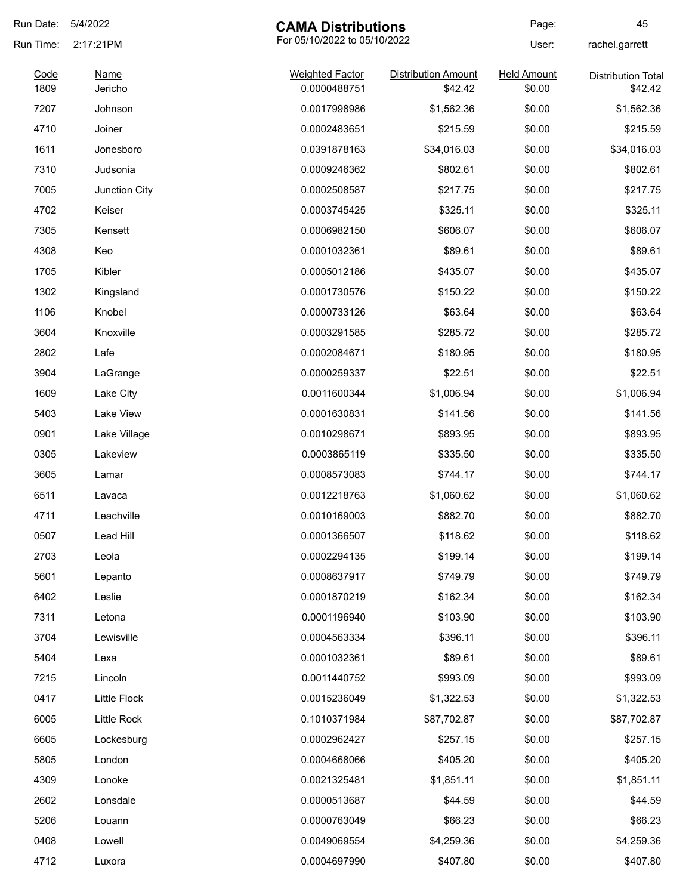| Run Date:    | 5/4/2022               | <b>CAMA Distributions</b>              |                                       | Page:                        | 45                                   |
|--------------|------------------------|----------------------------------------|---------------------------------------|------------------------------|--------------------------------------|
| Run Time:    | 2:17:21PM              | For 05/10/2022 to 05/10/2022           |                                       | User:                        | rachel.garrett                       |
| Code<br>1809 | <b>Name</b><br>Jericho | <b>Weighted Factor</b><br>0.0000488751 | <b>Distribution Amount</b><br>\$42.42 | <b>Held Amount</b><br>\$0.00 | <b>Distribution Total</b><br>\$42.42 |
| 7207         | Johnson                | 0.0017998986                           | \$1,562.36                            | \$0.00                       |                                      |
|              |                        |                                        |                                       |                              | \$1,562.36                           |
| 4710         | Joiner                 | 0.0002483651                           | \$215.59                              | \$0.00                       | \$215.59                             |
| 1611         | Jonesboro              | 0.0391878163                           | \$34,016.03                           | \$0.00                       | \$34,016.03                          |
| 7310         | Judsonia               | 0.0009246362                           | \$802.61                              | \$0.00                       | \$802.61                             |
| 7005         | Junction City          | 0.0002508587                           | \$217.75                              | \$0.00                       | \$217.75                             |
| 4702         | Keiser                 | 0.0003745425                           | \$325.11                              | \$0.00                       | \$325.11                             |
| 7305         | Kensett                | 0.0006982150                           | \$606.07                              | \$0.00                       | \$606.07                             |
| 4308         | Keo                    | 0.0001032361                           | \$89.61                               | \$0.00                       | \$89.61                              |
| 1705         | Kibler                 | 0.0005012186                           | \$435.07                              | \$0.00                       | \$435.07                             |
| 1302         | Kingsland              | 0.0001730576                           | \$150.22                              | \$0.00                       | \$150.22                             |
| 1106         | Knobel                 | 0.0000733126                           | \$63.64                               | \$0.00                       | \$63.64                              |
| 3604         | Knoxville              | 0.0003291585                           | \$285.72                              | \$0.00                       | \$285.72                             |
| 2802         | Lafe                   | 0.0002084671                           | \$180.95                              | \$0.00                       | \$180.95                             |
| 3904         | LaGrange               | 0.0000259337                           | \$22.51                               | \$0.00                       | \$22.51                              |
| 1609         | Lake City              | 0.0011600344                           | \$1,006.94                            | \$0.00                       | \$1,006.94                           |
| 5403         | Lake View              | 0.0001630831                           | \$141.56                              | \$0.00                       | \$141.56                             |
| 0901         | Lake Village           | 0.0010298671                           | \$893.95                              | \$0.00                       | \$893.95                             |
| 0305         | Lakeview               | 0.0003865119                           | \$335.50                              | \$0.00                       | \$335.50                             |
| 3605         | Lamar                  | 0.0008573083                           | \$744.17                              | \$0.00                       | \$744.17                             |
| 6511         | Lavaca                 | 0.0012218763                           | \$1,060.62                            | \$0.00                       | \$1,060.62                           |
| 4711         | Leachville             | 0.0010169003                           | \$882.70                              | \$0.00                       | \$882.70                             |
| 0507         | Lead Hill              | 0.0001366507                           | \$118.62                              | \$0.00                       | \$118.62                             |
| 2703         | Leola                  | 0.0002294135                           | \$199.14                              | \$0.00                       | \$199.14                             |
| 5601         | Lepanto                | 0.0008637917                           | \$749.79                              | \$0.00                       | \$749.79                             |
| 6402         | Leslie                 | 0.0001870219                           | \$162.34                              | \$0.00                       | \$162.34                             |
| 7311         | Letona                 | 0.0001196940                           | \$103.90                              | \$0.00                       | \$103.90                             |
| 3704         | Lewisville             | 0.0004563334                           | \$396.11                              | \$0.00                       | \$396.11                             |
| 5404         | Lexa                   | 0.0001032361                           | \$89.61                               | \$0.00                       | \$89.61                              |
| 7215         | Lincoln                | 0.0011440752                           | \$993.09                              | \$0.00                       | \$993.09                             |
| 0417         | Little Flock           | 0.0015236049                           | \$1,322.53                            | \$0.00                       | \$1,322.53                           |
| 6005         | Little Rock            | 0.1010371984                           | \$87,702.87                           | \$0.00                       | \$87,702.87                          |
| 6605         | Lockesburg             | 0.0002962427                           | \$257.15                              | \$0.00                       | \$257.15                             |
| 5805         | London                 | 0.0004668066                           | \$405.20                              | \$0.00                       | \$405.20                             |
| 4309         | Lonoke                 | 0.0021325481                           | \$1,851.11                            | \$0.00                       | \$1,851.11                           |
| 2602         | Lonsdale               | 0.0000513687                           | \$44.59                               | \$0.00                       | \$44.59                              |
| 5206         | Louann                 | 0.0000763049                           | \$66.23                               | \$0.00                       | \$66.23                              |
| 0408         | Lowell                 | 0.0049069554                           | \$4,259.36                            | \$0.00                       | \$4,259.36                           |
| 4712         | Luxora                 | 0.0004697990                           | \$407.80                              | \$0.00                       | \$407.80                             |
|              |                        |                                        |                                       |                              |                                      |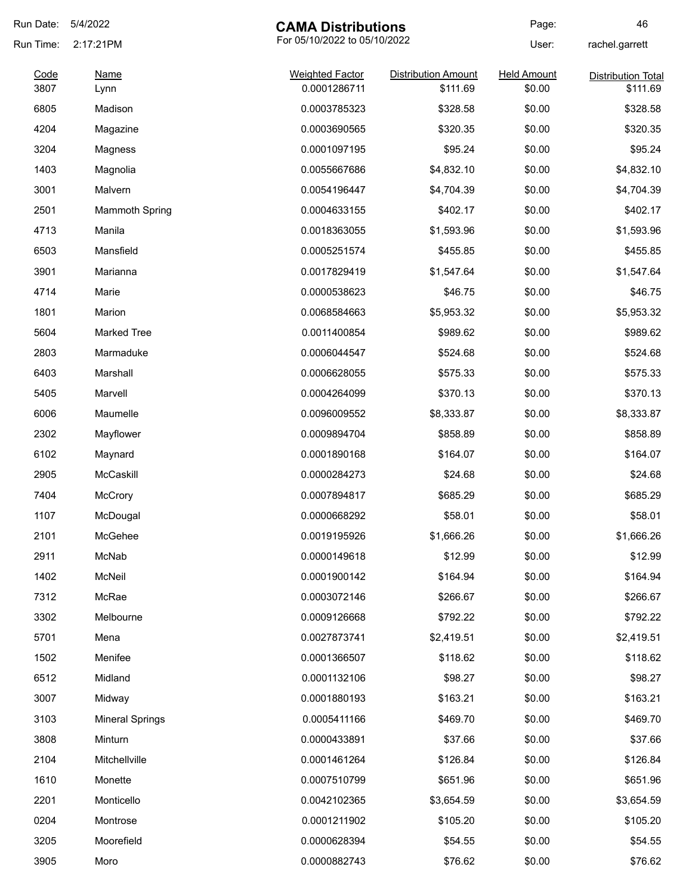| Run Date:    | 5/4/2022               | <b>CAMA Distributions</b>              |                                        | Page:                        | 46                                    |
|--------------|------------------------|----------------------------------------|----------------------------------------|------------------------------|---------------------------------------|
| Run Time:    | 2:17:21PM              | For 05/10/2022 to 05/10/2022           |                                        | User:                        | rachel.garrett                        |
| Code<br>3807 | <b>Name</b><br>Lynn    | <b>Weighted Factor</b><br>0.0001286711 | <b>Distribution Amount</b><br>\$111.69 | <b>Held Amount</b><br>\$0.00 | <b>Distribution Total</b><br>\$111.69 |
| 6805         | Madison                | 0.0003785323                           | \$328.58                               | \$0.00                       | \$328.58                              |
| 4204         | Magazine               | 0.0003690565                           | \$320.35                               | \$0.00                       | \$320.35                              |
| 3204         | Magness                | 0.0001097195                           | \$95.24                                | \$0.00                       | \$95.24                               |
| 1403         | Magnolia               | 0.0055667686                           | \$4,832.10                             | \$0.00                       | \$4,832.10                            |
| 3001         | Malvern                | 0.0054196447                           | \$4,704.39                             | \$0.00                       | \$4,704.39                            |
| 2501         | <b>Mammoth Spring</b>  | 0.0004633155                           | \$402.17                               | \$0.00                       | \$402.17                              |
| 4713         | Manila                 | 0.0018363055                           | \$1,593.96                             | \$0.00                       | \$1,593.96                            |
| 6503         | Mansfield              | 0.0005251574                           | \$455.85                               | \$0.00                       | \$455.85                              |
| 3901         | Marianna               | 0.0017829419                           | \$1,547.64                             | \$0.00                       | \$1,547.64                            |
| 4714         | Marie                  | 0.0000538623                           | \$46.75                                | \$0.00                       | \$46.75                               |
| 1801         | Marion                 | 0.0068584663                           | \$5,953.32                             | \$0.00                       | \$5,953.32                            |
| 5604         | <b>Marked Tree</b>     | 0.0011400854                           | \$989.62                               | \$0.00                       | \$989.62                              |
| 2803         | Marmaduke              | 0.0006044547                           | \$524.68                               | \$0.00                       | \$524.68                              |
| 6403         | Marshall               | 0.0006628055                           | \$575.33                               | \$0.00                       | \$575.33                              |
| 5405         | Marvell                | 0.0004264099                           | \$370.13                               | \$0.00                       | \$370.13                              |
| 6006         | Maumelle               | 0.0096009552                           | \$8,333.87                             | \$0.00                       | \$8,333.87                            |
| 2302         | Mayflower              | 0.0009894704                           | \$858.89                               | \$0.00                       | \$858.89                              |
| 6102         | Maynard                | 0.0001890168                           | \$164.07                               | \$0.00                       | \$164.07                              |
| 2905         | McCaskill              | 0.0000284273                           | \$24.68                                | \$0.00                       | \$24.68                               |
| 7404         | <b>McCrory</b>         | 0.0007894817                           | \$685.29                               | \$0.00                       | \$685.29                              |
| 1107         | McDougal               | 0.0000668292                           | \$58.01                                | \$0.00                       | \$58.01                               |
| 2101         | McGehee                | 0.0019195926                           | \$1,666.26                             | \$0.00                       | \$1,666.26                            |
| 2911         | McNab                  | 0.0000149618                           | \$12.99                                | \$0.00                       | \$12.99                               |
| 1402         | McNeil                 | 0.0001900142                           | \$164.94                               | \$0.00                       | \$164.94                              |
| 7312         | McRae                  | 0.0003072146                           | \$266.67                               | \$0.00                       | \$266.67                              |
| 3302         | Melbourne              | 0.0009126668                           | \$792.22                               | \$0.00                       | \$792.22                              |
| 5701         | Mena                   | 0.0027873741                           | \$2,419.51                             | \$0.00                       | \$2,419.51                            |
| 1502         | Menifee                | 0.0001366507                           | \$118.62                               | \$0.00                       | \$118.62                              |
| 6512         | Midland                | 0.0001132106                           | \$98.27                                | \$0.00                       | \$98.27                               |
| 3007         | Midway                 | 0.0001880193                           | \$163.21                               | \$0.00                       | \$163.21                              |
| 3103         | <b>Mineral Springs</b> | 0.0005411166                           | \$469.70                               | \$0.00                       | \$469.70                              |
| 3808         | Minturn                | 0.0000433891                           | \$37.66                                | \$0.00                       | \$37.66                               |
| 2104         | Mitchellville          | 0.0001461264                           | \$126.84                               | \$0.00                       | \$126.84                              |
| 1610         | Monette                | 0.0007510799                           | \$651.96                               | \$0.00                       | \$651.96                              |
| 2201         | Monticello             | 0.0042102365                           | \$3,654.59                             | \$0.00                       | \$3,654.59                            |
| 0204         | Montrose               | 0.0001211902                           | \$105.20                               | \$0.00                       | \$105.20                              |
| 3205         | Moorefield             | 0.0000628394                           | \$54.55                                | \$0.00                       | \$54.55                               |
| 3905         | Moro                   | 0.0000882743                           | \$76.62                                | \$0.00                       | \$76.62                               |
|              |                        |                                        |                                        |                              |                                       |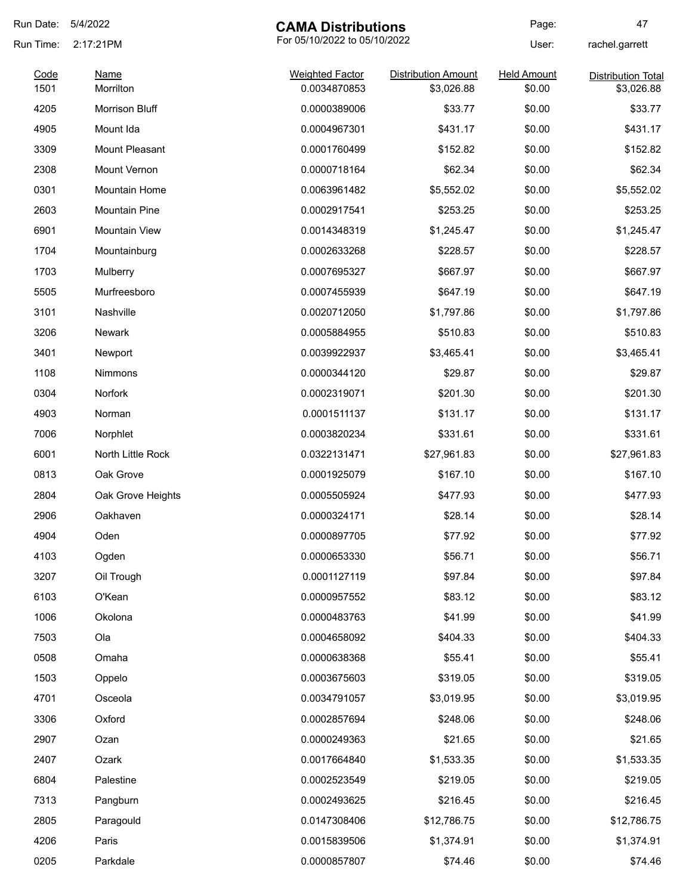| Run Date:    | 5/4/2022                 | <b>CAMA Distributions</b>              |                                          | Page:                        | 47                                      |
|--------------|--------------------------|----------------------------------------|------------------------------------------|------------------------------|-----------------------------------------|
| Run Time:    | 2:17:21PM                | For 05/10/2022 to 05/10/2022           |                                          | User:                        | rachel.garrett                          |
| Code<br>1501 | <b>Name</b><br>Morrilton | <b>Weighted Factor</b><br>0.0034870853 | <b>Distribution Amount</b><br>\$3,026.88 | <b>Held Amount</b><br>\$0.00 | <b>Distribution Total</b><br>\$3,026.88 |
| 4205         | Morrison Bluff           | 0.0000389006                           | \$33.77                                  | \$0.00                       | \$33.77                                 |
| 4905         | Mount Ida                | 0.0004967301                           | \$431.17                                 | \$0.00                       | \$431.17                                |
| 3309         | <b>Mount Pleasant</b>    | 0.0001760499                           | \$152.82                                 | \$0.00                       | \$152.82                                |
| 2308         | <b>Mount Vernon</b>      | 0.0000718164                           | \$62.34                                  | \$0.00                       | \$62.34                                 |
| 0301         | <b>Mountain Home</b>     | 0.0063961482                           | \$5,552.02                               | \$0.00                       | \$5,552.02                              |
| 2603         | <b>Mountain Pine</b>     | 0.0002917541                           | \$253.25                                 | \$0.00                       | \$253.25                                |
| 6901         | <b>Mountain View</b>     | 0.0014348319                           | \$1,245.47                               | \$0.00                       | \$1,245.47                              |
| 1704         | Mountainburg             | 0.0002633268                           | \$228.57                                 | \$0.00                       | \$228.57                                |
| 1703         | Mulberry                 | 0.0007695327                           | \$667.97                                 | \$0.00                       | \$667.97                                |
| 5505         | Murfreesboro             | 0.0007455939                           | \$647.19                                 | \$0.00                       | \$647.19                                |
| 3101         | Nashville                | 0.0020712050                           | \$1,797.86                               | \$0.00                       | \$1,797.86                              |
| 3206         | <b>Newark</b>            | 0.0005884955                           | \$510.83                                 | \$0.00                       | \$510.83                                |
| 3401         | Newport                  | 0.0039922937                           | \$3,465.41                               | \$0.00                       | \$3,465.41                              |
| 1108         | Nimmons                  | 0.0000344120                           | \$29.87                                  | \$0.00                       | \$29.87                                 |
| 0304         | Norfork                  | 0.0002319071                           | \$201.30                                 | \$0.00                       | \$201.30                                |
| 4903         | Norman                   | 0.0001511137                           | \$131.17                                 | \$0.00                       | \$131.17                                |
| 7006         | Norphlet                 | 0.0003820234                           | \$331.61                                 | \$0.00                       | \$331.61                                |
| 6001         | North Little Rock        | 0.0322131471                           | \$27,961.83                              | \$0.00                       | \$27,961.83                             |
| 0813         | Oak Grove                | 0.0001925079                           | \$167.10                                 | \$0.00                       | \$167.10                                |
| 2804         | Oak Grove Heights        | 0.0005505924                           | \$477.93                                 | \$0.00                       | \$477.93                                |
| 2906         | Oakhaven                 | 0.0000324171                           | \$28.14                                  | \$0.00                       | \$28.14                                 |
| 4904         | Oden                     | 0.0000897705                           | \$77.92                                  | \$0.00                       | \$77.92                                 |
| 4103         | Ogden                    | 0.0000653330                           | \$56.71                                  | \$0.00                       | \$56.71                                 |
| 3207         | Oil Trough               | 0.0001127119                           | \$97.84                                  | \$0.00                       | \$97.84                                 |
| 6103         | O'Kean                   | 0.0000957552                           | \$83.12                                  | \$0.00                       | \$83.12                                 |
| 1006         | Okolona                  | 0.0000483763                           | \$41.99                                  | \$0.00                       | \$41.99                                 |
| 7503         | Ola                      | 0.0004658092                           | \$404.33                                 | \$0.00                       | \$404.33                                |
| 0508         | Omaha                    | 0.0000638368                           | \$55.41                                  | \$0.00                       | \$55.41                                 |
| 1503         | Oppelo                   | 0.0003675603                           | \$319.05                                 | \$0.00                       | \$319.05                                |
| 4701         | Osceola                  | 0.0034791057                           | \$3,019.95                               | \$0.00                       | \$3,019.95                              |
| 3306         | Oxford                   | 0.0002857694                           | \$248.06                                 | \$0.00                       | \$248.06                                |
| 2907         | Ozan                     | 0.0000249363                           | \$21.65                                  | \$0.00                       | \$21.65                                 |
| 2407         | Ozark                    | 0.0017664840                           | \$1,533.35                               | \$0.00                       | \$1,533.35                              |
| 6804         | Palestine                | 0.0002523549                           | \$219.05                                 | \$0.00                       | \$219.05                                |
| 7313         | Pangburn                 | 0.0002493625                           | \$216.45                                 | \$0.00                       | \$216.45                                |
| 2805         | Paragould                | 0.0147308406                           | \$12,786.75                              | \$0.00                       | \$12,786.75                             |
| 4206         | Paris                    | 0.0015839506                           | \$1,374.91                               | \$0.00                       | \$1,374.91                              |
| 0205         | Parkdale                 | 0.0000857807                           | \$74.46                                  | \$0.00                       | \$74.46                                 |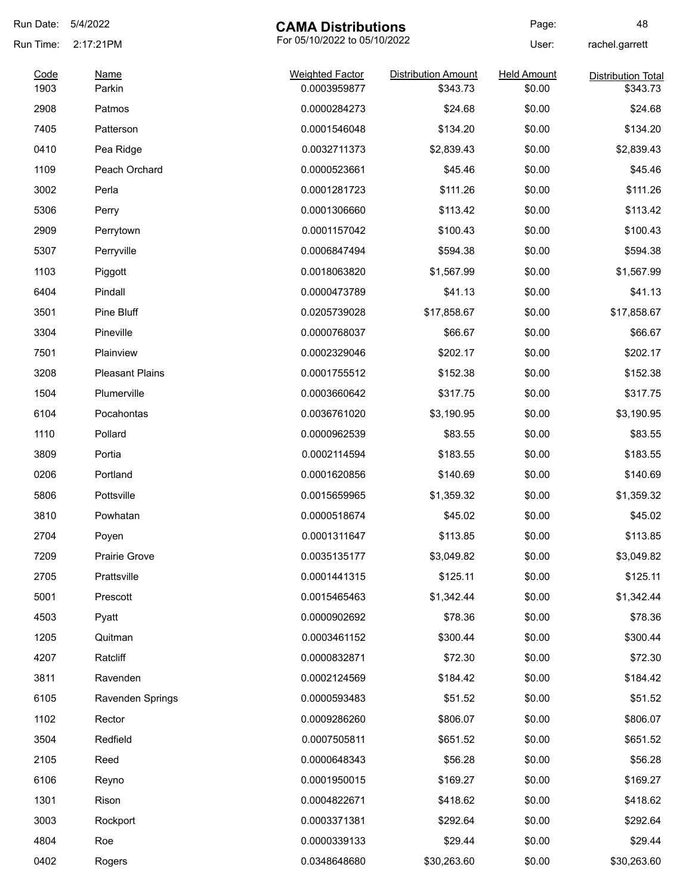| Run Date: | 5/4/2022               | <b>CAMA Distributions</b>    |                            | Page:              | 48                        |
|-----------|------------------------|------------------------------|----------------------------|--------------------|---------------------------|
| Run Time: | 2:17:21PM              | For 05/10/2022 to 05/10/2022 |                            | User:              | rachel.garrett            |
| Code      | <b>Name</b>            | <b>Weighted Factor</b>       | <b>Distribution Amount</b> | <b>Held Amount</b> | <b>Distribution Total</b> |
| 1903      | Parkin                 | 0.0003959877                 | \$343.73                   | \$0.00             | \$343.73                  |
| 2908      | Patmos                 | 0.0000284273                 | \$24.68                    | \$0.00             | \$24.68                   |
| 7405      | Patterson              | 0.0001546048                 | \$134.20                   | \$0.00             | \$134.20                  |
| 0410      | Pea Ridge              | 0.0032711373                 | \$2,839.43                 | \$0.00             | \$2,839.43                |
| 1109      | Peach Orchard          | 0.0000523661                 | \$45.46                    | \$0.00             | \$45.46                   |
| 3002      | Perla                  | 0.0001281723                 | \$111.26                   | \$0.00             | \$111.26                  |
| 5306      | Perry                  | 0.0001306660                 | \$113.42                   | \$0.00             | \$113.42                  |
| 2909      | Perrytown              | 0.0001157042                 | \$100.43                   | \$0.00             | \$100.43                  |
| 5307      | Perryville             | 0.0006847494                 | \$594.38                   | \$0.00             | \$594.38                  |
| 1103      | Piggott                | 0.0018063820                 | \$1,567.99                 | \$0.00             | \$1,567.99                |
| 6404      | Pindall                | 0.0000473789                 | \$41.13                    | \$0.00             | \$41.13                   |
| 3501      | Pine Bluff             | 0.0205739028                 | \$17,858.67                | \$0.00             | \$17,858.67               |
| 3304      | Pineville              | 0.0000768037                 | \$66.67                    | \$0.00             | \$66.67                   |
| 7501      | Plainview              | 0.0002329046                 | \$202.17                   | \$0.00             | \$202.17                  |
| 3208      | <b>Pleasant Plains</b> | 0.0001755512                 | \$152.38                   | \$0.00             | \$152.38                  |
| 1504      | Plumerville            | 0.0003660642                 | \$317.75                   | \$0.00             | \$317.75                  |
| 6104      | Pocahontas             | 0.0036761020                 | \$3,190.95                 | \$0.00             | \$3,190.95                |
| 1110      | Pollard                | 0.0000962539                 | \$83.55                    | \$0.00             | \$83.55                   |
| 3809      | Portia                 | 0.0002114594                 | \$183.55                   | \$0.00             | \$183.55                  |
| 0206      | Portland               | 0.0001620856                 | \$140.69                   | \$0.00             | \$140.69                  |
| 5806      | Pottsville             | 0.0015659965                 | \$1,359.32                 | \$0.00             | \$1,359.32                |
| 3810      | Powhatan               | 0.0000518674                 | \$45.02                    | \$0.00             | \$45.02                   |
| 2704      | Poyen                  | 0.0001311647                 | \$113.85                   | \$0.00             | \$113.85                  |
| 7209      | Prairie Grove          | 0.0035135177                 | \$3,049.82                 | \$0.00             | \$3,049.82                |
| 2705      | Prattsville            | 0.0001441315                 | \$125.11                   | \$0.00             | \$125.11                  |
| 5001      | Prescott               | 0.0015465463                 | \$1,342.44                 | \$0.00             | \$1,342.44                |
| 4503      | Pyatt                  | 0.0000902692                 | \$78.36                    | \$0.00             | \$78.36                   |
| 1205      | Quitman                | 0.0003461152                 | \$300.44                   | \$0.00             | \$300.44                  |
| 4207      | Ratcliff               | 0.0000832871                 | \$72.30                    | \$0.00             | \$72.30                   |
| 3811      | Ravenden               | 0.0002124569                 | \$184.42                   | \$0.00             | \$184.42                  |
| 6105      | Ravenden Springs       | 0.0000593483                 | \$51.52                    | \$0.00             | \$51.52                   |
| 1102      | Rector                 | 0.0009286260                 | \$806.07                   | \$0.00             | \$806.07                  |
| 3504      | Redfield               | 0.0007505811                 | \$651.52                   | \$0.00             | \$651.52                  |
| 2105      | Reed                   | 0.0000648343                 | \$56.28                    | \$0.00             | \$56.28                   |
|           |                        |                              |                            |                    |                           |
| 6106      | Reyno                  | 0.0001950015                 | \$169.27                   | \$0.00             | \$169.27                  |
| 1301      | Rison                  | 0.0004822671                 | \$418.62                   | \$0.00             | \$418.62                  |
| 3003      | Rockport               | 0.0003371381                 | \$292.64                   | \$0.00             | \$292.64                  |
| 4804      | Roe                    | 0.0000339133                 | \$29.44                    | \$0.00             | \$29.44                   |
| 0402      | Rogers                 | 0.0348648680                 | \$30,263.60                | \$0.00             | \$30,263.60               |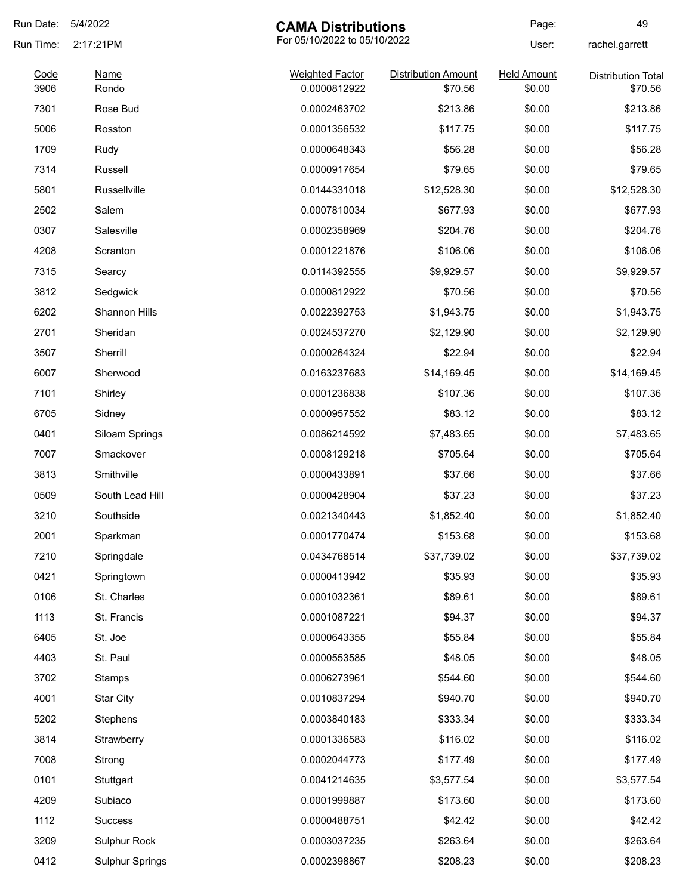| Run Date:    | 5/4/2022               | <b>CAMA Distributions</b>              |                                       | Page:                        | 49                                   |
|--------------|------------------------|----------------------------------------|---------------------------------------|------------------------------|--------------------------------------|
| Run Time:    | 2:17:21PM              | For 05/10/2022 to 05/10/2022           |                                       | User:                        | rachel.garrett                       |
| Code<br>3906 | <b>Name</b><br>Rondo   | <b>Weighted Factor</b><br>0.0000812922 | <b>Distribution Amount</b><br>\$70.56 | <b>Held Amount</b><br>\$0.00 | <b>Distribution Total</b><br>\$70.56 |
| 7301         | Rose Bud               | 0.0002463702                           | \$213.86                              | \$0.00                       | \$213.86                             |
| 5006         | Rosston                | 0.0001356532                           | \$117.75                              | \$0.00                       | \$117.75                             |
| 1709         | Rudy                   | 0.0000648343                           | \$56.28                               | \$0.00                       | \$56.28                              |
| 7314         | Russell                | 0.0000917654                           | \$79.65                               | \$0.00                       | \$79.65                              |
| 5801         | Russellville           | 0.0144331018                           | \$12,528.30                           | \$0.00                       | \$12,528.30                          |
| 2502         | Salem                  | 0.0007810034                           | \$677.93                              | \$0.00                       | \$677.93                             |
| 0307         | Salesville             | 0.0002358969                           | \$204.76                              | \$0.00                       | \$204.76                             |
| 4208         | Scranton               | 0.0001221876                           | \$106.06                              | \$0.00                       | \$106.06                             |
| 7315         | Searcy                 | 0.0114392555                           | \$9,929.57                            | \$0.00                       | \$9,929.57                           |
| 3812         | Sedgwick               | 0.0000812922                           | \$70.56                               | \$0.00                       | \$70.56                              |
| 6202         | Shannon Hills          | 0.0022392753                           | \$1,943.75                            | \$0.00                       | \$1,943.75                           |
| 2701         | Sheridan               | 0.0024537270                           | \$2,129.90                            | \$0.00                       | \$2,129.90                           |
| 3507         | Sherrill               | 0.0000264324                           | \$22.94                               | \$0.00                       | \$22.94                              |
| 6007         | Sherwood               | 0.0163237683                           | \$14,169.45                           | \$0.00                       | \$14,169.45                          |
| 7101         | Shirley                | 0.0001236838                           | \$107.36                              | \$0.00                       | \$107.36                             |
| 6705         | Sidney                 | 0.0000957552                           | \$83.12                               | \$0.00                       | \$83.12                              |
| 0401         | Siloam Springs         | 0.0086214592                           | \$7,483.65                            | \$0.00                       | \$7,483.65                           |
| 7007         | Smackover              | 0.0008129218                           | \$705.64                              | \$0.00                       | \$705.64                             |
| 3813         | Smithville             | 0.0000433891                           | \$37.66                               | \$0.00                       | \$37.66                              |
| 0509         | South Lead Hill        | 0.0000428904                           | \$37.23                               | \$0.00                       | \$37.23                              |
| 3210         | Southside              | 0.0021340443                           | \$1,852.40                            | \$0.00                       | \$1,852.40                           |
| 2001         | Sparkman               | 0.0001770474                           | \$153.68                              | \$0.00                       | \$153.68                             |
| 7210         | Springdale             | 0.0434768514                           | \$37,739.02                           | \$0.00                       | \$37,739.02                          |
| 0421         | Springtown             | 0.0000413942                           | \$35.93                               | \$0.00                       | \$35.93                              |
| 0106         | St. Charles            | 0.0001032361                           | \$89.61                               | \$0.00                       | \$89.61                              |
| 1113         | St. Francis            | 0.0001087221                           | \$94.37                               | \$0.00                       | \$94.37                              |
| 6405         | St. Joe                | 0.0000643355                           | \$55.84                               | \$0.00                       | \$55.84                              |
| 4403         | St. Paul               | 0.0000553585                           | \$48.05                               | \$0.00                       | \$48.05                              |
| 3702         | Stamps                 | 0.0006273961                           | \$544.60                              | \$0.00                       | \$544.60                             |
| 4001         | <b>Star City</b>       | 0.0010837294                           | \$940.70                              | \$0.00                       | \$940.70                             |
| 5202         | Stephens               | 0.0003840183                           | \$333.34                              | \$0.00                       | \$333.34                             |
| 3814         | Strawberry             | 0.0001336583                           | \$116.02                              | \$0.00                       | \$116.02                             |
| 7008         | Strong                 | 0.0002044773                           | \$177.49                              | \$0.00                       | \$177.49                             |
| 0101         | Stuttgart              | 0.0041214635                           | \$3,577.54                            | \$0.00                       | \$3,577.54                           |
| 4209         | Subiaco                | 0.0001999887                           | \$173.60                              | \$0.00                       | \$173.60                             |
| 1112         | <b>Success</b>         | 0.0000488751                           | \$42.42                               | \$0.00                       | \$42.42                              |
| 3209         | Sulphur Rock           | 0.0003037235                           | \$263.64                              | \$0.00                       | \$263.64                             |
| 0412         | <b>Sulphur Springs</b> | 0.0002398867                           | \$208.23                              | \$0.00                       | \$208.23                             |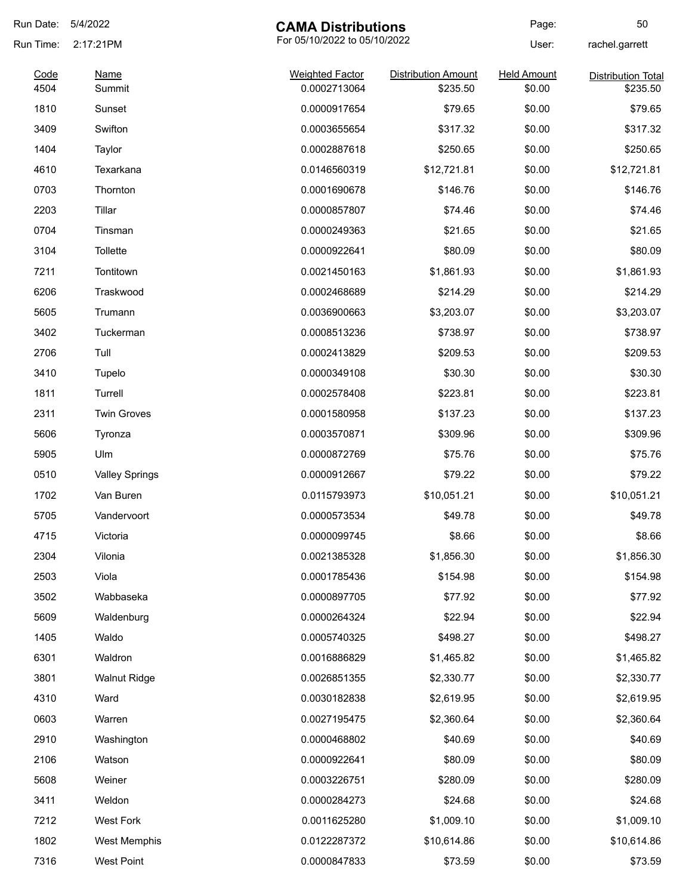| Run Date:    | 5/4/2022              | <b>CAMA Distributions</b>              |                                        | Page:                        | 50                                    |
|--------------|-----------------------|----------------------------------------|----------------------------------------|------------------------------|---------------------------------------|
| Run Time:    | 2:17:21PM             | For 05/10/2022 to 05/10/2022           |                                        | User:                        | rachel.garrett                        |
| Code<br>4504 | <b>Name</b><br>Summit | <b>Weighted Factor</b><br>0.0002713064 | <b>Distribution Amount</b><br>\$235.50 | <b>Held Amount</b><br>\$0.00 | <b>Distribution Total</b><br>\$235.50 |
| 1810         | Sunset                | 0.0000917654                           | \$79.65                                | \$0.00                       | \$79.65                               |
| 3409         | Swifton               | 0.0003655654                           | \$317.32                               | \$0.00                       | \$317.32                              |
| 1404         |                       | 0.0002887618                           | \$250.65                               | \$0.00                       | \$250.65                              |
| 4610         | Taylor<br>Texarkana   | 0.0146560319                           |                                        | \$0.00                       |                                       |
|              |                       |                                        | \$12,721.81                            |                              | \$12,721.81                           |
| 0703         | Thornton              | 0.0001690678                           | \$146.76                               | \$0.00                       | \$146.76                              |
| 2203         | Tillar                | 0.0000857807                           | \$74.46                                | \$0.00                       | \$74.46                               |
| 0704         | Tinsman               | 0.0000249363                           | \$21.65                                | \$0.00                       | \$21.65                               |
| 3104         | <b>Tollette</b>       | 0.0000922641                           | \$80.09                                | \$0.00                       | \$80.09                               |
| 7211         | Tontitown             | 0.0021450163                           | \$1,861.93                             | \$0.00                       | \$1,861.93                            |
| 6206         | Traskwood             | 0.0002468689                           | \$214.29                               | \$0.00                       | \$214.29                              |
| 5605         | Trumann               | 0.0036900663                           | \$3,203.07                             | \$0.00                       | \$3,203.07                            |
| 3402         | Tuckerman             | 0.0008513236                           | \$738.97                               | \$0.00                       | \$738.97                              |
| 2706         | Tull                  | 0.0002413829                           | \$209.53                               | \$0.00                       | \$209.53                              |
| 3410         | Tupelo                | 0.0000349108                           | \$30.30                                | \$0.00                       | \$30.30                               |
| 1811         | Turrell               | 0.0002578408                           | \$223.81                               | \$0.00                       | \$223.81                              |
| 2311         | <b>Twin Groves</b>    | 0.0001580958                           | \$137.23                               | \$0.00                       | \$137.23                              |
| 5606         | Tyronza               | 0.0003570871                           | \$309.96                               | \$0.00                       | \$309.96                              |
| 5905         | Ulm                   | 0.0000872769                           | \$75.76                                | \$0.00                       | \$75.76                               |
| 0510         | <b>Valley Springs</b> | 0.0000912667                           | \$79.22                                | \$0.00                       | \$79.22                               |
| 1702         | Van Buren             | 0.0115793973                           | \$10,051.21                            | \$0.00                       | \$10,051.21                           |
| 5705         | Vandervoort           | 0.0000573534                           | \$49.78                                | \$0.00                       | \$49.78                               |
| 4715         | Victoria              | 0.0000099745                           | \$8.66                                 | \$0.00                       | \$8.66                                |
| 2304         | Vilonia               | 0.0021385328                           | \$1,856.30                             | \$0.00                       | \$1,856.30                            |
| 2503         | Viola                 | 0.0001785436                           | \$154.98                               | \$0.00                       | \$154.98                              |
| 3502         | Wabbaseka             | 0.0000897705                           | \$77.92                                | \$0.00                       | \$77.92                               |
| 5609         | Waldenburg            | 0.0000264324                           | \$22.94                                | \$0.00                       | \$22.94                               |
| 1405         | Waldo                 | 0.0005740325                           | \$498.27                               | \$0.00                       | \$498.27                              |
| 6301         | Waldron               | 0.0016886829                           | \$1,465.82                             | \$0.00                       | \$1,465.82                            |
| 3801         | <b>Walnut Ridge</b>   | 0.0026851355                           | \$2,330.77                             | \$0.00                       | \$2,330.77                            |
| 4310         | Ward                  | 0.0030182838                           | \$2,619.95                             | \$0.00                       | \$2,619.95                            |
| 0603         | Warren                | 0.0027195475                           | \$2,360.64                             | \$0.00                       | \$2,360.64                            |
|              |                       |                                        |                                        |                              |                                       |
| 2910         | Washington            | 0.0000468802                           | \$40.69                                | \$0.00                       | \$40.69                               |
| 2106         | Watson                | 0.0000922641                           | \$80.09                                | \$0.00                       | \$80.09                               |
| 5608         | Weiner                | 0.0003226751                           | \$280.09                               | \$0.00                       | \$280.09                              |
| 3411         | Weldon                | 0.0000284273                           | \$24.68                                | \$0.00                       | \$24.68                               |
| 7212         | West Fork             | 0.0011625280                           | \$1,009.10                             | \$0.00                       | \$1,009.10                            |
| 1802         | West Memphis          | 0.0122287372                           | \$10,614.86                            | \$0.00                       | \$10,614.86                           |
| 7316         | <b>West Point</b>     | 0.0000847833                           | \$73.59                                | \$0.00                       | \$73.59                               |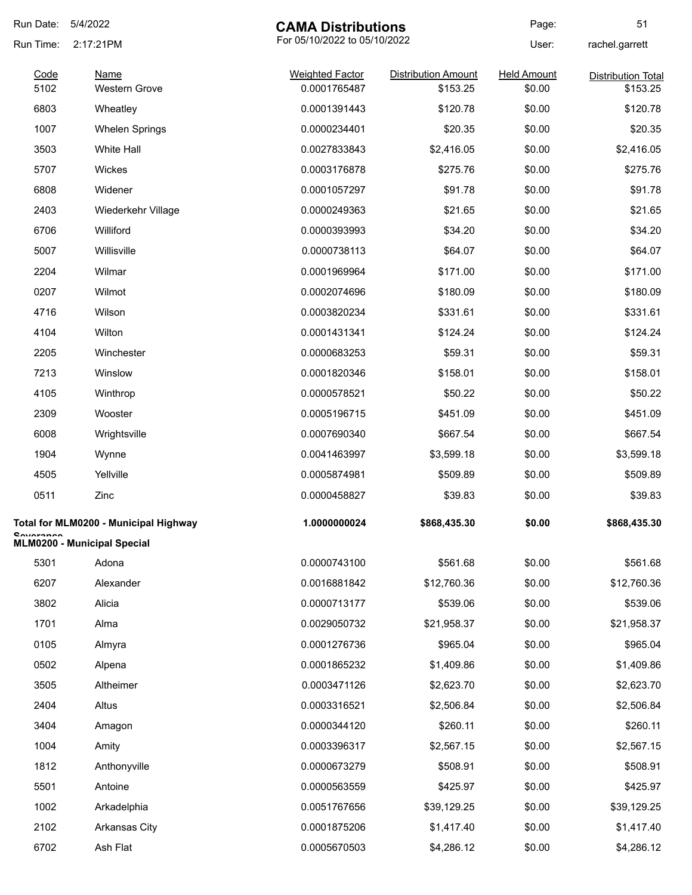| Run Date:<br>5/4/2022 |                                       | <b>CAMA Distributions</b>              |                                        | Page:                        | 51                                    |
|-----------------------|---------------------------------------|----------------------------------------|----------------------------------------|------------------------------|---------------------------------------|
| Run Time:             | 2:17:21PM                             | For 05/10/2022 to 05/10/2022           |                                        | User:                        | rachel.garrett                        |
| Code<br>5102          | <b>Name</b><br><b>Western Grove</b>   | <b>Weighted Factor</b><br>0.0001765487 | <b>Distribution Amount</b><br>\$153.25 | <b>Held Amount</b><br>\$0.00 | <b>Distribution Total</b><br>\$153.25 |
| 6803                  | Wheatley                              | 0.0001391443                           | \$120.78                               | \$0.00                       | \$120.78                              |
| 1007                  | <b>Whelen Springs</b>                 | 0.0000234401                           | \$20.35                                | \$0.00                       | \$20.35                               |
| 3503                  | <b>White Hall</b>                     | 0.0027833843                           | \$2,416.05                             | \$0.00                       | \$2,416.05                            |
| 5707                  | Wickes                                | 0.0003176878                           | \$275.76                               | \$0.00                       | \$275.76                              |
| 6808                  | Widener                               | 0.0001057297                           | \$91.78                                | \$0.00                       | \$91.78                               |
| 2403                  | Wiederkehr Village                    | 0.0000249363                           | \$21.65                                | \$0.00                       | \$21.65                               |
| 6706                  | Williford                             | 0.0000393993                           | \$34.20                                | \$0.00                       | \$34.20                               |
| 5007                  | Willisville                           | 0.0000738113                           | \$64.07                                | \$0.00                       | \$64.07                               |
| 2204                  | Wilmar                                | 0.0001969964                           | \$171.00                               | \$0.00                       | \$171.00                              |
| 0207                  | Wilmot                                | 0.0002074696                           | \$180.09                               | \$0.00                       | \$180.09                              |
| 4716                  | Wilson                                | 0.0003820234                           | \$331.61                               | \$0.00                       | \$331.61                              |
| 4104                  | Wilton                                | 0.0001431341                           | \$124.24                               | \$0.00                       | \$124.24                              |
| 2205                  | Winchester                            | 0.0000683253                           | \$59.31                                | \$0.00                       | \$59.31                               |
| 7213                  | Winslow                               | 0.0001820346                           | \$158.01                               | \$0.00                       | \$158.01                              |
| 4105                  | Winthrop                              | 0.0000578521                           | \$50.22                                | \$0.00                       | \$50.22                               |
| 2309                  | Wooster                               | 0.0005196715                           | \$451.09                               | \$0.00                       | \$451.09                              |
| 6008                  | Wrightsville                          | 0.0007690340                           | \$667.54                               | \$0.00                       | \$667.54                              |
| 1904                  | Wynne                                 | 0.0041463997                           | \$3,599.18                             | \$0.00                       | \$3,599.18                            |
| 4505                  | Yellville                             | 0.0005874981                           | \$509.89                               | \$0.00                       | \$509.89                              |
| 0511                  | Zinc                                  | 0.0000458827                           | \$39.83                                | \$0.00                       | \$39.83                               |
|                       | Total for MLM0200 - Municipal Highway | 1.0000000024                           | \$868,435.30                           | \$0.00                       | \$868,435.30                          |
| <b>Countance</b>      | <b>MLM0200 - Municipal Special</b>    |                                        |                                        |                              |                                       |
| 5301                  | Adona                                 | 0.0000743100                           | \$561.68                               | \$0.00                       | \$561.68                              |
| 6207                  | Alexander                             | 0.0016881842                           | \$12,760.36                            | \$0.00                       | \$12,760.36                           |
| 3802                  | Alicia                                | 0.0000713177                           | \$539.06                               | \$0.00                       | \$539.06                              |
| 1701                  | Alma                                  | 0.0029050732                           | \$21,958.37                            | \$0.00                       | \$21,958.37                           |
| 0105                  | Almyra                                | 0.0001276736                           | \$965.04                               | \$0.00                       | \$965.04                              |
| 0502                  | Alpena                                | 0.0001865232                           | \$1,409.86                             | \$0.00                       | \$1,409.86                            |
| 3505                  | Altheimer                             | 0.0003471126                           | \$2,623.70                             | \$0.00                       | \$2,623.70                            |
| 2404                  | Altus                                 | 0.0003316521                           | \$2,506.84                             | \$0.00                       | \$2,506.84                            |
| 3404                  | Amagon                                | 0.0000344120                           | \$260.11                               | \$0.00                       | \$260.11                              |
| 1004                  | Amity                                 | 0.0003396317                           | \$2,567.15                             | \$0.00                       | \$2,567.15                            |
| 1812                  | Anthonyville                          | 0.0000673279                           | \$508.91                               | \$0.00                       | \$508.91                              |
| 5501                  | Antoine                               | 0.0000563559                           | \$425.97                               | \$0.00                       | \$425.97                              |
| 1002                  | Arkadelphia                           | 0.0051767656                           | \$39,129.25                            | \$0.00                       | \$39,129.25                           |
| 2102                  | Arkansas City                         | 0.0001875206                           | \$1,417.40                             | \$0.00                       | \$1,417.40                            |
| 6702                  | Ash Flat                              | 0.0005670503                           | \$4,286.12                             | \$0.00                       | \$4,286.12                            |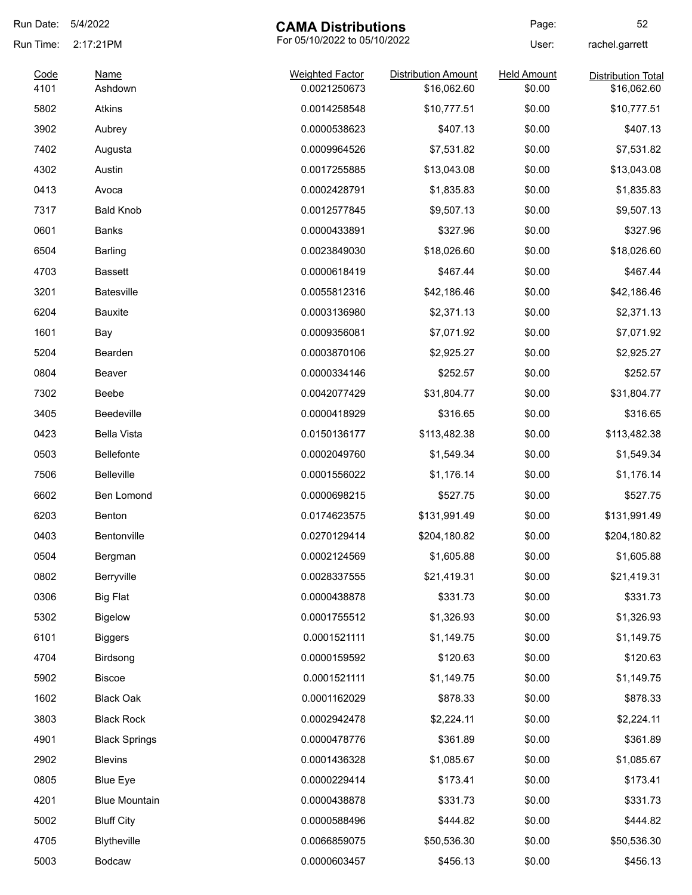| Run Date: | 5/4/2022                                  | <b>CAMA Distributions</b> |                            | Page:              | 52                        |
|-----------|-------------------------------------------|---------------------------|----------------------------|--------------------|---------------------------|
| Run Time: | For 05/10/2022 to 05/10/2022<br>2:17:21PM |                           | User:                      | rachel.garrett     |                           |
| Code      | <b>Name</b>                               | <b>Weighted Factor</b>    | <b>Distribution Amount</b> | <b>Held Amount</b> | <b>Distribution Total</b> |
| 4101      | Ashdown                                   | 0.0021250673              | \$16,062.60                | \$0.00             | \$16,062.60               |
| 5802      | Atkins                                    | 0.0014258548              | \$10,777.51                | \$0.00             | \$10,777.51               |
| 3902      | Aubrey                                    | 0.0000538623              | \$407.13                   | \$0.00             | \$407.13                  |
| 7402      | Augusta                                   | 0.0009964526              | \$7,531.82                 | \$0.00             | \$7,531.82                |
| 4302      | Austin                                    | 0.0017255885              | \$13,043.08                | \$0.00             | \$13,043.08               |
| 0413      | Avoca                                     | 0.0002428791              | \$1,835.83                 | \$0.00             | \$1,835.83                |
| 7317      | <b>Bald Knob</b>                          | 0.0012577845              | \$9,507.13                 | \$0.00             | \$9,507.13                |
| 0601      | Banks                                     | 0.0000433891              | \$327.96                   | \$0.00             | \$327.96                  |
| 6504      | Barling                                   | 0.0023849030              | \$18,026.60                | \$0.00             | \$18,026.60               |
| 4703      | <b>Bassett</b>                            | 0.0000618419              | \$467.44                   | \$0.00             | \$467.44                  |
| 3201      | <b>Batesville</b>                         | 0.0055812316              | \$42,186.46                | \$0.00             | \$42,186.46               |
| 6204      | <b>Bauxite</b>                            | 0.0003136980              | \$2,371.13                 | \$0.00             | \$2,371.13                |
| 1601      | Bay                                       | 0.0009356081              | \$7,071.92                 | \$0.00             | \$7,071.92                |
| 5204      | Bearden                                   | 0.0003870106              | \$2,925.27                 | \$0.00             | \$2,925.27                |
| 0804      | Beaver                                    | 0.0000334146              | \$252.57                   | \$0.00             | \$252.57                  |
| 7302      | Beebe                                     | 0.0042077429              | \$31,804.77                | \$0.00             | \$31,804.77               |
| 3405      | <b>Beedeville</b>                         | 0.0000418929              | \$316.65                   | \$0.00             | \$316.65                  |
| 0423      | <b>Bella Vista</b>                        | 0.0150136177              | \$113,482.38               | \$0.00             | \$113,482.38              |
| 0503      | <b>Bellefonte</b>                         | 0.0002049760              | \$1,549.34                 | \$0.00             | \$1,549.34                |
| 7506      | Belleville                                | 0.0001556022              | \$1,176.14                 | \$0.00             | \$1,176.14                |
| 6602      | Ben Lomond                                | 0.0000698215              | \$527.75                   | \$0.00             | \$527.75                  |
| 6203      | Benton                                    | 0.0174623575              | \$131,991.49               | \$0.00             | \$131,991.49              |
| 0403      | Bentonville                               | 0.0270129414              | \$204,180.82               | \$0.00             | \$204,180.82              |
| 0504      | Bergman                                   | 0.0002124569              | \$1,605.88                 | \$0.00             | \$1,605.88                |
| 0802      | Berryville                                | 0.0028337555              | \$21,419.31                | \$0.00             | \$21,419.31               |
| 0306      | <b>Big Flat</b>                           | 0.0000438878              | \$331.73                   | \$0.00             | \$331.73                  |
| 5302      | <b>Bigelow</b>                            | 0.0001755512              | \$1,326.93                 | \$0.00             | \$1,326.93                |
| 6101      | <b>Biggers</b>                            | 0.0001521111              | \$1,149.75                 | \$0.00             | \$1,149.75                |
| 4704      | Birdsong                                  | 0.0000159592              | \$120.63                   | \$0.00             | \$120.63                  |
| 5902      | <b>Biscoe</b>                             | 0.0001521111              | \$1,149.75                 | \$0.00             | \$1,149.75                |
| 1602      | <b>Black Oak</b>                          | 0.0001162029              | \$878.33                   | \$0.00             | \$878.33                  |
| 3803      | <b>Black Rock</b>                         | 0.0002942478              | \$2,224.11                 | \$0.00             | \$2,224.11                |
| 4901      | <b>Black Springs</b>                      | 0.0000478776              | \$361.89                   | \$0.00             | \$361.89                  |
| 2902      | <b>Blevins</b>                            | 0.0001436328              | \$1,085.67                 | \$0.00             | \$1,085.67                |
| 0805      | <b>Blue Eye</b>                           | 0.0000229414              | \$173.41                   | \$0.00             | \$173.41                  |
| 4201      | <b>Blue Mountain</b>                      | 0.0000438878              | \$331.73                   | \$0.00             | \$331.73                  |
| 5002      | <b>Bluff City</b>                         | 0.0000588496              | \$444.82                   | \$0.00             | \$444.82                  |
| 4705      | Blytheville                               | 0.0066859075              | \$50,536.30                | \$0.00             | \$50,536.30               |
|           |                                           |                           |                            |                    |                           |
| 5003      | Bodcaw                                    | 0.0000603457              | \$456.13                   | \$0.00             | \$456.13                  |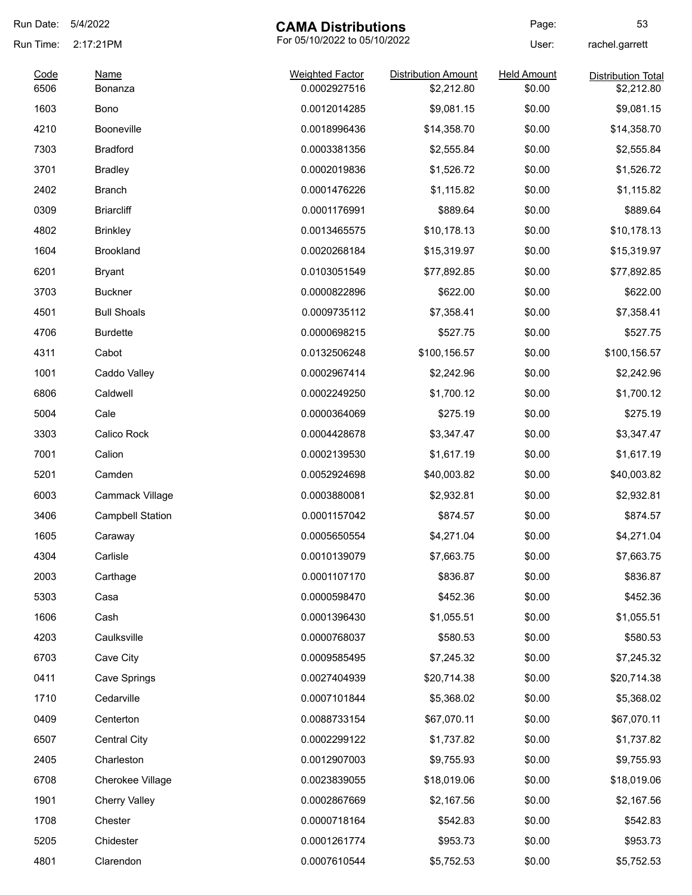| Run Date:    | 5/4/2022                | <b>CAMA Distributions</b>              |                                          | Page:                        | 53                                      |
|--------------|-------------------------|----------------------------------------|------------------------------------------|------------------------------|-----------------------------------------|
| Run Time:    | 2:17:21PM               | For 05/10/2022 to 05/10/2022           |                                          | User:                        | rachel.garrett                          |
| Code<br>6506 | Name<br>Bonanza         | <b>Weighted Factor</b><br>0.0002927516 | <b>Distribution Amount</b><br>\$2,212.80 | <b>Held Amount</b><br>\$0.00 | <b>Distribution Total</b><br>\$2,212.80 |
| 1603         | <b>Bono</b>             | 0.0012014285                           | \$9,081.15                               | \$0.00                       | \$9,081.15                              |
| 4210         | <b>Booneville</b>       | 0.0018996436                           | \$14,358.70                              | \$0.00                       | \$14,358.70                             |
| 7303         | <b>Bradford</b>         | 0.0003381356                           | \$2,555.84                               | \$0.00                       | \$2,555.84                              |
| 3701         | <b>Bradley</b>          | 0.0002019836                           | \$1,526.72                               | \$0.00                       | \$1,526.72                              |
| 2402         | Branch                  | 0.0001476226                           | \$1,115.82                               | \$0.00                       | \$1,115.82                              |
| 0309         | <b>Briarcliff</b>       | 0.0001176991                           | \$889.64                                 | \$0.00                       | \$889.64                                |
| 4802         | <b>Brinkley</b>         | 0.0013465575                           | \$10,178.13                              | \$0.00                       | \$10,178.13                             |
| 1604         | <b>Brookland</b>        | 0.0020268184                           | \$15,319.97                              | \$0.00                       | \$15,319.97                             |
| 6201         | Bryant                  | 0.0103051549                           | \$77,892.85                              | \$0.00                       | \$77,892.85                             |
| 3703         | <b>Buckner</b>          | 0.0000822896                           | \$622.00                                 | \$0.00                       | \$622.00                                |
| 4501         | <b>Bull Shoals</b>      | 0.0009735112                           | \$7,358.41                               | \$0.00                       | \$7,358.41                              |
| 4706         | <b>Burdette</b>         | 0.0000698215                           | \$527.75                                 | \$0.00                       | \$527.75                                |
| 4311         | Cabot                   | 0.0132506248                           | \$100,156.57                             | \$0.00                       | \$100,156.57                            |
| 1001         | Caddo Valley            | 0.0002967414                           | \$2,242.96                               | \$0.00                       | \$2,242.96                              |
| 6806         | Caldwell                | 0.0002249250                           | \$1,700.12                               | \$0.00                       | \$1,700.12                              |
| 5004         | Cale                    | 0.0000364069                           | \$275.19                                 | \$0.00                       | \$275.19                                |
| 3303         | Calico Rock             | 0.0004428678                           | \$3,347.47                               | \$0.00                       | \$3,347.47                              |
| 7001         | Calion                  | 0.0002139530                           | \$1,617.19                               | \$0.00                       | \$1,617.19                              |
| 5201         | Camden                  | 0.0052924698                           | \$40,003.82                              | \$0.00                       | \$40,003.82                             |
| 6003         | Cammack Village         | 0.0003880081                           | \$2,932.81                               | \$0.00                       | \$2,932.81                              |
| 3406         | <b>Campbell Station</b> | 0.0001157042                           | \$874.57                                 | \$0.00                       | \$874.57                                |
| 1605         | Caraway                 | 0.0005650554                           | \$4,271.04                               | \$0.00                       | \$4,271.04                              |
| 4304         | Carlisle                | 0.0010139079                           | \$7,663.75                               | \$0.00                       | \$7,663.75                              |
| 2003         | Carthage                | 0.0001107170                           | \$836.87                                 | \$0.00                       | \$836.87                                |
| 5303         | Casa                    | 0.0000598470                           | \$452.36                                 | \$0.00                       | \$452.36                                |
| 1606         | Cash                    | 0.0001396430                           | \$1,055.51                               | \$0.00                       | \$1,055.51                              |
| 4203         | Caulksville             | 0.0000768037                           | \$580.53                                 | \$0.00                       | \$580.53                                |
| 6703         | Cave City               | 0.0009585495                           | \$7,245.32                               | \$0.00                       | \$7,245.32                              |
| 0411         | Cave Springs            | 0.0027404939                           | \$20,714.38                              | \$0.00                       | \$20,714.38                             |
| 1710         | Cedarville              | 0.0007101844                           | \$5,368.02                               | \$0.00                       | \$5,368.02                              |
| 0409         | Centerton               | 0.0088733154                           | \$67,070.11                              | \$0.00                       | \$67,070.11                             |
| 6507         | <b>Central City</b>     | 0.0002299122                           | \$1,737.82                               | \$0.00                       | \$1,737.82                              |
| 2405         | Charleston              | 0.0012907003                           | \$9,755.93                               | \$0.00                       | \$9,755.93                              |
| 6708         | Cherokee Village        | 0.0023839055                           | \$18,019.06                              | \$0.00                       | \$18,019.06                             |
| 1901         | <b>Cherry Valley</b>    | 0.0002867669                           | \$2,167.56                               | \$0.00                       | \$2,167.56                              |
| 1708         | Chester                 | 0.0000718164                           | \$542.83                                 | \$0.00                       | \$542.83                                |
| 5205         | Chidester               | 0.0001261774                           | \$953.73                                 | \$0.00                       | \$953.73                                |
| 4801         | Clarendon               | 0.0007610544                           | \$5,752.53                               | \$0.00                       | \$5,752.53                              |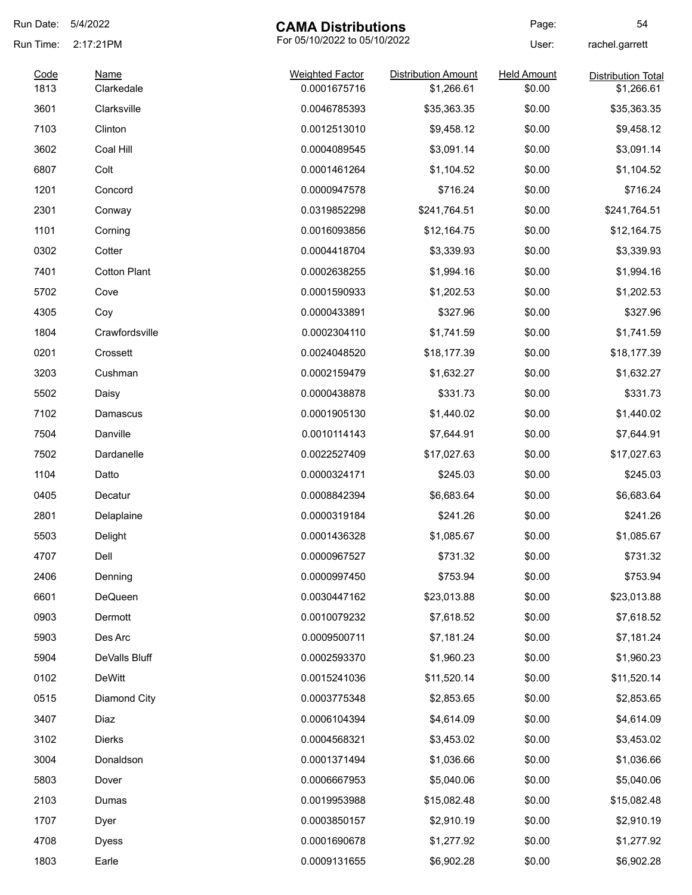| Run Date:    | 5/4/2022                  | <b>CAMA Distributions</b>              |                                          | Page:                        | 54                                      |
|--------------|---------------------------|----------------------------------------|------------------------------------------|------------------------------|-----------------------------------------|
| Run Time:    | 2:17:21PM                 | For 05/10/2022 to 05/10/2022           |                                          | User:                        | rachel.garrett                          |
| Code<br>1813 | <b>Name</b><br>Clarkedale | <b>Weighted Factor</b><br>0.0001675716 | <b>Distribution Amount</b><br>\$1,266.61 | <b>Held Amount</b><br>\$0.00 | <b>Distribution Total</b><br>\$1,266.61 |
| 3601         | Clarksville               | 0.0046785393                           | \$35,363.35                              | \$0.00                       | \$35,363.35                             |
| 7103         | Clinton                   | 0.0012513010                           | \$9,458.12                               | \$0.00                       | \$9,458.12                              |
| 3602         | Coal Hill                 | 0.0004089545                           | \$3,091.14                               | \$0.00                       | \$3,091.14                              |
| 6807         | Colt                      | 0.0001461264                           | \$1,104.52                               | \$0.00                       | \$1,104.52                              |
| 1201         | Concord                   | 0.0000947578                           | \$716.24                                 | \$0.00                       | \$716.24                                |
| 2301         | Conway                    | 0.0319852298                           | \$241,764.51                             | \$0.00                       | \$241,764.51                            |
| 1101         | Corning                   | 0.0016093856                           | \$12,164.75                              | \$0.00                       | \$12,164.75                             |
| 0302         | Cotter                    | 0.0004418704                           | \$3,339.93                               | \$0.00                       | \$3,339.93                              |
| 7401         | <b>Cotton Plant</b>       | 0.0002638255                           | \$1,994.16                               | \$0.00                       | \$1,994.16                              |
| 5702         | Cove                      | 0.0001590933                           | \$1,202.53                               | \$0.00                       | \$1,202.53                              |
| 4305         | Coy                       | 0.0000433891                           | \$327.96                                 | \$0.00                       | \$327.96                                |
| 1804         | Crawfordsville            | 0.0002304110                           | \$1,741.59                               | \$0.00                       | \$1,741.59                              |
| 0201         | Crossett                  | 0.0024048520                           | \$18,177.39                              | \$0.00                       | \$18,177.39                             |
| 3203         | Cushman                   | 0.0002159479                           | \$1,632.27                               | \$0.00                       | \$1,632.27                              |
| 5502         | Daisy                     | 0.0000438878                           | \$331.73                                 | \$0.00                       | \$331.73                                |
| 7102         | Damascus                  | 0.0001905130                           | \$1,440.02                               | \$0.00                       | \$1,440.02                              |
| 7504         | Danville                  | 0.0010114143                           | \$7,644.91                               | \$0.00                       | \$7,644.91                              |
| 7502         | Dardanelle                | 0.0022527409                           | \$17,027.63                              | \$0.00                       | \$17,027.63                             |
| 1104         | Datto                     | 0.0000324171                           | \$245.03                                 | \$0.00                       | \$245.03                                |
| 0405         | Decatur                   | 0.0008842394                           | \$6,683.64                               | \$0.00                       | \$6,683.64                              |
| 2801         | Delaplaine                | 0.0000319184                           | \$241.26                                 | \$0.00                       | \$241.26                                |
| 5503         | Delight                   | 0.0001436328                           | \$1,085.67                               | \$0.00                       | \$1,085.67                              |
| 4707         | Dell                      | 0.0000967527                           | \$731.32                                 | \$0.00                       | \$731.32                                |
| 2406         | Denning                   | 0.0000997450                           | \$753.94                                 | \$0.00                       | \$753.94                                |
| 6601         | DeQueen                   | 0.0030447162                           | \$23,013.88                              | \$0.00                       | \$23,013.88                             |
| 0903         | Dermott                   | 0.0010079232                           | \$7,618.52                               | \$0.00                       | \$7,618.52                              |
| 5903         | Des Arc                   | 0.0009500711                           | \$7,181.24                               | \$0.00                       | \$7,181.24                              |
| 5904         | DeValls Bluff             | 0.0002593370                           | \$1,960.23                               | \$0.00                       | \$1,960.23                              |
| 0102         | <b>DeWitt</b>             | 0.0015241036                           | \$11,520.14                              | \$0.00                       | \$11,520.14                             |
| 0515         | Diamond City              | 0.0003775348                           | \$2,853.65                               | \$0.00                       | \$2,853.65                              |
| 3407         | Diaz                      | 0.0006104394                           | \$4,614.09                               | \$0.00                       | \$4,614.09                              |
| 3102         | <b>Dierks</b>             | 0.0004568321                           | \$3,453.02                               | \$0.00                       | \$3,453.02                              |
| 3004         | Donaldson                 | 0.0001371494                           | \$1,036.66                               | \$0.00                       | \$1,036.66                              |
| 5803         | Dover                     | 0.0006667953                           | \$5,040.06                               | \$0.00                       | \$5,040.06                              |
| 2103         | Dumas                     | 0.0019953988                           | \$15,082.48                              | \$0.00                       | \$15,082.48                             |
| 1707         | Dyer                      | 0.0003850157                           | \$2,910.19                               | \$0.00                       | \$2,910.19                              |
| 4708         | <b>Dyess</b>              | 0.0001690678                           | \$1,277.92                               | \$0.00                       | \$1,277.92                              |
| 1803         | Earle                     | 0.0009131655                           | \$6,902.28                               | \$0.00                       | \$6,902.28                              |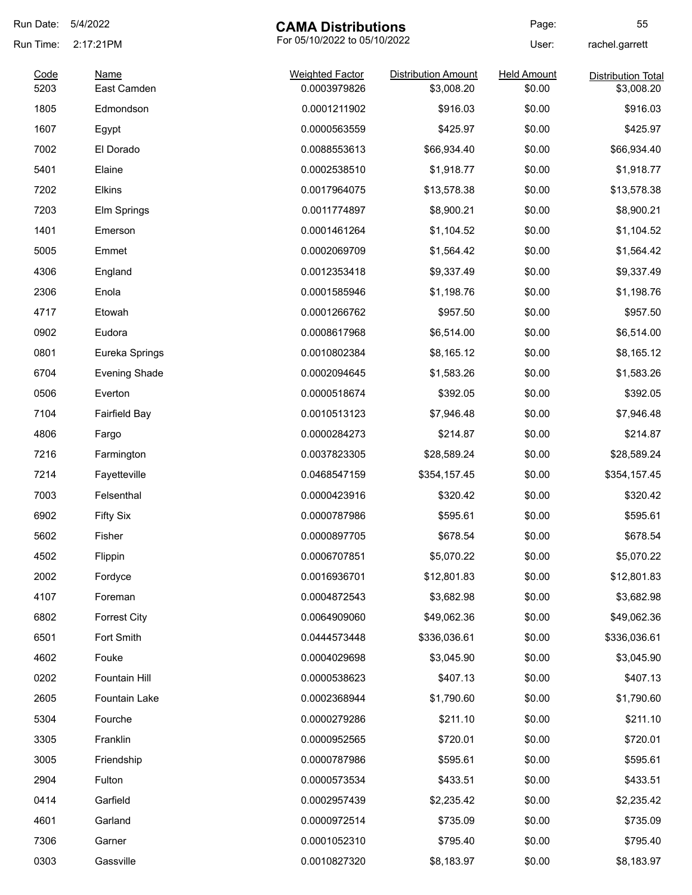| Run Date:    | 5/4/2022                   | <b>CAMA Distributions</b>              |                                          | Page:                        | 55                                      |
|--------------|----------------------------|----------------------------------------|------------------------------------------|------------------------------|-----------------------------------------|
| Run Time:    | 2:17:21PM                  | For 05/10/2022 to 05/10/2022           |                                          | User:                        | rachel.garrett                          |
| Code<br>5203 | <b>Name</b><br>East Camden | <b>Weighted Factor</b><br>0.0003979826 | <b>Distribution Amount</b><br>\$3,008.20 | <b>Held Amount</b><br>\$0.00 | <b>Distribution Total</b><br>\$3,008.20 |
| 1805         | Edmondson                  | 0.0001211902                           | \$916.03                                 | \$0.00                       | \$916.03                                |
| 1607         | Egypt                      | 0.0000563559                           | \$425.97                                 | \$0.00                       | \$425.97                                |
| 7002         | El Dorado                  | 0.0088553613                           | \$66,934.40                              | \$0.00                       | \$66,934.40                             |
| 5401         | Elaine                     | 0.0002538510                           | \$1,918.77                               | \$0.00                       | \$1,918.77                              |
| 7202         | Elkins                     | 0.0017964075                           | \$13,578.38                              | \$0.00                       | \$13,578.38                             |
| 7203         | Elm Springs                | 0.0011774897                           | \$8,900.21                               | \$0.00                       | \$8,900.21                              |
| 1401         | Emerson                    | 0.0001461264                           | \$1,104.52                               | \$0.00                       | \$1,104.52                              |
| 5005         | Emmet                      | 0.0002069709                           | \$1,564.42                               | \$0.00                       | \$1,564.42                              |
| 4306         | England                    | 0.0012353418                           | \$9,337.49                               | \$0.00                       | \$9,337.49                              |
| 2306         | Enola                      | 0.0001585946                           | \$1,198.76                               | \$0.00                       | \$1,198.76                              |
| 4717         | Etowah                     | 0.0001266762                           | \$957.50                                 | \$0.00                       | \$957.50                                |
| 0902         | Eudora                     | 0.0008617968                           | \$6,514.00                               | \$0.00                       | \$6,514.00                              |
| 0801         | Eureka Springs             | 0.0010802384                           | \$8,165.12                               | \$0.00                       | \$8,165.12                              |
| 6704         | <b>Evening Shade</b>       | 0.0002094645                           | \$1,583.26                               | \$0.00                       | \$1,583.26                              |
| 0506         | Everton                    | 0.0000518674                           | \$392.05                                 | \$0.00                       | \$392.05                                |
| 7104         | <b>Fairfield Bay</b>       | 0.0010513123                           | \$7,946.48                               | \$0.00                       | \$7,946.48                              |
| 4806         | Fargo                      | 0.0000284273                           | \$214.87                                 | \$0.00                       | \$214.87                                |
| 7216         | Farmington                 | 0.0037823305                           | \$28,589.24                              | \$0.00                       | \$28,589.24                             |
| 7214         | Fayetteville               | 0.0468547159                           | \$354,157.45                             | \$0.00                       | \$354,157.45                            |
| 7003         | Felsenthal                 | 0.0000423916                           | \$320.42                                 | \$0.00                       | \$320.42                                |
| 6902         | <b>Fifty Six</b>           | 0.0000787986                           | \$595.61                                 | \$0.00                       | \$595.61                                |
| 5602         | Fisher                     | 0.0000897705                           | \$678.54                                 | \$0.00                       | \$678.54                                |
| 4502         | Flippin                    | 0.0006707851                           | \$5,070.22                               | \$0.00                       | \$5,070.22                              |
| 2002         | Fordyce                    | 0.0016936701                           | \$12,801.83                              | \$0.00                       | \$12,801.83                             |
| 4107         | Foreman                    | 0.0004872543                           | \$3,682.98                               | \$0.00                       | \$3,682.98                              |
| 6802         | <b>Forrest City</b>        | 0.0064909060                           | \$49,062.36                              | \$0.00                       | \$49,062.36                             |
| 6501         | Fort Smith                 | 0.0444573448                           | \$336,036.61                             | \$0.00                       | \$336,036.61                            |
| 4602         | Fouke                      | 0.0004029698                           | \$3,045.90                               | \$0.00                       | \$3,045.90                              |
| 0202         | Fountain Hill              | 0.0000538623                           | \$407.13                                 | \$0.00                       | \$407.13                                |
| 2605         | Fountain Lake              | 0.0002368944                           | \$1,790.60                               | \$0.00                       | \$1,790.60                              |
| 5304         | Fourche                    | 0.0000279286                           | \$211.10                                 | \$0.00                       | \$211.10                                |
| 3305         | Franklin                   | 0.0000952565                           | \$720.01                                 | \$0.00                       | \$720.01                                |
| 3005         | Friendship                 | 0.0000787986                           | \$595.61                                 | \$0.00                       | \$595.61                                |
| 2904         | Fulton                     | 0.0000573534                           | \$433.51                                 | \$0.00                       | \$433.51                                |
| 0414         | Garfield                   | 0.0002957439                           | \$2,235.42                               | \$0.00                       | \$2,235.42                              |
| 4601         | Garland                    | 0.0000972514                           | \$735.09                                 | \$0.00                       | \$735.09                                |
| 7306         | Garner                     | 0.0001052310                           | \$795.40                                 | \$0.00                       | \$795.40                                |
| 0303         | Gassville                  | 0.0010827320                           | \$8,183.97                               | \$0.00                       | \$8,183.97                              |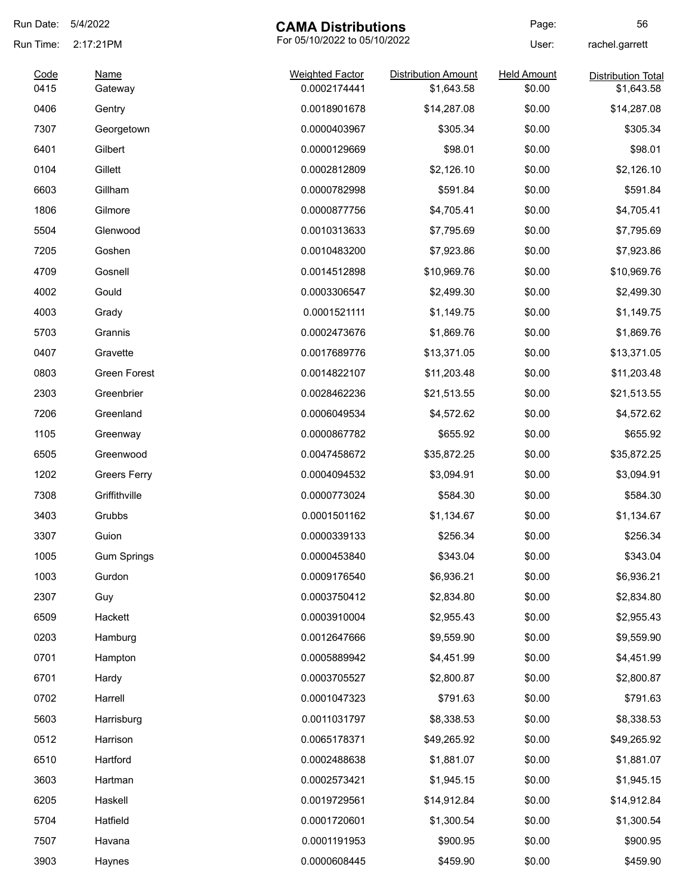| Run Date:    | 5/4/2022               | <b>CAMA Distributions</b>              |                                          | Page:                        | 56                                      |
|--------------|------------------------|----------------------------------------|------------------------------------------|------------------------------|-----------------------------------------|
| Run Time:    | 2:17:21PM              | For 05/10/2022 to 05/10/2022           |                                          | User:                        | rachel.garrett                          |
| Code<br>0415 | <b>Name</b><br>Gateway | <b>Weighted Factor</b><br>0.0002174441 | <b>Distribution Amount</b><br>\$1,643.58 | <b>Held Amount</b><br>\$0.00 | <b>Distribution Total</b><br>\$1,643.58 |
| 0406         | Gentry                 | 0.0018901678                           | \$14,287.08                              | \$0.00                       | \$14,287.08                             |
| 7307         | Georgetown             | 0.0000403967                           | \$305.34                                 | \$0.00                       | \$305.34                                |
| 6401         | Gilbert                | 0.0000129669                           | \$98.01                                  | \$0.00                       | \$98.01                                 |
| 0104         | Gillett                | 0.0002812809                           | \$2,126.10                               | \$0.00                       | \$2,126.10                              |
| 6603         | Gillham                | 0.0000782998                           | \$591.84                                 | \$0.00                       | \$591.84                                |
| 1806         | Gilmore                | 0.0000877756                           | \$4,705.41                               | \$0.00                       | \$4,705.41                              |
| 5504         | Glenwood               | 0.0010313633                           | \$7,795.69                               | \$0.00                       | \$7,795.69                              |
| 7205         | Goshen                 | 0.0010483200                           | \$7,923.86                               | \$0.00                       | \$7,923.86                              |
| 4709         | Gosnell                | 0.0014512898                           | \$10,969.76                              | \$0.00                       | \$10,969.76                             |
| 4002         | Gould                  | 0.0003306547                           | \$2,499.30                               | \$0.00                       | \$2,499.30                              |
| 4003         | Grady                  | 0.0001521111                           | \$1,149.75                               | \$0.00                       | \$1,149.75                              |
| 5703         | Grannis                | 0.0002473676                           | \$1,869.76                               | \$0.00                       | \$1,869.76                              |
| 0407         | Gravette               | 0.0017689776                           | \$13,371.05                              | \$0.00                       | \$13,371.05                             |
| 0803         | Green Forest           | 0.0014822107                           | \$11,203.48                              | \$0.00                       | \$11,203.48                             |
| 2303         | Greenbrier             | 0.0028462236                           | \$21,513.55                              | \$0.00                       | \$21,513.55                             |
| 7206         | Greenland              | 0.0006049534                           | \$4,572.62                               | \$0.00                       | \$4,572.62                              |
| 1105         | Greenway               | 0.0000867782                           | \$655.92                                 | \$0.00                       | \$655.92                                |
| 6505         | Greenwood              | 0.0047458672                           | \$35,872.25                              | \$0.00                       | \$35,872.25                             |
| 1202         | <b>Greers Ferry</b>    | 0.0004094532                           | \$3,094.91                               | \$0.00                       | \$3,094.91                              |
| 7308         | Griffithville          | 0.0000773024                           | \$584.30                                 | \$0.00                       | \$584.30                                |
| 3403         | Grubbs                 | 0.0001501162                           | \$1,134.67                               | \$0.00                       | \$1,134.67                              |
| 3307         | Guion                  | 0.0000339133                           | \$256.34                                 | \$0.00                       | \$256.34                                |
| 1005         | <b>Gum Springs</b>     | 0.0000453840                           | \$343.04                                 | \$0.00                       | \$343.04                                |
| 1003         | Gurdon                 | 0.0009176540                           | \$6,936.21                               | \$0.00                       | \$6,936.21                              |
| 2307         | Guy                    | 0.0003750412                           | \$2,834.80                               | \$0.00                       | \$2,834.80                              |
| 6509         | Hackett                | 0.0003910004                           | \$2,955.43                               | \$0.00                       | \$2,955.43                              |
| 0203         | Hamburg                | 0.0012647666                           | \$9,559.90                               | \$0.00                       | \$9,559.90                              |
| 0701         | Hampton                | 0.0005889942                           | \$4,451.99                               | \$0.00                       | \$4,451.99                              |
| 6701         | Hardy                  | 0.0003705527                           | \$2,800.87                               | \$0.00                       | \$2,800.87                              |
| 0702         | Harrell                | 0.0001047323                           | \$791.63                                 | \$0.00                       | \$791.63                                |
| 5603         | Harrisburg             | 0.0011031797                           | \$8,338.53                               | \$0.00                       | \$8,338.53                              |
| 0512         | Harrison               | 0.0065178371                           | \$49,265.92                              | \$0.00                       | \$49,265.92                             |
| 6510         | Hartford               | 0.0002488638                           | \$1,881.07                               | \$0.00                       | \$1,881.07                              |
| 3603         | Hartman                | 0.0002573421                           | \$1,945.15                               | \$0.00                       | \$1,945.15                              |
| 6205         | Haskell                | 0.0019729561                           | \$14,912.84                              | \$0.00                       | \$14,912.84                             |
| 5704         | Hatfield               | 0.0001720601                           | \$1,300.54                               | \$0.00                       | \$1,300.54                              |
| 7507         | Havana                 | 0.0001191953                           | \$900.95                                 | \$0.00                       | \$900.95                                |
| 3903         | Haynes                 | 0.0000608445                           | \$459.90                                 | \$0.00                       | \$459.90                                |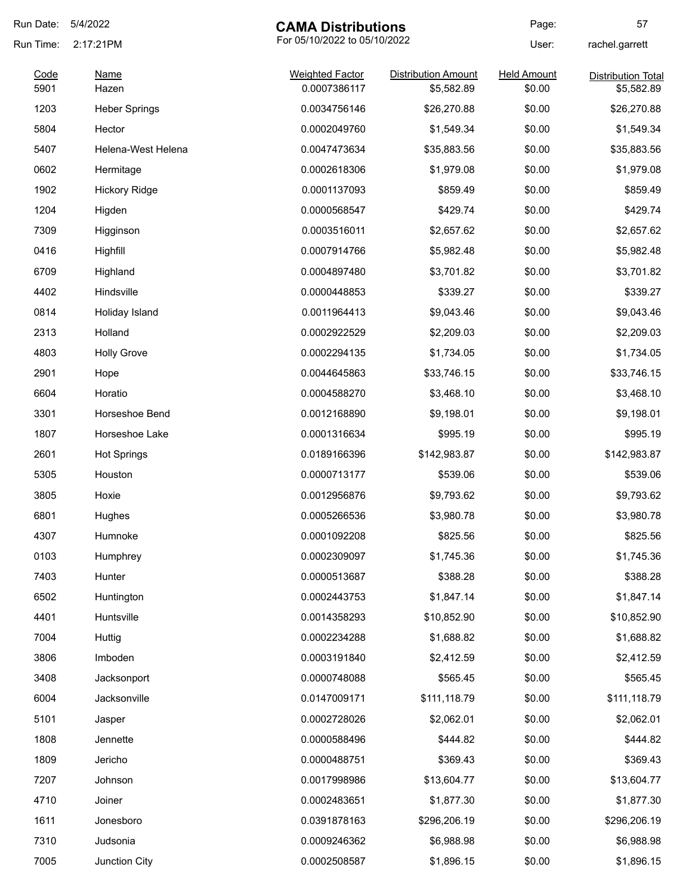| Run Date:    | 5/4/2022             | <b>CAMA Distributions</b>              |                                          | Page:                        | 57                                      |
|--------------|----------------------|----------------------------------------|------------------------------------------|------------------------------|-----------------------------------------|
| Run Time:    | 2:17:21PM            | For 05/10/2022 to 05/10/2022           |                                          | User:                        | rachel.garrett                          |
| Code<br>5901 | Name<br>Hazen        | <b>Weighted Factor</b><br>0.0007386117 | <b>Distribution Amount</b><br>\$5,582.89 | <b>Held Amount</b><br>\$0.00 | <b>Distribution Total</b><br>\$5,582.89 |
| 1203         | <b>Heber Springs</b> | 0.0034756146                           | \$26,270.88                              | \$0.00                       | \$26,270.88                             |
| 5804         | Hector               | 0.0002049760                           | \$1,549.34                               | \$0.00                       | \$1,549.34                              |
| 5407         | Helena-West Helena   | 0.0047473634                           | \$35,883.56                              | \$0.00                       | \$35,883.56                             |
| 0602         | Hermitage            | 0.0002618306                           | \$1,979.08                               | \$0.00                       | \$1,979.08                              |
| 1902         | <b>Hickory Ridge</b> | 0.0001137093                           | \$859.49                                 | \$0.00                       | \$859.49                                |
| 1204         | Higden               | 0.0000568547                           | \$429.74                                 | \$0.00                       | \$429.74                                |
| 7309         | Higginson            | 0.0003516011                           | \$2,657.62                               | \$0.00                       | \$2,657.62                              |
| 0416         | Highfill             | 0.0007914766                           | \$5,982.48                               | \$0.00                       | \$5,982.48                              |
| 6709         | Highland             | 0.0004897480                           | \$3,701.82                               | \$0.00                       | \$3,701.82                              |
| 4402         | Hindsville           | 0.0000448853                           | \$339.27                                 | \$0.00                       | \$339.27                                |
| 0814         | Holiday Island       | 0.0011964413                           | \$9,043.46                               | \$0.00                       | \$9,043.46                              |
| 2313         | Holland              | 0.0002922529                           | \$2,209.03                               | \$0.00                       | \$2,209.03                              |
| 4803         | <b>Holly Grove</b>   | 0.0002294135                           | \$1,734.05                               | \$0.00                       | \$1,734.05                              |
| 2901         | Hope                 | 0.0044645863                           | \$33,746.15                              | \$0.00                       | \$33,746.15                             |
| 6604         | Horatio              | 0.0004588270                           | \$3,468.10                               | \$0.00                       | \$3,468.10                              |
| 3301         | Horseshoe Bend       | 0.0012168890                           | \$9,198.01                               | \$0.00                       | \$9,198.01                              |
| 1807         | Horseshoe Lake       | 0.0001316634                           | \$995.19                                 | \$0.00                       | \$995.19                                |
| 2601         | <b>Hot Springs</b>   | 0.0189166396                           | \$142,983.87                             | \$0.00                       | \$142,983.87                            |
| 5305         | Houston              | 0.0000713177                           | \$539.06                                 | \$0.00                       | \$539.06                                |
| 3805         | Hoxie                | 0.0012956876                           | \$9,793.62                               | \$0.00                       | \$9,793.62                              |
| 6801         | Hughes               | 0.0005266536                           | \$3,980.78                               | \$0.00                       | \$3,980.78                              |
| 4307         | Humnoke              | 0.0001092208                           | \$825.56                                 | \$0.00                       | \$825.56                                |
| 0103         | Humphrey             | 0.0002309097                           | \$1,745.36                               | \$0.00                       | \$1,745.36                              |
| 7403         | Hunter               | 0.0000513687                           | \$388.28                                 | \$0.00                       | \$388.28                                |
| 6502         | Huntington           | 0.0002443753                           | \$1,847.14                               | \$0.00                       | \$1,847.14                              |
| 4401         | Huntsville           | 0.0014358293                           | \$10,852.90                              | \$0.00                       | \$10,852.90                             |
| 7004         | Huttig               | 0.0002234288                           | \$1,688.82                               | \$0.00                       | \$1,688.82                              |
| 3806         | Imboden              | 0.0003191840                           | \$2,412.59                               | \$0.00                       | \$2,412.59                              |
| 3408         | Jacksonport          | 0.0000748088                           | \$565.45                                 | \$0.00                       | \$565.45                                |
| 6004         | Jacksonville         | 0.0147009171                           | \$111,118.79                             | \$0.00                       | \$111,118.79                            |
| 5101         | Jasper               | 0.0002728026                           | \$2,062.01                               | \$0.00                       | \$2,062.01                              |
| 1808         | Jennette             | 0.0000588496                           | \$444.82                                 | \$0.00                       | \$444.82                                |
| 1809         | Jericho              | 0.0000488751                           | \$369.43                                 | \$0.00                       | \$369.43                                |
| 7207         | Johnson              | 0.0017998986                           | \$13,604.77                              | \$0.00                       | \$13,604.77                             |
| 4710         | Joiner               | 0.0002483651                           | \$1,877.30                               | \$0.00                       | \$1,877.30                              |
| 1611         | Jonesboro            | 0.0391878163                           | \$296,206.19                             | \$0.00                       | \$296,206.19                            |
| 7310         | Judsonia             | 0.0009246362                           | \$6,988.98                               | \$0.00                       | \$6,988.98                              |
| 7005         | Junction City        | 0.0002508587                           | \$1,896.15                               | \$0.00                       | \$1,896.15                              |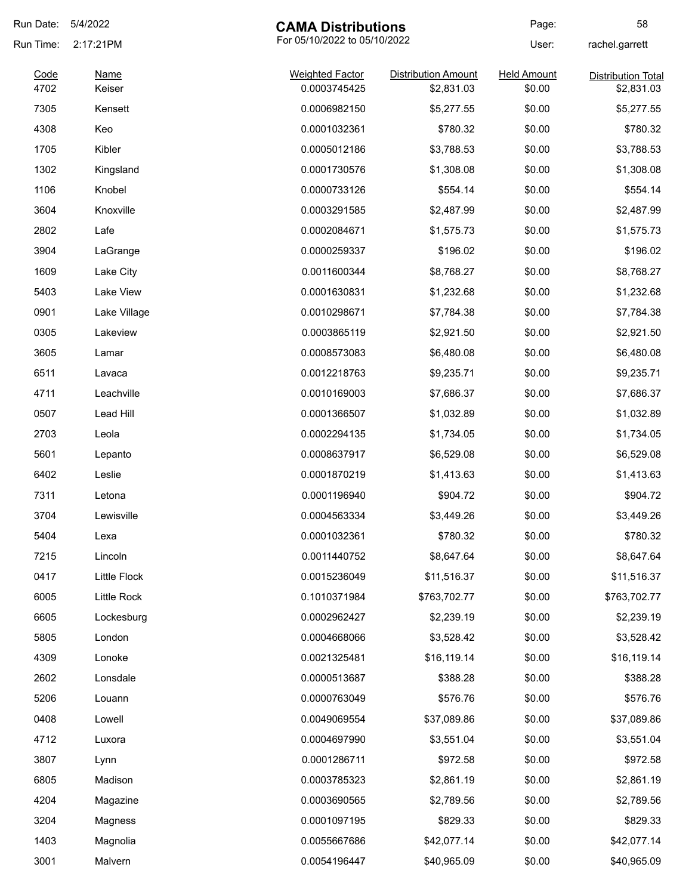| Run Date:    | 5/4/2022              | <b>CAMA Distributions</b>              |                                          | Page:                        | 58                                      |
|--------------|-----------------------|----------------------------------------|------------------------------------------|------------------------------|-----------------------------------------|
| Run Time:    | 2:17:21PM             | For 05/10/2022 to 05/10/2022           |                                          | User:                        | rachel.garrett                          |
| Code<br>4702 | <b>Name</b><br>Keiser | <b>Weighted Factor</b><br>0.0003745425 | <b>Distribution Amount</b><br>\$2,831.03 | <b>Held Amount</b><br>\$0.00 | <b>Distribution Total</b><br>\$2,831.03 |
| 7305         | Kensett               | 0.0006982150                           |                                          | \$0.00                       | \$5,277.55                              |
| 4308         | Keo                   | 0.0001032361                           | \$5,277.55<br>\$780.32                   | \$0.00                       | \$780.32                                |
|              |                       |                                        |                                          |                              |                                         |
| 1705         | Kibler                | 0.0005012186                           | \$3,788.53                               | \$0.00                       | \$3,788.53                              |
| 1302         | Kingsland             | 0.0001730576                           | \$1,308.08                               | \$0.00                       | \$1,308.08                              |
| 1106         | Knobel                | 0.0000733126                           | \$554.14                                 | \$0.00                       | \$554.14                                |
| 3604         | Knoxville             | 0.0003291585                           | \$2,487.99                               | \$0.00                       | \$2,487.99                              |
| 2802         | Lafe                  | 0.0002084671                           | \$1,575.73                               | \$0.00                       | \$1,575.73                              |
| 3904         | LaGrange              | 0.0000259337                           | \$196.02                                 | \$0.00                       | \$196.02                                |
| 1609         | Lake City             | 0.0011600344                           | \$8,768.27                               | \$0.00                       | \$8,768.27                              |
| 5403         | Lake View             | 0.0001630831                           | \$1,232.68                               | \$0.00                       | \$1,232.68                              |
| 0901         | Lake Village          | 0.0010298671                           | \$7,784.38                               | \$0.00                       | \$7,784.38                              |
| 0305         | Lakeview              | 0.0003865119                           | \$2,921.50                               | \$0.00                       | \$2,921.50                              |
| 3605         | Lamar                 | 0.0008573083                           | \$6,480.08                               | \$0.00                       | \$6,480.08                              |
| 6511         | Lavaca                | 0.0012218763                           | \$9,235.71                               | \$0.00                       | \$9,235.71                              |
| 4711         | Leachville            | 0.0010169003                           | \$7,686.37                               | \$0.00                       | \$7,686.37                              |
| 0507         | Lead Hill             | 0.0001366507                           | \$1,032.89                               | \$0.00                       | \$1,032.89                              |
| 2703         | Leola                 | 0.0002294135                           | \$1,734.05                               | \$0.00                       | \$1,734.05                              |
| 5601         | Lepanto               | 0.0008637917                           | \$6,529.08                               | \$0.00                       | \$6,529.08                              |
| 6402         | Leslie                | 0.0001870219                           | \$1,413.63                               | \$0.00                       | \$1,413.63                              |
| 7311         | Letona                | 0.0001196940                           | \$904.72                                 | \$0.00                       | \$904.72                                |
| 3704         | Lewisville            | 0.0004563334                           | \$3,449.26                               | \$0.00                       | \$3,449.26                              |
| 5404         | Lexa                  | 0.0001032361                           | \$780.32                                 | \$0.00                       | \$780.32                                |
| 7215         | Lincoln               | 0.0011440752                           | \$8,647.64                               | \$0.00                       | \$8,647.64                              |
| 0417         | Little Flock          | 0.0015236049                           | \$11,516.37                              | \$0.00                       | \$11,516.37                             |
| 6005         | Little Rock           | 0.1010371984                           | \$763,702.77                             | \$0.00                       | \$763,702.77                            |
| 6605         | Lockesburg            | 0.0002962427                           | \$2,239.19                               | \$0.00                       | \$2,239.19                              |
| 5805         | London                | 0.0004668066                           | \$3,528.42                               | \$0.00                       | \$3,528.42                              |
| 4309         | Lonoke                | 0.0021325481                           | \$16,119.14                              | \$0.00                       | \$16,119.14                             |
| 2602         | Lonsdale              | 0.0000513687                           | \$388.28                                 | \$0.00                       | \$388.28                                |
| 5206         | Louann                | 0.0000763049                           | \$576.76                                 | \$0.00                       | \$576.76                                |
| 0408         | Lowell                | 0.0049069554                           | \$37,089.86                              | \$0.00                       | \$37,089.86                             |
| 4712         | Luxora                | 0.0004697990                           | \$3,551.04                               | \$0.00                       | \$3,551.04                              |
| 3807         | Lynn                  | 0.0001286711                           | \$972.58                                 | \$0.00                       | \$972.58                                |
| 6805         | Madison               | 0.0003785323                           | \$2,861.19                               | \$0.00                       | \$2,861.19                              |
| 4204         |                       | 0.0003690565                           | \$2,789.56                               | \$0.00                       | \$2,789.56                              |
| 3204         | Magazine              | 0.0001097195                           | \$829.33                                 | \$0.00                       | \$829.33                                |
|              | Magness               |                                        |                                          |                              |                                         |
| 1403         | Magnolia              | 0.0055667686                           | \$42,077.14                              | \$0.00                       | \$42,077.14                             |
| 3001         | Malvern               | 0.0054196447                           | \$40,965.09                              | \$0.00                       | \$40,965.09                             |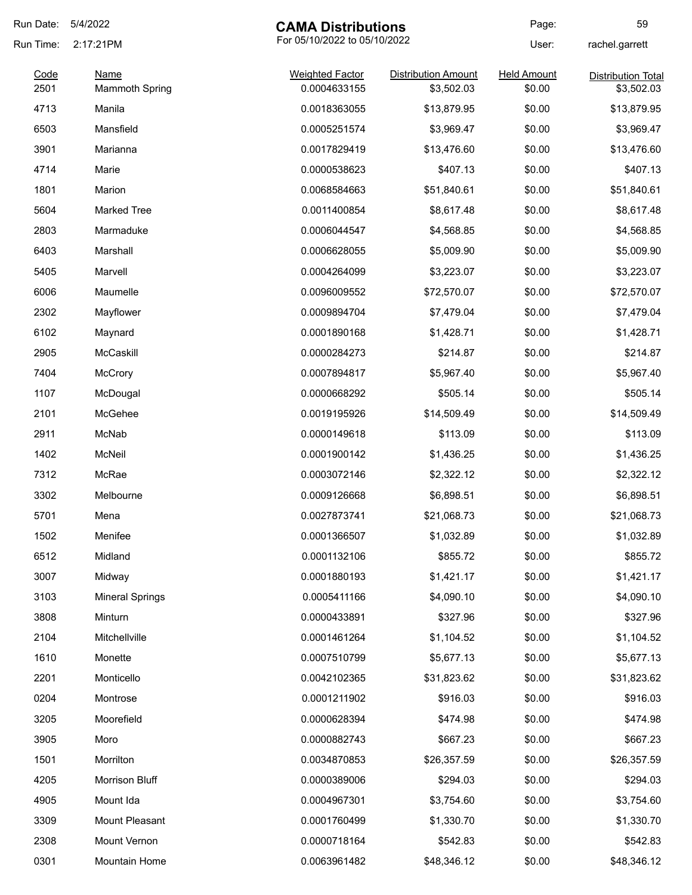| Run Date:    | 5/4/2022                             | <b>CAMA Distributions</b>              |                                          | Page:                        | 59                                      |
|--------------|--------------------------------------|----------------------------------------|------------------------------------------|------------------------------|-----------------------------------------|
| Run Time:    | 2:17:21PM                            | For 05/10/2022 to 05/10/2022           |                                          | User:                        | rachel.garrett                          |
| Code<br>2501 | <b>Name</b><br><b>Mammoth Spring</b> | <b>Weighted Factor</b><br>0.0004633155 | <b>Distribution Amount</b><br>\$3,502.03 | <b>Held Amount</b><br>\$0.00 | <b>Distribution Total</b><br>\$3,502.03 |
| 4713         | Manila                               | 0.0018363055                           | \$13,879.95                              | \$0.00                       | \$13,879.95                             |
| 6503         | Mansfield                            | 0.0005251574                           | \$3,969.47                               | \$0.00                       | \$3,969.47                              |
| 3901         | Marianna                             | 0.0017829419                           | \$13,476.60                              | \$0.00                       | \$13,476.60                             |
| 4714         | Marie                                | 0.0000538623                           | \$407.13                                 | \$0.00                       | \$407.13                                |
| 1801         | Marion                               | 0.0068584663                           | \$51,840.61                              | \$0.00                       | \$51,840.61                             |
| 5604         | <b>Marked Tree</b>                   | 0.0011400854                           | \$8,617.48                               | \$0.00                       | \$8,617.48                              |
| 2803         | Marmaduke                            | 0.0006044547                           | \$4,568.85                               | \$0.00                       | \$4,568.85                              |
| 6403         | Marshall                             | 0.0006628055                           | \$5,009.90                               | \$0.00                       | \$5,009.90                              |
| 5405         | Marvell                              | 0.0004264099                           | \$3,223.07                               | \$0.00                       | \$3,223.07                              |
| 6006         | Maumelle                             | 0.0096009552                           | \$72,570.07                              | \$0.00                       | \$72,570.07                             |
| 2302         | Mayflower                            | 0.0009894704                           | \$7,479.04                               | \$0.00                       | \$7,479.04                              |
| 6102         | Maynard                              | 0.0001890168                           | \$1,428.71                               | \$0.00                       | \$1,428.71                              |
| 2905         | McCaskill                            | 0.0000284273                           | \$214.87                                 | \$0.00                       | \$214.87                                |
| 7404         | <b>McCrory</b>                       | 0.0007894817                           | \$5,967.40                               | \$0.00                       | \$5,967.40                              |
| 1107         | McDougal                             | 0.0000668292                           | \$505.14                                 | \$0.00                       | \$505.14                                |
| 2101         | McGehee                              | 0.0019195926                           | \$14,509.49                              | \$0.00                       | \$14,509.49                             |
| 2911         | McNab                                | 0.0000149618                           | \$113.09                                 | \$0.00                       | \$113.09                                |
| 1402         | McNeil                               | 0.0001900142                           | \$1,436.25                               | \$0.00                       | \$1,436.25                              |
| 7312         | McRae                                | 0.0003072146                           | \$2,322.12                               | \$0.00                       | \$2,322.12                              |
| 3302         | Melbourne                            | 0.0009126668                           | \$6,898.51                               | \$0.00                       | \$6,898.51                              |
| 5701         | Mena                                 | 0.0027873741                           | \$21,068.73                              | \$0.00                       | \$21,068.73                             |
| 1502         | Menifee                              | 0.0001366507                           | \$1,032.89                               | \$0.00                       | \$1,032.89                              |
| 6512         | Midland                              | 0.0001132106                           | \$855.72                                 | \$0.00                       | \$855.72                                |
| 3007         | Midway                               | 0.0001880193                           | \$1,421.17                               | \$0.00                       | \$1,421.17                              |
| 3103         | <b>Mineral Springs</b>               | 0.0005411166                           | \$4,090.10                               | \$0.00                       | \$4,090.10                              |
| 3808         | Minturn                              | 0.0000433891                           | \$327.96                                 | \$0.00                       | \$327.96                                |
| 2104         | Mitchellville                        | 0.0001461264                           | \$1,104.52                               | \$0.00                       | \$1,104.52                              |
| 1610         | Monette                              | 0.0007510799                           | \$5,677.13                               | \$0.00                       | \$5,677.13                              |
| 2201         | Monticello                           | 0.0042102365                           | \$31,823.62                              | \$0.00                       | \$31,823.62                             |
| 0204         | Montrose                             | 0.0001211902                           | \$916.03                                 | \$0.00                       | \$916.03                                |
| 3205         | Moorefield                           | 0.0000628394                           | \$474.98                                 | \$0.00                       | \$474.98                                |
| 3905         | Moro                                 | 0.0000882743                           | \$667.23                                 | \$0.00                       | \$667.23                                |
| 1501         | Morrilton                            | 0.0034870853                           | \$26,357.59                              | \$0.00                       | \$26,357.59                             |
| 4205         | Morrison Bluff                       | 0.0000389006                           | \$294.03                                 | \$0.00                       | \$294.03                                |
| 4905         | Mount Ida                            | 0.0004967301                           | \$3,754.60                               | \$0.00                       | \$3,754.60                              |
| 3309         | Mount Pleasant                       | 0.0001760499                           | \$1,330.70                               | \$0.00                       | \$1,330.70                              |
| 2308         | Mount Vernon                         | 0.0000718164                           | \$542.83                                 | \$0.00                       | \$542.83                                |
| 0301         | Mountain Home                        | 0.0063961482                           | \$48,346.12                              | \$0.00                       | \$48,346.12                             |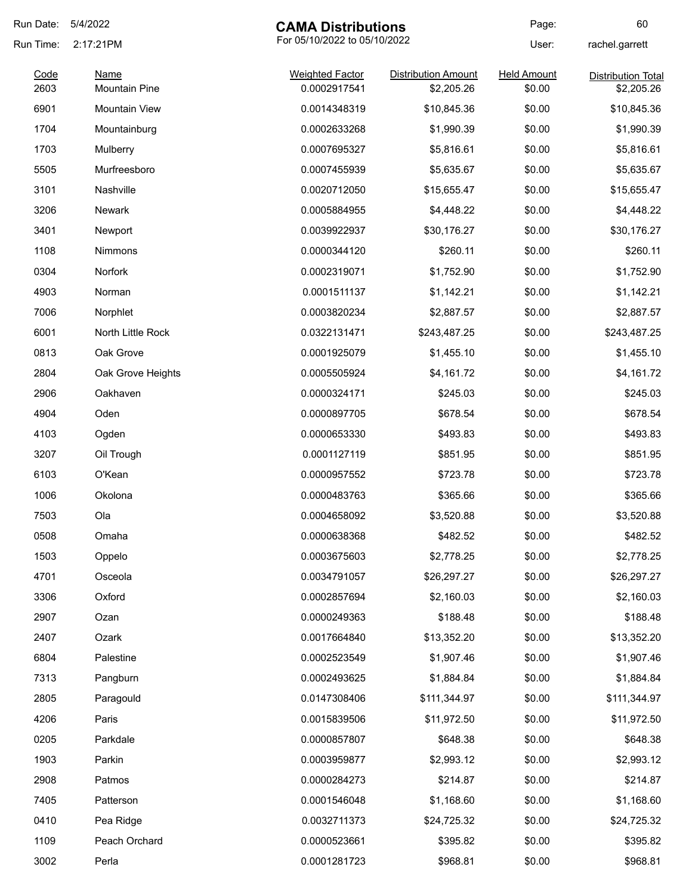| Run Date:    | 5/4/2022                            | <b>CAMA Distributions</b>              |                                          | Page:                        | 60                                      |
|--------------|-------------------------------------|----------------------------------------|------------------------------------------|------------------------------|-----------------------------------------|
| Run Time:    | 2:17:21PM                           |                                        | For 05/10/2022 to 05/10/2022             |                              | rachel.garrett                          |
| Code<br>2603 | <b>Name</b><br><b>Mountain Pine</b> | <b>Weighted Factor</b><br>0.0002917541 | <b>Distribution Amount</b><br>\$2,205.26 | <b>Held Amount</b><br>\$0.00 | <b>Distribution Total</b><br>\$2,205.26 |
| 6901         | <b>Mountain View</b>                | 0.0014348319                           | \$10,845.36                              | \$0.00                       |                                         |
|              |                                     | 0.0002633268                           |                                          |                              | \$10,845.36                             |
| 1704         | Mountainburg                        |                                        | \$1,990.39                               | \$0.00                       | \$1,990.39                              |
| 1703         | Mulberry                            | 0.0007695327                           | \$5,816.61                               | \$0.00                       | \$5,816.61                              |
| 5505         | Murfreesboro                        | 0.0007455939                           | \$5,635.67                               | \$0.00                       | \$5,635.67                              |
| 3101         | Nashville                           | 0.0020712050                           | \$15,655.47                              | \$0.00                       | \$15,655.47                             |
| 3206         | Newark                              | 0.0005884955                           | \$4,448.22                               | \$0.00                       | \$4,448.22                              |
| 3401         | Newport                             | 0.0039922937                           | \$30,176.27                              | \$0.00                       | \$30,176.27                             |
| 1108         | Nimmons                             | 0.0000344120                           | \$260.11                                 | \$0.00                       | \$260.11                                |
| 0304         | Norfork                             | 0.0002319071                           | \$1,752.90                               | \$0.00                       | \$1,752.90                              |
| 4903         | Norman                              | 0.0001511137                           | \$1,142.21                               | \$0.00                       | \$1,142.21                              |
| 7006         | Norphlet                            | 0.0003820234                           | \$2,887.57                               | \$0.00                       | \$2,887.57                              |
| 6001         | North Little Rock                   | 0.0322131471                           | \$243,487.25                             | \$0.00                       | \$243,487.25                            |
| 0813         | Oak Grove                           | 0.0001925079                           | \$1,455.10                               | \$0.00                       | \$1,455.10                              |
| 2804         | Oak Grove Heights                   | 0.0005505924                           | \$4,161.72                               | \$0.00                       | \$4,161.72                              |
| 2906         | Oakhaven                            | 0.0000324171                           | \$245.03                                 | \$0.00                       | \$245.03                                |
| 4904         | Oden                                | 0.0000897705                           | \$678.54                                 | \$0.00                       | \$678.54                                |
| 4103         | Ogden                               | 0.0000653330                           | \$493.83                                 | \$0.00                       | \$493.83                                |
| 3207         | Oil Trough                          | 0.0001127119                           | \$851.95                                 | \$0.00                       | \$851.95                                |
| 6103         | O'Kean                              | 0.0000957552                           | \$723.78                                 | \$0.00                       | \$723.78                                |
| 1006         | Okolona                             | 0.0000483763                           | \$365.66                                 | \$0.00                       | \$365.66                                |
| 7503         | Ola                                 | 0.0004658092                           | \$3,520.88                               | \$0.00                       | \$3,520.88                              |
| 0508         | Omaha                               | 0.0000638368                           | \$482.52                                 | \$0.00                       | \$482.52                                |
| 1503         | Oppelo                              | 0.0003675603                           | \$2,778.25                               | \$0.00                       | \$2,778.25                              |
| 4701         | Osceola                             | 0.0034791057                           | \$26,297.27                              | \$0.00                       | \$26,297.27                             |
| 3306         | Oxford                              | 0.0002857694                           | \$2,160.03                               | \$0.00                       | \$2,160.03                              |
| 2907         | Ozan                                | 0.0000249363                           | \$188.48                                 | \$0.00                       | \$188.48                                |
| 2407         | Ozark                               | 0.0017664840                           | \$13,352.20                              | \$0.00                       | \$13,352.20                             |
| 6804         | Palestine                           | 0.0002523549                           | \$1,907.46                               | \$0.00                       | \$1,907.46                              |
| 7313         | Pangburn                            | 0.0002493625                           | \$1,884.84                               | \$0.00                       | \$1,884.84                              |
| 2805         | Paragould                           | 0.0147308406                           | \$111,344.97                             | \$0.00                       | \$111,344.97                            |
| 4206         | Paris                               | 0.0015839506                           | \$11,972.50                              | \$0.00                       | \$11,972.50                             |
| 0205         | Parkdale                            | 0.0000857807                           | \$648.38                                 | \$0.00                       | \$648.38                                |
| 1903         | Parkin                              | 0.0003959877                           | \$2,993.12                               | \$0.00                       | \$2,993.12                              |
| 2908         | Patmos                              | 0.0000284273                           | \$214.87                                 | \$0.00                       | \$214.87                                |
| 7405         | Patterson                           | 0.0001546048                           | \$1,168.60                               | \$0.00                       | \$1,168.60                              |
| 0410         | Pea Ridge                           | 0.0032711373                           | \$24,725.32                              | \$0.00                       | \$24,725.32                             |
| 1109         | Peach Orchard                       | 0.0000523661                           | \$395.82                                 | \$0.00                       | \$395.82                                |
| 3002         | Perla                               | 0.0001281723                           | \$968.81                                 | \$0.00                       | \$968.81                                |
|              |                                     |                                        |                                          |                              |                                         |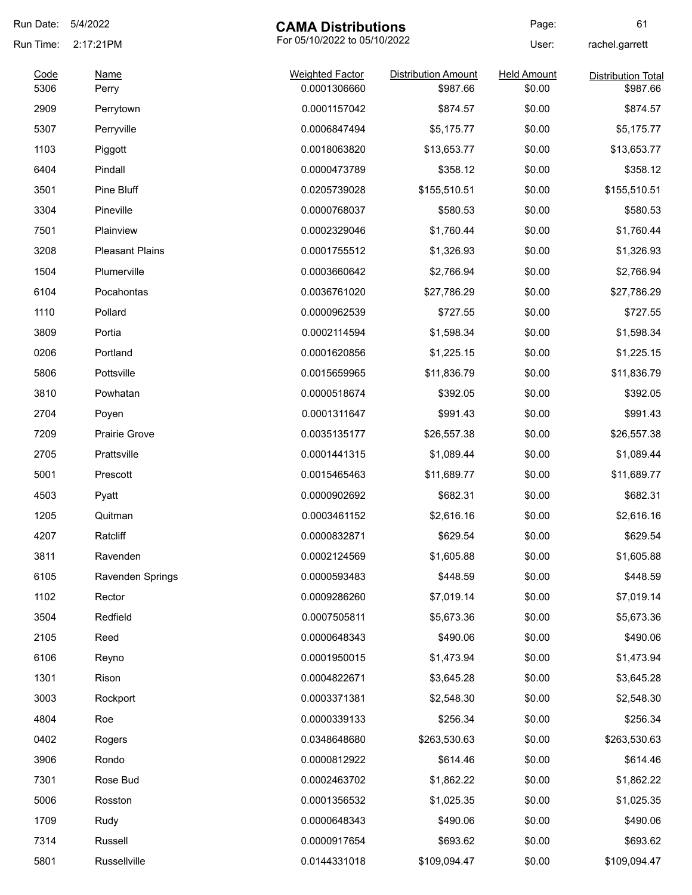| Run Date:    | 5/4/2022               | <b>CAMA Distributions</b>              |                                        | Page:                        | 61                                    |
|--------------|------------------------|----------------------------------------|----------------------------------------|------------------------------|---------------------------------------|
| Run Time:    | 2:17:21PM              | For 05/10/2022 to 05/10/2022           |                                        | User:                        | rachel.garrett                        |
| Code<br>5306 | Name<br>Perry          | <b>Weighted Factor</b><br>0.0001306660 | <b>Distribution Amount</b><br>\$987.66 | <b>Held Amount</b><br>\$0.00 | <b>Distribution Total</b><br>\$987.66 |
| 2909         | Perrytown              | 0.0001157042                           | \$874.57                               | \$0.00                       | \$874.57                              |
| 5307         | Perryville             | 0.0006847494                           | \$5,175.77                             | \$0.00                       | \$5,175.77                            |
| 1103         | Piggott                | 0.0018063820                           | \$13,653.77                            | \$0.00                       | \$13,653.77                           |
| 6404         | Pindall                | 0.0000473789                           | \$358.12                               | \$0.00                       | \$358.12                              |
| 3501         | Pine Bluff             | 0.0205739028                           | \$155,510.51                           | \$0.00                       | \$155,510.51                          |
| 3304         | Pineville              | 0.0000768037                           | \$580.53                               | \$0.00                       | \$580.53                              |
| 7501         | Plainview              | 0.0002329046                           | \$1,760.44                             | \$0.00                       | \$1,760.44                            |
| 3208         | <b>Pleasant Plains</b> | 0.0001755512                           | \$1,326.93                             | \$0.00                       | \$1,326.93                            |
| 1504         | Plumerville            | 0.0003660642                           | \$2,766.94                             | \$0.00                       | \$2,766.94                            |
| 6104         | Pocahontas             | 0.0036761020                           | \$27,786.29                            | \$0.00                       | \$27,786.29                           |
| 1110         | Pollard                | 0.0000962539                           | \$727.55                               | \$0.00                       | \$727.55                              |
| 3809         | Portia                 | 0.0002114594                           | \$1,598.34                             | \$0.00                       | \$1,598.34                            |
| 0206         | Portland               | 0.0001620856                           | \$1,225.15                             | \$0.00                       | \$1,225.15                            |
| 5806         | Pottsville             | 0.0015659965                           | \$11,836.79                            | \$0.00                       | \$11,836.79                           |
| 3810         | Powhatan               | 0.0000518674                           | \$392.05                               | \$0.00                       | \$392.05                              |
| 2704         | Poyen                  | 0.0001311647                           | \$991.43                               | \$0.00                       | \$991.43                              |
| 7209         | Prairie Grove          | 0.0035135177                           | \$26,557.38                            | \$0.00                       | \$26,557.38                           |
| 2705         | Prattsville            | 0.0001441315                           | \$1,089.44                             | \$0.00                       | \$1,089.44                            |
| 5001         | Prescott               | 0.0015465463                           | \$11,689.77                            | \$0.00                       | \$11,689.77                           |
| 4503         | Pyatt                  | 0.0000902692                           | \$682.31                               | \$0.00                       | \$682.31                              |
| 1205         | Quitman                | 0.0003461152                           | \$2,616.16                             | \$0.00                       | \$2,616.16                            |
| 4207         | Ratcliff               | 0.0000832871                           | \$629.54                               | \$0.00                       | \$629.54                              |
| 3811         | Ravenden               | 0.0002124569                           | \$1,605.88                             | \$0.00                       | \$1,605.88                            |
| 6105         | Ravenden Springs       | 0.0000593483                           | \$448.59                               | \$0.00                       | \$448.59                              |
| 1102         | Rector                 | 0.0009286260                           | \$7,019.14                             | \$0.00                       | \$7,019.14                            |
| 3504         | Redfield               | 0.0007505811                           | \$5,673.36                             | \$0.00                       | \$5,673.36                            |
| 2105         | Reed                   | 0.0000648343                           | \$490.06                               | \$0.00                       | \$490.06                              |
| 6106         | Reyno                  | 0.0001950015                           | \$1,473.94                             | \$0.00                       | \$1,473.94                            |
| 1301         | Rison                  | 0.0004822671                           | \$3,645.28                             | \$0.00                       | \$3,645.28                            |
| 3003         | Rockport               | 0.0003371381                           | \$2,548.30                             | \$0.00                       | \$2,548.30                            |
| 4804         | Roe                    | 0.0000339133                           | \$256.34                               | \$0.00                       | \$256.34                              |
| 0402         | Rogers                 | 0.0348648680                           | \$263,530.63                           | \$0.00                       | \$263,530.63                          |
| 3906         | Rondo                  | 0.0000812922                           | \$614.46                               | \$0.00                       | \$614.46                              |
| 7301         | Rose Bud               | 0.0002463702                           | \$1,862.22                             | \$0.00                       | \$1,862.22                            |
| 5006         | Rosston                | 0.0001356532                           | \$1,025.35                             | \$0.00                       | \$1,025.35                            |
| 1709         | Rudy                   | 0.0000648343                           | \$490.06                               | \$0.00                       | \$490.06                              |
| 7314         | Russell                | 0.0000917654                           | \$693.62                               | \$0.00                       | \$693.62                              |
| 5801         | Russellville           | 0.0144331018                           | \$109,094.47                           | \$0.00                       | \$109,094.47                          |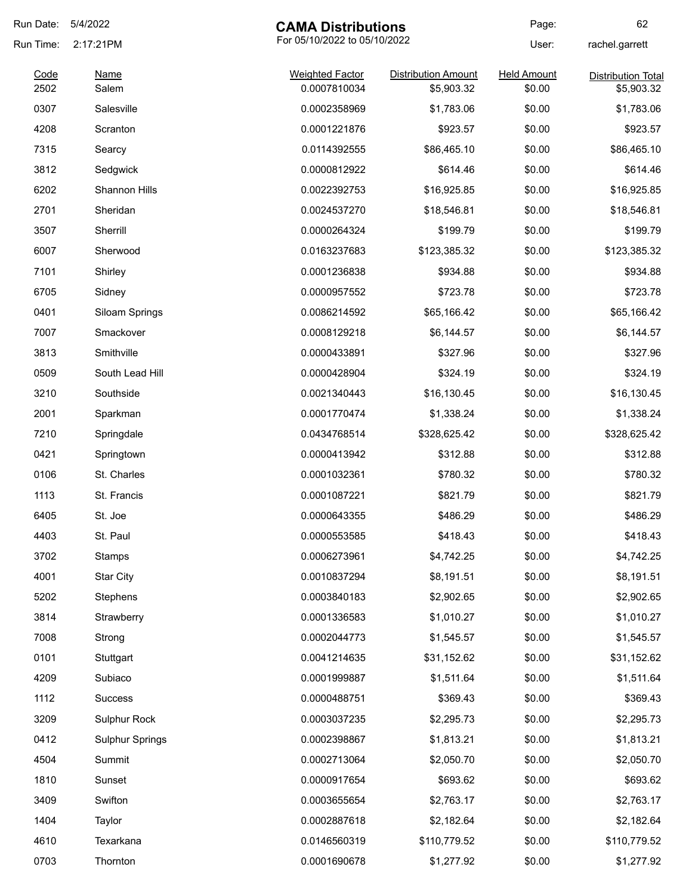| Run Date:    | 5/4/2022               | <b>CAMA Distributions</b>              |                                          | Page:                        | 62                                      |
|--------------|------------------------|----------------------------------------|------------------------------------------|------------------------------|-----------------------------------------|
| Run Time:    | 2:17:21PM              | For 05/10/2022 to 05/10/2022<br>User:  |                                          | rachel.garrett               |                                         |
| Code<br>2502 | Name<br>Salem          | <b>Weighted Factor</b><br>0.0007810034 | <b>Distribution Amount</b><br>\$5,903.32 | <b>Held Amount</b><br>\$0.00 | <b>Distribution Total</b><br>\$5,903.32 |
| 0307         | Salesville             | 0.0002358969                           | \$1,783.06                               | \$0.00                       | \$1,783.06                              |
| 4208         | Scranton               | 0.0001221876                           | \$923.57                                 | \$0.00                       | \$923.57                                |
| 7315         | Searcy                 | 0.0114392555                           | \$86,465.10                              | \$0.00                       | \$86,465.10                             |
| 3812         | Sedgwick               | 0.0000812922                           | \$614.46                                 | \$0.00                       | \$614.46                                |
| 6202         | Shannon Hills          | 0.0022392753                           | \$16,925.85                              | \$0.00                       | \$16,925.85                             |
| 2701         | Sheridan               | 0.0024537270                           | \$18,546.81                              | \$0.00                       | \$18,546.81                             |
| 3507         | Sherrill               | 0.0000264324                           | \$199.79                                 | \$0.00                       | \$199.79                                |
| 6007         | Sherwood               | 0.0163237683                           | \$123,385.32                             | \$0.00                       | \$123,385.32                            |
| 7101         | Shirley                | 0.0001236838                           | \$934.88                                 | \$0.00                       | \$934.88                                |
| 6705         | Sidney                 | 0.0000957552                           | \$723.78                                 | \$0.00                       | \$723.78                                |
| 0401         | Siloam Springs         | 0.0086214592                           | \$65,166.42                              | \$0.00                       | \$65,166.42                             |
| 7007         | Smackover              | 0.0008129218                           | \$6,144.57                               | \$0.00                       | \$6,144.57                              |
| 3813         | Smithville             | 0.0000433891                           | \$327.96                                 | \$0.00                       | \$327.96                                |
| 0509         | South Lead Hill        | 0.0000428904                           | \$324.19                                 | \$0.00                       | \$324.19                                |
| 3210         | Southside              | 0.0021340443                           | \$16,130.45                              | \$0.00                       | \$16,130.45                             |
| 2001         | Sparkman               | 0.0001770474                           | \$1,338.24                               | \$0.00                       | \$1,338.24                              |
| 7210         | Springdale             | 0.0434768514                           | \$328,625.42                             | \$0.00                       | \$328,625.42                            |
| 0421         | Springtown             | 0.0000413942                           | \$312.88                                 | \$0.00                       | \$312.88                                |
| 0106         | St. Charles            | 0.0001032361                           | \$780.32                                 | \$0.00                       | \$780.32                                |
| 1113         | St. Francis            | 0.0001087221                           | \$821.79                                 | \$0.00                       | \$821.79                                |
| 6405         | St. Joe                | 0.0000643355                           | \$486.29                                 | \$0.00                       | \$486.29                                |
| 4403         | St. Paul               | 0.0000553585                           | \$418.43                                 | \$0.00                       | \$418.43                                |
| 3702         | Stamps                 | 0.0006273961                           | \$4,742.25                               | \$0.00                       | \$4,742.25                              |
| 4001         | <b>Star City</b>       | 0.0010837294                           | \$8,191.51                               | \$0.00                       | \$8,191.51                              |
| 5202         | Stephens               | 0.0003840183                           | \$2,902.65                               | \$0.00                       | \$2,902.65                              |
| 3814         | Strawberry             | 0.0001336583                           | \$1,010.27                               | \$0.00                       | \$1,010.27                              |
| 7008         | Strong                 | 0.0002044773                           | \$1,545.57                               | \$0.00                       | \$1,545.57                              |
| 0101         | Stuttgart              | 0.0041214635                           | \$31,152.62                              | \$0.00                       | \$31,152.62                             |
| 4209         | Subiaco                | 0.0001999887                           | \$1,511.64                               | \$0.00                       | \$1,511.64                              |
| 1112         | Success                | 0.0000488751                           | \$369.43                                 | \$0.00                       | \$369.43                                |
| 3209         | Sulphur Rock           | 0.0003037235                           | \$2,295.73                               | \$0.00                       | \$2,295.73                              |
| 0412         | <b>Sulphur Springs</b> | 0.0002398867                           | \$1,813.21                               | \$0.00                       | \$1,813.21                              |
| 4504         | Summit                 | 0.0002713064                           | \$2,050.70                               | \$0.00                       | \$2,050.70                              |
| 1810         | Sunset                 | 0.0000917654                           | \$693.62                                 | \$0.00                       | \$693.62                                |
| 3409         | Swifton                | 0.0003655654                           | \$2,763.17                               | \$0.00                       | \$2,763.17                              |
| 1404         | Taylor                 | 0.0002887618                           | \$2,182.64                               | \$0.00                       | \$2,182.64                              |
| 4610         | Texarkana              | 0.0146560319                           | \$110,779.52                             | \$0.00                       | \$110,779.52                            |
| 0703         | Thornton               | 0.0001690678                           | \$1,277.92                               | \$0.00                       | \$1,277.92                              |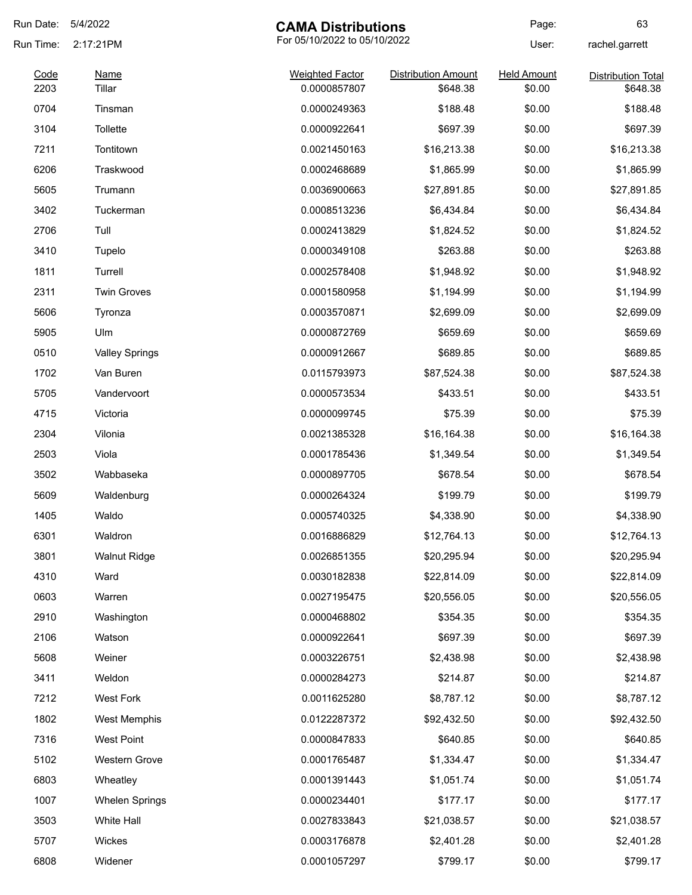| Run Date:    | 5/4/2022              | <b>CAMA Distributions</b>              |                                        | Page:                        | 63                                    |
|--------------|-----------------------|----------------------------------------|----------------------------------------|------------------------------|---------------------------------------|
| Run Time:    | 2:17:21PM             | For 05/10/2022 to 05/10/2022           |                                        | User:                        | rachel.garrett                        |
| Code<br>2203 | <b>Name</b><br>Tillar | <b>Weighted Factor</b><br>0.0000857807 | <b>Distribution Amount</b><br>\$648.38 | <b>Held Amount</b><br>\$0.00 | <b>Distribution Total</b><br>\$648.38 |
| 0704         | Tinsman               | 0.0000249363                           | \$188.48                               | \$0.00                       | \$188.48                              |
| 3104         | Tollette              | 0.0000922641                           | \$697.39                               | \$0.00                       | \$697.39                              |
| 7211         | Tontitown             | 0.0021450163                           | \$16,213.38                            | \$0.00                       | \$16,213.38                           |
| 6206         | Traskwood             | 0.0002468689                           | \$1,865.99                             | \$0.00                       | \$1,865.99                            |
| 5605         | Trumann               | 0.0036900663                           | \$27,891.85                            | \$0.00                       | \$27,891.85                           |
| 3402         | Tuckerman             | 0.0008513236                           | \$6,434.84                             | \$0.00                       | \$6,434.84                            |
| 2706         | Tull                  | 0.0002413829                           | \$1,824.52                             | \$0.00                       | \$1,824.52                            |
| 3410         | Tupelo                | 0.0000349108                           | \$263.88                               | \$0.00                       | \$263.88                              |
| 1811         | Turrell               | 0.0002578408                           | \$1,948.92                             | \$0.00                       | \$1,948.92                            |
| 2311         | <b>Twin Groves</b>    | 0.0001580958                           | \$1,194.99                             | \$0.00                       | \$1,194.99                            |
| 5606         | Tyronza               | 0.0003570871                           | \$2,699.09                             | \$0.00                       | \$2,699.09                            |
| 5905         | Ulm                   | 0.0000872769                           | \$659.69                               | \$0.00                       | \$659.69                              |
| 0510         | <b>Valley Springs</b> | 0.0000912667                           | \$689.85                               | \$0.00                       | \$689.85                              |
| 1702         | Van Buren             | 0.0115793973                           | \$87,524.38                            | \$0.00                       | \$87,524.38                           |
| 5705         | Vandervoort           | 0.0000573534                           | \$433.51                               | \$0.00                       | \$433.51                              |
| 4715         | Victoria              | 0.0000099745                           | \$75.39                                | \$0.00                       | \$75.39                               |
| 2304         | Vilonia               | 0.0021385328                           | \$16,164.38                            | \$0.00                       | \$16,164.38                           |
| 2503         | Viola                 | 0.0001785436                           | \$1,349.54                             | \$0.00                       | \$1,349.54                            |
| 3502         | Wabbaseka             | 0.0000897705                           | \$678.54                               | \$0.00                       | \$678.54                              |
| 5609         | Waldenburg            | 0.0000264324                           | \$199.79                               | \$0.00                       | \$199.79                              |
| 1405         | Waldo                 | 0.0005740325                           | \$4,338.90                             | \$0.00                       | \$4,338.90                            |
| 6301         | Waldron               | 0.0016886829                           | \$12,764.13                            | \$0.00                       | \$12,764.13                           |
| 3801         | <b>Walnut Ridge</b>   | 0.0026851355                           | \$20,295.94                            | \$0.00                       | \$20,295.94                           |
| 4310         | Ward                  | 0.0030182838                           | \$22,814.09                            | \$0.00                       | \$22,814.09                           |
| 0603         | Warren                | 0.0027195475                           | \$20,556.05                            | \$0.00                       | \$20,556.05                           |
| 2910         | Washington            | 0.0000468802                           | \$354.35                               | \$0.00                       | \$354.35                              |
| 2106         | Watson                | 0.0000922641                           | \$697.39                               | \$0.00                       | \$697.39                              |
| 5608         | Weiner                | 0.0003226751                           | \$2,438.98                             | \$0.00                       | \$2,438.98                            |
| 3411         | Weldon                | 0.0000284273                           | \$214.87                               | \$0.00                       | \$214.87                              |
| 7212         | <b>West Fork</b>      | 0.0011625280                           | \$8,787.12                             | \$0.00                       | \$8,787.12                            |
| 1802         | West Memphis          | 0.0122287372                           | \$92,432.50                            | \$0.00                       | \$92,432.50                           |
| 7316         | <b>West Point</b>     | 0.0000847833                           | \$640.85                               | \$0.00                       | \$640.85                              |
| 5102         | Western Grove         | 0.0001765487                           | \$1,334.47                             | \$0.00                       | \$1,334.47                            |
| 6803         | Wheatley              | 0.0001391443                           | \$1,051.74                             | \$0.00                       | \$1,051.74                            |
| 1007         | <b>Whelen Springs</b> | 0.0000234401                           | \$177.17                               | \$0.00                       | \$177.17                              |
| 3503         | White Hall            | 0.0027833843                           | \$21,038.57                            | \$0.00                       | \$21,038.57                           |
| 5707         | Wickes                | 0.0003176878                           | \$2,401.28                             | \$0.00                       | \$2,401.28                            |
| 6808         | Widener               | 0.0001057297                           | \$799.17                               | \$0.00                       | \$799.17                              |
|              |                       |                                        |                                        |                              |                                       |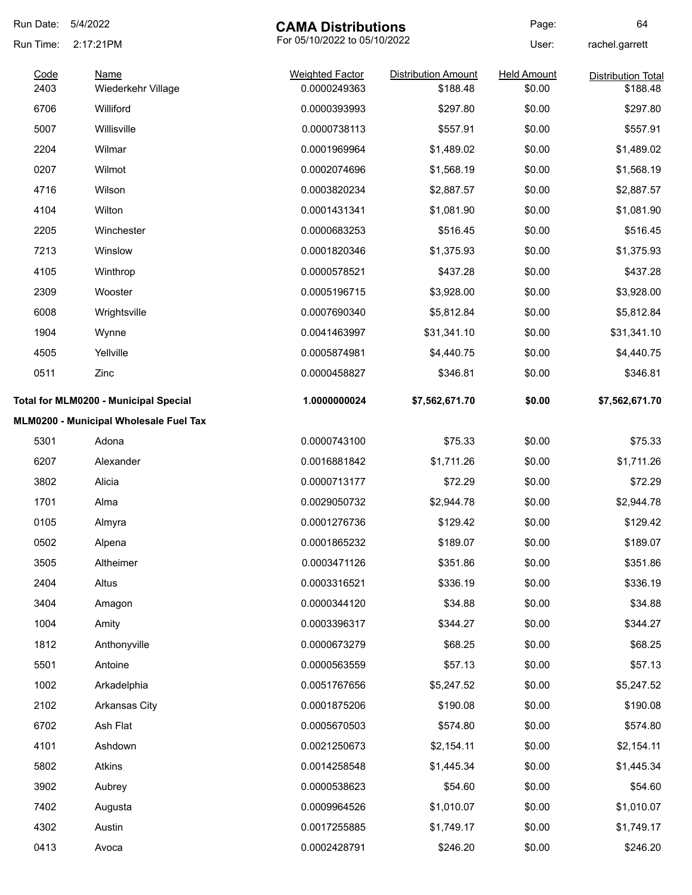| Run Date:    | 5/4/2022<br><b>CAMA Distributions</b>  |                                        | Page:                                  | 64                           |                                       |
|--------------|----------------------------------------|----------------------------------------|----------------------------------------|------------------------------|---------------------------------------|
| Run Time:    | 2:17:21PM                              | For 05/10/2022 to 05/10/2022           |                                        | User:                        | rachel.garrett                        |
| Code<br>2403 | <b>Name</b><br>Wiederkehr Village      | <b>Weighted Factor</b><br>0.0000249363 | <b>Distribution Amount</b><br>\$188.48 | <b>Held Amount</b><br>\$0.00 | <b>Distribution Total</b><br>\$188.48 |
| 6706         | Williford                              | 0.0000393993                           | \$297.80                               | \$0.00                       | \$297.80                              |
| 5007         | Willisville                            | 0.0000738113                           | \$557.91                               | \$0.00                       | \$557.91                              |
| 2204         | Wilmar                                 | 0.0001969964                           | \$1,489.02                             | \$0.00                       | \$1,489.02                            |
| 0207         | Wilmot                                 | 0.0002074696                           | \$1,568.19                             | \$0.00                       | \$1,568.19                            |
| 4716         | Wilson                                 | 0.0003820234                           | \$2,887.57                             | \$0.00                       | \$2,887.57                            |
| 4104         | Wilton                                 | 0.0001431341                           | \$1,081.90                             | \$0.00                       | \$1,081.90                            |
| 2205         | Winchester                             | 0.0000683253                           | \$516.45                               | \$0.00                       | \$516.45                              |
| 7213         | Winslow                                | 0.0001820346                           | \$1,375.93                             | \$0.00                       | \$1,375.93                            |
| 4105         | Winthrop                               | 0.0000578521                           | \$437.28                               | \$0.00                       | \$437.28                              |
| 2309         | Wooster                                | 0.0005196715                           | \$3,928.00                             | \$0.00                       | \$3,928.00                            |
| 6008         | Wrightsville                           | 0.0007690340                           | \$5,812.84                             | \$0.00                       | \$5,812.84                            |
| 1904         | Wynne                                  | 0.0041463997                           | \$31,341.10                            | \$0.00                       | \$31,341.10                           |
| 4505         | Yellville                              | 0.0005874981                           | \$4,440.75                             | \$0.00                       | \$4,440.75                            |
| 0511         | Zinc                                   | 0.0000458827                           | \$346.81                               | \$0.00                       | \$346.81                              |
|              | Total for MLM0200 - Municipal Special  | 1.0000000024                           | \$7,562,671.70                         | \$0.00                       | \$7,562,671.70                        |
|              | MLM0200 - Municipal Wholesale Fuel Tax |                                        |                                        |                              |                                       |
| 5301         | Adona                                  | 0.0000743100                           | \$75.33                                | \$0.00                       | \$75.33                               |
| 6207         | Alexander                              | 0.0016881842                           | \$1,711.26                             | \$0.00                       | \$1,711.26                            |
| 3802         | Alicia                                 | 0.0000713177                           | \$72.29                                | \$0.00                       | \$72.29                               |
| 1701         | Alma                                   | 0.0029050732                           | \$2,944.78                             | \$0.00                       | \$2,944.78                            |
| 0105         | Almyra                                 | 0.0001276736                           | \$129.42                               | \$0.00                       | \$129.42                              |
| 0502         | Alpena                                 | 0.0001865232                           | \$189.07                               | \$0.00                       | \$189.07                              |
| 3505         | Altheimer                              | 0.0003471126                           | \$351.86                               | \$0.00                       | \$351.86                              |
| 2404         | Altus                                  | 0.0003316521                           | \$336.19                               | \$0.00                       | \$336.19                              |
| 3404         | Amagon                                 | 0.0000344120                           | \$34.88                                | \$0.00                       | \$34.88                               |
| 1004         | Amity                                  | 0.0003396317                           | \$344.27                               | \$0.00                       | \$344.27                              |
| 1812         | Anthonyville                           | 0.0000673279                           | \$68.25                                | \$0.00                       | \$68.25                               |
| 5501         | Antoine                                | 0.0000563559                           | \$57.13                                | \$0.00                       | \$57.13                               |
| 1002         | Arkadelphia                            | 0.0051767656                           | \$5,247.52                             | \$0.00                       | \$5,247.52                            |
| 2102         | Arkansas City                          | 0.0001875206                           | \$190.08                               | \$0.00                       | \$190.08                              |
| 6702         | Ash Flat                               | 0.0005670503                           | \$574.80                               | \$0.00                       | \$574.80                              |
| 4101         | Ashdown                                | 0.0021250673                           | \$2,154.11                             | \$0.00                       | \$2,154.11                            |
| 5802         | Atkins                                 | 0.0014258548                           | \$1,445.34                             | \$0.00                       | \$1,445.34                            |
| 3902         | Aubrey                                 | 0.0000538623                           | \$54.60                                | \$0.00                       | \$54.60                               |
| 7402         | Augusta                                | 0.0009964526                           | \$1,010.07                             | \$0.00                       | \$1,010.07                            |
| 4302         | Austin                                 | 0.0017255885                           | \$1,749.17                             | \$0.00                       | \$1,749.17                            |
| 0413         | Avoca                                  | 0.0002428791                           | \$246.20                               | \$0.00                       | \$246.20                              |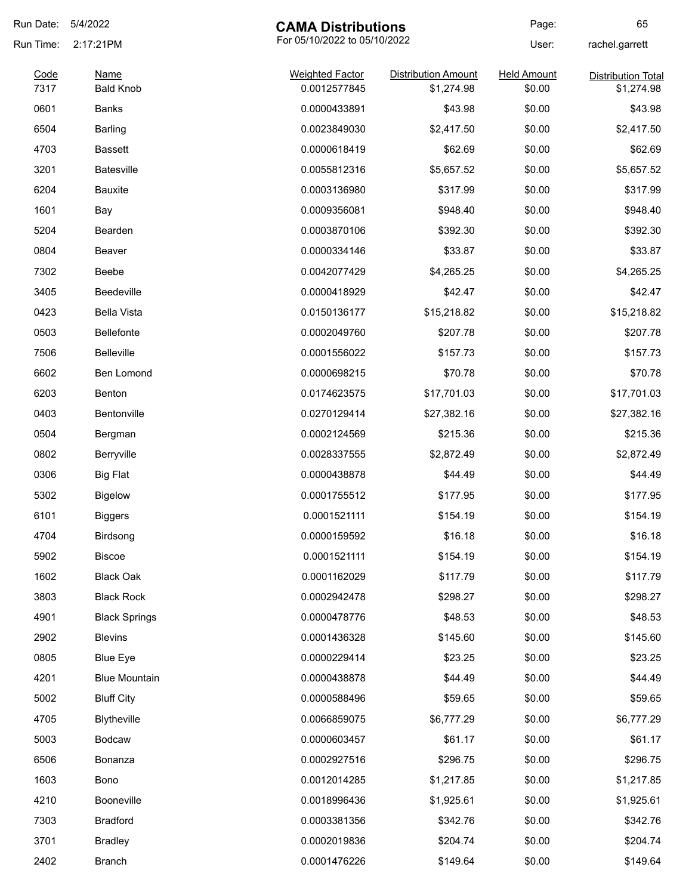| Run Date:    | 5/4/2022                        | <b>CAMA Distributions</b>              |                                          | Page:                        | 65                                      |
|--------------|---------------------------------|----------------------------------------|------------------------------------------|------------------------------|-----------------------------------------|
| Run Time:    | 2:17:21PM                       | For 05/10/2022 to 05/10/2022           |                                          | User:                        | rachel.garrett                          |
| Code<br>7317 | <b>Name</b><br><b>Bald Knob</b> | <b>Weighted Factor</b><br>0.0012577845 | <b>Distribution Amount</b><br>\$1,274.98 | <b>Held Amount</b><br>\$0.00 | <b>Distribution Total</b><br>\$1,274.98 |
| 0601         | Banks                           | 0.0000433891                           | \$43.98                                  | \$0.00                       | \$43.98                                 |
| 6504         | <b>Barling</b>                  | 0.0023849030                           | \$2,417.50                               | \$0.00                       | \$2,417.50                              |
| 4703         | <b>Bassett</b>                  | 0.0000618419                           | \$62.69                                  | \$0.00                       | \$62.69                                 |
| 3201         | <b>Batesville</b>               | 0.0055812316                           | \$5,657.52                               | \$0.00                       | \$5,657.52                              |
| 6204         | <b>Bauxite</b>                  | 0.0003136980                           | \$317.99                                 | \$0.00                       | \$317.99                                |
| 1601         | Bay                             | 0.0009356081                           | \$948.40                                 | \$0.00                       | \$948.40                                |
| 5204         | Bearden                         | 0.0003870106                           | \$392.30                                 | \$0.00                       | \$392.30                                |
| 0804         | Beaver                          | 0.0000334146                           | \$33.87                                  | \$0.00                       | \$33.87                                 |
| 7302         | Beebe                           | 0.0042077429                           | \$4,265.25                               | \$0.00                       | \$4,265.25                              |
| 3405         | <b>Beedeville</b>               | 0.0000418929                           | \$42.47                                  | \$0.00                       | \$42.47                                 |
| 0423         | <b>Bella Vista</b>              | 0.0150136177                           | \$15,218.82                              | \$0.00                       | \$15,218.82                             |
| 0503         | <b>Bellefonte</b>               | 0.0002049760                           | \$207.78                                 | \$0.00                       | \$207.78                                |
| 7506         | <b>Belleville</b>               | 0.0001556022                           | \$157.73                                 | \$0.00                       | \$157.73                                |
| 6602         | Ben Lomond                      | 0.0000698215                           | \$70.78                                  | \$0.00                       | \$70.78                                 |
| 6203         | Benton                          | 0.0174623575                           | \$17,701.03                              | \$0.00                       | \$17,701.03                             |
| 0403         | Bentonville                     | 0.0270129414                           | \$27,382.16                              | \$0.00                       | \$27,382.16                             |
| 0504         | Bergman                         | 0.0002124569                           | \$215.36                                 | \$0.00                       | \$215.36                                |
| 0802         | Berryville                      | 0.0028337555                           | \$2,872.49                               | \$0.00                       | \$2,872.49                              |
| 0306         | <b>Big Flat</b>                 | 0.0000438878                           | \$44.49                                  | \$0.00                       | \$44.49                                 |
| 5302         | <b>Bigelow</b>                  | 0.0001755512                           | \$177.95                                 | \$0.00                       | \$177.95                                |
| 6101         | <b>Biggers</b>                  | 0.0001521111                           | \$154.19                                 | \$0.00                       | \$154.19                                |
| 4704         | Birdsong                        | 0.0000159592                           | \$16.18                                  | \$0.00                       | \$16.18                                 |
| 5902         | <b>Biscoe</b>                   | 0.0001521111                           | \$154.19                                 | \$0.00                       | \$154.19                                |
| 1602         | <b>Black Oak</b>                | 0.0001162029                           | \$117.79                                 | \$0.00                       | \$117.79                                |
| 3803         | <b>Black Rock</b>               | 0.0002942478                           | \$298.27                                 | \$0.00                       | \$298.27                                |
| 4901         | <b>Black Springs</b>            | 0.0000478776                           | \$48.53                                  | \$0.00                       | \$48.53                                 |
| 2902         | <b>Blevins</b>                  | 0.0001436328                           | \$145.60                                 | \$0.00                       | \$145.60                                |
| 0805         | <b>Blue Eye</b>                 | 0.0000229414                           | \$23.25                                  | \$0.00                       | \$23.25                                 |
| 4201         | <b>Blue Mountain</b>            | 0.0000438878                           | \$44.49                                  | \$0.00                       | \$44.49                                 |
| 5002         | <b>Bluff City</b>               | 0.0000588496                           | \$59.65                                  | \$0.00                       | \$59.65                                 |
| 4705         | Blytheville                     | 0.0066859075                           | \$6,777.29                               | \$0.00                       | \$6,777.29                              |
| 5003         | Bodcaw                          | 0.0000603457                           | \$61.17                                  | \$0.00                       | \$61.17                                 |
| 6506         | Bonanza                         | 0.0002927516                           | \$296.75                                 | \$0.00                       | \$296.75                                |
| 1603         | Bono                            | 0.0012014285                           | \$1,217.85                               | \$0.00                       | \$1,217.85                              |
| 4210         | Booneville                      | 0.0018996436                           | \$1,925.61                               | \$0.00                       | \$1,925.61                              |
| 7303         | <b>Bradford</b>                 | 0.0003381356                           | \$342.76                                 | \$0.00                       | \$342.76                                |
| 3701         | <b>Bradley</b>                  | 0.0002019836                           | \$204.74                                 | \$0.00                       | \$204.74                                |
| 2402         | <b>Branch</b>                   | 0.0001476226                           | \$149.64                                 | \$0.00                       | \$149.64                                |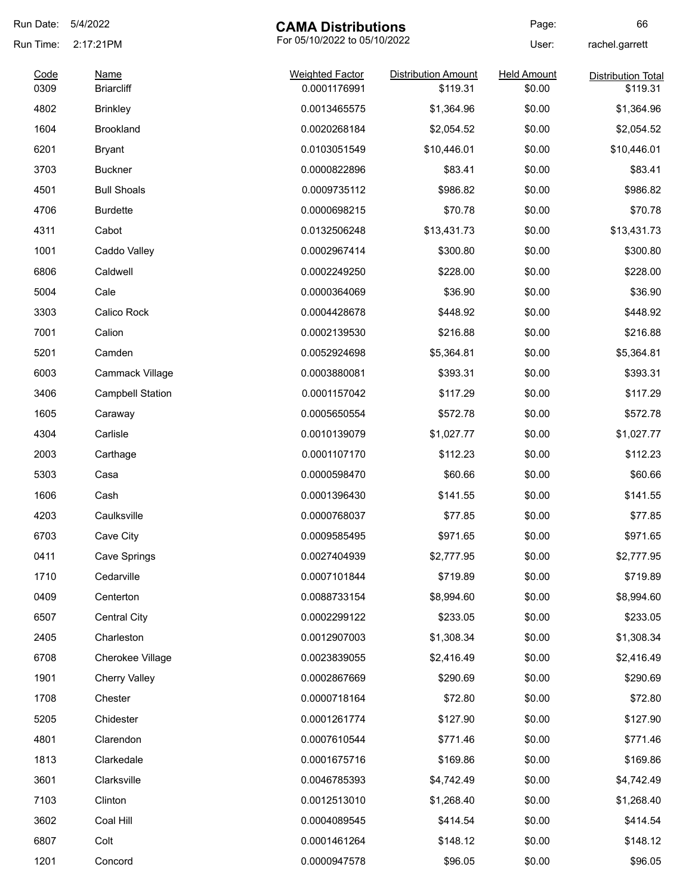| Run Date: | 5/4/2022<br><b>CAMA Distributions</b> |                              | Page:                      | 66                 |                           |
|-----------|---------------------------------------|------------------------------|----------------------------|--------------------|---------------------------|
| Run Time: | 2:17:21PM                             | For 05/10/2022 to 05/10/2022 |                            | User:              | rachel.garrett            |
| Code      | <b>Name</b>                           | <b>Weighted Factor</b>       | <b>Distribution Amount</b> | <b>Held Amount</b> | <b>Distribution Total</b> |
| 0309      | <b>Briarcliff</b>                     | 0.0001176991                 | \$119.31                   | \$0.00             | \$119.31                  |
| 4802      | <b>Brinkley</b>                       | 0.0013465575                 | \$1,364.96                 | \$0.00             | \$1,364.96                |
| 1604      | <b>Brookland</b>                      | 0.0020268184                 | \$2,054.52                 | \$0.00             | \$2,054.52                |
| 6201      | <b>Bryant</b>                         | 0.0103051549                 | \$10,446.01                | \$0.00             | \$10,446.01               |
| 3703      | <b>Buckner</b>                        | 0.0000822896                 | \$83.41                    | \$0.00             | \$83.41                   |
| 4501      | <b>Bull Shoals</b>                    | 0.0009735112                 | \$986.82                   | \$0.00             | \$986.82                  |
| 4706      | <b>Burdette</b>                       | 0.0000698215                 | \$70.78                    | \$0.00             | \$70.78                   |
| 4311      | Cabot                                 | 0.0132506248                 | \$13,431.73                | \$0.00             | \$13,431.73               |
| 1001      | Caddo Valley                          | 0.0002967414                 | \$300.80                   | \$0.00             | \$300.80                  |
| 6806      | Caldwell                              | 0.0002249250                 | \$228.00                   | \$0.00             | \$228.00                  |
| 5004      | Cale                                  | 0.0000364069                 | \$36.90                    | \$0.00             | \$36.90                   |
| 3303      | Calico Rock                           | 0.0004428678                 | \$448.92                   | \$0.00             | \$448.92                  |
| 7001      | Calion                                | 0.0002139530                 | \$216.88                   | \$0.00             | \$216.88                  |
| 5201      | Camden                                | 0.0052924698                 | \$5,364.81                 | \$0.00             | \$5,364.81                |
| 6003      | Cammack Village                       | 0.0003880081                 | \$393.31                   | \$0.00             | \$393.31                  |
| 3406      | <b>Campbell Station</b>               | 0.0001157042                 | \$117.29                   | \$0.00             | \$117.29                  |
| 1605      | Caraway                               | 0.0005650554                 | \$572.78                   | \$0.00             | \$572.78                  |
| 4304      | Carlisle                              | 0.0010139079                 | \$1,027.77                 | \$0.00             | \$1,027.77                |
| 2003      | Carthage                              | 0.0001107170                 | \$112.23                   | \$0.00             | \$112.23                  |
| 5303      | Casa                                  | 0.0000598470                 | \$60.66                    | \$0.00             | \$60.66                   |
| 1606      | Cash                                  | 0.0001396430                 | \$141.55                   | \$0.00             | \$141.55                  |
| 4203      | Caulksville                           | 0.0000768037                 | \$77.85                    | \$0.00             | \$77.85                   |
| 6703      | Cave City                             | 0.0009585495                 | \$971.65                   | \$0.00             | \$971.65                  |
| 0411      | Cave Springs                          | 0.0027404939                 | \$2,777.95                 | \$0.00             | \$2,777.95                |
| 1710      | Cedarville                            | 0.0007101844                 | \$719.89                   | \$0.00             | \$719.89                  |
| 0409      | Centerton                             | 0.0088733154                 | \$8,994.60                 | \$0.00             | \$8,994.60                |
| 6507      | <b>Central City</b>                   | 0.0002299122                 | \$233.05                   | \$0.00             | \$233.05                  |
| 2405      | Charleston                            | 0.0012907003                 | \$1,308.34                 | \$0.00             | \$1,308.34                |
| 6708      | Cherokee Village                      | 0.0023839055                 | \$2,416.49                 | \$0.00             | \$2,416.49                |
| 1901      | <b>Cherry Valley</b>                  | 0.0002867669                 | \$290.69                   | \$0.00             | \$290.69                  |
| 1708      | Chester                               | 0.0000718164                 | \$72.80                    | \$0.00             | \$72.80                   |
| 5205      | Chidester                             | 0.0001261774                 | \$127.90                   | \$0.00             | \$127.90                  |
| 4801      | Clarendon                             | 0.0007610544                 | \$771.46                   | \$0.00             | \$771.46                  |
| 1813      | Clarkedale                            | 0.0001675716                 | \$169.86                   | \$0.00             | \$169.86                  |
| 3601      | Clarksville                           | 0.0046785393                 |                            | \$0.00             |                           |
|           |                                       |                              | \$4,742.49                 |                    | \$4,742.49                |
| 7103      | Clinton                               | 0.0012513010                 | \$1,268.40                 | \$0.00             | \$1,268.40                |
| 3602      | Coal Hill                             | 0.0004089545                 | \$414.54                   | \$0.00             | \$414.54                  |
| 6807      | Colt                                  | 0.0001461264                 | \$148.12                   | \$0.00             | \$148.12                  |
| 1201      | Concord                               | 0.0000947578                 | \$96.05                    | \$0.00             | \$96.05                   |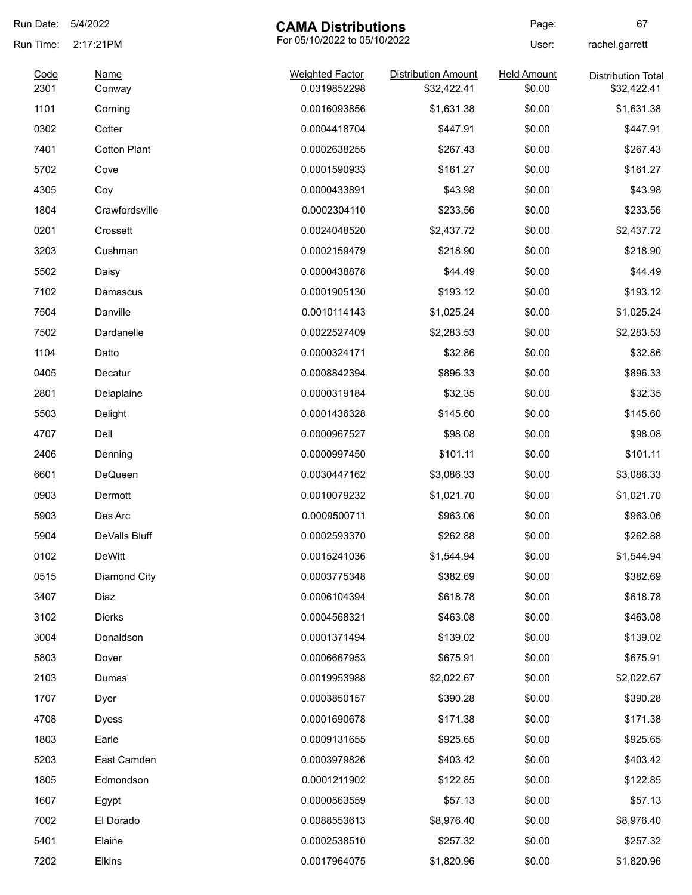| Run Date: | 5/4/2022            | <b>CAMA Distributions</b>    |                            | Page:              | 67                        |
|-----------|---------------------|------------------------------|----------------------------|--------------------|---------------------------|
| Run Time: | 2:17:21PM           | For 05/10/2022 to 05/10/2022 |                            | User:              | rachel.garrett            |
| Code      | <b>Name</b>         | <b>Weighted Factor</b>       | <b>Distribution Amount</b> | <b>Held Amount</b> | <b>Distribution Total</b> |
| 2301      | Conway              | 0.0319852298                 | \$32,422.41                | \$0.00             | \$32,422.41               |
| 1101      | Corning             | 0.0016093856                 | \$1,631.38                 | \$0.00             | \$1,631.38                |
| 0302      | Cotter              | 0.0004418704                 | \$447.91                   | \$0.00             | \$447.91                  |
| 7401      | <b>Cotton Plant</b> | 0.0002638255                 | \$267.43                   | \$0.00             | \$267.43                  |
| 5702      | Cove                | 0.0001590933                 | \$161.27                   | \$0.00             | \$161.27                  |
| 4305      | Coy                 | 0.0000433891                 | \$43.98                    | \$0.00             | \$43.98                   |
| 1804      | Crawfordsville      | 0.0002304110                 | \$233.56                   | \$0.00             | \$233.56                  |
| 0201      | Crossett            | 0.0024048520                 | \$2,437.72                 | \$0.00             | \$2,437.72                |
| 3203      | Cushman             | 0.0002159479                 | \$218.90                   | \$0.00             | \$218.90                  |
| 5502      | Daisy               | 0.0000438878                 | \$44.49                    | \$0.00             | \$44.49                   |
| 7102      | Damascus            | 0.0001905130                 | \$193.12                   | \$0.00             | \$193.12                  |
| 7504      | Danville            | 0.0010114143                 | \$1,025.24                 | \$0.00             | \$1,025.24                |
| 7502      | Dardanelle          | 0.0022527409                 | \$2,283.53                 | \$0.00             | \$2,283.53                |
| 1104      | Datto               | 0.0000324171                 | \$32.86                    | \$0.00             | \$32.86                   |
| 0405      | Decatur             | 0.0008842394                 | \$896.33                   | \$0.00             | \$896.33                  |
| 2801      | Delaplaine          | 0.0000319184                 | \$32.35                    | \$0.00             | \$32.35                   |
| 5503      | Delight             | 0.0001436328                 | \$145.60                   | \$0.00             | \$145.60                  |
| 4707      | Dell                | 0.0000967527                 | \$98.08                    | \$0.00             | \$98.08                   |
| 2406      | Denning             | 0.0000997450                 | \$101.11                   | \$0.00             | \$101.11                  |
| 6601      | DeQueen             | 0.0030447162                 | \$3,086.33                 | \$0.00             | \$3,086.33                |
| 0903      | Dermott             | 0.0010079232                 | \$1,021.70                 | \$0.00             | \$1,021.70                |
| 5903      | Des Arc             | 0.0009500711                 | \$963.06                   | \$0.00             | \$963.06                  |
| 5904      | DeValls Bluff       | 0.0002593370                 | \$262.88                   | \$0.00             | \$262.88                  |
| 0102      | DeWitt              | 0.0015241036                 | \$1,544.94                 | \$0.00             | \$1,544.94                |
| 0515      | Diamond City        | 0.0003775348                 | \$382.69                   | \$0.00             | \$382.69                  |
| 3407      | Diaz                | 0.0006104394                 | \$618.78                   | \$0.00             | \$618.78                  |
| 3102      | <b>Dierks</b>       | 0.0004568321                 | \$463.08                   | \$0.00             | \$463.08                  |
| 3004      | Donaldson           | 0.0001371494                 | \$139.02                   | \$0.00             | \$139.02                  |
| 5803      | Dover               | 0.0006667953                 | \$675.91                   | \$0.00             | \$675.91                  |
| 2103      | Dumas               | 0.0019953988                 | \$2,022.67                 | \$0.00             | \$2,022.67                |
| 1707      | Dyer                | 0.0003850157                 | \$390.28                   | \$0.00             | \$390.28                  |
| 4708      | <b>Dyess</b>        | 0.0001690678                 | \$171.38                   | \$0.00             | \$171.38                  |
| 1803      | Earle               | 0.0009131655                 | \$925.65                   | \$0.00             | \$925.65                  |
| 5203      | East Camden         | 0.0003979826                 | \$403.42                   | \$0.00             | \$403.42                  |
| 1805      | Edmondson           | 0.0001211902                 | \$122.85                   | \$0.00             | \$122.85                  |
| 1607      | Egypt               | 0.0000563559                 | \$57.13                    | \$0.00             | \$57.13                   |
| 7002      | El Dorado           | 0.0088553613                 | \$8,976.40                 | \$0.00             | \$8,976.40                |
| 5401      | Elaine              | 0.0002538510                 | \$257.32                   | \$0.00             | \$257.32                  |
| 7202      | Elkins              | 0.0017964075                 | \$1,820.96                 | \$0.00             | \$1,820.96                |
|           |                     |                              |                            |                    |                           |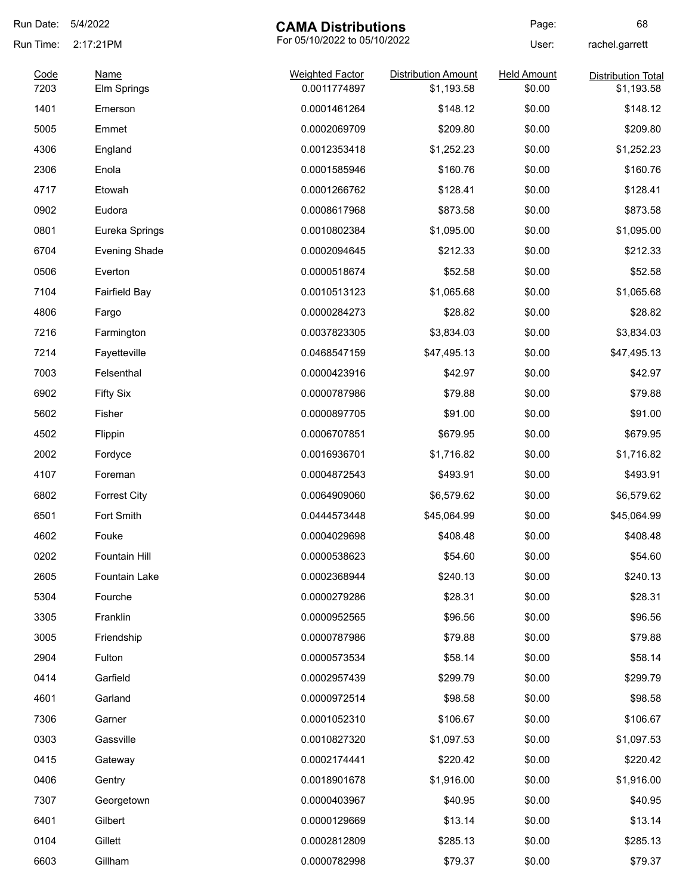| Run Date:    | 5/4/2022                   | <b>CAMA Distributions</b>              |                                          | Page:                        | 68                                      |
|--------------|----------------------------|----------------------------------------|------------------------------------------|------------------------------|-----------------------------------------|
| Run Time:    | 2:17:21PM                  | For 05/10/2022 to 05/10/2022           |                                          | User:                        | rachel.garrett                          |
| Code<br>7203 | <b>Name</b><br>Elm Springs | <b>Weighted Factor</b><br>0.0011774897 | <b>Distribution Amount</b><br>\$1,193.58 | <b>Held Amount</b><br>\$0.00 | <b>Distribution Total</b><br>\$1,193.58 |
| 1401         | Emerson                    | 0.0001461264                           | \$148.12                                 | \$0.00                       | \$148.12                                |
| 5005         | Emmet                      | 0.0002069709                           | \$209.80                                 | \$0.00                       | \$209.80                                |
| 4306         | England                    | 0.0012353418                           | \$1,252.23                               | \$0.00                       | \$1,252.23                              |
| 2306         | Enola                      | 0.0001585946                           | \$160.76                                 | \$0.00                       | \$160.76                                |
| 4717         | Etowah                     | 0.0001266762                           | \$128.41                                 | \$0.00                       | \$128.41                                |
| 0902         | Eudora                     | 0.0008617968                           | \$873.58                                 | \$0.00                       | \$873.58                                |
| 0801         | Eureka Springs             | 0.0010802384                           | \$1,095.00                               | \$0.00                       | \$1,095.00                              |
| 6704         | <b>Evening Shade</b>       | 0.0002094645                           | \$212.33                                 | \$0.00                       | \$212.33                                |
| 0506         | Everton                    | 0.0000518674                           | \$52.58                                  | \$0.00                       | \$52.58                                 |
| 7104         | <b>Fairfield Bay</b>       | 0.0010513123                           | \$1,065.68                               | \$0.00                       | \$1,065.68                              |
| 4806         | Fargo                      | 0.0000284273                           | \$28.82                                  | \$0.00                       | \$28.82                                 |
| 7216         | Farmington                 | 0.0037823305                           | \$3,834.03                               | \$0.00                       | \$3,834.03                              |
| 7214         | Fayetteville               | 0.0468547159                           | \$47,495.13                              | \$0.00                       | \$47,495.13                             |
| 7003         | Felsenthal                 | 0.0000423916                           | \$42.97                                  | \$0.00                       | \$42.97                                 |
| 6902         | <b>Fifty Six</b>           | 0.0000787986                           | \$79.88                                  | \$0.00                       | \$79.88                                 |
| 5602         | Fisher                     | 0.0000897705                           | \$91.00                                  | \$0.00                       | \$91.00                                 |
| 4502         | Flippin                    | 0.0006707851                           | \$679.95                                 | \$0.00                       | \$679.95                                |
| 2002         | Fordyce                    | 0.0016936701                           | \$1,716.82                               | \$0.00                       | \$1,716.82                              |
| 4107         | Foreman                    | 0.0004872543                           | \$493.91                                 | \$0.00                       | \$493.91                                |
| 6802         | <b>Forrest City</b>        | 0.0064909060                           | \$6,579.62                               | \$0.00                       | \$6,579.62                              |
| 6501         | Fort Smith                 | 0.0444573448                           | \$45,064.99                              | \$0.00                       | \$45,064.99                             |
| 4602         | Fouke                      | 0.0004029698                           | \$408.48                                 | \$0.00                       | \$408.48                                |
| 0202         | Fountain Hill              | 0.0000538623                           | \$54.60                                  | \$0.00                       | \$54.60                                 |
| 2605         | Fountain Lake              | 0.0002368944                           | \$240.13                                 | \$0.00                       | \$240.13                                |
| 5304         | Fourche                    | 0.0000279286                           | \$28.31                                  | \$0.00                       | \$28.31                                 |
| 3305         | Franklin                   | 0.0000952565                           | \$96.56                                  | \$0.00                       | \$96.56                                 |
| 3005         | Friendship                 | 0.0000787986                           | \$79.88                                  | \$0.00                       | \$79.88                                 |
| 2904         | Fulton                     | 0.0000573534                           | \$58.14                                  | \$0.00                       | \$58.14                                 |
| 0414         | Garfield                   | 0.0002957439                           | \$299.79                                 | \$0.00                       | \$299.79                                |
| 4601         | Garland                    | 0.0000972514                           | \$98.58                                  | \$0.00                       | \$98.58                                 |
| 7306         | Garner                     | 0.0001052310                           | \$106.67                                 | \$0.00                       | \$106.67                                |
| 0303         | Gassville                  | 0.0010827320                           | \$1,097.53                               | \$0.00                       | \$1,097.53                              |
| 0415         | Gateway                    | 0.0002174441                           | \$220.42                                 | \$0.00                       | \$220.42                                |
| 0406         | Gentry                     | 0.0018901678                           | \$1,916.00                               | \$0.00                       | \$1,916.00                              |
| 7307         | Georgetown                 | 0.0000403967                           | \$40.95                                  | \$0.00                       | \$40.95                                 |
| 6401         | Gilbert                    | 0.0000129669                           | \$13.14                                  | \$0.00                       | \$13.14                                 |
| 0104         | Gillett                    | 0.0002812809                           | \$285.13                                 | \$0.00                       | \$285.13                                |
| 6603         | Gillham                    | 0.0000782998                           | \$79.37                                  | \$0.00                       | \$79.37                                 |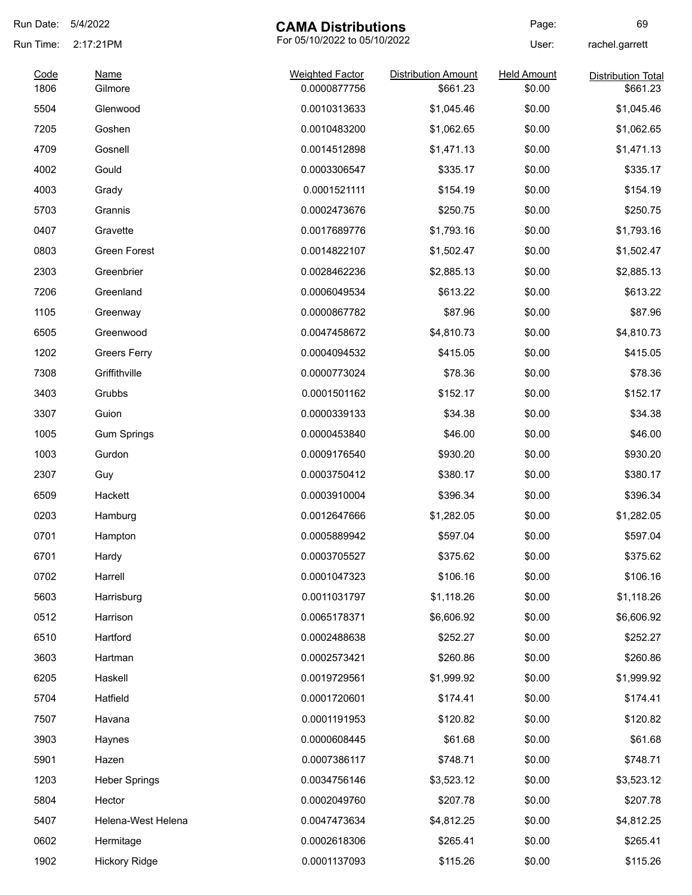| Run Date:    | 5/4/2022               | <b>CAMA Distributions</b>              |                                        | Page:                        | 69                                    |
|--------------|------------------------|----------------------------------------|----------------------------------------|------------------------------|---------------------------------------|
| Run Time:    | 2:17:21PM              | For 05/10/2022 to 05/10/2022           |                                        | User:                        | rachel.garrett                        |
| Code<br>1806 | <b>Name</b><br>Gilmore | <b>Weighted Factor</b><br>0.0000877756 | <b>Distribution Amount</b><br>\$661.23 | <b>Held Amount</b><br>\$0.00 | <b>Distribution Total</b><br>\$661.23 |
| 5504         | Glenwood               | 0.0010313633                           | \$1,045.46                             | \$0.00                       |                                       |
|              |                        |                                        |                                        |                              | \$1,045.46                            |
| 7205         | Goshen                 | 0.0010483200                           | \$1,062.65                             | \$0.00                       | \$1,062.65                            |
| 4709         | Gosnell                | 0.0014512898                           | \$1,471.13                             | \$0.00                       | \$1,471.13                            |
| 4002         | Gould                  | 0.0003306547                           | \$335.17                               | \$0.00                       | \$335.17                              |
| 4003         | Grady                  | 0.0001521111                           | \$154.19                               | \$0.00                       | \$154.19                              |
| 5703         | Grannis                | 0.0002473676                           | \$250.75                               | \$0.00                       | \$250.75                              |
| 0407         | Gravette               | 0.0017689776                           | \$1,793.16                             | \$0.00                       | \$1,793.16                            |
| 0803         | Green Forest           | 0.0014822107                           | \$1,502.47                             | \$0.00                       | \$1,502.47                            |
| 2303         | Greenbrier             | 0.0028462236                           | \$2,885.13                             | \$0.00                       | \$2,885.13                            |
| 7206         | Greenland              | 0.0006049534                           | \$613.22                               | \$0.00                       | \$613.22                              |
| 1105         | Greenway               | 0.0000867782                           | \$87.96                                | \$0.00                       | \$87.96                               |
| 6505         | Greenwood              | 0.0047458672                           | \$4,810.73                             | \$0.00                       | \$4,810.73                            |
| 1202         | <b>Greers Ferry</b>    | 0.0004094532                           | \$415.05                               | \$0.00                       | \$415.05                              |
| 7308         | Griffithville          | 0.0000773024                           | \$78.36                                | \$0.00                       | \$78.36                               |
| 3403         | Grubbs                 | 0.0001501162                           | \$152.17                               | \$0.00                       | \$152.17                              |
| 3307         | Guion                  | 0.0000339133                           | \$34.38                                | \$0.00                       | \$34.38                               |
| 1005         | <b>Gum Springs</b>     | 0.0000453840                           | \$46.00                                | \$0.00                       | \$46.00                               |
| 1003         | Gurdon                 | 0.0009176540                           | \$930.20                               | \$0.00                       | \$930.20                              |
| 2307         | Guy                    | 0.0003750412                           | \$380.17                               | \$0.00                       | \$380.17                              |
| 6509         | Hackett                | 0.0003910004                           | \$396.34                               | \$0.00                       | \$396.34                              |
| 0203         | Hamburg                | 0.0012647666                           | \$1,282.05                             | \$0.00                       | \$1,282.05                            |
| 0701         | Hampton                | 0.0005889942                           | \$597.04                               | \$0.00                       | \$597.04                              |
| 6701         | Hardy                  | 0.0003705527                           | \$375.62                               | \$0.00                       | \$375.62                              |
| 0702         | Harrell                | 0.0001047323                           | \$106.16                               | \$0.00                       | \$106.16                              |
| 5603         | Harrisburg             | 0.0011031797                           | \$1,118.26                             | \$0.00                       | \$1,118.26                            |
| 0512         | Harrison               | 0.0065178371                           | \$6,606.92                             | \$0.00                       | \$6,606.92                            |
| 6510         | Hartford               | 0.0002488638                           | \$252.27                               | \$0.00                       | \$252.27                              |
| 3603         | Hartman                | 0.0002573421                           | \$260.86                               | \$0.00                       | \$260.86                              |
| 6205         | Haskell                | 0.0019729561                           | \$1,999.92                             | \$0.00                       | \$1,999.92                            |
| 5704         | Hatfield               | 0.0001720601                           | \$174.41                               | \$0.00                       | \$174.41                              |
|              |                        |                                        |                                        |                              |                                       |
| 7507         | Havana                 | 0.0001191953                           | \$120.82                               | \$0.00                       | \$120.82                              |
| 3903         | Haynes                 | 0.0000608445                           | \$61.68                                | \$0.00                       | \$61.68                               |
| 5901         | Hazen                  | 0.0007386117                           | \$748.71                               | \$0.00                       | \$748.71                              |
| 1203         | <b>Heber Springs</b>   | 0.0034756146                           | \$3,523.12                             | \$0.00                       | \$3,523.12                            |
| 5804         | Hector                 | 0.0002049760                           | \$207.78                               | \$0.00                       | \$207.78                              |
| 5407         | Helena-West Helena     | 0.0047473634                           | \$4,812.25                             | \$0.00                       | \$4,812.25                            |
| 0602         | Hermitage              | 0.0002618306                           | \$265.41                               | \$0.00                       | \$265.41                              |
| 1902         | <b>Hickory Ridge</b>   | 0.0001137093                           | \$115.26                               | \$0.00                       | \$115.26                              |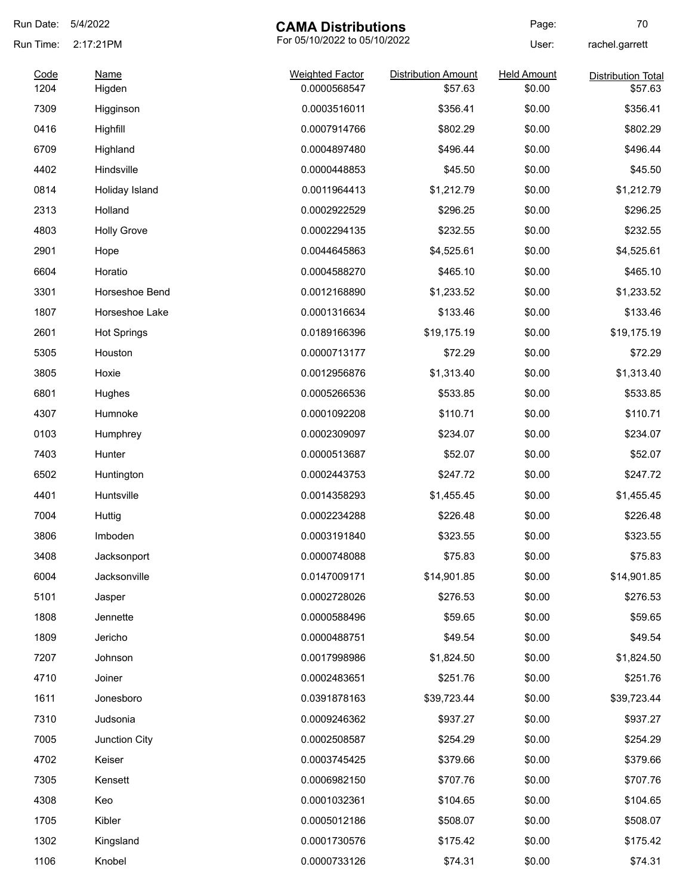| Run Date: | 5/4/2022           | <b>CAMA Distributions</b>    |                            | Page:              | 70                        |
|-----------|--------------------|------------------------------|----------------------------|--------------------|---------------------------|
| Run Time: | 2:17:21PM          | For 05/10/2022 to 05/10/2022 |                            | User:              | rachel.garrett            |
| Code      | <b>Name</b>        | <b>Weighted Factor</b>       | <b>Distribution Amount</b> | <b>Held Amount</b> | <b>Distribution Total</b> |
| 1204      | Higden             | 0.0000568547                 | \$57.63                    | \$0.00             | \$57.63                   |
| 7309      | Higginson          | 0.0003516011                 | \$356.41                   | \$0.00             | \$356.41                  |
| 0416      | Highfill           | 0.0007914766                 | \$802.29                   | \$0.00             | \$802.29                  |
| 6709      | Highland           | 0.0004897480                 | \$496.44                   | \$0.00             | \$496.44                  |
| 4402      | Hindsville         | 0.0000448853                 | \$45.50                    | \$0.00             | \$45.50                   |
| 0814      | Holiday Island     | 0.0011964413                 | \$1,212.79                 | \$0.00             | \$1,212.79                |
| 2313      | Holland            | 0.0002922529                 | \$296.25                   | \$0.00             | \$296.25                  |
| 4803      | <b>Holly Grove</b> | 0.0002294135                 | \$232.55                   | \$0.00             | \$232.55                  |
| 2901      | Hope               | 0.0044645863                 | \$4,525.61                 | \$0.00             | \$4,525.61                |
| 6604      | Horatio            | 0.0004588270                 | \$465.10                   | \$0.00             | \$465.10                  |
| 3301      | Horseshoe Bend     | 0.0012168890                 | \$1,233.52                 | \$0.00             | \$1,233.52                |
| 1807      | Horseshoe Lake     | 0.0001316634                 | \$133.46                   | \$0.00             | \$133.46                  |
| 2601      | <b>Hot Springs</b> | 0.0189166396                 | \$19,175.19                | \$0.00             | \$19,175.19               |
| 5305      | Houston            | 0.0000713177                 | \$72.29                    | \$0.00             | \$72.29                   |
| 3805      | Hoxie              | 0.0012956876                 | \$1,313.40                 | \$0.00             | \$1,313.40                |
| 6801      | Hughes             | 0.0005266536                 | \$533.85                   | \$0.00             | \$533.85                  |
| 4307      | Humnoke            | 0.0001092208                 | \$110.71                   | \$0.00             | \$110.71                  |
| 0103      | Humphrey           | 0.0002309097                 | \$234.07                   | \$0.00             | \$234.07                  |
| 7403      | Hunter             | 0.0000513687                 | \$52.07                    | \$0.00             | \$52.07                   |
| 6502      | Huntington         | 0.0002443753                 | \$247.72                   | \$0.00             | \$247.72                  |
| 4401      | Huntsville         | 0.0014358293                 | \$1,455.45                 | \$0.00             | \$1,455.45                |
| 7004      | Huttig             | 0.0002234288                 | \$226.48                   | \$0.00             | \$226.48                  |
| 3806      | Imboden            | 0.0003191840                 | \$323.55                   | \$0.00             | \$323.55                  |
| 3408      | Jacksonport        | 0.0000748088                 | \$75.83                    | \$0.00             | \$75.83                   |
| 6004      | Jacksonville       | 0.0147009171                 | \$14,901.85                | \$0.00             | \$14,901.85               |
| 5101      | Jasper             | 0.0002728026                 | \$276.53                   | \$0.00             | \$276.53                  |
| 1808      | Jennette           | 0.0000588496                 | \$59.65                    | \$0.00             | \$59.65                   |
| 1809      | Jericho            | 0.0000488751                 | \$49.54                    | \$0.00             | \$49.54                   |
| 7207      | Johnson            | 0.0017998986                 | \$1,824.50                 | \$0.00             | \$1,824.50                |
| 4710      | Joiner             | 0.0002483651                 | \$251.76                   | \$0.00             | \$251.76                  |
| 1611      | Jonesboro          | 0.0391878163                 | \$39,723.44                | \$0.00             | \$39,723.44               |
| 7310      | Judsonia           | 0.0009246362                 | \$937.27                   | \$0.00             | \$937.27                  |
| 7005      | Junction City      | 0.0002508587                 | \$254.29                   | \$0.00             | \$254.29                  |
| 4702      | Keiser             | 0.0003745425                 | \$379.66                   | \$0.00             | \$379.66                  |
| 7305      | Kensett            | 0.0006982150                 | \$707.76                   | \$0.00             | \$707.76                  |
| 4308      | Keo                | 0.0001032361                 | \$104.65                   | \$0.00             | \$104.65                  |
| 1705      | Kibler             | 0.0005012186                 | \$508.07                   | \$0.00             | \$508.07                  |
| 1302      | Kingsland          | 0.0001730576                 | \$175.42                   | \$0.00             | \$175.42                  |
| 1106      | Knobel             | 0.0000733126                 | \$74.31                    | \$0.00             | \$74.31                   |
|           |                    |                              |                            |                    |                           |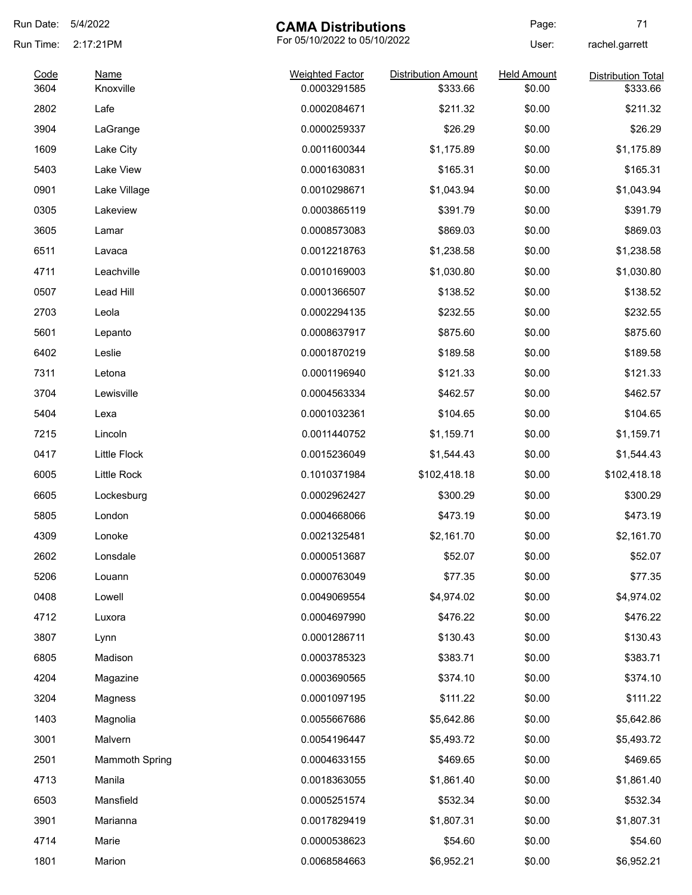| Run Date:    | 5/4/2022                 | <b>CAMA Distributions</b>              |                                        | Page:                        | 71                                    |
|--------------|--------------------------|----------------------------------------|----------------------------------------|------------------------------|---------------------------------------|
| Run Time:    | 2:17:21PM                |                                        | For 05/10/2022 to 05/10/2022           |                              | rachel.garrett                        |
| Code<br>3604 | <b>Name</b><br>Knoxville | <b>Weighted Factor</b><br>0.0003291585 | <b>Distribution Amount</b><br>\$333.66 | <b>Held Amount</b><br>\$0.00 | <b>Distribution Total</b><br>\$333.66 |
| 2802         | Lafe                     | 0.0002084671                           | \$211.32                               | \$0.00                       | \$211.32                              |
| 3904         | LaGrange                 | 0.0000259337                           | \$26.29                                | \$0.00                       | \$26.29                               |
| 1609         | Lake City                | 0.0011600344                           | \$1,175.89                             | \$0.00                       | \$1,175.89                            |
| 5403         | Lake View                | 0.0001630831                           | \$165.31                               | \$0.00                       | \$165.31                              |
| 0901         |                          | 0.0010298671                           | \$1,043.94                             | \$0.00                       | \$1,043.94                            |
| 0305         | Lake Village             | 0.0003865119                           |                                        | \$0.00                       | \$391.79                              |
|              | Lakeview                 |                                        | \$391.79                               |                              |                                       |
| 3605         | Lamar                    | 0.0008573083                           | \$869.03                               | \$0.00                       | \$869.03                              |
| 6511         | Lavaca                   | 0.0012218763                           | \$1,238.58                             | \$0.00                       | \$1,238.58                            |
| 4711         | Leachville               | 0.0010169003                           | \$1,030.80                             | \$0.00                       | \$1,030.80                            |
| 0507         | Lead Hill                | 0.0001366507                           | \$138.52                               | \$0.00                       | \$138.52                              |
| 2703         | Leola                    | 0.0002294135                           | \$232.55                               | \$0.00                       | \$232.55                              |
| 5601         | Lepanto                  | 0.0008637917                           | \$875.60                               | \$0.00                       | \$875.60                              |
| 6402         | Leslie                   | 0.0001870219                           | \$189.58                               | \$0.00                       | \$189.58                              |
| 7311         | Letona                   | 0.0001196940                           | \$121.33                               | \$0.00                       | \$121.33                              |
| 3704         | Lewisville               | 0.0004563334                           | \$462.57                               | \$0.00                       | \$462.57                              |
| 5404         | Lexa                     | 0.0001032361                           | \$104.65                               | \$0.00                       | \$104.65                              |
| 7215         | Lincoln                  | 0.0011440752                           | \$1,159.71                             | \$0.00                       | \$1,159.71                            |
| 0417         | <b>Little Flock</b>      | 0.0015236049                           | \$1,544.43                             | \$0.00                       | \$1,544.43                            |
| 6005         | Little Rock              | 0.1010371984                           | \$102,418.18                           | \$0.00                       | \$102,418.18                          |
| 6605         | Lockesburg               | 0.0002962427                           | \$300.29                               | \$0.00                       | \$300.29                              |
| 5805         | London                   | 0.0004668066                           | \$473.19                               | \$0.00                       | \$473.19                              |
| 4309         | Lonoke                   | 0.0021325481                           | \$2,161.70                             | \$0.00                       | \$2,161.70                            |
| 2602         | Lonsdale                 | 0.0000513687                           | \$52.07                                | \$0.00                       | \$52.07                               |
| 5206         | Louann                   | 0.0000763049                           | \$77.35                                | \$0.00                       | \$77.35                               |
| 0408         | Lowell                   | 0.0049069554                           | \$4,974.02                             | \$0.00                       | \$4,974.02                            |
| 4712         | Luxora                   | 0.0004697990                           | \$476.22                               | \$0.00                       | \$476.22                              |
| 3807         | Lynn                     | 0.0001286711                           | \$130.43                               | \$0.00                       | \$130.43                              |
| 6805         | Madison                  | 0.0003785323                           | \$383.71                               | \$0.00                       | \$383.71                              |
| 4204         | Magazine                 | 0.0003690565                           | \$374.10                               | \$0.00                       | \$374.10                              |
| 3204         | Magness                  | 0.0001097195                           | \$111.22                               | \$0.00                       | \$111.22                              |
| 1403         | Magnolia                 | 0.0055667686                           | \$5,642.86                             | \$0.00                       | \$5,642.86                            |
| 3001         | Malvern                  | 0.0054196447                           | \$5,493.72                             | \$0.00                       | \$5,493.72                            |
| 2501         | <b>Mammoth Spring</b>    | 0.0004633155                           | \$469.65                               | \$0.00                       | \$469.65                              |
| 4713         | Manila                   | 0.0018363055                           | \$1,861.40                             | \$0.00                       | \$1,861.40                            |
| 6503         | Mansfield                | 0.0005251574                           | \$532.34                               | \$0.00                       | \$532.34                              |
| 3901         | Marianna                 | 0.0017829419                           | \$1,807.31                             | \$0.00                       | \$1,807.31                            |
| 4714         | Marie                    | 0.0000538623                           | \$54.60                                | \$0.00                       | \$54.60                               |
|              |                          | 0.0068584663                           |                                        | \$0.00                       | \$6,952.21                            |
| 1801         | Marion                   |                                        | \$6,952.21                             |                              |                                       |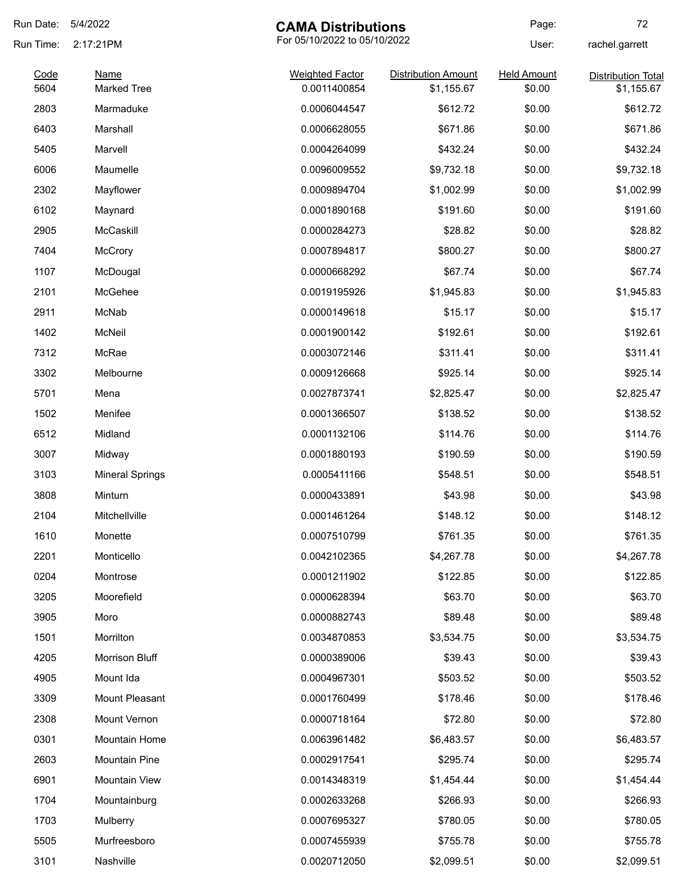| Run Date: | 5/4/2022               | <b>CAMA Distributions</b>    |                            | Page:              | 72                        |
|-----------|------------------------|------------------------------|----------------------------|--------------------|---------------------------|
| Run Time: | 2:17:21PM              | For 05/10/2022 to 05/10/2022 |                            | User:              | rachel.garrett            |
| Code      | <b>Name</b>            | <b>Weighted Factor</b>       | <b>Distribution Amount</b> | <b>Held Amount</b> | <b>Distribution Total</b> |
| 5604      | <b>Marked Tree</b>     | 0.0011400854                 | \$1,155.67                 | \$0.00             | \$1,155.67                |
| 2803      | Marmaduke              | 0.0006044547                 | \$612.72                   | \$0.00             | \$612.72                  |
| 6403      | Marshall               | 0.0006628055                 | \$671.86                   | \$0.00             | \$671.86                  |
| 5405      | Marvell                | 0.0004264099                 | \$432.24                   | \$0.00             | \$432.24                  |
| 6006      | Maumelle               | 0.0096009552                 | \$9,732.18                 | \$0.00             | \$9,732.18                |
| 2302      | Mayflower              | 0.0009894704                 | \$1,002.99                 | \$0.00             | \$1,002.99                |
| 6102      | Maynard                | 0.0001890168                 | \$191.60                   | \$0.00             | \$191.60                  |
| 2905      | McCaskill              | 0.0000284273                 | \$28.82                    | \$0.00             | \$28.82                   |
| 7404      | <b>McCrory</b>         | 0.0007894817                 | \$800.27                   | \$0.00             | \$800.27                  |
| 1107      | McDougal               | 0.0000668292                 | \$67.74                    | \$0.00             | \$67.74                   |
| 2101      | McGehee                | 0.0019195926                 | \$1,945.83                 | \$0.00             | \$1,945.83                |
| 2911      | McNab                  | 0.0000149618                 | \$15.17                    | \$0.00             | \$15.17                   |
| 1402      | McNeil                 | 0.0001900142                 | \$192.61                   | \$0.00             | \$192.61                  |
| 7312      | McRae                  | 0.0003072146                 | \$311.41                   | \$0.00             | \$311.41                  |
| 3302      | Melbourne              | 0.0009126668                 | \$925.14                   | \$0.00             | \$925.14                  |
| 5701      | Mena                   | 0.0027873741                 | \$2,825.47                 | \$0.00             | \$2,825.47                |
| 1502      | Menifee                | 0.0001366507                 | \$138.52                   | \$0.00             | \$138.52                  |
| 6512      | Midland                | 0.0001132106                 | \$114.76                   | \$0.00             | \$114.76                  |
| 3007      | Midway                 | 0.0001880193                 | \$190.59                   | \$0.00             | \$190.59                  |
| 3103      | <b>Mineral Springs</b> | 0.0005411166                 | \$548.51                   | \$0.00             | \$548.51                  |
| 3808      | Minturn                | 0.0000433891                 | \$43.98                    | \$0.00             | \$43.98                   |
| 2104      | Mitchellville          | 0.0001461264                 | \$148.12                   | \$0.00             | \$148.12                  |
| 1610      | Monette                | 0.0007510799                 | \$761.35                   | \$0.00             | \$761.35                  |
| 2201      | Monticello             | 0.0042102365                 | \$4,267.78                 | \$0.00             | \$4,267.78                |
| 0204      | Montrose               | 0.0001211902                 | \$122.85                   | \$0.00             | \$122.85                  |
| 3205      | Moorefield             | 0.0000628394                 | \$63.70                    | \$0.00             | \$63.70                   |
| 3905      | Moro                   | 0.0000882743                 | \$89.48                    | \$0.00             | \$89.48                   |
| 1501      | Morrilton              | 0.0034870853                 | \$3,534.75                 | \$0.00             | \$3,534.75                |
| 4205      | Morrison Bluff         | 0.0000389006                 | \$39.43                    | \$0.00             | \$39.43                   |
| 4905      | Mount Ida              | 0.0004967301                 | \$503.52                   | \$0.00             | \$503.52                  |
| 3309      | Mount Pleasant         | 0.0001760499                 | \$178.46                   | \$0.00             | \$178.46                  |
| 2308      | Mount Vernon           | 0.0000718164                 | \$72.80                    | \$0.00             | \$72.80                   |
| 0301      | Mountain Home          | 0.0063961482                 | \$6,483.57                 | \$0.00             | \$6,483.57                |
| 2603      | Mountain Pine          | 0.0002917541                 | \$295.74                   | \$0.00             | \$295.74                  |
| 6901      | Mountain View          | 0.0014348319                 | \$1,454.44                 | \$0.00             | \$1,454.44                |
|           |                        |                              |                            |                    |                           |
| 1704      | Mountainburg           | 0.0002633268                 | \$266.93                   | \$0.00             | \$266.93                  |
| 1703      | Mulberry               | 0.0007695327                 | \$780.05                   | \$0.00             | \$780.05                  |
| 5505      | Murfreesboro           | 0.0007455939                 | \$755.78                   | \$0.00             | \$755.78                  |
| 3101      | Nashville              | 0.0020712050                 | \$2,099.51                 | \$0.00             | \$2,099.51                |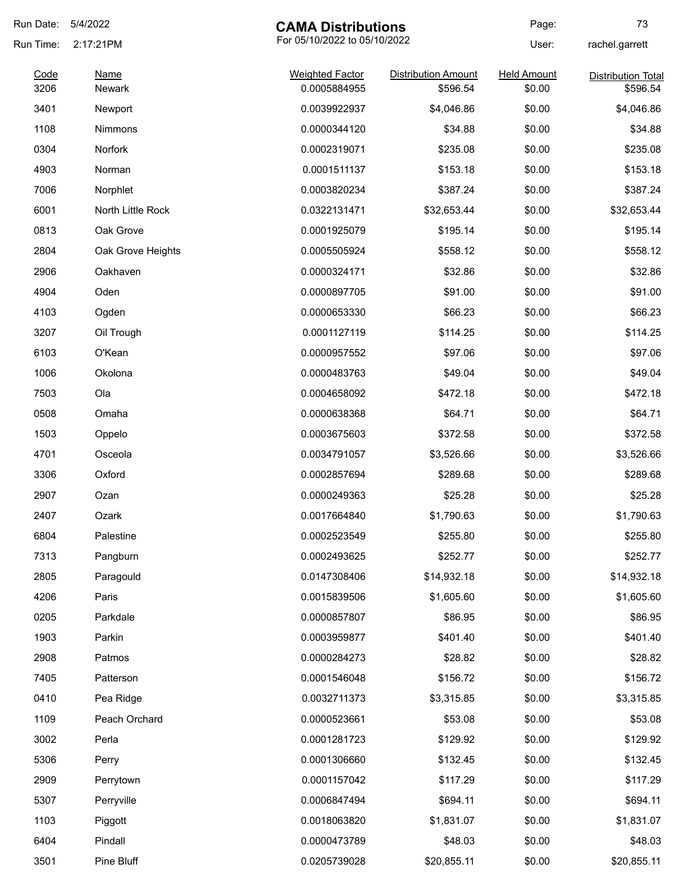| Run Date:    | 5/4/2022<br><b>CAMA Distributions</b> |                                        | Page:                                  | 73                           |                                       |
|--------------|---------------------------------------|----------------------------------------|----------------------------------------|------------------------------|---------------------------------------|
| Run Time:    | 2:17:21PM<br>Name<br><b>Newark</b>    | For 05/10/2022 to 05/10/2022           |                                        | User:                        | rachel.garrett                        |
| Code<br>3206 |                                       | <b>Weighted Factor</b><br>0.0005884955 | <b>Distribution Amount</b><br>\$596.54 | <b>Held Amount</b><br>\$0.00 | <b>Distribution Total</b><br>\$596.54 |
| 3401         | Newport                               | 0.0039922937                           | \$4,046.86                             | \$0.00                       | \$4,046.86                            |
| 1108         | Nimmons                               | 0.0000344120                           | \$34.88                                | \$0.00                       | \$34.88                               |
| 0304         | Norfork                               | 0.0002319071                           | \$235.08                               | \$0.00                       | \$235.08                              |
| 4903         | Norman                                | 0.0001511137                           | \$153.18                               | \$0.00                       | \$153.18                              |
| 7006         | Norphlet                              | 0.0003820234                           | \$387.24                               | \$0.00                       | \$387.24                              |
| 6001         | North Little Rock                     | 0.0322131471                           | \$32,653.44                            | \$0.00                       | \$32,653.44                           |
| 0813         | Oak Grove                             | 0.0001925079                           | \$195.14                               | \$0.00                       | \$195.14                              |
| 2804         | Oak Grove Heights                     | 0.0005505924                           | \$558.12                               | \$0.00                       | \$558.12                              |
| 2906         | Oakhaven                              | 0.0000324171                           | \$32.86                                | \$0.00                       | \$32.86                               |
| 4904         | Oden                                  | 0.0000897705                           | \$91.00                                | \$0.00                       | \$91.00                               |
| 4103         | Ogden                                 | 0.0000653330                           | \$66.23                                | \$0.00                       | \$66.23                               |
| 3207         | Oil Trough                            | 0.0001127119                           | \$114.25                               | \$0.00                       | \$114.25                              |
| 6103         | O'Kean                                | 0.0000957552                           | \$97.06                                | \$0.00                       | \$97.06                               |
| 1006         | Okolona                               | 0.0000483763                           | \$49.04                                | \$0.00                       | \$49.04                               |
| 7503         | Ola                                   | 0.0004658092                           | \$472.18                               | \$0.00                       | \$472.18                              |
| 0508         | Omaha                                 | 0.0000638368                           | \$64.71                                | \$0.00                       | \$64.71                               |
| 1503         | Oppelo                                | 0.0003675603                           | \$372.58                               | \$0.00                       | \$372.58                              |
| 4701         | Osceola                               | 0.0034791057                           | \$3,526.66                             | \$0.00                       | \$3,526.66                            |
| 3306         | Oxford                                | 0.0002857694                           | \$289.68                               | \$0.00                       | \$289.68                              |
| 2907         | Ozan                                  | 0.0000249363                           | \$25.28                                | \$0.00                       | \$25.28                               |
| 2407         | Ozark                                 | 0.0017664840                           | \$1,790.63                             | \$0.00                       | \$1,790.63                            |
| 6804         | Palestine                             | 0.0002523549                           | \$255.80                               | \$0.00                       | \$255.80                              |
| 7313         | Pangburn                              | 0.0002493625                           | \$252.77                               | \$0.00                       | \$252.77                              |
| 2805         | Paragould                             | 0.0147308406                           | \$14,932.18                            | \$0.00                       | \$14,932.18                           |
| 4206         | Paris                                 | 0.0015839506                           | \$1,605.60                             | \$0.00                       | \$1,605.60                            |
| 0205         | Parkdale                              | 0.0000857807                           | \$86.95                                | \$0.00                       | \$86.95                               |
| 1903         | Parkin                                | 0.0003959877                           | \$401.40                               | \$0.00                       | \$401.40                              |
| 2908         | Patmos                                | 0.0000284273                           | \$28.82                                | \$0.00                       | \$28.82                               |
| 7405         | Patterson                             | 0.0001546048                           | \$156.72                               | \$0.00                       | \$156.72                              |
| 0410         | Pea Ridge                             | 0.0032711373                           | \$3,315.85                             | \$0.00                       | \$3,315.85                            |
| 1109         | Peach Orchard                         | 0.0000523661                           | \$53.08                                | \$0.00                       | \$53.08                               |
| 3002         | Perla                                 | 0.0001281723                           | \$129.92                               | \$0.00                       | \$129.92                              |
| 5306         | Perry                                 | 0.0001306660                           | \$132.45                               | \$0.00                       | \$132.45                              |
| 2909         | Perrytown                             | 0.0001157042                           | \$117.29                               | \$0.00                       | \$117.29                              |
| 5307         | Perryville                            | 0.0006847494                           | \$694.11                               | \$0.00                       | \$694.11                              |
| 1103         | Piggott                               | 0.0018063820                           | \$1,831.07                             | \$0.00                       | \$1,831.07                            |
| 6404         | Pindall                               | 0.0000473789                           | \$48.03                                | \$0.00                       | \$48.03                               |
| 3501         | Pine Bluff                            | 0.0205739028                           | \$20,855.11                            | \$0.00                       | \$20,855.11                           |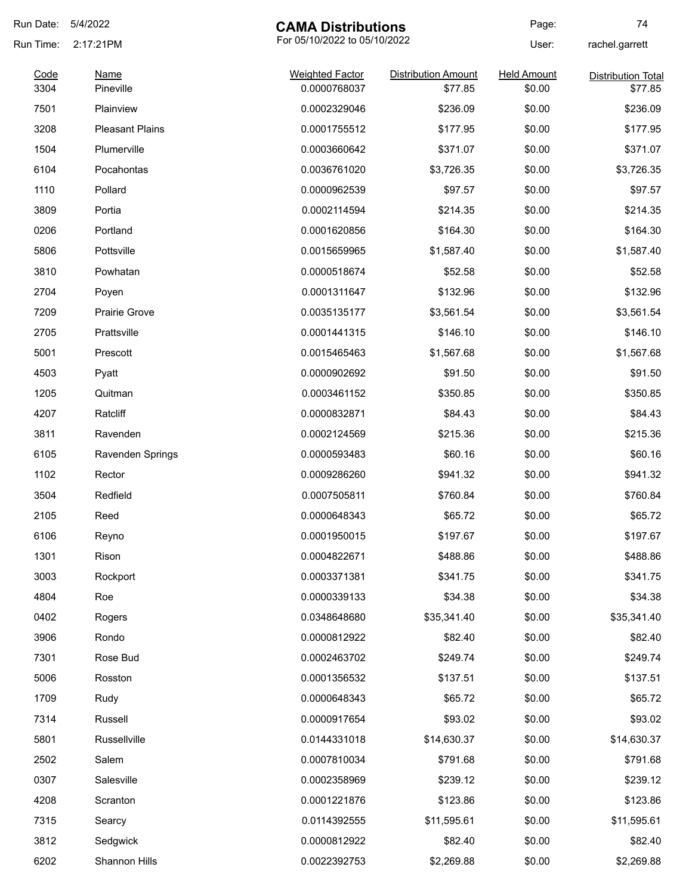| 5/4/2022                 |                                                                                                                                     |                                                                                                                                                                                                                              | Page:                                                                                                                                                                                    | 74                                                                                                                             |
|--------------------------|-------------------------------------------------------------------------------------------------------------------------------------|------------------------------------------------------------------------------------------------------------------------------------------------------------------------------------------------------------------------------|------------------------------------------------------------------------------------------------------------------------------------------------------------------------------------------|--------------------------------------------------------------------------------------------------------------------------------|
| 2:17:21PM<br><b>Name</b> | For 05/10/2022 to 05/10/2022                                                                                                        |                                                                                                                                                                                                                              | User:                                                                                                                                                                                    | rachel.garrett                                                                                                                 |
|                          | <b>Weighted Factor</b>                                                                                                              | <b>Distribution Amount</b>                                                                                                                                                                                                   | <b>Held Amount</b>                                                                                                                                                                       | <b>Distribution Total</b><br>\$77.85                                                                                           |
|                          |                                                                                                                                     |                                                                                                                                                                                                                              |                                                                                                                                                                                          | \$236.09                                                                                                                       |
|                          |                                                                                                                                     |                                                                                                                                                                                                                              |                                                                                                                                                                                          | \$177.95                                                                                                                       |
|                          |                                                                                                                                     |                                                                                                                                                                                                                              |                                                                                                                                                                                          | \$371.07                                                                                                                       |
|                          |                                                                                                                                     |                                                                                                                                                                                                                              |                                                                                                                                                                                          | \$3,726.35                                                                                                                     |
|                          |                                                                                                                                     |                                                                                                                                                                                                                              |                                                                                                                                                                                          | \$97.57                                                                                                                        |
|                          |                                                                                                                                     |                                                                                                                                                                                                                              |                                                                                                                                                                                          | \$214.35                                                                                                                       |
|                          |                                                                                                                                     |                                                                                                                                                                                                                              |                                                                                                                                                                                          | \$164.30                                                                                                                       |
| Pottsville               |                                                                                                                                     |                                                                                                                                                                                                                              |                                                                                                                                                                                          | \$1,587.40                                                                                                                     |
|                          |                                                                                                                                     |                                                                                                                                                                                                                              |                                                                                                                                                                                          | \$52.58                                                                                                                        |
|                          |                                                                                                                                     |                                                                                                                                                                                                                              |                                                                                                                                                                                          | \$132.96                                                                                                                       |
| Prairie Grove            |                                                                                                                                     |                                                                                                                                                                                                                              |                                                                                                                                                                                          | \$3,561.54                                                                                                                     |
| Prattsville              |                                                                                                                                     |                                                                                                                                                                                                                              |                                                                                                                                                                                          | \$146.10                                                                                                                       |
| Prescott                 |                                                                                                                                     | \$1,567.68                                                                                                                                                                                                                   | \$0.00                                                                                                                                                                                   | \$1,567.68                                                                                                                     |
| Pyatt                    | 0.0000902692                                                                                                                        | \$91.50                                                                                                                                                                                                                      | \$0.00                                                                                                                                                                                   | \$91.50                                                                                                                        |
| Quitman                  | 0.0003461152                                                                                                                        | \$350.85                                                                                                                                                                                                                     | \$0.00                                                                                                                                                                                   | \$350.85                                                                                                                       |
| Ratcliff                 | 0.0000832871                                                                                                                        | \$84.43                                                                                                                                                                                                                      | \$0.00                                                                                                                                                                                   | \$84.43                                                                                                                        |
| Ravenden                 | 0.0002124569                                                                                                                        | \$215.36                                                                                                                                                                                                                     | \$0.00                                                                                                                                                                                   | \$215.36                                                                                                                       |
| Ravenden Springs         | 0.0000593483                                                                                                                        | \$60.16                                                                                                                                                                                                                      | \$0.00                                                                                                                                                                                   | \$60.16                                                                                                                        |
| Rector                   | 0.0009286260                                                                                                                        | \$941.32                                                                                                                                                                                                                     | \$0.00                                                                                                                                                                                   | \$941.32                                                                                                                       |
| Redfield                 | 0.0007505811                                                                                                                        | \$760.84                                                                                                                                                                                                                     | \$0.00                                                                                                                                                                                   | \$760.84                                                                                                                       |
| Reed                     | 0.0000648343                                                                                                                        | \$65.72                                                                                                                                                                                                                      | \$0.00                                                                                                                                                                                   | \$65.72                                                                                                                        |
| Reyno                    | 0.0001950015                                                                                                                        | \$197.67                                                                                                                                                                                                                     | \$0.00                                                                                                                                                                                   | \$197.67                                                                                                                       |
| Rison                    | 0.0004822671                                                                                                                        | \$488.86                                                                                                                                                                                                                     | \$0.00                                                                                                                                                                                   | \$488.86                                                                                                                       |
| Rockport                 | 0.0003371381                                                                                                                        | \$341.75                                                                                                                                                                                                                     | \$0.00                                                                                                                                                                                   | \$341.75                                                                                                                       |
| Roe                      | 0.0000339133                                                                                                                        | \$34.38                                                                                                                                                                                                                      | \$0.00                                                                                                                                                                                   | \$34.38                                                                                                                        |
| Rogers                   | 0.0348648680                                                                                                                        | \$35,341.40                                                                                                                                                                                                                  | \$0.00                                                                                                                                                                                   | \$35,341.40                                                                                                                    |
| Rondo                    | 0.0000812922                                                                                                                        | \$82.40                                                                                                                                                                                                                      | \$0.00                                                                                                                                                                                   | \$82.40                                                                                                                        |
| Rose Bud                 | 0.0002463702                                                                                                                        | \$249.74                                                                                                                                                                                                                     | \$0.00                                                                                                                                                                                   | \$249.74                                                                                                                       |
| Rosston                  | 0.0001356532                                                                                                                        | \$137.51                                                                                                                                                                                                                     | \$0.00                                                                                                                                                                                   | \$137.51                                                                                                                       |
| Rudy                     | 0.0000648343                                                                                                                        | \$65.72                                                                                                                                                                                                                      | \$0.00                                                                                                                                                                                   | \$65.72                                                                                                                        |
| Russell                  | 0.0000917654                                                                                                                        | \$93.02                                                                                                                                                                                                                      | \$0.00                                                                                                                                                                                   | \$93.02                                                                                                                        |
| Russellville             | 0.0144331018                                                                                                                        | \$14,630.37                                                                                                                                                                                                                  | \$0.00                                                                                                                                                                                   | \$14,630.37                                                                                                                    |
| Salem                    | 0.0007810034                                                                                                                        | \$791.68                                                                                                                                                                                                                     | \$0.00                                                                                                                                                                                   | \$791.68                                                                                                                       |
| Salesville               | 0.0002358969                                                                                                                        | \$239.12                                                                                                                                                                                                                     | \$0.00                                                                                                                                                                                   | \$239.12                                                                                                                       |
| Scranton                 | 0.0001221876                                                                                                                        | \$123.86                                                                                                                                                                                                                     | \$0.00                                                                                                                                                                                   | \$123.86                                                                                                                       |
| Searcy                   | 0.0114392555                                                                                                                        | \$11,595.61                                                                                                                                                                                                                  | \$0.00                                                                                                                                                                                   | \$11,595.61                                                                                                                    |
| Sedgwick                 | 0.0000812922                                                                                                                        | \$82.40                                                                                                                                                                                                                      | \$0.00                                                                                                                                                                                   | \$82.40                                                                                                                        |
| Shannon Hills            | 0.0022392753                                                                                                                        | \$2,269.88                                                                                                                                                                                                                   | \$0.00                                                                                                                                                                                   | \$2,269.88                                                                                                                     |
|                          | Pineville<br>Plainview<br><b>Pleasant Plains</b><br>Plumerville<br>Pocahontas<br>Pollard<br>Portia<br>Portland<br>Powhatan<br>Poyen | 0.0000768037<br>0.0002329046<br>0.0001755512<br>0.0003660642<br>0.0036761020<br>0.0000962539<br>0.0002114594<br>0.0001620856<br>0.0015659965<br>0.0000518674<br>0.0001311647<br>0.0035135177<br>0.0001441315<br>0.0015465463 | <b>CAMA Distributions</b><br>\$77.85<br>\$236.09<br>\$177.95<br>\$371.07<br>\$3,726.35<br>\$97.57<br>\$214.35<br>\$164.30<br>\$1,587.40<br>\$52.58<br>\$132.96<br>\$3,561.54<br>\$146.10 | \$0.00<br>\$0.00<br>\$0.00<br>\$0.00<br>\$0.00<br>\$0.00<br>\$0.00<br>\$0.00<br>\$0.00<br>\$0.00<br>\$0.00<br>\$0.00<br>\$0.00 |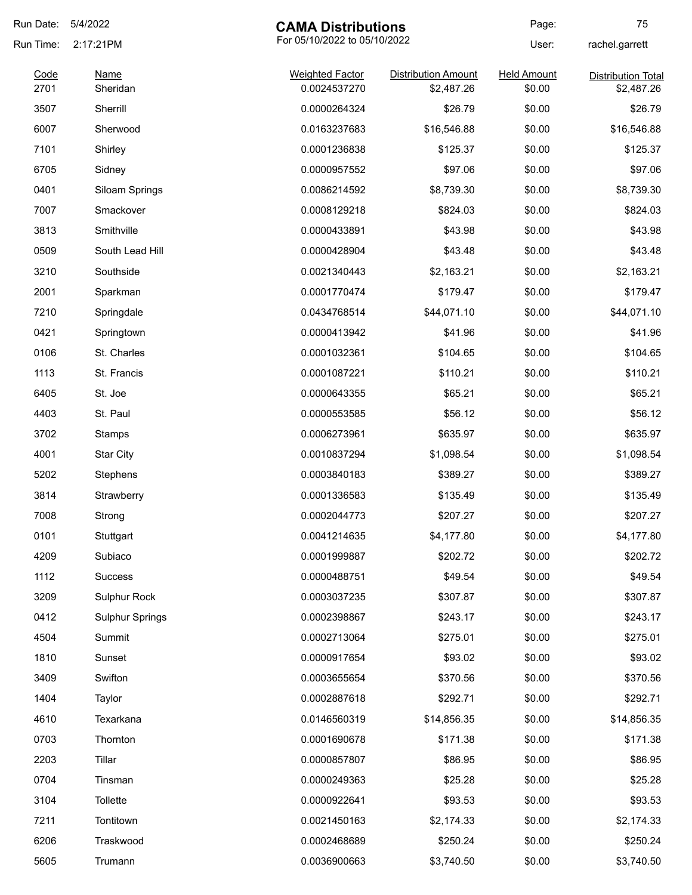| Run Date:    | 5/4/2022                             | <b>CAMA Distributions</b>              |                                          | Page:                        | 75                                      |
|--------------|--------------------------------------|----------------------------------------|------------------------------------------|------------------------------|-----------------------------------------|
| Run Time:    | 2:17:21PM<br><b>Name</b><br>Sheridan | For 05/10/2022 to 05/10/2022           |                                          | User:                        | rachel.garrett                          |
| Code<br>2701 |                                      | <b>Weighted Factor</b><br>0.0024537270 | <b>Distribution Amount</b><br>\$2,487.26 | <b>Held Amount</b><br>\$0.00 | <b>Distribution Total</b><br>\$2,487.26 |
| 3507         | Sherrill                             | 0.0000264324                           | \$26.79                                  | \$0.00                       | \$26.79                                 |
| 6007         | Sherwood                             | 0.0163237683                           | \$16,546.88                              | \$0.00                       | \$16,546.88                             |
| 7101         | Shirley                              | 0.0001236838                           | \$125.37                                 | \$0.00                       | \$125.37                                |
| 6705         | Sidney                               | 0.0000957552                           | \$97.06                                  | \$0.00                       | \$97.06                                 |
| 0401         | Siloam Springs                       | 0.0086214592                           | \$8,739.30                               | \$0.00                       | \$8,739.30                              |
| 7007         | Smackover                            | 0.0008129218                           | \$824.03                                 | \$0.00                       | \$824.03                                |
| 3813         | Smithville                           | 0.0000433891                           | \$43.98                                  | \$0.00                       | \$43.98                                 |
| 0509         | South Lead Hill                      | 0.0000428904                           | \$43.48                                  | \$0.00                       | \$43.48                                 |
| 3210         | Southside                            | 0.0021340443                           | \$2,163.21                               | \$0.00                       | \$2,163.21                              |
| 2001         | Sparkman                             | 0.0001770474                           | \$179.47                                 | \$0.00                       | \$179.47                                |
| 7210         | Springdale                           | 0.0434768514                           | \$44,071.10                              | \$0.00                       | \$44,071.10                             |
| 0421         | Springtown                           | 0.0000413942                           | \$41.96                                  | \$0.00                       | \$41.96                                 |
| 0106         | St. Charles                          | 0.0001032361                           | \$104.65                                 | \$0.00                       | \$104.65                                |
| 1113         | St. Francis                          | 0.0001087221                           | \$110.21                                 | \$0.00                       | \$110.21                                |
| 6405         | St. Joe                              | 0.0000643355                           | \$65.21                                  | \$0.00                       | \$65.21                                 |
| 4403         | St. Paul                             | 0.0000553585                           | \$56.12                                  | \$0.00                       | \$56.12                                 |
| 3702         | Stamps                               | 0.0006273961                           | \$635.97                                 | \$0.00                       | \$635.97                                |
| 4001         | Star City                            | 0.0010837294                           | \$1,098.54                               | \$0.00                       | \$1,098.54                              |
| 5202         | Stephens                             | 0.0003840183                           | \$389.27                                 | \$0.00                       | \$389.27                                |
| 3814         | Strawberry                           | 0.0001336583                           | \$135.49                                 | \$0.00                       | \$135.49                                |
| 7008         | Strong                               | 0.0002044773                           | \$207.27                                 | \$0.00                       | \$207.27                                |
| 0101         | Stuttgart                            | 0.0041214635                           | \$4,177.80                               | \$0.00                       | \$4,177.80                              |
| 4209         | Subiaco                              | 0.0001999887                           | \$202.72                                 | \$0.00                       | \$202.72                                |
| 1112         | Success                              | 0.0000488751                           | \$49.54                                  | \$0.00                       | \$49.54                                 |
| 3209         | Sulphur Rock                         | 0.0003037235                           | \$307.87                                 | \$0.00                       | \$307.87                                |
| 0412         | <b>Sulphur Springs</b>               | 0.0002398867                           | \$243.17                                 | \$0.00                       | \$243.17                                |
| 4504         | Summit                               | 0.0002713064                           | \$275.01                                 | \$0.00                       | \$275.01                                |
| 1810         | Sunset                               | 0.0000917654                           | \$93.02                                  | \$0.00                       | \$93.02                                 |
| 3409         | Swifton                              | 0.0003655654                           | \$370.56                                 | \$0.00                       | \$370.56                                |
| 1404         | Taylor                               | 0.0002887618                           | \$292.71                                 | \$0.00                       | \$292.71                                |
| 4610         | Texarkana                            | 0.0146560319                           | \$14,856.35                              | \$0.00                       | \$14,856.35                             |
| 0703         | Thornton                             | 0.0001690678                           | \$171.38                                 | \$0.00                       | \$171.38                                |
| 2203         | Tillar                               | 0.0000857807                           | \$86.95                                  | \$0.00                       | \$86.95                                 |
| 0704         | Tinsman                              | 0.0000249363                           | \$25.28                                  | \$0.00                       | \$25.28                                 |
| 3104         | Tollette                             | 0.0000922641                           | \$93.53                                  | \$0.00                       | \$93.53                                 |
| 7211         | Tontitown                            | 0.0021450163                           | \$2,174.33                               | \$0.00                       | \$2,174.33                              |
| 6206         | Traskwood                            | 0.0002468689                           | \$250.24                                 | \$0.00                       | \$250.24                                |
| 5605         | Trumann                              | 0.0036900663                           | \$3,740.50                               | \$0.00                       | \$3,740.50                              |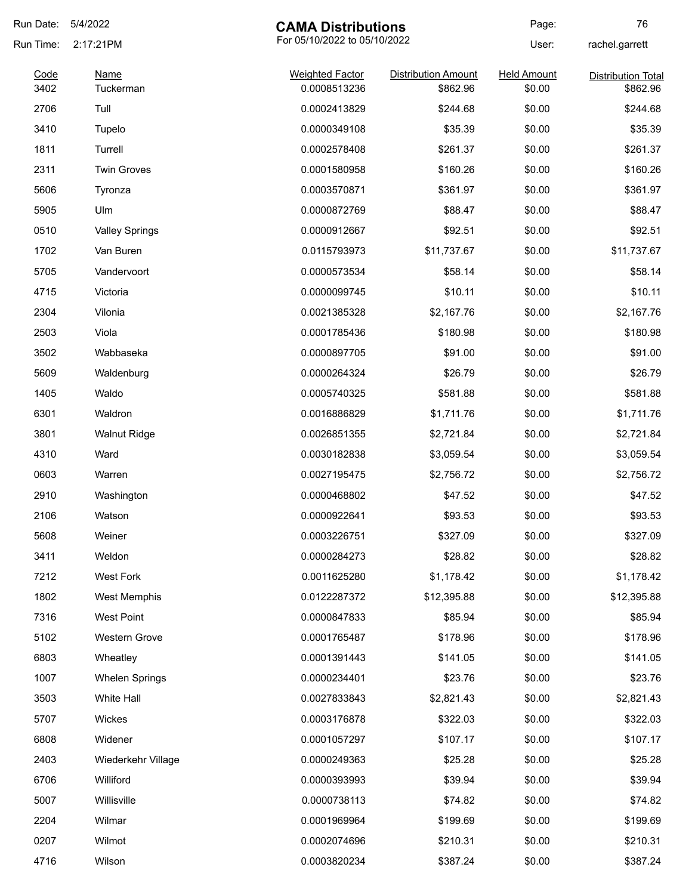| Run Date:    | 5/4/2022<br><b>CAMA Distributions</b> |                                        | Page:                                  | 76                           |                                       |
|--------------|---------------------------------------|----------------------------------------|----------------------------------------|------------------------------|---------------------------------------|
| Run Time:    | 2:17:21PM<br>Name<br>Tuckerman        | For 05/10/2022 to 05/10/2022           |                                        | User:                        | rachel.garrett                        |
| Code<br>3402 |                                       | <b>Weighted Factor</b><br>0.0008513236 | <b>Distribution Amount</b><br>\$862.96 | <b>Held Amount</b><br>\$0.00 | <b>Distribution Total</b><br>\$862.96 |
| 2706         | Tull                                  | 0.0002413829                           | \$244.68                               | \$0.00                       | \$244.68                              |
| 3410         | Tupelo                                | 0.0000349108                           | \$35.39                                | \$0.00                       | \$35.39                               |
| 1811         | Turrell                               | 0.0002578408                           | \$261.37                               | \$0.00                       | \$261.37                              |
| 2311         | <b>Twin Groves</b>                    | 0.0001580958                           | \$160.26                               | \$0.00                       | \$160.26                              |
| 5606         | Tyronza                               | 0.0003570871                           | \$361.97                               | \$0.00                       | \$361.97                              |
| 5905         | Ulm                                   | 0.0000872769                           | \$88.47                                | \$0.00                       | \$88.47                               |
| 0510         | <b>Valley Springs</b>                 | 0.0000912667                           | \$92.51                                | \$0.00                       | \$92.51                               |
| 1702         | Van Buren                             | 0.0115793973                           | \$11,737.67                            | \$0.00                       | \$11,737.67                           |
| 5705         | Vandervoort                           | 0.0000573534                           | \$58.14                                | \$0.00                       | \$58.14                               |
| 4715         | Victoria                              | 0.0000099745                           | \$10.11                                | \$0.00                       | \$10.11                               |
| 2304         | Vilonia                               | 0.0021385328                           | \$2,167.76                             | \$0.00                       | \$2,167.76                            |
| 2503         | Viola                                 | 0.0001785436                           | \$180.98                               | \$0.00                       | \$180.98                              |
| 3502         | Wabbaseka                             | 0.0000897705                           | \$91.00                                | \$0.00                       | \$91.00                               |
| 5609         | Waldenburg                            | 0.0000264324                           | \$26.79                                | \$0.00                       | \$26.79                               |
| 1405         | Waldo                                 | 0.0005740325                           | \$581.88                               | \$0.00                       | \$581.88                              |
| 6301         | Waldron                               | 0.0016886829                           | \$1,711.76                             | \$0.00                       | \$1,711.76                            |
| 3801         | <b>Walnut Ridge</b>                   | 0.0026851355                           | \$2,721.84                             | \$0.00                       | \$2,721.84                            |
| 4310         | Ward                                  | 0.0030182838                           | \$3,059.54                             | \$0.00                       | \$3,059.54                            |
| 0603         | Warren                                | 0.0027195475                           | \$2,756.72                             | \$0.00                       | \$2,756.72                            |
| 2910         | Washington                            | 0.0000468802                           | \$47.52                                | \$0.00                       | \$47.52                               |
| 2106         | Watson                                | 0.0000922641                           | \$93.53                                | \$0.00                       | \$93.53                               |
| 5608         | Weiner                                | 0.0003226751                           | \$327.09                               | \$0.00                       | \$327.09                              |
| 3411         | Weldon                                | 0.0000284273                           | \$28.82                                | \$0.00                       | \$28.82                               |
| 7212         | <b>West Fork</b>                      | 0.0011625280                           | \$1,178.42                             | \$0.00                       | \$1,178.42                            |
| 1802         | West Memphis                          | 0.0122287372                           | \$12,395.88                            | \$0.00                       | \$12,395.88                           |
| 7316         | <b>West Point</b>                     | 0.0000847833                           | \$85.94                                | \$0.00                       | \$85.94                               |
| 5102         | Western Grove                         | 0.0001765487                           | \$178.96                               | \$0.00                       | \$178.96                              |
| 6803         | Wheatley                              | 0.0001391443                           | \$141.05                               | \$0.00                       | \$141.05                              |
| 1007         | <b>Whelen Springs</b>                 | 0.0000234401                           | \$23.76                                | \$0.00                       | \$23.76                               |
| 3503         | White Hall                            | 0.0027833843                           | \$2,821.43                             | \$0.00                       | \$2,821.43                            |
| 5707         | Wickes                                | 0.0003176878                           | \$322.03                               | \$0.00                       | \$322.03                              |
| 6808         | Widener                               | 0.0001057297                           | \$107.17                               | \$0.00                       | \$107.17                              |
| 2403         | Wiederkehr Village                    | 0.0000249363                           | \$25.28                                | \$0.00                       | \$25.28                               |
| 6706         | Williford                             | 0.0000393993                           | \$39.94                                | \$0.00                       | \$39.94                               |
| 5007         | Willisville                           | 0.0000738113                           | \$74.82                                | \$0.00                       | \$74.82                               |
| 2204         | Wilmar                                | 0.0001969964                           | \$199.69                               | \$0.00                       | \$199.69                              |
| 0207         | Wilmot                                | 0.0002074696                           | \$210.31                               | \$0.00                       | \$210.31                              |
| 4716         | Wilson                                | 0.0003820234                           | \$387.24                               | \$0.00                       | \$387.24                              |